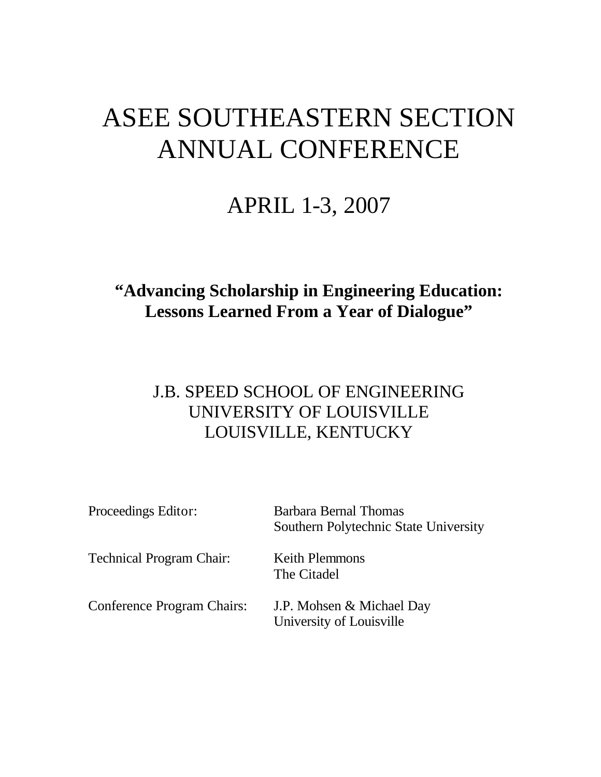## ASEE SOUTHEASTERN SECTION ANNUAL CONFERENCE

## APRIL 1-3, 2007

## **"Advancing Scholarship in Engineering Education: Lessons Learned From a Year of Dialogue"**

## J.B. SPEED SCHOOL OF ENGINEERING UNIVERSITY OF LOUISVILLE LOUISVILLE, KENTUCKY

| Proceedings Editor:               | <b>Barbara Bernal Thomas</b><br>Southern Polytechnic State University |
|-----------------------------------|-----------------------------------------------------------------------|
| <b>Technical Program Chair:</b>   | <b>Keith Plemmons</b><br>The Citadel                                  |
| <b>Conference Program Chairs:</b> | J.P. Mohsen & Michael Day<br>University of Louisville                 |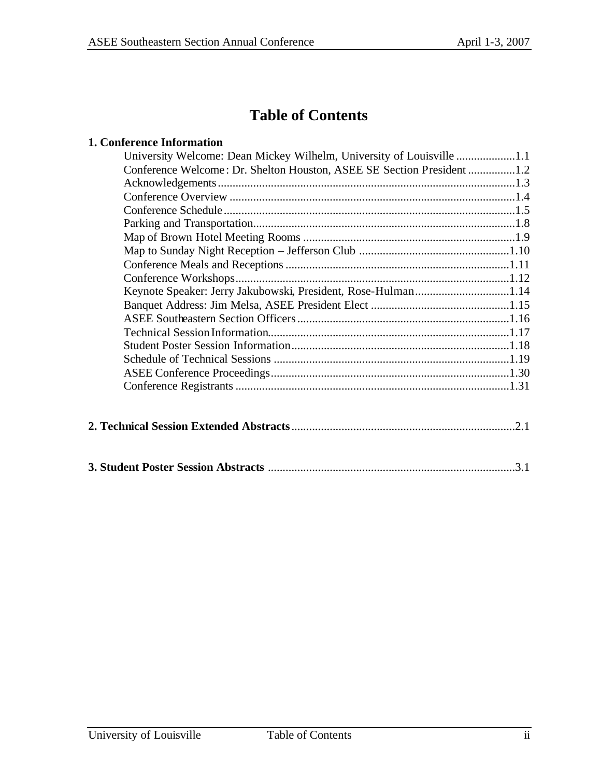## **Table of Contents**

#### **1. Conference Information**

| University Welcome: Dean Mickey Wilhelm, University of Louisville 1.1  |  |
|------------------------------------------------------------------------|--|
| Conference Welcome: Dr. Shelton Houston, ASEE SE Section President 1.2 |  |
|                                                                        |  |
|                                                                        |  |
|                                                                        |  |
|                                                                        |  |
|                                                                        |  |
|                                                                        |  |
|                                                                        |  |
|                                                                        |  |
| Keynote Speaker: Jerry Jakubowski, President, Rose-Hulman1.14          |  |
|                                                                        |  |
|                                                                        |  |
|                                                                        |  |
|                                                                        |  |
|                                                                        |  |
|                                                                        |  |
|                                                                        |  |
|                                                                        |  |
|                                                                        |  |
|                                                                        |  |
|                                                                        |  |
|                                                                        |  |
|                                                                        |  |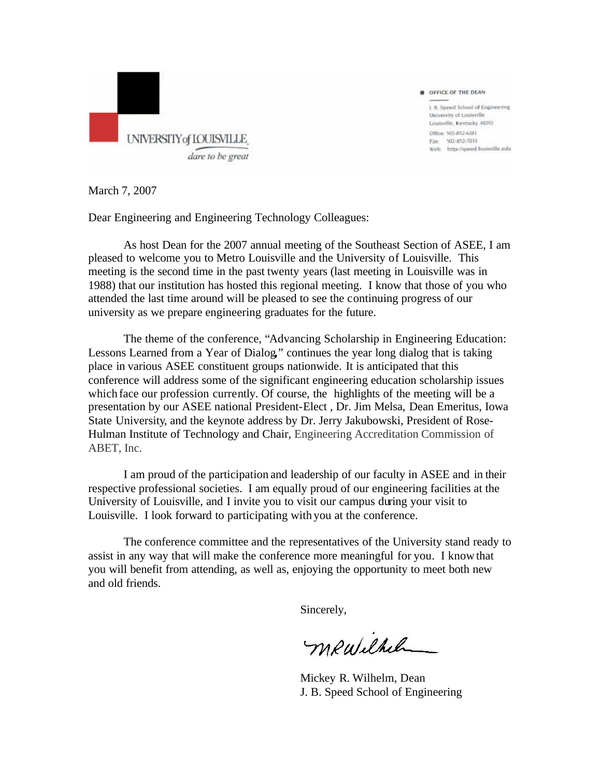

1. B. Speed School of Engineering University of Louisville Louisville, Kentucky 40292 Office: 502-852-6281 Fax: 502-852-7033 Web: http://speed.louisville.edu

OFFICE OF THE DEAN

March 7, 2007

Dear Engineering and Engineering Technology Colleagues:

As host Dean for the 2007 annual meeting of the Southeast Section of ASEE, I am pleased to welcome you to Metro Louisville and the University of Louisville. This meeting is the second time in the past twenty years (last meeting in Louisville was in 1988) that our institution has hosted this regional meeting. I know that those of you who attended the last time around will be pleased to see the continuing progress of our university as we prepare engineering graduates for the future.

The theme of the conference, "Advancing Scholarship in Engineering Education: Lessons Learned from a Year of Dialog**,**" continues the year long dialog that is taking place in various ASEE constituent groups nationwide. It is anticipated that this conference will address some of the significant engineering education scholarship issues which face our profession currently. Of course, the highlights of the meeting will be a presentation by our ASEE national President-Elect , Dr. Jim Melsa, Dean Emeritus, Iowa State University, and the keynote address by Dr. Jerry Jakubowski, President of Rose-Hulman Institute of Technology and Chair, Engineering Accreditation Commission of ABET, Inc.

I am proud of the participation and leadership of our faculty in ASEE and in their respective professional societies. I am equally proud of our engineering facilities at the University of Louisville, and I invite you to visit our campus during your visit to Louisville. I look forward to participating with you at the conference.

The conference committee and the representatives of the University stand ready to assist in any way that will make the conference more meaningful for you. I know that you will benefit from attending, as well as, enjoying the opportunity to meet both new and old friends.

Sincerely,

mewilhelm

Mickey R. Wilhelm, Dean J. B. Speed School of Engineering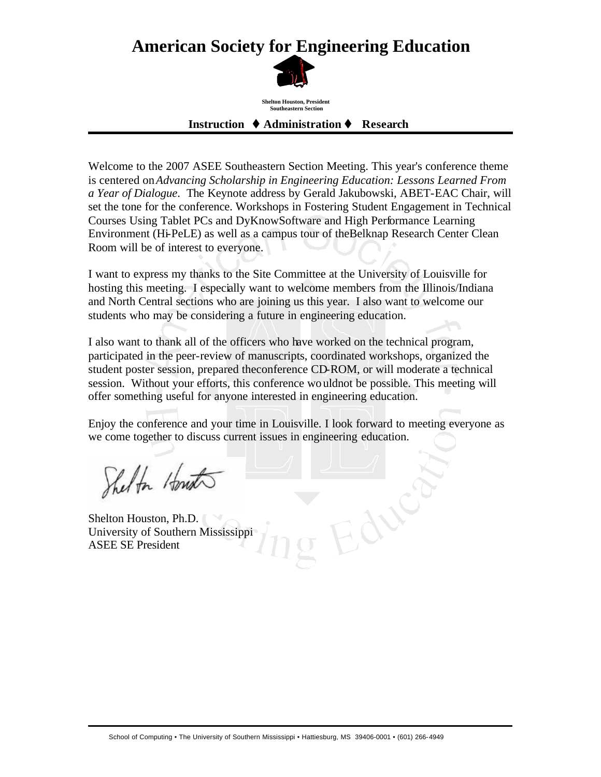## **American Society for Engineering Education**



**Shelton Houston, President Southeastern Section**

#### **Instruction ♦ Administration ♦ Research**

Welcome to the 2007 ASEE Southeastern Section Meeting. This year's conference theme is centered on*Advancing Scholarship in Engineering Education: Lessons Learned From a Year of Dialogue*. The Keynote address by Gerald Jakubowski, ABET-EAC Chair, will set the tone for the conference. Workshops in Fostering Student Engagement in Technical Courses Using Tablet PCs and DyKnowSoftware and High Performance Learning Environment (Hi-PeLE) as well as a campus tour of theBelknap Research Center Clean Room will be of interest to everyone.

I want to express my thanks to the Site Committee at the University of Louisville for hosting this meeting. I especially want to welcome members from the Illinois/Indiana and North Central sections who are joining us this year. I also want to welcome our students who may be considering a future in engineering education.

I also want to thank all of the officers who have worked on the technical program, participated in the peer-review of manuscripts, coordinated workshops, organized the student poster session, prepared theconference CD-ROM, or will moderate a technical session. Without your efforts, this conference wouldnot be possible. This meeting will offer something useful for anyone interested in engineering education.

Enjoy the conference and your time in Louisville. I look forward to meeting everyone as we come together to discuss current issues in engineering education.

Edu

Shelton Houst

Shelton Houston, Ph.D. University of Southern Mississippi ASEE SE President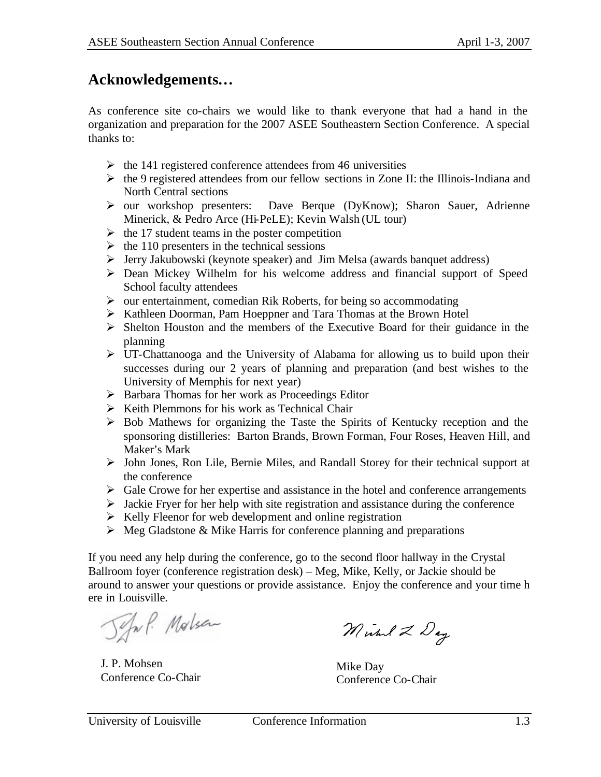## **Acknowledgements…**

As conference site co-chairs we would like to thank everyone that had a hand in the organization and preparation for the 2007 ASEE Southeastern Section Conference. A special thanks to:

- $\triangleright$  the 141 registered conference attendees from 46 universities
- $\triangleright$  the 9 registered attendees from our fellow sections in Zone II: the Illinois-Indiana and North Central sections
- ÿ our workshop presenters: Dave Berque (DyKnow); Sharon Sauer, Adrienne Minerick, & Pedro Arce (Hi-PeLE); Kevin Walsh (UL tour)
- $\triangleright$  the 17 student teams in the poster competition
- $\triangleright$  the 110 presenters in the technical sessions
- ÿ Jerry Jakubowski (keynote speaker) and Jim Melsa (awards banquet address)
- $\triangleright$  Dean Mickey Wilhelm for his welcome address and financial support of Speed School faculty attendees
- $\triangleright$  our entertainment, comedian Rik Roberts, for being so accommodating
- ÿ Kathleen Doorman, Pam Hoeppner and Tara Thomas at the Brown Hotel
- $\triangleright$  Shelton Houston and the members of the Executive Board for their guidance in the planning
- $\triangleright$  UT-Chattanooga and the University of Alabama for allowing us to build upon their successes during our 2 years of planning and preparation (and best wishes to the University of Memphis for next year)
- $\triangleright$  Barbara Thomas for her work as Proceedings Editor
- $\triangleright$  Keith Plemmons for his work as Technical Chair
- $\triangleright$  Bob Mathews for organizing the Taste the Spirits of Kentucky reception and the sponsoring distilleries: Barton Brands, Brown Forman, Four Roses, Heaven Hill, and Maker's Mark
- ÿ John Jones, Ron Lile, Bernie Miles, and Randall Storey for their technical support at the conference
- $\triangleright$  Gale Crowe for her expertise and assistance in the hotel and conference arrangements
- $\triangleright$  Jackie Fryer for her help with site registration and assistance during the conference
- $\triangleright$  Kelly Fleenor for web development and online registration
- $\triangleright$  Meg Gladstone & Mike Harris for conference planning and preparations

If you need any help during the conference, go to the second floor hallway in the Crystal Ballroom foyer (conference registration desk) – Meg, Mike, Kelly, or Jackie should be around to answer your questions or provide assistance. Enjoy the conference and your time h ere in Louisville.

Jeful. Molsen

J. P. Mohsen Conference Co-Chair

Michael 2 Day

Mike Day Conference Co-Chair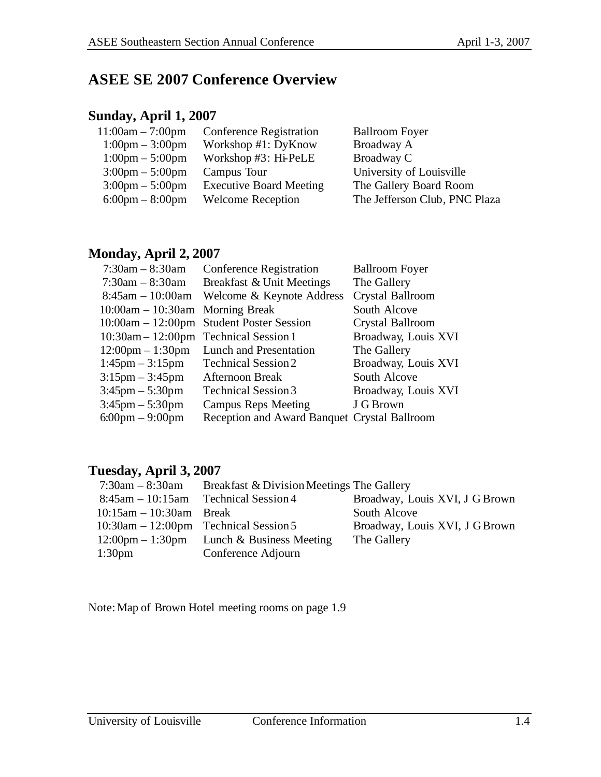## **ASEE SE 2007 Conference Overview**

#### **Sunday, April 1, 2007**

| $11:00am - 7:00pm$                | <b>Conference Registration</b> | <b>Ballroom Foyer</b>         |
|-----------------------------------|--------------------------------|-------------------------------|
| $1:00 \text{pm} - 3:00 \text{pm}$ | Workshop #1: DyKnow            | Broadway A                    |
| $1:00 \text{pm} - 5:00 \text{pm}$ | Workshop $#3$ : Hi-PeLE        | Broadway C                    |
| $3:00 \text{pm} - 5:00 \text{pm}$ | Campus Tour                    | University of Louisville      |
| $3:00 \text{pm} - 5:00 \text{pm}$ | <b>Executive Board Meeting</b> | The Gallery Board Room        |
| $6:00 \text{pm} - 8:00 \text{pm}$ | <b>Welcome Reception</b>       | The Jefferson Club, PNC Plaza |
|                                   |                                |                               |

#### **Monday, April 2, 2007**

| $7:30am - 8:30am$                     | <b>Conference Registration</b>               | <b>Ballroom Foyer</b> |
|---------------------------------------|----------------------------------------------|-----------------------|
| $7:30am - 8:30am$                     | Breakfast & Unit Meetings                    | The Gallery           |
| $8:45$ am $-10:00$ am                 | Welcome & Keynote Address                    | Crystal Ballroom      |
| $10:00$ am $-10:30$ am Morning Break  |                                              | South Alcove          |
|                                       | 10:00am – 12:00pm Student Poster Session     | Crystal Ballroom      |
| 10:30am - 12:00pm Technical Session 1 |                                              | Broadway, Louis XVI   |
| $12:00 \text{pm} - 1:30 \text{pm}$    | Lunch and Presentation                       | The Gallery           |
| $1:45 \text{pm} - 3:15 \text{pm}$     | <b>Technical Session 2</b>                   | Broadway, Louis XVI   |
| $3:15 \text{pm} - 3:45 \text{pm}$     | Afternoon Break                              | South Alcove          |
| $3:45 \text{pm} - 5:30 \text{pm}$     | <b>Technical Session 3</b>                   | Broadway, Louis XVI   |
| $3:45 \text{pm} - 5:30 \text{pm}$     | <b>Campus Reps Meeting</b>                   | J G Brown             |
| $6:00 \text{pm} - 9:00 \text{pm}$     | Reception and Award Banquet Crystal Ballroom |                       |

#### **Tuesday, April 3, 2007**

| $7:30am - 8:30am$                          | Breakfast & Division Meetings The Gallery                   |                                |
|--------------------------------------------|-------------------------------------------------------------|--------------------------------|
| $8:45$ am $-10:15$ am                      | <b>Technical Session 4</b>                                  | Broadway, Louis XVI, J G Brown |
| $10:15$ am $-10:30$ am Break               |                                                             | South Alcove                   |
| $10:30$ am $-12:00$ pm Technical Session 5 |                                                             | Broadway, Louis XVI, J G Brown |
|                                            | $12:00 \text{pm} - 1:30 \text{pm}$ Lunch & Business Meeting | The Gallery                    |
| 1:30 <sub>pm</sub>                         | Conference Adjourn                                          |                                |

Note:Map of Brown Hotel meeting rooms on page 1.9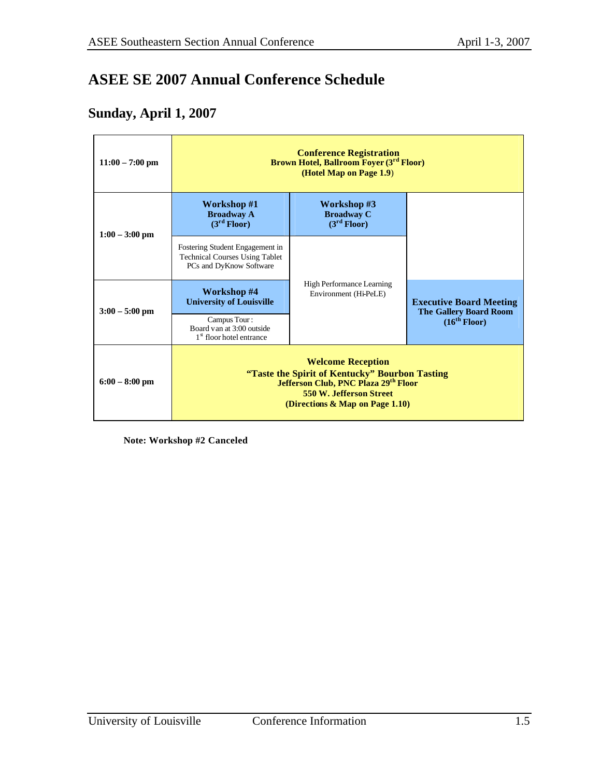## **ASEE SE 2007 Annual Conference Schedule**

#### **Sunday, April 1, 2007**

| $11:00 - 7:00$ pm | <b>Conference Registration</b><br><b>Brown Hotel, Ballroom Foyer (3rd Floor)</b><br>(Hotel Map on Page 1.9)                                                                                |                                                             |                                                                 |  |
|-------------------|--------------------------------------------------------------------------------------------------------------------------------------------------------------------------------------------|-------------------------------------------------------------|-----------------------------------------------------------------|--|
| $1:00 - 3:00$ pm  | Workshop #1<br><b>Broadway A</b><br>(3 <sup>rd</sup> Floor)                                                                                                                                | Workshop #3<br><b>Broadway C</b><br>(3 <sup>rd</sup> Floor) |                                                                 |  |
|                   | Fostering Student Engagement in<br><b>Technical Courses Using Tablet</b><br>PCs and DyKnow Software                                                                                        |                                                             |                                                                 |  |
| $3:00 - 5:00$ pm  | Workshop #4<br><b>University of Louisville</b>                                                                                                                                             | <b>High Performance Learning</b><br>Environment (Hi-PeLE)   | <b>Executive Board Meeting</b><br><b>The Gallery Board Room</b> |  |
|                   | Campus Tour:<br>Board van at 3:00 outside<br>1 <sup>st</sup> floor hotel entrance                                                                                                          |                                                             | (16 <sup>th</sup> Floor)                                        |  |
| $6:00 - 8:00$ pm  | <b>Welcome Reception</b><br>"Taste the Spirit of Kentucky" Bourbon Tasting<br>Jefferson Club, PNC Plaza 29th Floor<br><b>550 W. Jefferson Street</b><br>(Directions $\&$ Map on Page 1.10) |                                                             |                                                                 |  |

**Note: Workshop #2 Canceled**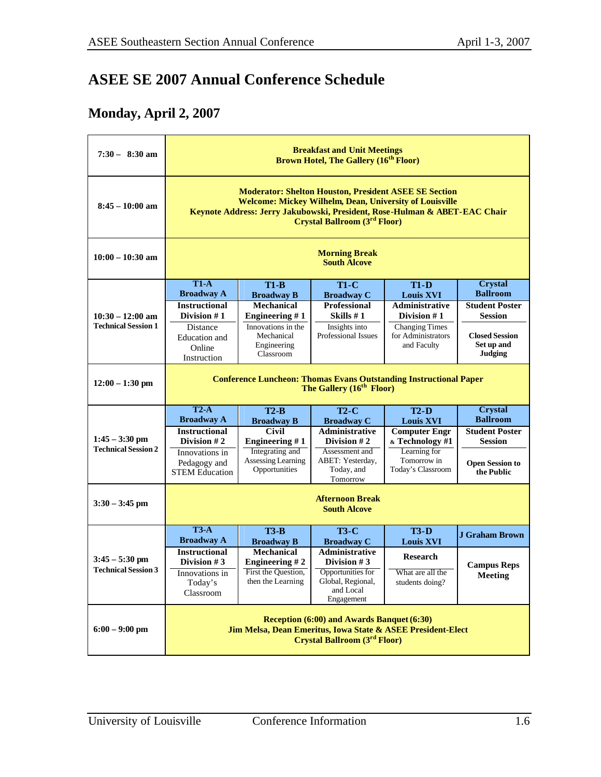## **ASEE SE 2007 Annual Conference Schedule**

### **Monday, April 2, 2007**

| $7:30 - 8:30$ am                               | <b>Breakfast and Unit Meetings</b><br><b>Brown Hotel, The Gallery (16th Floor)</b>                                                                                                                                                                  |                                                                                                 |                                                                                                                  |                                                                                             |                                                                                 |
|------------------------------------------------|-----------------------------------------------------------------------------------------------------------------------------------------------------------------------------------------------------------------------------------------------------|-------------------------------------------------------------------------------------------------|------------------------------------------------------------------------------------------------------------------|---------------------------------------------------------------------------------------------|---------------------------------------------------------------------------------|
| $8:45 - 10:00$ am                              | <b>Moderator: Shelton Houston, President ASEE SE Section</b><br><b>Welcome: Mickey Wilhelm, Dean, University of Louisville</b><br>Keynote Address: Jerry Jakubowski, President, Rose-Hulman & ABET-EAC Chair<br><b>Crystal Ballroom (3rd Floor)</b> |                                                                                                 |                                                                                                                  |                                                                                             |                                                                                 |
| $10:00 - 10:30$ am                             |                                                                                                                                                                                                                                                     |                                                                                                 | <b>Morning Break</b><br><b>South Alcove</b>                                                                      |                                                                                             |                                                                                 |
|                                                | $T1-A$                                                                                                                                                                                                                                              | $T1-B$                                                                                          | $T1-C$                                                                                                           | $T1-D$                                                                                      | <b>Crystal</b>                                                                  |
|                                                | <b>Broadway A</b><br><b>Instructional</b>                                                                                                                                                                                                           | <b>Broadway B</b><br>Mechanical                                                                 | <b>Broadway C</b><br>Professional                                                                                | <b>Louis XVI</b><br><b>Administrative</b>                                                   | <b>Ballroom</b><br><b>Student Poster</b>                                        |
| $10:30 - 12:00$ am                             | Division $# 1$                                                                                                                                                                                                                                      | Engineering $#1$                                                                                | Skills $#1$                                                                                                      | Division #1                                                                                 | <b>Session</b>                                                                  |
| <b>Technical Session 1</b>                     | Distance<br><b>Education</b> and<br>Online<br>Instruction                                                                                                                                                                                           | Innovations in the<br>Mechanical<br>Engineering<br>Classroom                                    | Insights into<br>Professional Issues                                                                             | <b>Changing Times</b><br>for Administrators<br>and Faculty                                  | <b>Closed Session</b><br>Set up and<br><b>Judging</b>                           |
| $12:00 - 1:30$ pm                              |                                                                                                                                                                                                                                                     |                                                                                                 | <b>Conference Luncheon: Thomas Evans Outstanding Instructional Paper</b><br>The Gallery (16 <sup>th</sup> Floor) |                                                                                             |                                                                                 |
|                                                | $T2-A$<br><b>Broadway A</b>                                                                                                                                                                                                                         | $T2-B$<br><b>Broadway B</b>                                                                     | $T2-C$<br><b>Broadway C</b>                                                                                      | $T2-D$<br><b>Louis XVI</b>                                                                  | <b>Crystal</b><br><b>Ballroom</b>                                               |
| $1:45 - 3:30$ pm<br><b>Technical Session 2</b> | <b>Instructional</b><br>Division #2<br>Innovations in<br>Pedagogy and<br><b>STEM Education</b>                                                                                                                                                      | <b>Civil</b><br><b>Engineering #1</b><br>Integrating and<br>Assessing Learning<br>Opportunities | <b>Administrative</b><br>Division $#2$<br>Assessment and<br>ABET: Yesterday,<br>Today, and<br>Tomorrow           | <b>Computer Engr</b><br>& Technology #1<br>Learning for<br>Tomorrow in<br>Today's Classroom | <b>Student Poster</b><br><b>Session</b><br><b>Open Session to</b><br>the Public |
| $3:30 - 3:45$ pm                               |                                                                                                                                                                                                                                                     |                                                                                                 | <b>Afternoon Break</b><br><b>South Alcove</b>                                                                    |                                                                                             |                                                                                 |
|                                                | $T3-A$<br><b>Broadway A</b>                                                                                                                                                                                                                         | $T3-B$<br><b>Broadway B</b>                                                                     | <b>T3-C</b><br><b>Broadway C</b>                                                                                 | $T3-D$<br><b>Louis XVI</b>                                                                  | <b>J Graham Brown</b>                                                           |
| $3:45 - 5:30$ pm                               | <b>Instructional</b><br>Division $#3$                                                                                                                                                                                                               | <b>Mechanical</b><br>Engineering $# 2$                                                          | <b>Administrative</b><br>Division $#3$                                                                           | Research                                                                                    | <b>Campus Reps</b>                                                              |
| <b>Technical Session 3</b>                     | Innovations in<br>Today's<br>Classroom                                                                                                                                                                                                              | First the Question,<br>then the Learning                                                        | Opportunities for<br>Global, Regional,<br>and Local<br>Engagement                                                | What are all the<br>students doing?                                                         | <b>Meeting</b>                                                                  |
| $6:00 - 9:00$ pm                               | Reception (6:00) and Awards Banquet (6:30)<br>Jim Melsa, Dean Emeritus, Iowa State & ASEE President-Elect<br><b>Crystal Ballroom (3rd Floor)</b>                                                                                                    |                                                                                                 |                                                                                                                  |                                                                                             |                                                                                 |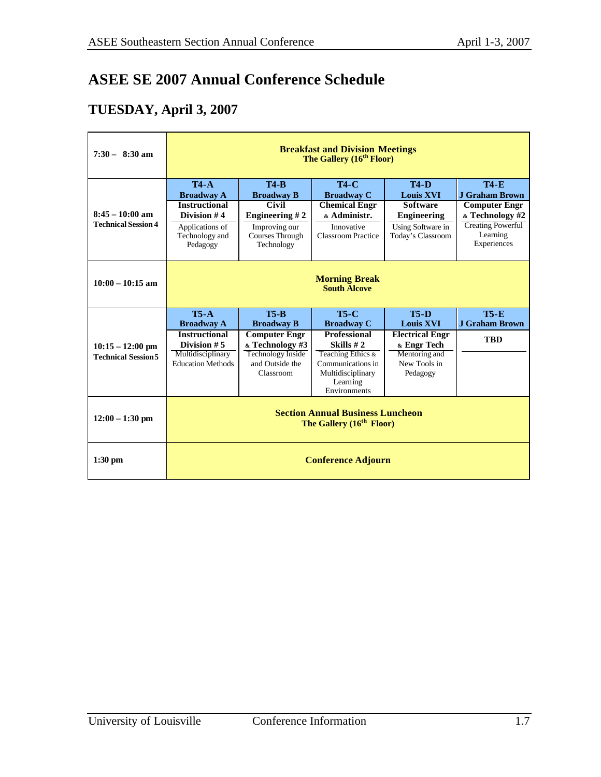## **ASEE SE 2007 Annual Conference Schedule**

## **TUESDAY, April 3, 2007**

| $7:30 - 8:30$ am                                | <b>Breakfast and Division Meetings</b><br>The Gallery (16 <sup>th</sup> Floor)                                      |                                                                                                                      |                                                                                                                     |                                                                                                                    |                                                                                                                                 |
|-------------------------------------------------|---------------------------------------------------------------------------------------------------------------------|----------------------------------------------------------------------------------------------------------------------|---------------------------------------------------------------------------------------------------------------------|--------------------------------------------------------------------------------------------------------------------|---------------------------------------------------------------------------------------------------------------------------------|
| $8:45 - 10:00$ am<br><b>Technical Session 4</b> | $T4-A$<br><b>Broadway A</b><br><b>Instructional</b><br>Division #4<br>Applications of<br>Technology and<br>Pedagogy | <b>T4-B</b><br><b>Broadway B</b><br>Civil<br><b>Engineering #2</b><br>Improving our<br>Courses Through<br>Technology | <b>T4-C</b><br><b>Broadway C</b><br><b>Chemical Engr</b><br>& Administr.<br>Innovative<br><b>Classroom Practice</b> | <b>T4-D</b><br><b>Louis XVI</b><br><b>Software</b><br><b>Engineering</b><br>Using Software in<br>Today's Classroom | <b>T4-E</b><br>J Graham Brown<br><b>Computer Engr</b><br>& Technology #2<br><b>Creating Powerful</b><br>Learning<br>Experiences |
| $10:00 - 10:15$ am                              | <b>Morning Break</b><br><b>South Alcove</b>                                                                         |                                                                                                                      |                                                                                                                     |                                                                                                                    |                                                                                                                                 |
|                                                 |                                                                                                                     |                                                                                                                      |                                                                                                                     |                                                                                                                    |                                                                                                                                 |
|                                                 | $T5-A$<br><b>Broadway A</b>                                                                                         | $T5-R$<br><b>Broadway B</b>                                                                                          | $T5-C$<br><b>Broadway C</b>                                                                                         | $T5-D$<br><b>Louis XVI</b>                                                                                         | $T5 - E$<br><b>J Graham Brown</b>                                                                                               |
| $10:15 - 12:00$ pm                              | <b>Instructional</b><br>Division $# 5$                                                                              | <b>Computer Engr</b><br>& Technology #3                                                                              | <b>Professional</b><br>Skills $#2$                                                                                  | <b>Electrical Engr</b><br>& Engr Tech                                                                              | <b>TBD</b>                                                                                                                      |
| <b>Technical Session 5</b>                      | Multidisciplinary<br><b>Education Methods</b>                                                                       | <b>Technology Inside</b><br>and Outside the                                                                          | Teaching Ethics &<br>Communications in                                                                              | Mentoring and<br>New Tools in                                                                                      |                                                                                                                                 |
|                                                 |                                                                                                                     | Classroom                                                                                                            | Multidisciplinary<br>Learning<br>Environments                                                                       | Pedagogy                                                                                                           |                                                                                                                                 |
| $12:00 - 1:30$ pm                               |                                                                                                                     |                                                                                                                      | <b>Section Annual Business Luncheon</b><br>The Gallery (16 <sup>th</sup> Floor)                                     |                                                                                                                    |                                                                                                                                 |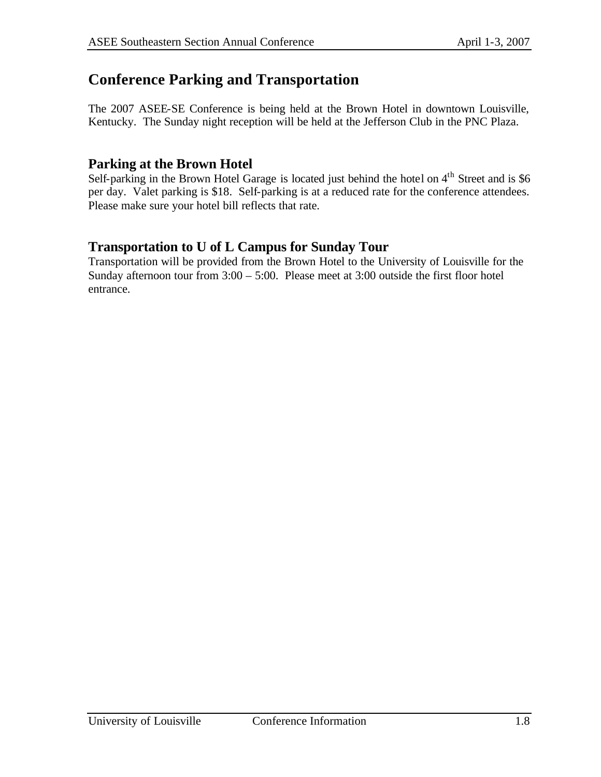## **Conference Parking and Transportation**

The 2007 ASEE-SE Conference is being held at the Brown Hotel in downtown Louisville, Kentucky. The Sunday night reception will be held at the Jefferson Club in the PNC Plaza.

#### **Parking at the Brown Hotel**

Self-parking in the Brown Hotel Garage is located just behind the hotel on  $4<sup>th</sup>$  Street and is \$6 per day. Valet parking is \$18. Self-parking is at a reduced rate for the conference attendees. Please make sure your hotel bill reflects that rate.

#### **Transportation to U of L Campus for Sunday Tour**

Transportation will be provided from the Brown Hotel to the University of Louisville for the Sunday afternoon tour from  $3:00 - 5:00$ . Please meet at  $3:00$  outside the first floor hotel entrance.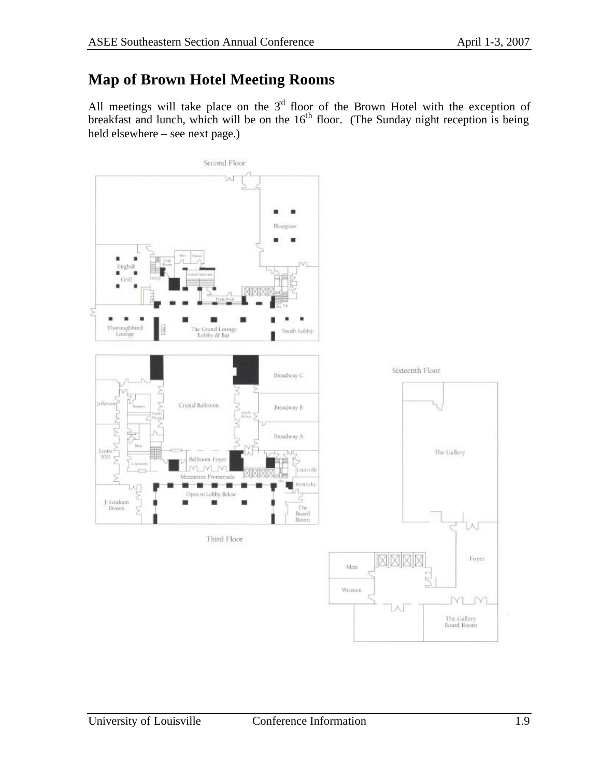## **Map of Brown Hotel Meeting Rooms**

All meetings will take place on the  $3<sup>d</sup>$  floor of the Brown Hotel with the exception of breakfast and lunch, which will be on the  $16<sup>th</sup>$  floor. (The Sunday night reception is being held elsewhere – see next page.)

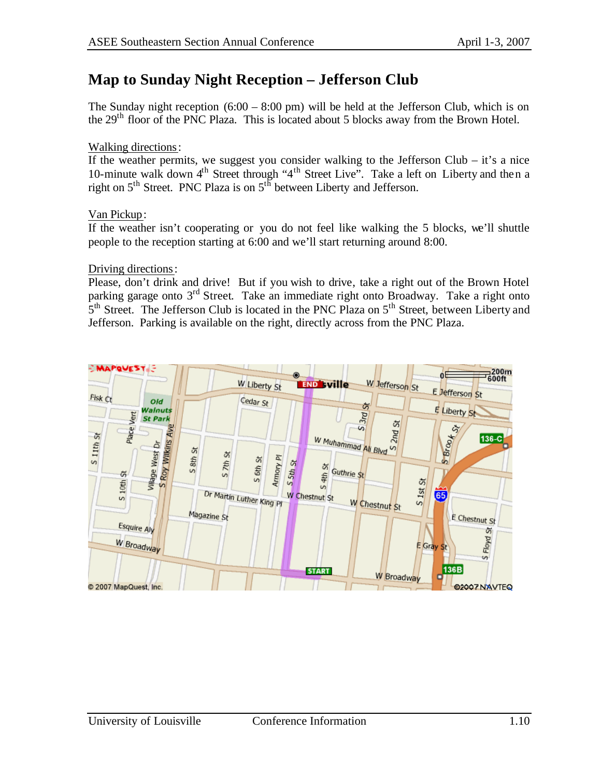## **Map to Sunday Night Reception – Jefferson Club**

The Sunday night reception  $(6:00 - 8:00)$  pm) will be held at the Jefferson Club, which is on the 29<sup>th</sup> floor of the PNC Plaza. This is located about 5 blocks away from the Brown Hotel.

#### Walking directions:

If the weather permits, we suggest you consider walking to the Jefferson Club – it's a nice 10-minute walk down 4<sup>th</sup> Street through "4<sup>th</sup> Street Live". Take a left on Liberty and then a right on 5<sup>th</sup> Street. PNC Plaza is on 5<sup>th</sup> between Liberty and Jefferson.

#### Van Pickup:

If the weather isn't cooperating or you do not feel like walking the 5 blocks, we'll shuttle people to the reception starting at 6:00 and we'll start returning around 8:00.

Driving directions:

Please, don't drink and drive! But if you wish to drive, take a right out of the Brown Hotel parking garage onto 3<sup>rd</sup> Street. Take an immediate right onto Broadway. Take a right onto 5<sup>th</sup> Street. The Jefferson Club is located in the PNC Plaza on 5<sup>th</sup> Street, between Liberty and Jefferson. Parking is available on the right, directly across from the PNC Plaza.

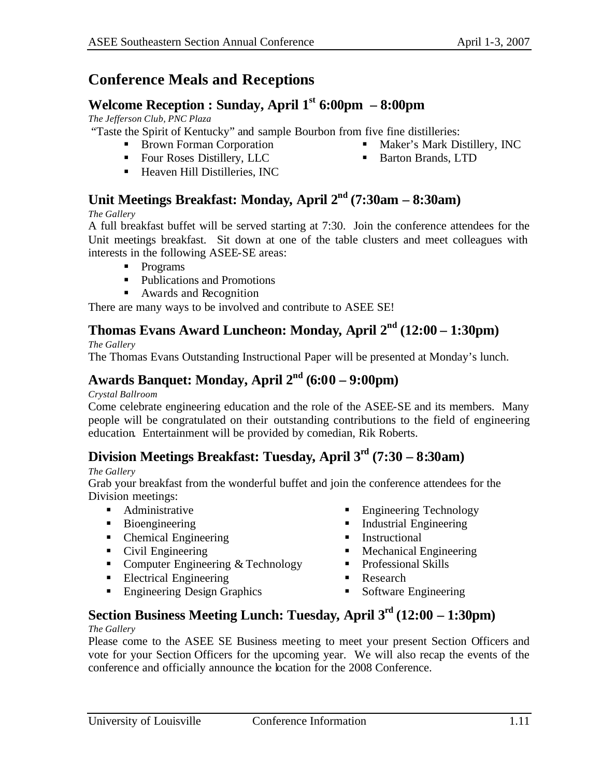**Maker's Mark Distillery, INC** 

■ Barton Brands, LTD

## **Conference Meals and Receptions**

#### **Welcome Reception : Sunday, April 1st 6:00pm – 8:00pm**

*The Jefferson Club, PNC Plaza*

"Taste the Spirit of Kentucky" and sample Bourbon from five fine distilleries:

- Brown Forman Corporation
- Four Roses Distillery, LLC
- $\blacksquare$  Heaven Hill Distilleries, INC

## **Unit Meetings Breakfast: Monday, April 2nd (7:30am – 8:30am)**

#### *The Gallery*

A full breakfast buffet will be served starting at 7:30. Join the conference attendees for the Unit meetings breakfast. Sit down at one of the table clusters and meet colleagues with interests in the following ASEE-SE areas:

- Programs
- Publications and Promotions
- Awards and Recognition

There are many ways to be involved and contribute to ASEE SE!

#### **Thomas Evans Award Luncheon: Monday, April 2nd (12:00 – 1:30pm)**

#### *The Gallery*

The Thomas Evans Outstanding Instructional Paper will be presented at Monday's lunch.

#### **Awards Banquet: Monday, April 2nd (6:00 – 9:00pm)**

#### *Crystal Ballroom*

Come celebrate engineering education and the role of the ASEE-SE and its members. Many people will be congratulated on their outstanding contributions to the field of engineering education. Entertainment will be provided by comedian, Rik Roberts.

#### **Division Meetings Breakfast: Tuesday, April 3rd (7:30 – 8:30am)**

#### *The Gallery*

Grab your breakfast from the wonderful buffet and join the conference attendees for the Division meetings:

- Administrative
- $\blacksquare$  Bioengineering
- Chemical Engineering
- Civil Engineering
- Computer Engineering  $&$  Technology
- $\blacksquare$  Electrical Engineering
- **Engineering Design Graphics**
- **Engineering Technology**
- $\blacksquare$  Industrial Engineering
- **Instructional**
- $\blacksquare$  Mechanical Engineering
- Professional Skills
- **Research**
- **Software Engineering**

## **Section Business Meeting Lunch: Tuesday, April 3rd (12:00 – 1:30pm)**

#### *The Gallery*

Please come to the ASEE SE Business meeting to meet your present Section Officers and vote for your Section Officers for the upcoming year. We will also recap the events of the conference and officially announce the location for the 2008 Conference.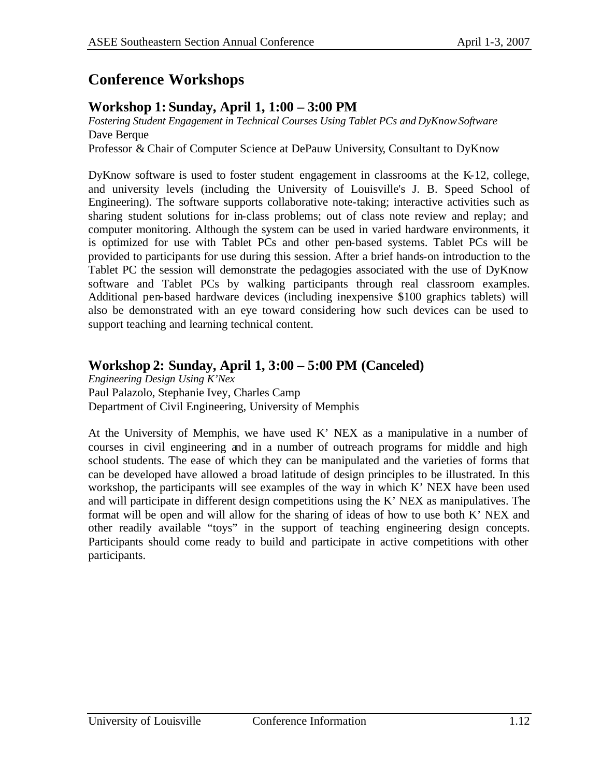## **Conference Workshops**

#### **Workshop 1: Sunday, April 1, 1:00 – 3:00 PM**

*Fostering Student Engagement in Technical Courses Using Tablet PCs and DyKnow Software* Dave Berque

Professor & Chair of Computer Science at DePauw University, Consultant to DyKnow

DyKnow software is used to foster student engagement in classrooms at the K-12, college, and university levels (including the University of Louisville's J. B. Speed School of Engineering). The software supports collaborative note-taking; interactive activities such as sharing student solutions for in-class problems; out of class note review and replay; and computer monitoring. Although the system can be used in varied hardware environments, it is optimized for use with Tablet PCs and other pen-based systems. Tablet PCs will be provided to participants for use during this session. After a brief hands-on introduction to the Tablet PC the session will demonstrate the pedagogies associated with the use of DyKnow software and Tablet PCs by walking participants through real classroom examples. Additional pen-based hardware devices (including inexpensive \$100 graphics tablets) will also be demonstrated with an eye toward considering how such devices can be used to support teaching and learning technical content.

#### **Workshop 2: Sunday, April 1, 3:00 – 5:00 PM (Canceled)**

*Engineering Design Using K'Nex* Paul Palazolo, Stephanie Ivey, Charles Camp Department of Civil Engineering, University of Memphis

At the University of Memphis, we have used K' NEX as a manipulative in a number of courses in civil engineering and in a number of outreach programs for middle and high school students. The ease of which they can be manipulated and the varieties of forms that can be developed have allowed a broad latitude of design principles to be illustrated. In this workshop, the participants will see examples of the way in which K' NEX have been used and will participate in different design competitions using the K' NEX as manipulatives. The format will be open and will allow for the sharing of ideas of how to use both K' NEX and other readily available "toys" in the support of teaching engineering design concepts. Participants should come ready to build and participate in active competitions with other participants.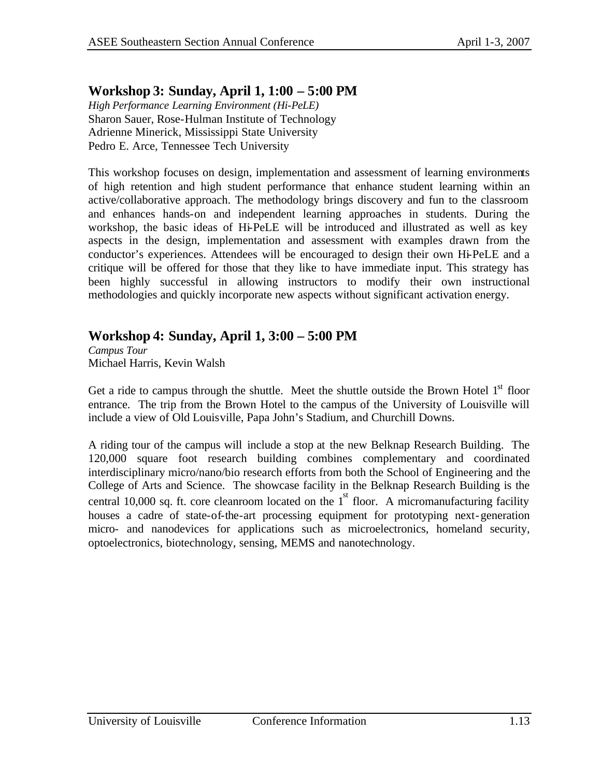#### **Workshop 3: Sunday, April 1, 1:00 – 5:00 PM**

*High Performance Learning Environment (Hi-PeLE)* Sharon Sauer, Rose-Hulman Institute of Technology Adrienne Minerick, Mississippi State University Pedro E. Arce, Tennessee Tech University

This workshop focuses on design, implementation and assessment of learning environments of high retention and high student performance that enhance student learning within an active/collaborative approach. The methodology brings discovery and fun to the classroom and enhances hands-on and independent learning approaches in students. During the workshop, the basic ideas of Hi-PeLE will be introduced and illustrated as well as key aspects in the design, implementation and assessment with examples drawn from the conductor's experiences. Attendees will be encouraged to design their own Hi-PeLE and a critique will be offered for those that they like to have immediate input. This strategy has been highly successful in allowing instructors to modify their own instructional methodologies and quickly incorporate new aspects without significant activation energy.

#### **Workshop 4: Sunday, April 1, 3:00 – 5:00 PM**

*Campus Tour* Michael Harris, Kevin Walsh

Get a ride to campus through the shuttle. Meet the shuttle outside the Brown Hotel  $1<sup>st</sup>$  floor entrance. The trip from the Brown Hotel to the campus of the University of Louisville will include a view of Old Louisville, Papa John's Stadium, and Churchill Downs.

A riding tour of the campus will include a stop at the new Belknap Research Building. The 120,000 square foot research building combines complementary and coordinated interdisciplinary micro/nano/bio research efforts from both the School of Engineering and the College of Arts and Science. The showcase facility in the Belknap Research Building is the central 10,000 sq. ft. core cleanroom located on the  $1<sup>st</sup>$  floor. A micromanufacturing facility houses a cadre of state-of-the-art processing equipment for prototyping next-generation micro- and nanodevices for applications such as microelectronics, homeland security, optoelectronics, biotechnology, sensing, MEMS and nanotechnology.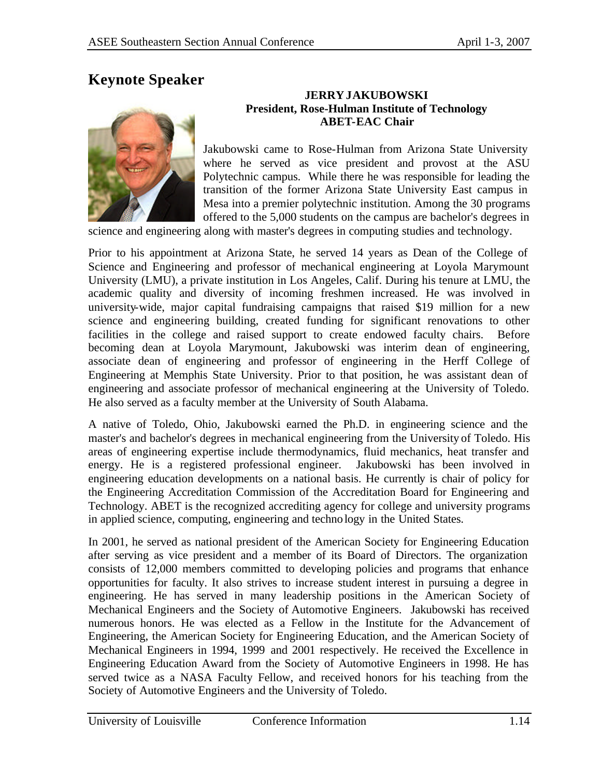## **Keynote Speaker**



#### **JERRY JAKUBOWSKI President, Rose-Hulman Institute of Technology ABET-EAC Chair**

Jakubowski came to Rose-Hulman from Arizona State University where he served as vice president and provost at the ASU Polytechnic campus. While there he was responsible for leading the transition of the former Arizona State University East campus in Mesa into a premier polytechnic institution. Among the 30 programs offered to the 5,000 students on the campus are bachelor's degrees in

science and engineering along with master's degrees in computing studies and technology.

Prior to his appointment at Arizona State, he served 14 years as Dean of the College of Science and Engineering and professor of mechanical engineering at Loyola Marymount University (LMU), a private institution in Los Angeles, Calif. During his tenure at LMU, the academic quality and diversity of incoming freshmen increased. He was involved in university-wide, major capital fundraising campaigns that raised \$19 million for a new science and engineering building, created funding for significant renovations to other facilities in the college and raised support to create endowed faculty chairs. Before becoming dean at Loyola Marymount, Jakubowski was interim dean of engineering, associate dean of engineering and professor of engineering in the Herff College of Engineering at Memphis State University. Prior to that position, he was assistant dean of engineering and associate professor of mechanical engineering at the University of Toledo. He also served as a faculty member at the University of South Alabama.

A native of Toledo, Ohio, Jakubowski earned the Ph.D. in engineering science and the master's and bachelor's degrees in mechanical engineering from the University of Toledo. His areas of engineering expertise include thermodynamics, fluid mechanics, heat transfer and energy. He is a registered professional engineer. Jakubowski has been involved in engineering education developments on a national basis. He currently is chair of policy for the Engineering Accreditation Commission of the Accreditation Board for Engineering and Technology. ABET is the recognized accrediting agency for college and university programs in applied science, computing, engineering and technology in the United States.

In 2001, he served as national president of the American Society for Engineering Education after serving as vice president and a member of its Board of Directors. The organization consists of 12,000 members committed to developing policies and programs that enhance opportunities for faculty. It also strives to increase student interest in pursuing a degree in engineering. He has served in many leadership positions in the American Society of Mechanical Engineers and the Society of Automotive Engineers. Jakubowski has received numerous honors. He was elected as a Fellow in the Institute for the Advancement of Engineering, the American Society for Engineering Education, and the American Society of Mechanical Engineers in 1994, 1999 and 2001 respectively. He received the Excellence in Engineering Education Award from the Society of Automotive Engineers in 1998. He has served twice as a NASA Faculty Fellow, and received honors for his teaching from the Society of Automotive Engineers and the University of Toledo.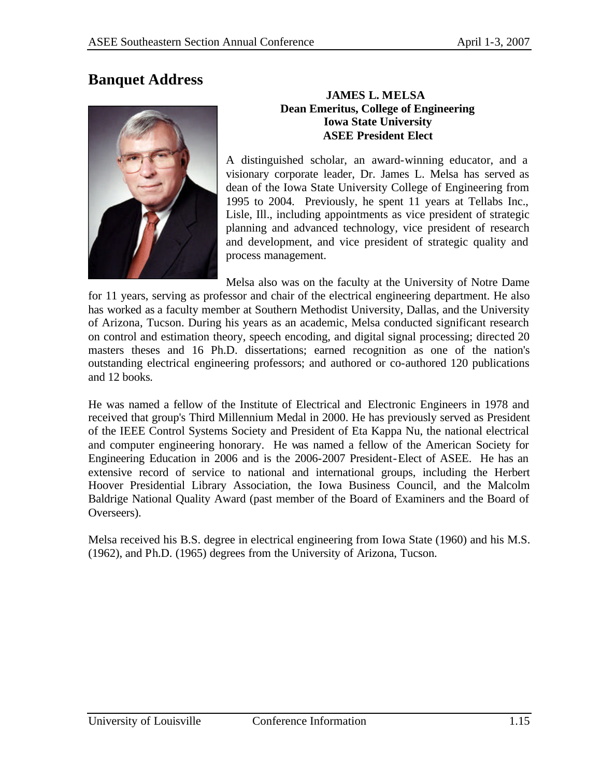## **Banquet Address**



#### **JAMES L. MELSA Dean Emeritus, College of Engineering Iowa State University ASEE President Elect**

A distinguished scholar, an award-winning educator, and a visionary corporate leader, Dr. James L. Melsa has served as dean of the Iowa State University College of Engineering from 1995 to 2004. Previously, he spent 11 years at Tellabs Inc., Lisle, Ill., including appointments as vice president of strategic planning and advanced technology, vice president of research and development, and vice president of strategic quality and process management.

Melsa also was on the faculty at the University of Notre Dame for 11 years, serving as professor and chair of the electrical engineering department. He also has worked as a faculty member at Southern Methodist University, Dallas, and the University of Arizona, Tucson. During his years as an academic, Melsa conducted significant research on control and estimation theory, speech encoding, and digital signal processing; directed 20 masters theses and 16 Ph.D. dissertations; earned recognition as one of the nation's outstanding electrical engineering professors; and authored or co-authored 120 publications and 12 books*.*

He was named a fellow of the Institute of Electrical and Electronic Engineers in 1978 and received that group's Third Millennium Medal in 2000. He has previously served as President of the IEEE Control Systems Society and President of Eta Kappa Nu, the national electrical and computer engineering honorary. He was named a fellow of the American Society for Engineering Education in 2006 and is the 2006-2007 President-Elect of ASEE. He has an extensive record of service to national and international groups, including the Herbert Hoover Presidential Library Association, the Iowa Business Council, and the Malcolm Baldrige National Quality Award (past member of the Board of Examiners and the Board of Overseers).

Melsa received his B.S. degree in electrical engineering from Iowa State (1960) and his M.S. (1962), and Ph.D. (1965) degrees from the University of Arizona, Tucson.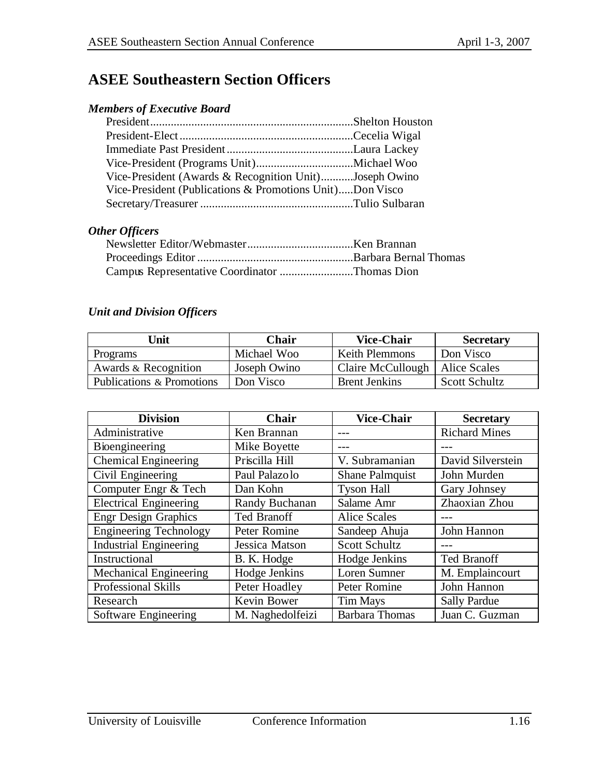## **ASEE Southeastern Section Officers**

#### *Members of Executive Board*

| Vice-President (Awards & Recognition Unit)Joseph Owino   |  |
|----------------------------------------------------------|--|
| Vice-President (Publications & Promotions Unit)Don Visco |  |
|                                                          |  |

#### *Other Officers*

| Campus Representative Coordinator Thomas Dion |  |
|-----------------------------------------------|--|

#### *Unit and Division Officers*

| Unit                      | <b>Chair</b> | <b>Vice-Chair</b>                | <b>Secretary</b>     |
|---------------------------|--------------|----------------------------------|----------------------|
| Programs                  | Michael Woo  | <b>Keith Plemmons</b>            | Don Visco            |
| Awards & Recognition      | Joseph Owino | Claire McCullough   Alice Scales |                      |
| Publications & Promotions | Don Visco    | <b>Brent Jenkins</b>             | <b>Scott Schultz</b> |

| <b>Division</b>               | <b>Chair</b>       | <b>Vice-Chair</b>      | <b>Secretary</b>     |
|-------------------------------|--------------------|------------------------|----------------------|
| Administrative                | Ken Brannan        |                        | <b>Richard Mines</b> |
| Bioengineering                | Mike Boyette       |                        |                      |
| <b>Chemical Engineering</b>   | Priscilla Hill     | V. Subramanian         | David Silverstein    |
| Civil Engineering             | Paul Palazolo      | <b>Shane Palmquist</b> | John Murden          |
| Computer Engr & Tech          | Dan Kohn           | <b>Tyson Hall</b>      | Gary Johnsey         |
| <b>Electrical Engineering</b> | Randy Buchanan     | Salame Amr             | Zhaoxian Zhou        |
| <b>Engr Design Graphics</b>   | <b>Ted Branoff</b> | <b>Alice Scales</b>    |                      |
| <b>Engineering Technology</b> | Peter Romine       | Sandeep Ahuja          | John Hannon          |
| <b>Industrial Engineering</b> | Jessica Matson     | <b>Scott Schultz</b>   |                      |
| Instructional                 | B. K. Hodge        | Hodge Jenkins          | <b>Ted Branoff</b>   |
| <b>Mechanical Engineering</b> | Hodge Jenkins      | Loren Sumner           | M. Emplaincourt      |
| <b>Professional Skills</b>    | Peter Hoadley      | Peter Romine           | John Hannon          |
| Research                      | Kevin Bower        | <b>Tim Mays</b>        | <b>Sally Pardue</b>  |
| Software Engineering          | M. Naghedolfeizi   | <b>Barbara Thomas</b>  | Juan C. Guzman       |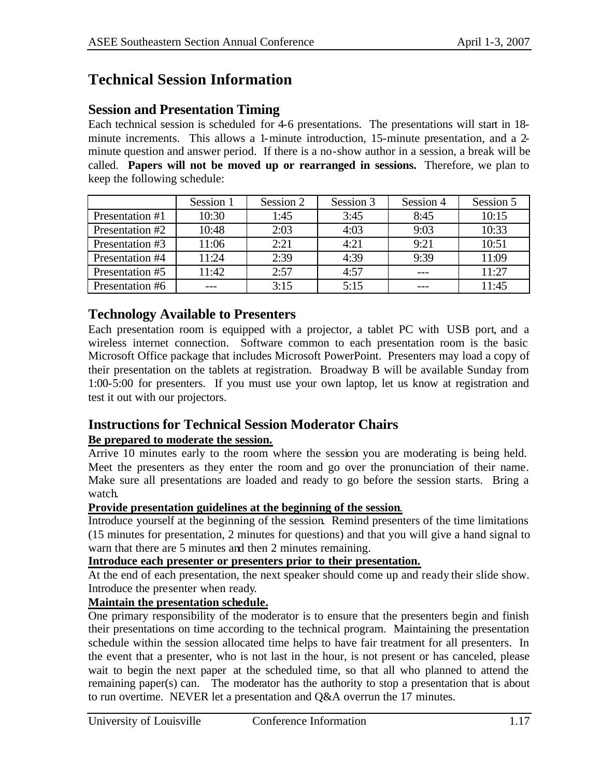## **Technical Session Information**

#### **Session and Presentation Timing**

Each technical session is scheduled for 4-6 presentations. The presentations will start in 18 minute increments. This allows a 1-minute introduction, 15-minute presentation, and a 2 minute question and answer period. If there is a no-show author in a session, a break will be called. **Papers will not be moved up or rearranged in sessions.** Therefore, we plan to keep the following schedule:

|                 | Session 1 | Session 2 | Session 3 | Session 4 | Session 5 |
|-----------------|-----------|-----------|-----------|-----------|-----------|
| Presentation #1 | 10:30     | 1:45      | 3:45      | 8:45      | 10:15     |
| Presentation #2 | 10:48     | 2:03      | 4:03      | 9:03      | 10:33     |
| Presentation #3 | 11:06     | 2:21      | 4:21      | 9:21      | 10:51     |
| Presentation #4 | 11:24     | 2:39      | 4:39      | 9:39      | 11:09     |
| Presentation #5 | 11:42     | 2:57      | 4:57      |           | 11:27     |
| Presentation #6 |           | 3:15      | 5:15      |           | 11:45     |

#### **Technology Available to Presenters**

Each presentation room is equipped with a projector, a tablet PC with USB port, and a wireless internet connection. Software common to each presentation room is the basic Microsoft Office package that includes Microsoft PowerPoint. Presenters may load a copy of their presentation on the tablets at registration. Broadway B will be available Sunday from 1:00-5:00 for presenters. If you must use your own laptop, let us know at registration and test it out with our projectors.

#### **Instructions for Technical Session Moderator Chairs**

#### **Be prepared to moderate the session.**

Arrive 10 minutes early to the room where the session you are moderating is being held. Meet the presenters as they enter the room and go over the pronunciation of their name. Make sure all presentations are loaded and ready to go before the session starts. Bring a watch.

#### **Provide presentation guidelines at the beginning of the session**.

Introduce yourself at the beginning of the session. Remind presenters of the time limitations (15 minutes for presentation, 2 minutes for questions) and that you will give a hand signal to warn that there are 5 minutes and then 2 minutes remaining.

#### **Introduce each presenter or presenters prior to their presentation.**

At the end of each presentation, the next speaker should come up and ready their slide show. Introduce the presenter when ready.

#### **Maintain the presentation schedule.**

One primary responsibility of the moderator is to ensure that the presenters begin and finish their presentations on time according to the technical program. Maintaining the presentation schedule within the session allocated time helps to have fair treatment for all presenters. In the event that a presenter, who is not last in the hour, is not present or has canceled, please wait to begin the next paper at the scheduled time, so that all who planned to attend the remaining paper(s) can. The moderator has the authority to stop a presentation that is about to run overtime. NEVER let a presentation and Q&A overrun the 17 minutes.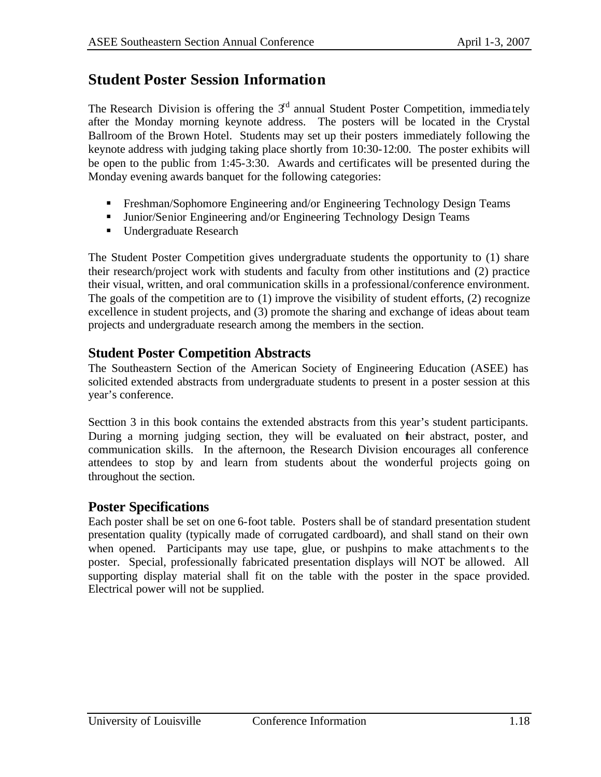## **Student Poster Session Information**

The Research Division is offering the  $3<sup>rd</sup>$  annual Student Poster Competition, immediately after the Monday morning keynote address. The posters will be located in the Crystal Ballroom of the Brown Hotel. Students may set up their posters immediately following the keynote address with judging taking place shortly from 10:30-12:00. The poster exhibits will be open to the public from 1:45-3:30. Awards and certificates will be presented during the Monday evening awards banquet for the following categories:

- **Freshman/Sophomore Engineering and/or Engineering Technology Design Teams**
- **Immit Junior/Senior Engineering and/or Engineering Technology Design Teams**
- Undergraduate Research

The Student Poster Competition gives undergraduate students the opportunity to (1) share their research/project work with students and faculty from other institutions and (2) practice their visual, written, and oral communication skills in a professional/conference environment. The goals of the competition are to (1) improve the visibility of student efforts, (2) recognize excellence in student projects, and (3) promote the sharing and exchange of ideas about team projects and undergraduate research among the members in the section.

#### **Student Poster Competition Abstracts**

The Southeastern Section of the American Society of Engineering Education (ASEE) has solicited extended abstracts from undergraduate students to present in a poster session at this year's conference.

Secttion 3 in this book contains the extended abstracts from this year's student participants. During a morning judging section, they will be evaluated on their abstract, poster, and communication skills. In the afternoon, the Research Division encourages all conference attendees to stop by and learn from students about the wonderful projects going on throughout the section.

#### **Poster Specifications**

Each poster shall be set on one 6-foot table. Posters shall be of standard presentation student presentation quality (typically made of corrugated cardboard), and shall stand on their own when opened. Participants may use tape, glue, or pushpins to make attachments to the poster. Special, professionally fabricated presentation displays will NOT be allowed. All supporting display material shall fit on the table with the poster in the space provided. Electrical power will not be supplied.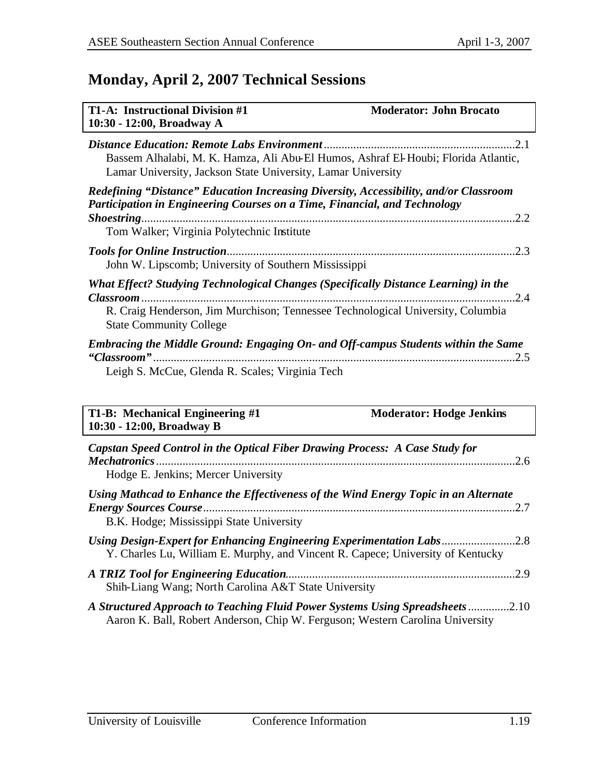## **Monday, April 2, 2007 Technical Sessions**

| <b>T1-A: Instructional Division #1</b><br>10:30 - 12:00, Broadway A                                                                                                                                                                   | <b>Moderator: John Brocato</b> |
|---------------------------------------------------------------------------------------------------------------------------------------------------------------------------------------------------------------------------------------|--------------------------------|
| Bassem Alhalabi, M. K. Hamza, Ali Abu-El Humos, Ashraf El-Houbi; Florida Atlantic,<br>Lamar University, Jackson State University, Lamar University                                                                                    |                                |
| Redefining "Distance" Education Increasing Diversity, Accessibility, and/or Classroom<br>Participation in Engineering Courses on a Time, Financial, and Technology<br><i>Shoestring</i><br>Tom Walker; Virginia Polytechnic Institute | .2.2                           |
| <b>Tools for Online Instruction</b><br>John W. Lipscomb; University of Southern Mississippi                                                                                                                                           | .2.3                           |
| What Effect? Studying Technological Changes (Specifically Distance Learning) in the<br>R. Craig Henderson, Jim Murchison; Tennessee Technological University, Columbia<br><b>State Community College</b>                              | $\overline{2.4}$               |
| <b>Embracing the Middle Ground: Engaging On- and Off-campus Students within the Same</b><br>Leigh S. McCue, Glenda R. Scales; Virginia Tech                                                                                           | .2.5                           |

| T1-B: Mechanical Engineering #1<br>10:30 - 12:00, Broadway B                                                                                                   | <b>Moderator: Hodge Jenkins</b> |
|----------------------------------------------------------------------------------------------------------------------------------------------------------------|---------------------------------|
| Capstan Speed Control in the Optical Fiber Drawing Process: A Case Study for<br><b>Mechatronics</b> .<br>Hodge E. Jenkins; Mercer University                   | .2.6                            |
| Using Mathcad to Enhance the Effectiveness of the Wind Energy Topic in an Alternate<br>B.K. Hodge; Mississippi State University                                |                                 |
| Using Design-Expert for Enhancing Engineering Experimentation Labs2.8<br>Y. Charles Lu, William E. Murphy, and Vincent R. Capece; University of Kentucky       |                                 |
| Shih-Liang Wang; North Carolina A&T State University                                                                                                           |                                 |
| A Structured Approach to Teaching Fluid Power Systems Using Spreadsheets 2.10<br>Aaron K. Ball, Robert Anderson, Chip W. Ferguson; Western Carolina University |                                 |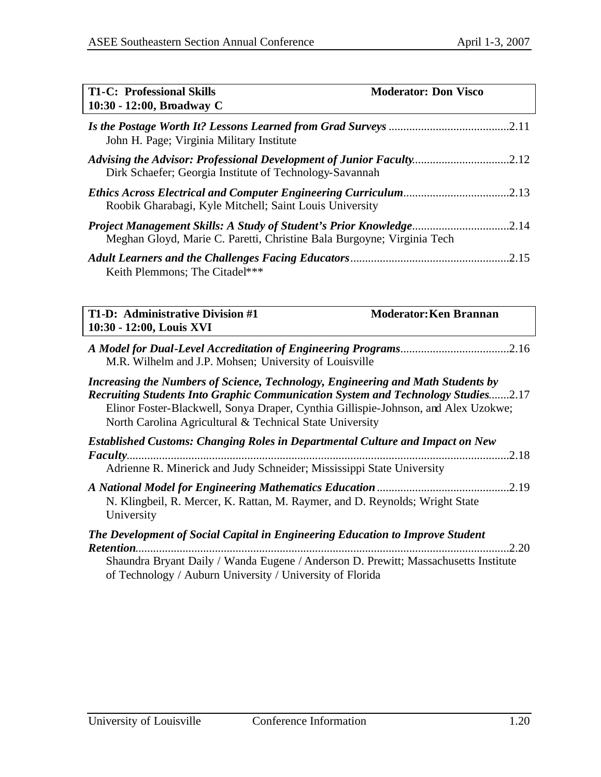| <b>T1-C: Professional Skills</b><br>10:30 - 12:00, Broadway C                                                                                                                                                                                                                                                                | <b>Moderator: Don Visco</b>   |
|------------------------------------------------------------------------------------------------------------------------------------------------------------------------------------------------------------------------------------------------------------------------------------------------------------------------------|-------------------------------|
| John H. Page; Virginia Military Institute                                                                                                                                                                                                                                                                                    |                               |
| Advising the Advisor: Professional Development of Junior Faculty2.12<br>Dirk Schaefer; Georgia Institute of Technology-Savannah                                                                                                                                                                                              |                               |
| Roobik Gharabagi, Kyle Mitchell; Saint Louis University                                                                                                                                                                                                                                                                      |                               |
| Meghan Gloyd, Marie C. Paretti, Christine Bala Burgoyne; Virginia Tech                                                                                                                                                                                                                                                       |                               |
| Keith Plemmons; The Citadel***                                                                                                                                                                                                                                                                                               |                               |
| T1-D: Administrative Division #1<br>10:30 - 12:00, Louis XVI                                                                                                                                                                                                                                                                 | <b>Moderator: Ken Brannan</b> |
| M.R. Wilhelm and J.P. Mohsen; University of Louisville                                                                                                                                                                                                                                                                       |                               |
| Increasing the Numbers of Science, Technology, Engineering and Math Students by<br><b>Recruiting Students Into Graphic Communication System and Technology Studies2.17</b><br>Elinor Foster-Blackwell, Sonya Draper, Cynthia Gillispie-Johnson, and Alex Uzokwe;<br>North Carolina Agricultural & Technical State University |                               |
| <b>Established Customs: Changing Roles in Departmental Culture and Impact on New</b>                                                                                                                                                                                                                                         |                               |
| Adrienne R. Minerick and Judy Schneider; Mississippi State University                                                                                                                                                                                                                                                        |                               |
| N. Klingbeil, R. Mercer, K. Rattan, M. Raymer, and D. Reynolds; Wright State<br>University                                                                                                                                                                                                                                   |                               |
| The Development of Social Capital in Engineering Education to Improve Student                                                                                                                                                                                                                                                |                               |
| Shaundra Bryant Daily / Wanda Eugene / Anderson D. Prewitt; Massachusetts Institute                                                                                                                                                                                                                                          |                               |

of Technology / Auburn University / University of Florida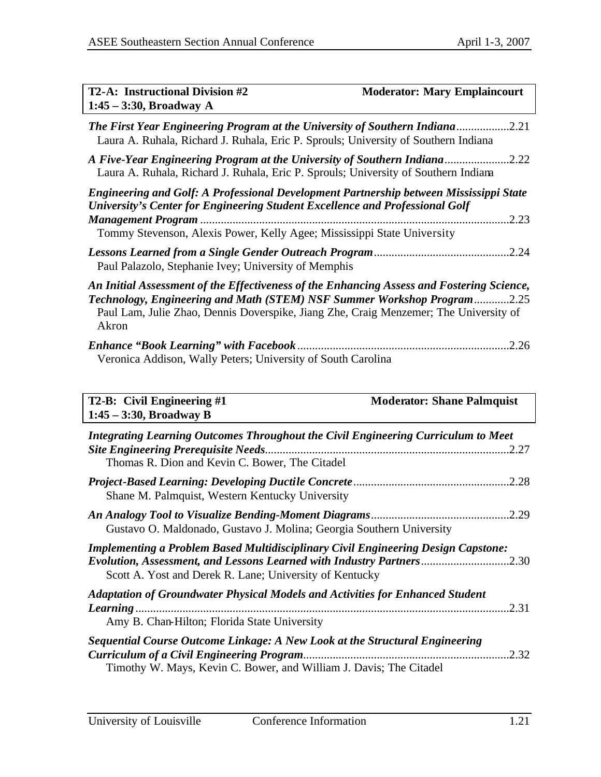| <b>T2-A: Instructional Division #2</b><br>$1:45 - 3:30$ , Broadway A                                                                                                                                                                                                   | <b>Moderator: Mary Emplaincourt</b> |
|------------------------------------------------------------------------------------------------------------------------------------------------------------------------------------------------------------------------------------------------------------------------|-------------------------------------|
| The First Year Engineering Program at the University of Southern Indiana<br>Laura A. Ruhala, Richard J. Ruhala, Eric P. Sprouls; University of Southern Indiana                                                                                                        | .2.21                               |
| A Five-Year Engineering Program at the University of Southern Indiana2.22<br>Laura A. Ruhala, Richard J. Ruhala, Eric P. Sprouls; University of Southern Indiana                                                                                                       |                                     |
| <b>Engineering and Golf: A Professional Development Partnership between Mississippi State</b><br>University's Center for Engineering Student Excellence and Professional Golf<br><b>Management Program</b>                                                             | .2.23                               |
| Tommy Stevenson, Alexis Power, Kelly Agee; Mississippi State University                                                                                                                                                                                                |                                     |
| Paul Palazolo, Stephanie Ivey; University of Memphis                                                                                                                                                                                                                   | .2.24                               |
| An Initial Assessment of the Effectiveness of the Enhancing Assess and Fostering Science,<br>Technology, Engineering and Math (STEM) NSF Summer Workshop Program2.25<br>Paul Lam, Julie Zhao, Dennis Doverspike, Jiang Zhe, Craig Menzemer; The University of<br>Akron |                                     |
| <b>Enhance "Book Learning" with Facebook.</b><br>Veronica Addison, Wally Peters; University of South Carolina                                                                                                                                                          | .2.26                               |
| T2-B: Civil Engineering #1                                                                                                                                                                                                                                             | <b>Moderator: Shane Palmquist</b>   |
| $1:45 - 3:30$ , Broadway B                                                                                                                                                                                                                                             |                                     |

| Integrating Learning Outcomes Throughout the Civil Engineering Curriculum to Meet<br>Thomas R. Dion and Kevin C. Bower, The Citadel                                                                                          | .2.27 |
|------------------------------------------------------------------------------------------------------------------------------------------------------------------------------------------------------------------------------|-------|
| Shane M. Palmquist, Western Kentucky University                                                                                                                                                                              | .2.28 |
| Gustavo O. Maldonado, Gustavo J. Molina; Georgia Southern University                                                                                                                                                         |       |
| <b>Implementing a Problem Based Multidisciplinary Civil Engineering Design Capstone:</b><br>Evolution, Assessment, and Lessons Learned with Industry Partners2.30<br>Scott A. Yost and Derek R. Lane; University of Kentucky |       |
| <b>Adaptation of Groundwater Physical Models and Activities for Enhanced Student</b><br>Amy B. Chan-Hilton; Florida State University                                                                                         | .2.31 |
| Sequential Course Outcome Linkage: A New Look at the Structural Engineering<br>Timothy W. Mays, Kevin C. Bower, and William J. Davis; The Citadel                                                                            | .2.32 |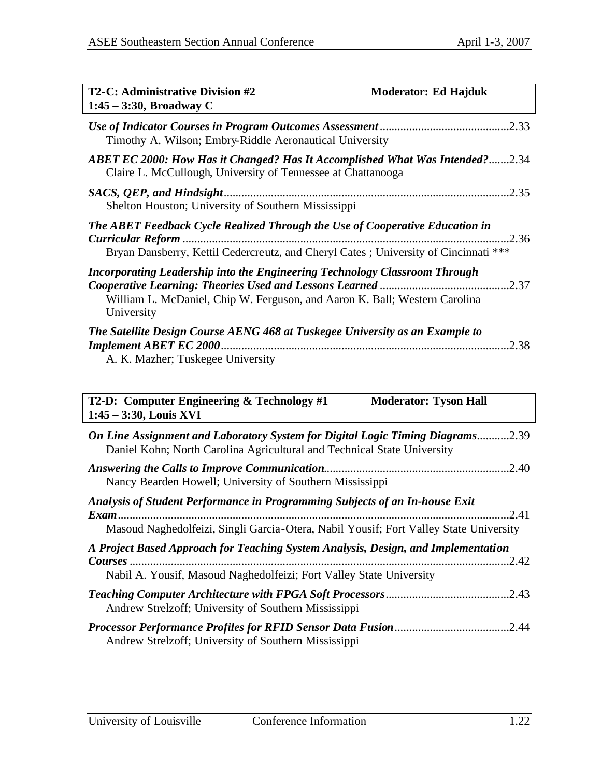| <b>T2-C: Administrative Division #2</b><br>$1:45 - 3:30$ , Broadway C                                                                                                                           | <b>Moderator: Ed Hajduk</b> |
|-------------------------------------------------------------------------------------------------------------------------------------------------------------------------------------------------|-----------------------------|
| Timothy A. Wilson; Embry-Riddle Aeronautical University                                                                                                                                         |                             |
| <b>ABET EC 2000: How Has it Changed? Has It Accomplished What Was Intended?2.34</b><br>Claire L. McCullough, University of Tennessee at Chattanooga                                             |                             |
| Shelton Houston; University of Southern Mississippi                                                                                                                                             |                             |
| The ABET Feedback Cycle Realized Through the Use of Cooperative Education in<br><b>Curricular Reform</b><br>Bryan Dansberry, Kettil Cedercreutz, and Cheryl Cates; University of Cincinnati *** | .2.36                       |
| Incorporating Leadership into the Engineering Technology Classroom Through<br>William L. McDaniel, Chip W. Ferguson, and Aaron K. Ball; Western Carolina<br>University                          |                             |
| The Satellite Design Course AENG 468 at Tuskegee University as an Example to<br>A. K. Mazher; Tuskegee University                                                                               | .2.38                       |

**T2-D: Computer Engineering & Technology #1 Moderator: Tyson Hall 1:45 – 3:30, Louis XVI**

| On Line Assignment and Laboratory System for Digital Logic Timing Diagrams2.39<br>Daniel Kohn; North Carolina Agricultural and Technical State University            |       |
|----------------------------------------------------------------------------------------------------------------------------------------------------------------------|-------|
| Answering the Calls to Improve Communication.<br>Nancy Bearden Howell; University of Southern Mississippi                                                            | .2.40 |
| Analysis of Student Performance in Programming Subjects of an In-house Exit<br>Masoud Naghedolfeizi, Singli Garcia-Otera, Nabil Yousif; Fort Valley State University |       |
| A Project Based Approach for Teaching System Analysis, Design, and Implementation<br>Nabil A. Yousif, Masoud Naghedolfeizi; Fort Valley State University             | .2.42 |
| Andrew Strelzoff; University of Southern Mississippi                                                                                                                 | .2.43 |
| Andrew Strelzoff; University of Southern Mississippi                                                                                                                 |       |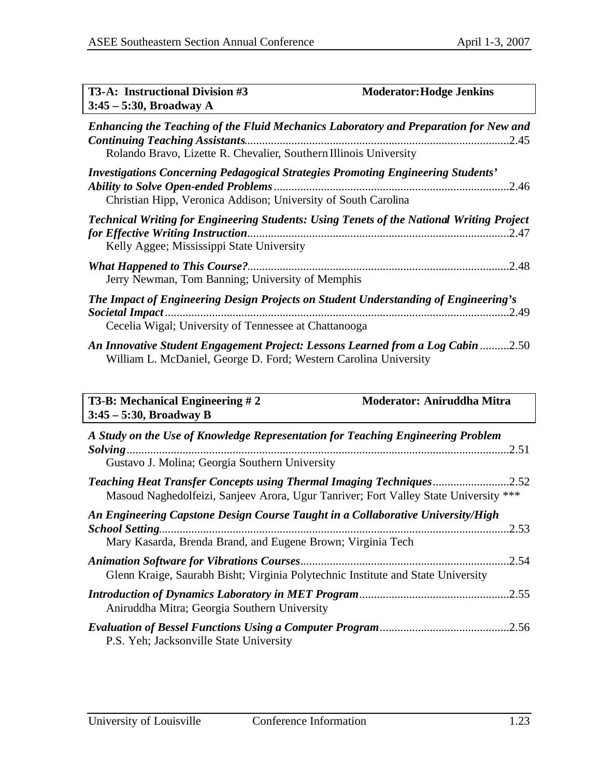| <b>T3-A: Instructional Division #3</b><br>$3:45-5:30$ , Broadway A                                                                                                                                 | <b>Moderator: Hodge Jenkins</b>                                                                          |
|----------------------------------------------------------------------------------------------------------------------------------------------------------------------------------------------------|----------------------------------------------------------------------------------------------------------|
| <b>Continuing Teaching Assistants</b><br>Rolando Bravo, Lizette R. Chevalier, Southern Illinois University                                                                                         | Enhancing the Teaching of the Fluid Mechanics Laboratory and Preparation for New and                     |
| Investigations Concerning Pedagogical Strategies Promoting Engineering Students'<br><b>Ability to Solve Open-ended Problems.</b><br>Christian Hipp, Veronica Addison; University of South Carolina | .2.46                                                                                                    |
| for Effective Writing Instruction.<br>Kelly Aggee; Mississippi State University                                                                                                                    | <b>Technical Writing for Engineering Students: Using Tenets of the National Writing Project</b><br>.2.47 |
| Jerry Newman, Tom Banning; University of Memphis                                                                                                                                                   | .2.48                                                                                                    |
| The Impact of Engineering Design Projects on Student Understanding of Engineering's<br>Cecelia Wigal; University of Tennessee at Chattanooga                                                       |                                                                                                          |
| William L. McDaniel, George D. Ford; Western Carolina University                                                                                                                                   | An Innovative Student Engagement Project: Lessons Learned from a Log Cabin 2.50                          |

| <b>T3-B: Mechanical Engineering #2</b><br>$3:45 - 5:30$ , Broadway B                                                                                                    | Moderator: Aniruddha Mitra |
|-------------------------------------------------------------------------------------------------------------------------------------------------------------------------|----------------------------|
| A Study on the Use of Knowledge Representation for Teaching Engineering Problem<br>Gustavo J. Molina; Georgia Southern University                                       | .2.51                      |
| Teaching Heat Transfer Concepts using Thermal Imaging Techniques<br>Masoud Naghedolfeizi, Sanjeev Arora, Ugur Tanriver; Fort Valley State University ***                | .2.52                      |
| An Engineering Capstone Design Course Taught in a Collaborative University/High<br><b>School Setting</b><br>Mary Kasarda, Brenda Brand, and Eugene Brown; Virginia Tech | .2.53                      |
| Glenn Kraige, Saurabh Bisht; Virginia Polytechnic Institute and State University                                                                                        | .2.54                      |
| Aniruddha Mitra; Georgia Southern University                                                                                                                            | .2.55                      |
| P.S. Yeh; Jacksonville State University                                                                                                                                 | .2.56                      |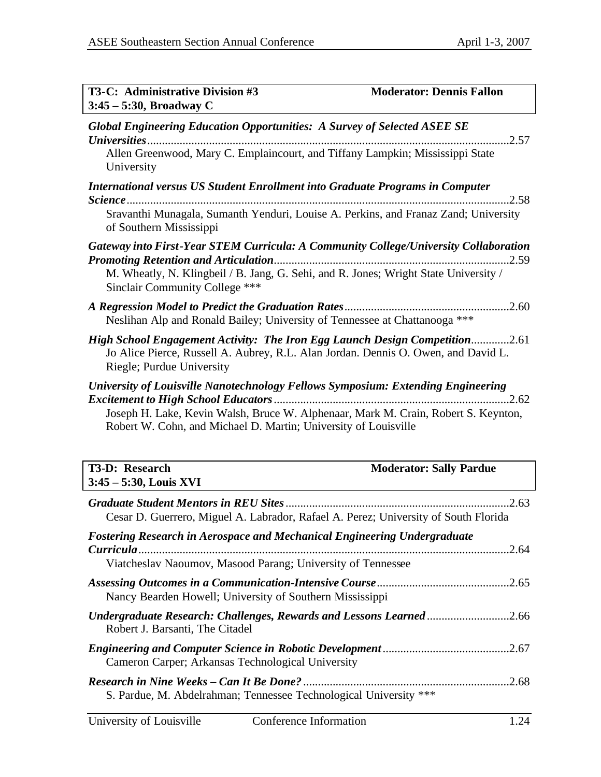| <b>T3-C: Administrative Division #3</b><br>$3:45 - 5:30$ , Broadway C                                                                                                                                                                     | <b>Moderator: Dennis Fallon</b> |
|-------------------------------------------------------------------------------------------------------------------------------------------------------------------------------------------------------------------------------------------|---------------------------------|
| <b>Global Engineering Education Opportunities: A Survey of Selected ASEE SE</b>                                                                                                                                                           | .2.57                           |
| Allen Greenwood, Mary C. Emplaincourt, and Tiffany Lampkin; Mississippi State<br>University                                                                                                                                               |                                 |
| <b>International versus US Student Enrollment into Graduate Programs in Computer</b>                                                                                                                                                      | .2.58                           |
| Sravanthi Munagala, Sumanth Yenduri, Louise A. Perkins, and Franaz Zand; University<br>of Southern Mississippi                                                                                                                            |                                 |
| Gateway into First-Year STEM Curricula: A Community College/University Collaboration                                                                                                                                                      |                                 |
| M. Wheatly, N. Klingbeil / B. Jang, G. Sehi, and R. Jones; Wright State University /<br><b>Sinclair Community College ***</b>                                                                                                             |                                 |
| Neslihan Alp and Ronald Bailey; University of Tennessee at Chattanooga ***                                                                                                                                                                |                                 |
| High School Engagement Activity: The Iron Egg Launch Design Competition2.61<br>Jo Alice Pierce, Russell A. Aubrey, R.L. Alan Jordan. Dennis O. Owen, and David L.<br>Riegle; Purdue University                                            |                                 |
| University of Louisville Nanotechnology Fellows Symposium: Extending Engineering<br>Joseph H. Lake, Kevin Walsh, Bruce W. Alphenaar, Mark M. Crain, Robert S. Keynton,<br>Robert W. Cohn, and Michael D. Martin; University of Louisville |                                 |
| T3-D: Research<br>3:45 - 5:30, Louis XVI                                                                                                                                                                                                  | <b>Moderator: Sally Pardue</b>  |
| Cesar D. Guerrero, Miguel A. Labrador, Rafael A. Perez; University of South Florida                                                                                                                                                       |                                 |
| <b>Fostering Research in Aerospace and Mechanical Engineering Undergraduate</b><br>Viatcheslav Naoumov, Masood Parang; University of Tennessee                                                                                            | .2.64                           |
|                                                                                                                                                                                                                                           |                                 |
| Nancy Bearden Howell; University of Southern Mississippi                                                                                                                                                                                  |                                 |
| Undergraduate Research: Challenges, Rewards and Lessons Learned 2.66<br>Robert J. Barsanti, The Citadel                                                                                                                                   |                                 |

| Cameron Carper; Arkansas Technological University |  |
|---------------------------------------------------|--|
|                                                   |  |

*Research in Nine Weeks – Can It Be Done?* ......................................................................2.68 S. Pardue, M. Abdelrahman; Tennessee Technological University \*\*\*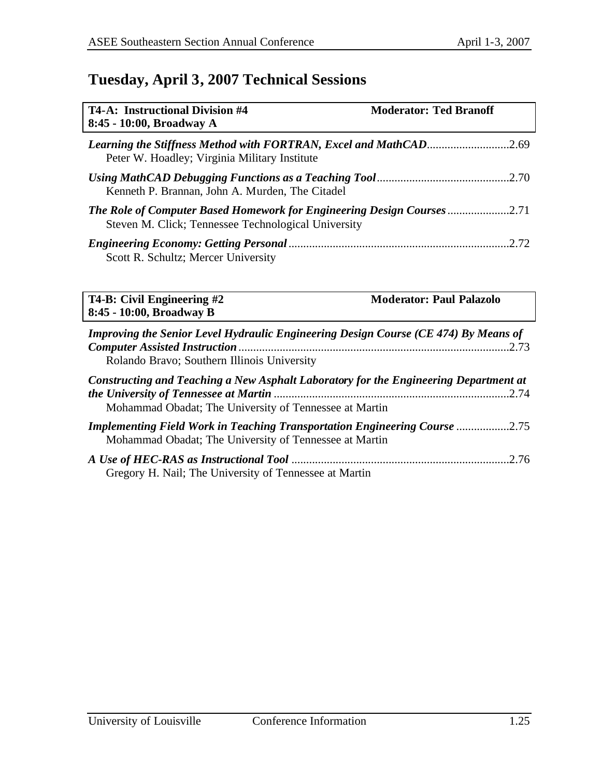## **Tuesday, April 3, 2007 Technical Sessions**

| <b>T4-A: Instructional Division #4</b><br>8:45 - 10:00, Broadway A                                                                                                           | <b>Moderator: Ted Branoff</b>   |
|------------------------------------------------------------------------------------------------------------------------------------------------------------------------------|---------------------------------|
| Learning the Stiffness Method with FORTRAN, Excel and MathCAD2.69<br>Peter W. Hoadley; Virginia Military Institute                                                           |                                 |
| Kenneth P. Brannan, John A. Murden, The Citadel                                                                                                                              |                                 |
| The Role of Computer Based Homework for Engineering Design Courses<br>Steven M. Click; Tennessee Technological University                                                    | 2.71                            |
| Scott R. Schultz; Mercer University                                                                                                                                          | .2.72                           |
| T4-B: Civil Engineering #2<br>8:45 - 10:00, Broadway B                                                                                                                       | <b>Moderator: Paul Palazolo</b> |
| Improving the Senior Level Hydraulic Engineering Design Course (CE 474) By Means of<br><b>Computer Assisted Instruction</b> .<br>Rolando Bravo; Southern Illinois University | .2.73                           |

| Constructing and Teaching a New Asphalt Laboratory for the Engineering Department at                                                        |  |
|---------------------------------------------------------------------------------------------------------------------------------------------|--|
|                                                                                                                                             |  |
| Mohammad Obadat; The University of Tennessee at Martin                                                                                      |  |
| <b>Implementing Field Work in Teaching Transportation Engineering Course 2.75</b><br>Mohammad Obadat; The University of Tennessee at Martin |  |
|                                                                                                                                             |  |
| Gregory H. Nail; The University of Tennessee at Martin                                                                                      |  |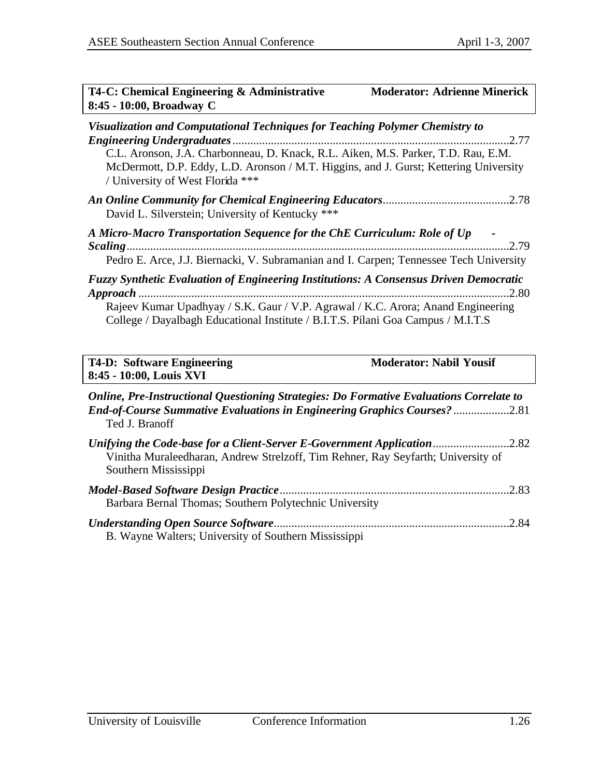| T4-C: Chemical Engineering & Administrative<br><b>Moderator: Adrienne Minerick</b><br>8:45 - 10:00, Broadway C                                                                                                                                                                                 |  |  |
|------------------------------------------------------------------------------------------------------------------------------------------------------------------------------------------------------------------------------------------------------------------------------------------------|--|--|
| Visualization and Computational Techniques for Teaching Polymer Chemistry to<br>C.L. Aronson, J.A. Charbonneau, D. Knack, R.L. Aiken, M.S. Parker, T.D. Rau, E.M.<br>McDermott, D.P. Eddy, L.D. Aronson / M.T. Higgins, and J. Gurst; Kettering University<br>/ University of West Florida *** |  |  |
| David L. Silverstein; University of Kentucky ***                                                                                                                                                                                                                                               |  |  |
| A Micro-Macro Transportation Sequence for the ChE Curriculum: Role of Up<br>.2.79<br>Pedro E. Arce, J.J. Biernacki, V. Subramanian and I. Carpen; Tennessee Tech University                                                                                                                    |  |  |
| <b>Fuzzy Synthetic Evaluation of Engineering Institutions: A Consensus Driven Democratic</b><br>.2.80<br>Rajeev Kumar Upadhyay / S.K. Gaur / V.P. Agrawal / K.C. Arora; Anand Engineering<br>College / Dayalbagh Educational Institute / B.I.T.S. Pilani Goa Campus / M.I.T.S                  |  |  |
| <b>T4-D: Software Engineering</b><br><b>Moderator: Nabil Yousif</b><br>8:45 - 10:00, Louis XVI                                                                                                                                                                                                 |  |  |
| Online, Pre-Instructional Questioning Strategies: Do Formative Evaluations Correlate to<br>End-of-Course Summative Evaluations in Engineering Graphics Courses?2.81<br>Ted J. Branoff                                                                                                          |  |  |
| Unifying the Code-base for a Client-Server E-Government Application 2.82<br>Vinitha Muraleedharan, Andrew Strelzoff, Tim Rehner, Ray Seyfarth; University of<br>Southern Mississippi                                                                                                           |  |  |

| Barbara Bernal Thomas; Southern Polytechnic University |  |
|--------------------------------------------------------|--|
|                                                        |  |
| B. Wayne Walters; University of Southern Mississippi   |  |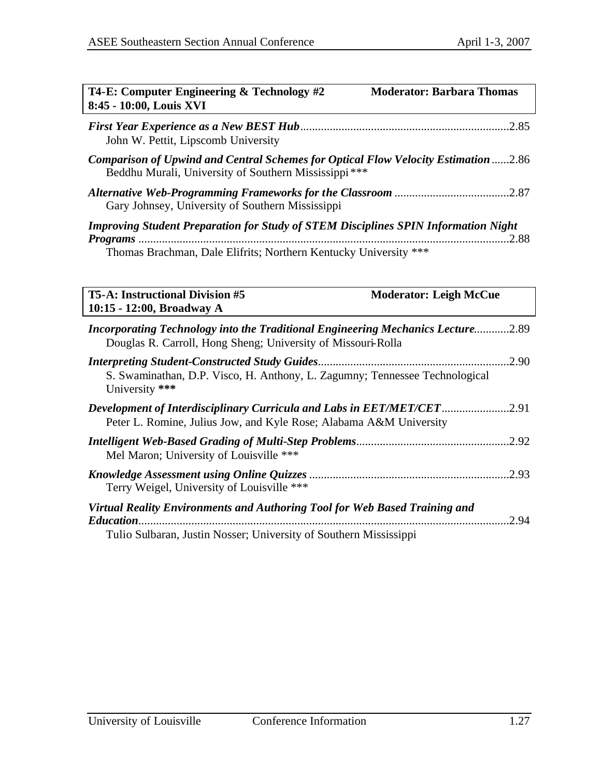| T4-E: Computer Engineering & Technology #2<br><b>Moderator: Barbara Thomas</b><br>8:45 - 10:00, Louis XVI                                                             |  |  |
|-----------------------------------------------------------------------------------------------------------------------------------------------------------------------|--|--|
| John W. Pettit, Lipscomb University                                                                                                                                   |  |  |
| Comparison of Upwind and Central Schemes for Optical Flow Velocity Estimation 2.86<br>Beddhu Murali, University of Southern Mississippi***                            |  |  |
| Gary Johnsey, University of Southern Mississippi                                                                                                                      |  |  |
| <b>Improving Student Preparation for Study of STEM Disciplines SPIN Information Night</b><br>2.88<br>Thomas Brachman, Dale Elifrits; Northern Kentucky University *** |  |  |
|                                                                                                                                                                       |  |  |
| <b>T5-A: Instructional Division #5</b><br><b>Moderator: Leigh McCue</b><br>10:15 - 12:00, Broadway A                                                                  |  |  |
| Incorporating Technology into the Traditional Engineering Mechanics Lecture2.89<br>Douglas R. Carroll, Hong Sheng; University of Missouri-Rolla                       |  |  |
| 2.90<br>S. Swaminathan, D.P. Visco, H. Anthony, L. Zagumny; Tennessee Technological<br>University ***                                                                 |  |  |
| Development of Interdisciplinary Curricula and Labs in EET/MET/CET2.91<br>Peter L. Romine, Julius Jow, and Kyle Rose; Alabama A&M University                          |  |  |
| Mel Maron; University of Louisville ***                                                                                                                               |  |  |
| .2.93<br>Terry Weigel, University of Louisville ***                                                                                                                   |  |  |
| Virtual Reality Environments and Authoring Tool for Web Based Training and<br>.2.94                                                                                   |  |  |
| Tulio Sulbaran, Justin Nosser; University of Southern Mississippi                                                                                                     |  |  |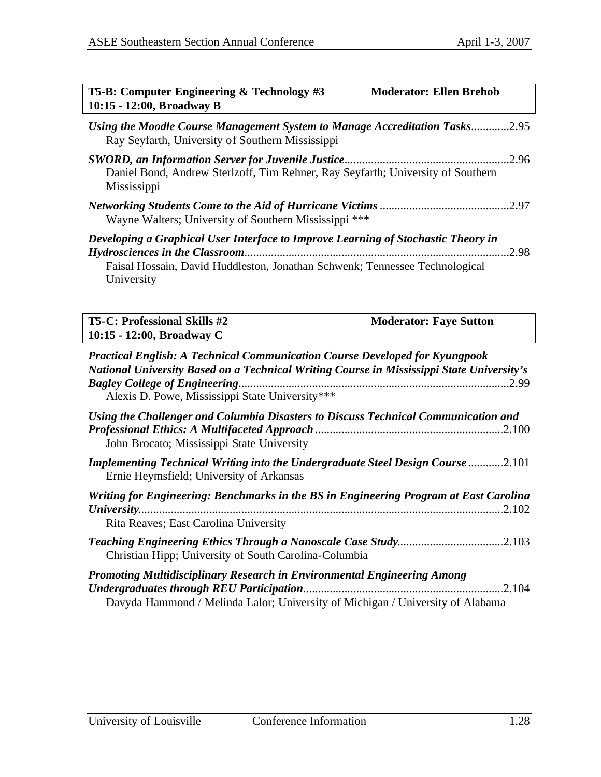| T5-B: Computer Engineering & Technology #3<br><b>Moderator: Ellen Brehob</b><br>10:15 - 12:00, Broadway B                                                                                                                          |
|------------------------------------------------------------------------------------------------------------------------------------------------------------------------------------------------------------------------------------|
| Using the Moodle Course Management System to Manage Accreditation Tasks2.95<br>Ray Seyfarth, University of Southern Mississippi                                                                                                    |
| Daniel Bond, Andrew Sterlzoff, Tim Rehner, Ray Seyfarth; University of Southern<br>Mississippi                                                                                                                                     |
| Wayne Walters; University of Southern Mississippi ***                                                                                                                                                                              |
| Developing a Graphical User Interface to Improve Learning of Stochastic Theory in<br>.2.98<br>Faisal Hossain, David Huddleston, Jonathan Schwenk; Tennessee Technological<br>University                                            |
| <b>T5-C: Professional Skills #2</b><br><b>Moderator: Faye Sutton</b><br>10:15 - 12:00, Broadway C                                                                                                                                  |
| <b>Practical English: A Technical Communication Course Developed for Kyungpook</b><br>National University Based on a Technical Writing Course in Mississippi State University's<br>Alexis D. Powe, Mississippi State University*** |
| Using the Challenger and Columbia Disasters to Discuss Technical Communication and<br>John Brocato; Mississippi State University                                                                                                   |
| Implementing Technical Writing into the Undergraduate Steel Design Course 2.101<br>Ernie Heymsfield; University of Arkansas                                                                                                        |
| Writing for Engineering: Benchmarks in the BS in Engineering Program at East Carolina<br>Rita Reaves; East Carolina University                                                                                                     |
| Christian Hipp; University of South Carolina-Columbia                                                                                                                                                                              |
| Promoting Multidisciplinary Research in Environmental Engineering Among<br>.2.104<br><b>Undergraduates through REU Participation</b><br>Davyda Hammond / Melinda Lalor; University of Michigan / University of Alabama             |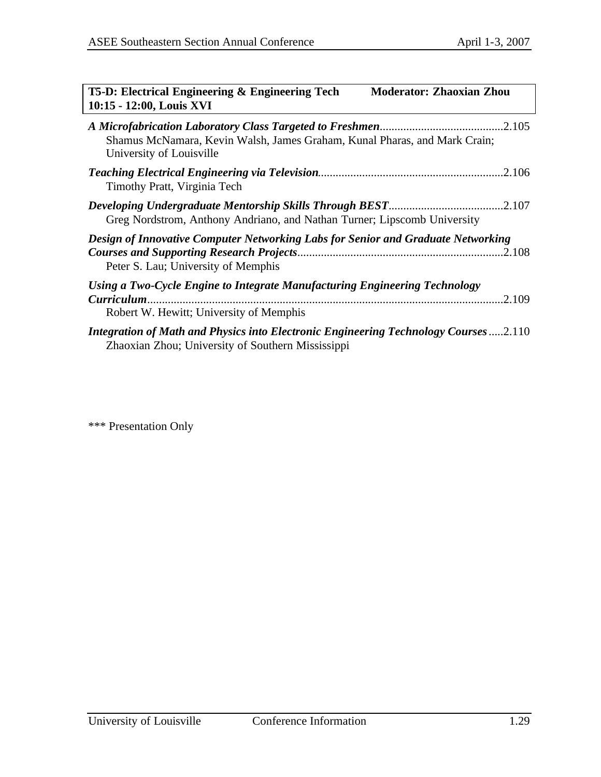| T5-D: Electrical Engineering & Engineering Tech<br>10:15 - 12:00, Louis XVI                                                               | <b>Moderator: Zhaoxian Zhou</b> |
|-------------------------------------------------------------------------------------------------------------------------------------------|---------------------------------|
| Shamus McNamara, Kevin Walsh, James Graham, Kunal Pharas, and Mark Crain;<br>University of Louisville                                     |                                 |
| Timothy Pratt, Virginia Tech                                                                                                              |                                 |
| Greg Nordstrom, Anthony Andriano, and Nathan Turner; Lipscomb University                                                                  |                                 |
| Design of Innovative Computer Networking Labs for Senior and Graduate Networking<br>Peter S. Lau; University of Memphis                   |                                 |
| Using a Two-Cycle Engine to Integrate Manufacturing Engineering Technology<br>Robert W. Hewitt; University of Memphis                     |                                 |
| Integration of Math and Physics into Electronic Engineering Technology Courses 2.110<br>Zhaoxian Zhou; University of Southern Mississippi |                                 |

\*\*\* Presentation Only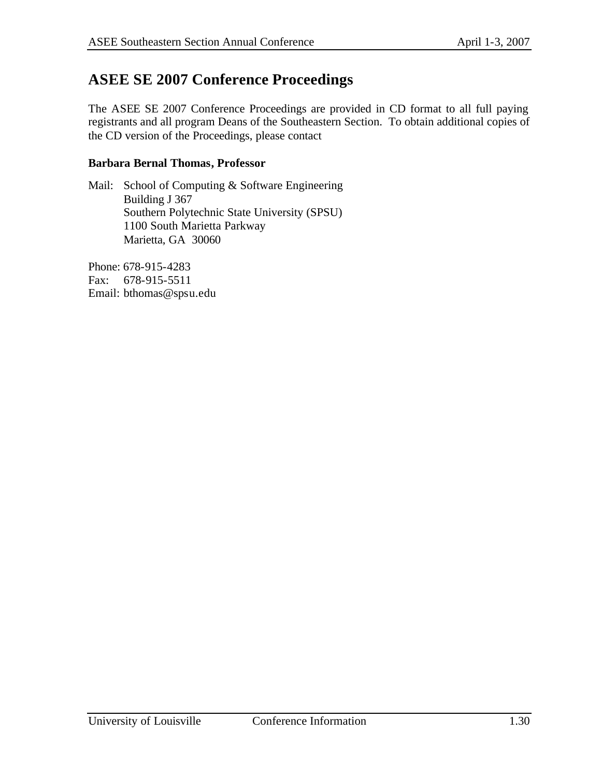## **ASEE SE 2007 Conference Proceedings**

The ASEE SE 2007 Conference Proceedings are provided in CD format to all full paying registrants and all program Deans of the Southeastern Section. To obtain additional copies of the CD version of the Proceedings, please contact

#### **Barbara Bernal Thomas, Professor**

Mail: School of Computing & Software Engineering Building J 367 Southern Polytechnic State University (SPSU) 1100 South Marietta Parkway Marietta, GA 30060

Phone: 678-915-4283 Fax: 678-915-5511 Email: bthomas@spsu.edu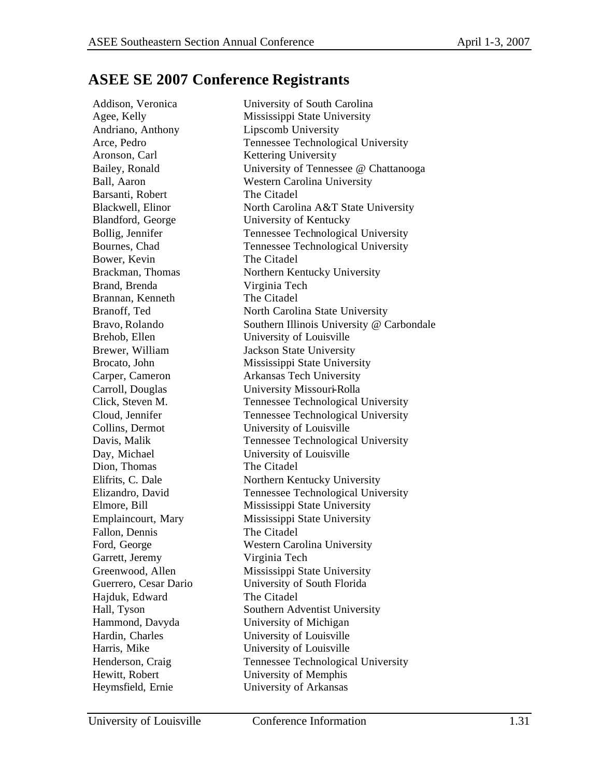## **ASEE SE 2007 Conference Registrants**

Addison, Veronica University of South Carolina Agee, Kelly Mississippi State University Andriano, Anthony Lipscomb University Arce, Pedro Tennessee Technological University Aronson, Carl Kettering University Bailey, Ronald University of Tennessee @ Chattanooga Ball, Aaron Western Carolina University Barsanti, Robert The Citadel Blackwell, Elinor North Carolina A&T State University Blandford, George University of Kentucky Bollig, Jennifer Tennessee Technological University Bournes, Chad Tennessee Technological University Bower, Kevin The Citadel Brackman, Thomas Northern Kentucky University Brand, Brenda Virginia Tech Brannan, Kenneth The Citadel Branoff, Ted North Carolina State University Bravo, Rolando Southern Illinois University @ Carbondale Brehob, Ellen University of Louisville Brewer, William Jackson State University Brocato, John Mississippi State University Carper, Cameron Arkansas Tech University Carroll, Douglas University Missouri-Rolla Click, Steven M. Tennessee Technological University Cloud, Jennifer Tennessee Technological University Collins, Dermot University of Louisville Davis, Malik Tennessee Technological University Day, Michael University of Louisville Dion, Thomas The Citadel Elifrits, C. Dale Northern Kentucky University Elizandro, David Tennessee Technological University Elmore, Bill Mississippi State University Emplaincourt, Mary Mississippi State University Fallon, Dennis The Citadel Ford, George Western Carolina University Garrett, Jeremy Virginia Tech Greenwood, Allen Mississippi State University Guerrero, Cesar Dario University of South Florida Hajduk, Edward The Citadel Hall, Tyson Southern Adventist University Hammond, Davyda University of Michigan Hardin, Charles University of Louisville Harris, Mike University of Louisville Henderson, Craig Tennessee Technological University Hewitt, Robert University of Memphis Heymsfield, Ernie University of Arkansas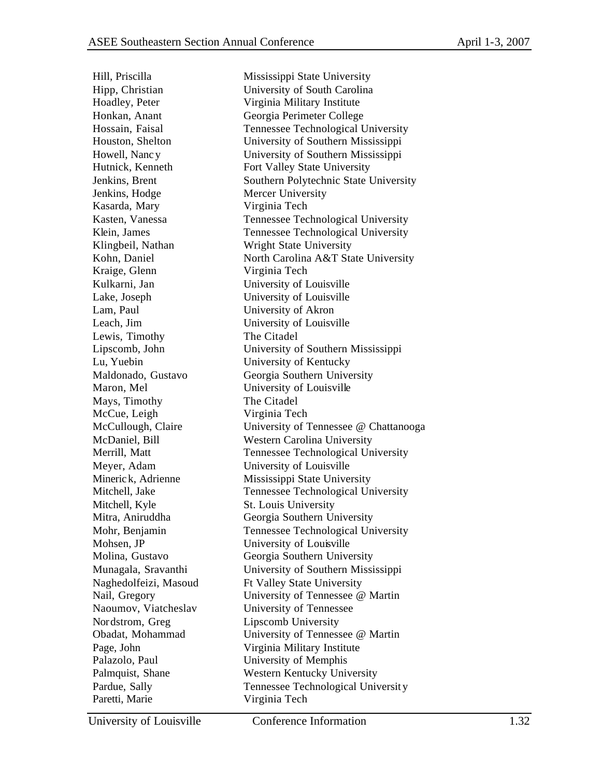Hoadley, Peter Virginia Military Institute Honkan, Anant Georgia Perimeter College Jenkins, Hodge Mercer University Kasarda, Mary Virginia Tech Klingbeil, Nathan Wright State University Kraige, Glenn Virginia Tech Kulkarni, Jan University of Louisville Lake, Joseph University of Louisville Lam, Paul University of Akron Leach, Jim University of Louisville Lewis, Timothy The Citadel Lu, Yuebin University of Kentucky Maron, Mel University of Louisville Mays, Timothy The Citadel McCue, Leigh Virginia Tech Meyer, Adam University of Louisville Mitchell, Kyle St. Louis University Mohsen, JP University of Louisville Naghedolfeizi, Masoud Ft Valley State University Naoumov, Viatcheslav University of Tennessee Nordstrom, Greg Lipscomb University Page, John Virginia Military Institute Palazolo, Paul University of Memphis Paretti, Marie Virginia Tech

Hill, Priscilla Mississippi State University Hipp, Christian University of South Carolina Hossain, Faisal Tennessee Technological University Houston, Shelton University of Southern Mississippi Howell, Nanc y University of Southern Mississippi Hutnick, Kenneth Fort Valley State University Jenkins, Brent Southern Polytechnic State University Kasten, Vanessa Tennessee Technological University Klein, James Tennessee Technological University Kohn, Daniel North Carolina A&T State University Lipscomb, John University of Southern Mississippi Maldonado, Gustavo Georgia Southern University McCullough, Claire University of Tennessee @ Chattanooga McDaniel, Bill Western Carolina University Merrill, Matt Tennessee Technological University Minerick, Adrienne Mississippi State University Mitchell, Jake Technological University Mitra, Aniruddha Georgia Southern University Mohr, Benjamin Tennessee Technological University Molina, Gustavo Georgia Southern University Munagala, Sravanthi University of Southern Mississippi Nail, Gregory University of Tennessee @ Martin Obadat, Mohammad University of Tennessee @ Martin Palmquist, Shane Western Kentucky University Pardue, Sally Tennessee Technological University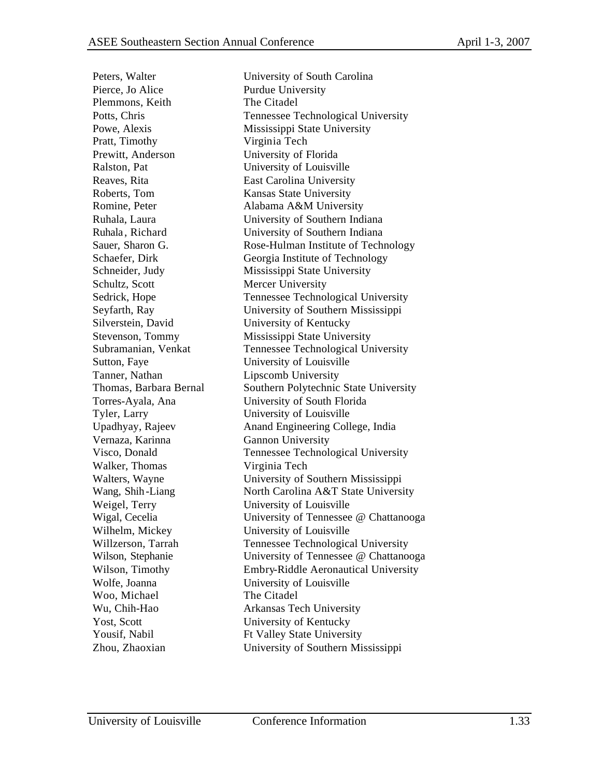Pierce, Jo Alice Purdue University Plemmons, Keith The Citadel Pratt, Timothy Virginia Tech Prewitt, Anderson University of Florida Ralston, Pat University of Louisville Reaves, Rita East Carolina University Roberts, Tom Kansas State University Schultz, Scott Mercer University Silverstein, David University of Kentucky Sutton, Faye University of Louisville Tanner, Nathan Lipscomb University Tyler, Larry University of Louisville Vernaza, Karinna Gannon University Walker, Thomas Virginia Tech Weigel, Terry University of Louisville Wilhelm, Mickey University of Louisville Wolfe, Joanna University of Louisville Woo, Michael The Citadel Yost, Scott University of Kentucky

Peters, Walter University of South Carolina Potts, Chris Tennessee Technological University Powe, Alexis Mississippi State University Romine, Peter Alabama A&M University Ruhala, Laura University of Southern Indiana Ruhala, Richard University of Southern Indiana Sauer, Sharon G. Rose-Hulman Institute of Technology Schaefer, Dirk Georgia Institute of Technology Schneider, Judy Mississippi State University Sedrick, Hope Tennessee Technological University Seyfarth, Ray University of Southern Mississippi Stevenson, Tommy Mississippi State University Subramanian, Venkat Tennessee Technological University Thomas, Barbara Bernal Southern Polytechnic State University Torres-Ayala, Ana University of South Florida Upadhyay, Rajeev Anand Engineering College, India Visco, Donald Tennessee Technological University Walters, Wayne University of Southern Mississippi Wang, Shih-Liang North Carolina A&T State University Wigal, Cecelia University of Tennessee @ Chattanooga Willzerson, Tarrah Tennessee Technological University Wilson, Stephanie University of Tennessee @ Chattanooga Wilson, Timothy **Embry-Riddle Aeronautical University** Wu, Chih-Hao Arkansas Tech University Yousif, Nabil Ft Valley State University Zhou, Zhaoxian University of Southern Mississippi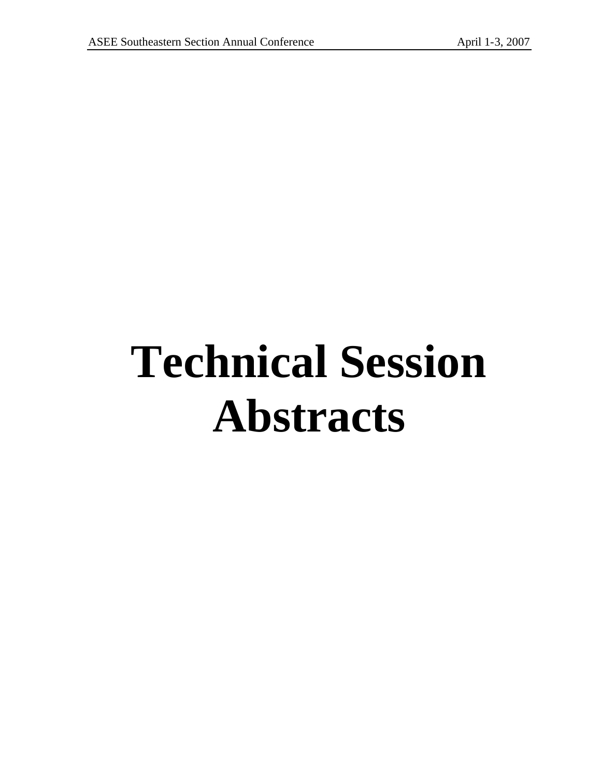# **Technical Session Abstracts**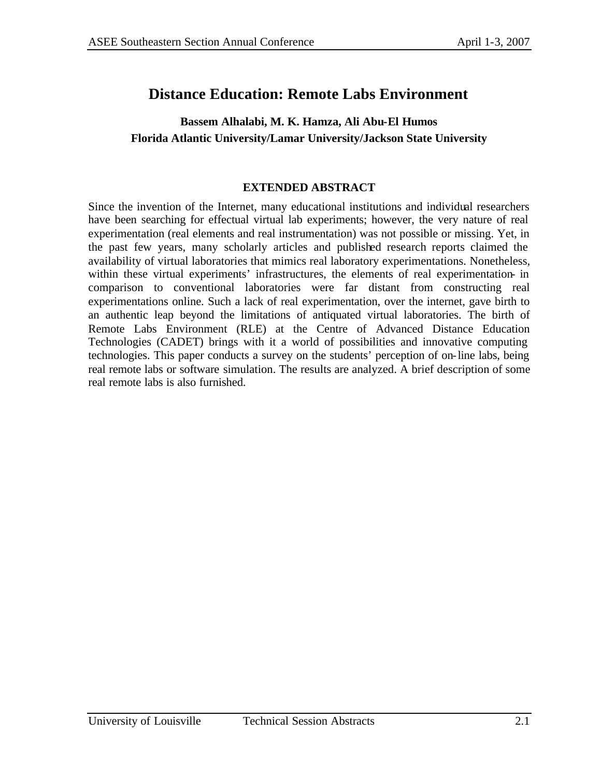# **Distance Education: Remote Labs Environment**

### **Bassem Alhalabi, M. K. Hamza, Ali Abu-El Humos Florida Atlantic University/Lamar University/Jackson State University**

### **EXTENDED ABSTRACT**

Since the invention of the Internet, many educational institutions and individual researchers have been searching for effectual virtual lab experiments; however, the very nature of real experimentation (real elements and real instrumentation) was not possible or missing. Yet, in the past few years, many scholarly articles and published research reports claimed the availability of virtual laboratories that mimics real laboratory experimentations. Nonetheless, within these virtual experiments' infrastructures, the elements of real experimentation- in comparison to conventional laboratories were far distant from constructing real experimentations online. Such a lack of real experimentation, over the internet, gave birth to an authentic leap beyond the limitations of antiquated virtual laboratories. The birth of Remote Labs Environment (RLE) at the Centre of Advanced Distance Education Technologies (CADET) brings with it a world of possibilities and innovative computing technologies. This paper conducts a survey on the students' perception of on-line labs, being real remote labs or software simulation. The results are analyzed. A brief description of some real remote labs is also furnished.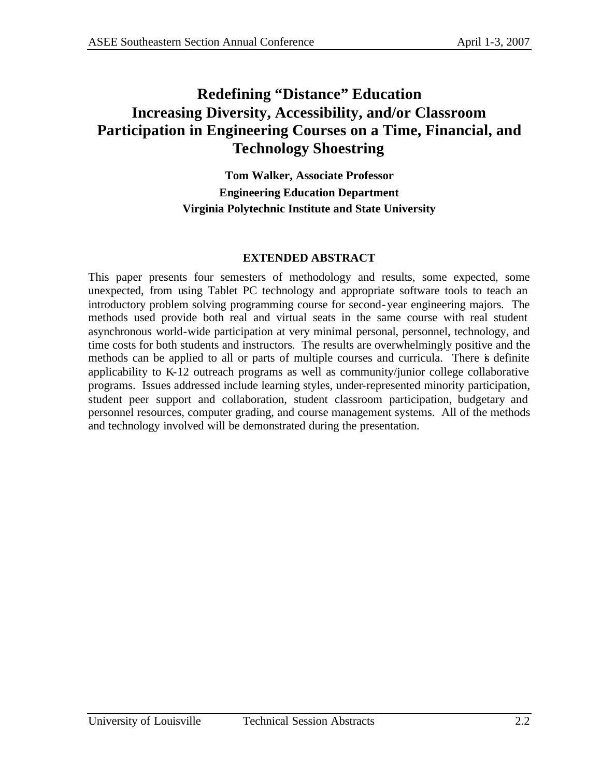# **Redefining "Distance" Education Increasing Diversity, Accessibility, and/or Classroom Participation in Engineering Courses on a Time, Financial, and Technology Shoestring**

**Tom Walker, Associate Professor Engineering Education Department Virginia Polytechnic Institute and State University**

#### **EXTENDED ABSTRACT**

This paper presents four semesters of methodology and results, some expected, some unexpected, from using Tablet PC technology and appropriate software tools to teach an introductory problem solving programming course for second-year engineering majors. The methods used provide both real and virtual seats in the same course with real student asynchronous world-wide participation at very minimal personal, personnel, technology, and time costs for both students and instructors. The results are overwhelmingly positive and the methods can be applied to all or parts of multiple courses and curricula. There is definite applicability to K-12 outreach programs as well as community/junior college collaborative programs. Issues addressed include learning styles, under-represented minority participation, student peer support and collaboration, student classroom participation, budgetary and personnel resources, computer grading, and course management systems. All of the methods and technology involved will be demonstrated during the presentation.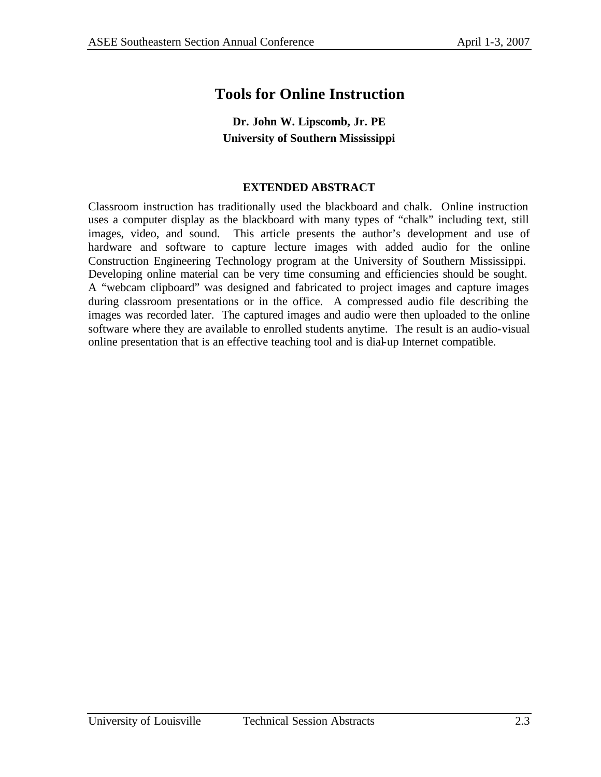# **Tools for Online Instruction**

## **Dr. John W. Lipscomb, Jr. PE University of Southern Mississippi**

### **EXTENDED ABSTRACT**

Classroom instruction has traditionally used the blackboard and chalk. Online instruction uses a computer display as the blackboard with many types of "chalk" including text, still images, video, and sound. This article presents the author's development and use of hardware and software to capture lecture images with added audio for the online Construction Engineering Technology program at the University of Southern Mississippi. Developing online material can be very time consuming and efficiencies should be sought. A "webcam clipboard" was designed and fabricated to project images and capture images during classroom presentations or in the office. A compressed audio file describing the images was recorded later. The captured images and audio were then uploaded to the online software where they are available to enrolled students anytime. The result is an audio-visual online presentation that is an effective teaching tool and is dial-up Internet compatible.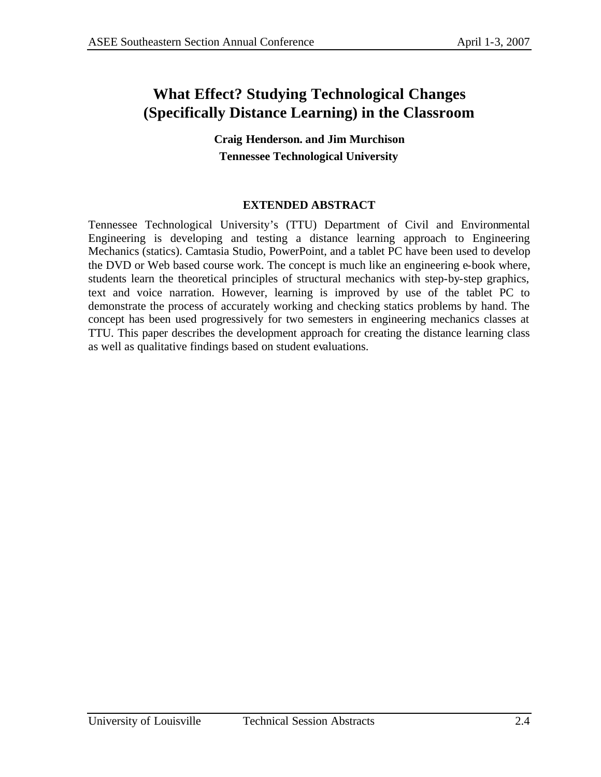# **What Effect? Studying Technological Changes (Specifically Distance Learning) in the Classroom**

**Craig Henderson. and Jim Murchison Tennessee Technological University**

### **EXTENDED ABSTRACT**

Tennessee Technological University's (TTU) Department of Civil and Environmental Engineering is developing and testing a distance learning approach to Engineering Mechanics (statics). Camtasia Studio, PowerPoint, and a tablet PC have been used to develop the DVD or Web based course work. The concept is much like an engineering e-book where, students learn the theoretical principles of structural mechanics with step-by-step graphics, text and voice narration. However, learning is improved by use of the tablet PC to demonstrate the process of accurately working and checking statics problems by hand. The concept has been used progressively for two semesters in engineering mechanics classes at TTU. This paper describes the development approach for creating the distance learning class as well as qualitative findings based on student evaluations.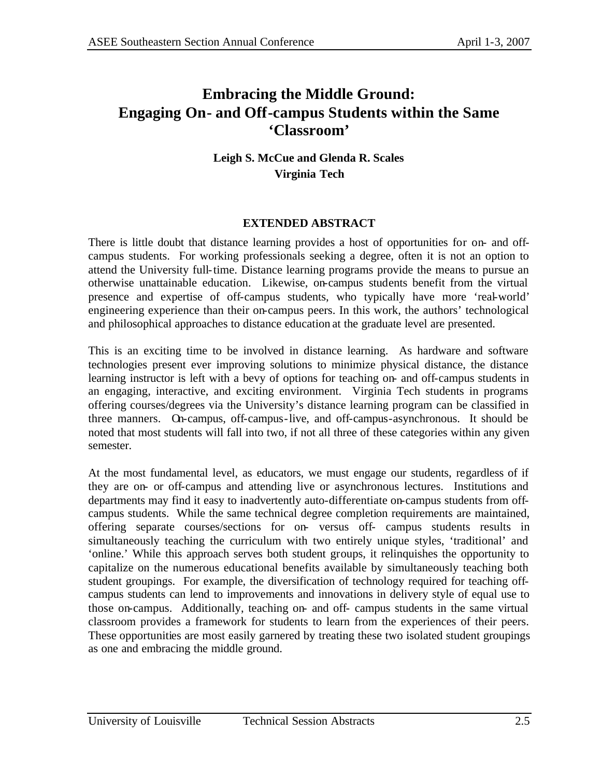# **Embracing the Middle Ground: Engaging On- and Off-campus Students within the Same 'Classroom'**

**Leigh S. McCue and Glenda R. Scales Virginia Tech**

### **EXTENDED ABSTRACT**

There is little doubt that distance learning provides a host of opportunities for on- and offcampus students. For working professionals seeking a degree, often it is not an option to attend the University full-time. Distance learning programs provide the means to pursue an otherwise unattainable education. Likewise, on-campus students benefit from the virtual presence and expertise of off-campus students, who typically have more 'real-world' engineering experience than their on-campus peers. In this work, the authors' technological and philosophical approaches to distance education at the graduate level are presented.

This is an exciting time to be involved in distance learning. As hardware and software technologies present ever improving solutions to minimize physical distance, the distance learning instructor is left with a bevy of options for teaching on- and off-campus students in an engaging, interactive, and exciting environment. Virginia Tech students in programs offering courses/degrees via the University's distance learning program can be classified in three manners. On-campus, off-campus-live, and off-campus-asynchronous. It should be noted that most students will fall into two, if not all three of these categories within any given semester.

At the most fundamental level, as educators, we must engage our students, regardless of if they are on- or off-campus and attending live or asynchronous lectures. Institutions and departments may find it easy to inadvertently auto-differentiate on-campus students from offcampus students. While the same technical degree completion requirements are maintained, offering separate courses/sections for on- versus off- campus students results in simultaneously teaching the curriculum with two entirely unique styles, 'traditional' and 'online.' While this approach serves both student groups, it relinquishes the opportunity to capitalize on the numerous educational benefits available by simultaneously teaching both student groupings. For example, the diversification of technology required for teaching offcampus students can lend to improvements and innovations in delivery style of equal use to those on-campus. Additionally, teaching on- and off- campus students in the same virtual classroom provides a framework for students to learn from the experiences of their peers. These opportunities are most easily garnered by treating these two isolated student groupings as one and embracing the middle ground.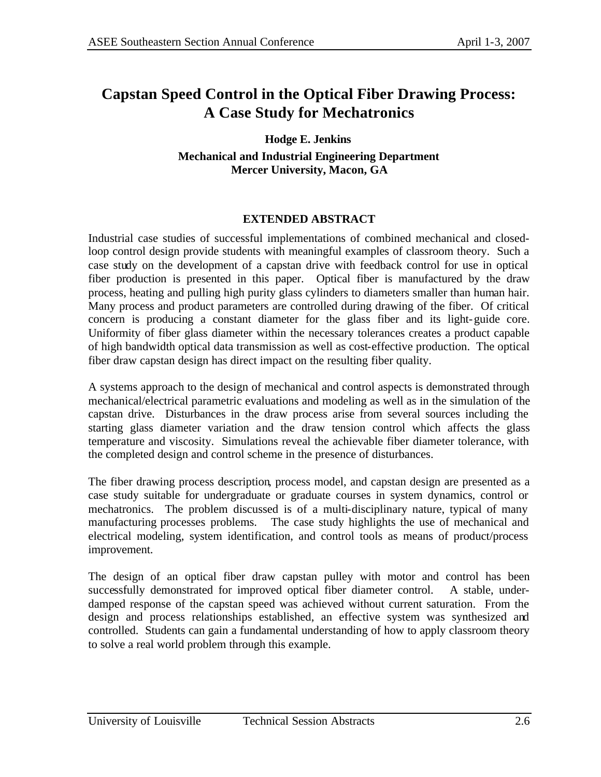# **Capstan Speed Control in the Optical Fiber Drawing Process: A Case Study for Mechatronics**

**Hodge E. Jenkins Mechanical and Industrial Engineering Department Mercer University, Macon, GA**

### **EXTENDED ABSTRACT**

Industrial case studies of successful implementations of combined mechanical and closedloop control design provide students with meaningful examples of classroom theory. Such a case study on the development of a capstan drive with feedback control for use in optical fiber production is presented in this paper. Optical fiber is manufactured by the draw process, heating and pulling high purity glass cylinders to diameters smaller than human hair. Many process and product parameters are controlled during drawing of the fiber. Of critical concern is producing a constant diameter for the glass fiber and its light-guide core. Uniformity of fiber glass diameter within the necessary tolerances creates a product capable of high bandwidth optical data transmission as well as cost-effective production. The optical fiber draw capstan design has direct impact on the resulting fiber quality.

A systems approach to the design of mechanical and control aspects is demonstrated through mechanical/electrical parametric evaluations and modeling as well as in the simulation of the capstan drive. Disturbances in the draw process arise from several sources including the starting glass diameter variation and the draw tension control which affects the glass temperature and viscosity. Simulations reveal the achievable fiber diameter tolerance, with the completed design and control scheme in the presence of disturbances.

The fiber drawing process description, process model, and capstan design are presented as a case study suitable for undergraduate or graduate courses in system dynamics, control or mechatronics. The problem discussed is of a multi-disciplinary nature, typical of many manufacturing processes problems. The case study highlights the use of mechanical and electrical modeling, system identification, and control tools as means of product/process improvement.

The design of an optical fiber draw capstan pulley with motor and control has been successfully demonstrated for improved optical fiber diameter control. A stable, underdamped response of the capstan speed was achieved without current saturation. From the design and process relationships established, an effective system was synthesized and controlled. Students can gain a fundamental understanding of how to apply classroom theory to solve a real world problem through this example.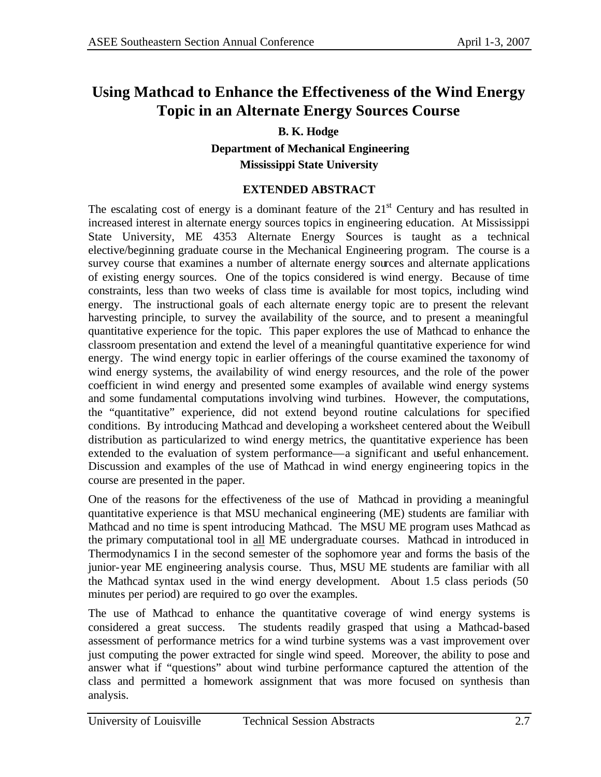# **Using Mathcad to Enhance the Effectiveness of the Wind Energy Topic in an Alternate Energy Sources Course**

### **B. K. Hodge**

**Department of Mechanical Engineering Mississippi State University**

### **EXTENDED ABSTRACT**

The escalating cost of energy is a dominant feature of the  $21<sup>st</sup>$  Century and has resulted in increased interest in alternate energy sources topics in engineering education. At Mississippi State University, ME 4353 Alternate Energy Sources is taught as a technical elective/beginning graduate course in the Mechanical Engineering program. The course is a survey course that examines a number of alternate energy sources and alternate applications of existing energy sources. One of the topics considered is wind energy. Because of time constraints, less than two weeks of class time is available for most topics, including wind energy. The instructional goals of each alternate energy topic are to present the relevant harvesting principle, to survey the availability of the source, and to present a meaningful quantitative experience for the topic. This paper explores the use of Mathcad to enhance the classroom presentation and extend the level of a meaningful quantitative experience for wind energy. The wind energy topic in earlier offerings of the course examined the taxonomy of wind energy systems, the availability of wind energy resources, and the role of the power coefficient in wind energy and presented some examples of available wind energy systems and some fundamental computations involving wind turbines. However, the computations, the "quantitative" experience, did not extend beyond routine calculations for specified conditions. By introducing Mathcad and developing a worksheet centered about the Weibull distribution as particularized to wind energy metrics, the quantitative experience has been extended to the evaluation of system performance—a significant and useful enhancement. Discussion and examples of the use of Mathcad in wind energy engineering topics in the course are presented in the paper.

One of the reasons for the effectiveness of the use of Mathcad in providing a meaningful quantitative experience is that MSU mechanical engineering (ME) students are familiar with Mathcad and no time is spent introducing Mathcad. The MSU ME program uses Mathcad as the primary computational tool in all ME undergraduate courses. Mathcad in introduced in Thermodynamics I in the second semester of the sophomore year and forms the basis of the junior-year ME engineering analysis course. Thus, MSU ME students are familiar with all the Mathcad syntax used in the wind energy development. About 1.5 class periods (50 minutes per period) are required to go over the examples.

The use of Mathcad to enhance the quantitative coverage of wind energy systems is considered a great success. The students readily grasped that using a Mathcad-based assessment of performance metrics for a wind turbine systems was a vast improvement over just computing the power extracted for single wind speed. Moreover, the ability to pose and answer what if "questions" about wind turbine performance captured the attention of the class and permitted a homework assignment that was more focused on synthesis than analysis.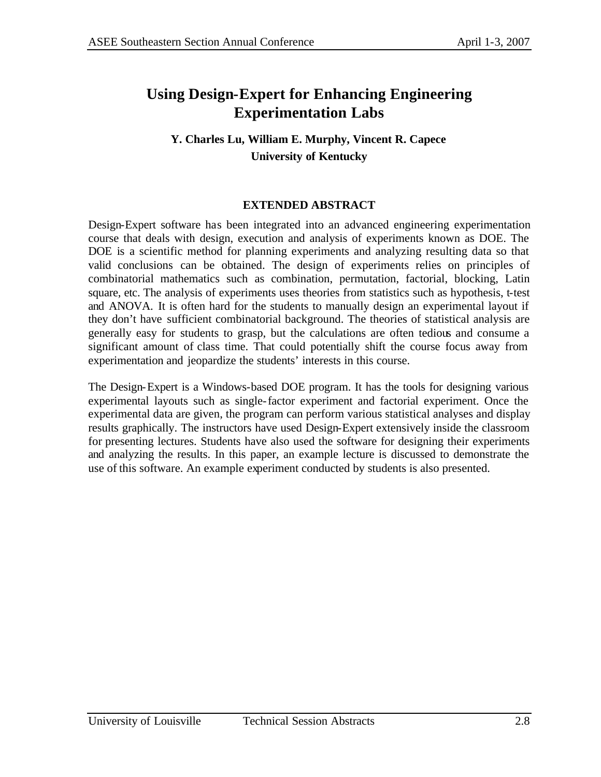# **Using Design-Expert for Enhancing Engineering Experimentation Labs**

## **Y. Charles Lu, William E. Murphy, Vincent R. Capece University of Kentucky**

### **EXTENDED ABSTRACT**

Design-Expert software has been integrated into an advanced engineering experimentation course that deals with design, execution and analysis of experiments known as DOE. The DOE is a scientific method for planning experiments and analyzing resulting data so that valid conclusions can be obtained. The design of experiments relies on principles of combinatorial mathematics such as combination, permutation, factorial, blocking, Latin square, etc. The analysis of experiments uses theories from statistics such as hypothesis, t-test and ANOVA. It is often hard for the students to manually design an experimental layout if they don't have sufficient combinatorial background. The theories of statistical analysis are generally easy for students to grasp, but the calculations are often tedious and consume a significant amount of class time. That could potentially shift the course focus away from experimentation and jeopardize the students' interests in this course.

The Design-Expert is a Windows-based DOE program. It has the tools for designing various experimental layouts such as single-factor experiment and factorial experiment. Once the experimental data are given, the program can perform various statistical analyses and display results graphically. The instructors have used Design-Expert extensively inside the classroom for presenting lectures. Students have also used the software for designing their experiments and analyzing the results. In this paper, an example lecture is discussed to demonstrate the use of this software. An example experiment conducted by students is also presented.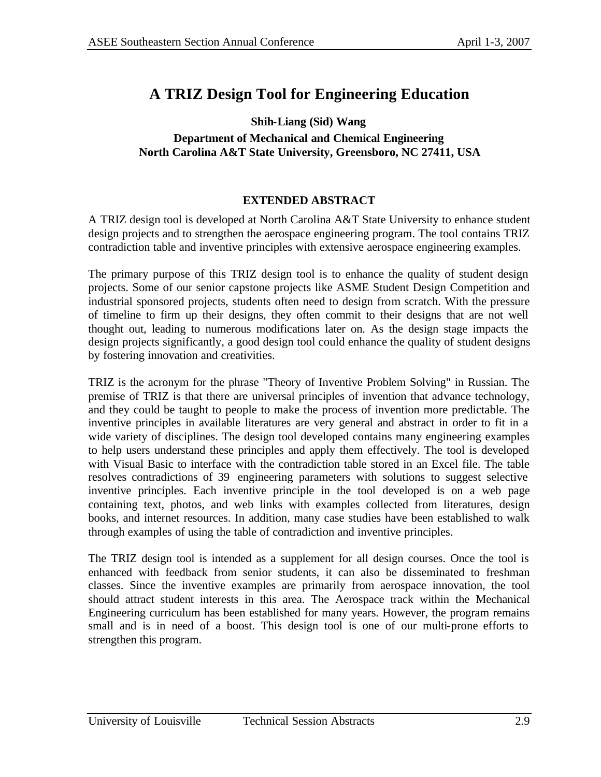# **A TRIZ Design Tool for Engineering Education**

#### **Shih-Liang (Sid) Wang Department of Mechanical and Chemical Engineering North Carolina A&T State University, Greensboro, NC 27411, USA**

#### **EXTENDED ABSTRACT**

A TRIZ design tool is developed at North Carolina A&T State University to enhance student design projects and to strengthen the aerospace engineering program. The tool contains TRIZ contradiction table and inventive principles with extensive aerospace engineering examples.

The primary purpose of this TRIZ design tool is to enhance the quality of student design projects. Some of our senior capstone projects like ASME Student Design Competition and industrial sponsored projects, students often need to design from scratch. With the pressure of timeline to firm up their designs, they often commit to their designs that are not well thought out, leading to numerous modifications later on. As the design stage impacts the design projects significantly, a good design tool could enhance the quality of student designs by fostering innovation and creativities.

TRIZ is the acronym for the phrase "Theory of Inventive Problem Solving" in Russian. The premise of TRIZ is that there are universal principles of invention that advance technology, and they could be taught to people to make the process of invention more predictable. The inventive principles in available literatures are very general and abstract in order to fit in a wide variety of disciplines. The design tool developed contains many engineering examples to help users understand these principles and apply them effectively. The tool is developed with Visual Basic to interface with the contradiction table stored in an Excel file. The table resolves contradictions of 39 engineering parameters with solutions to suggest selective inventive principles. Each inventive principle in the tool developed is on a web page containing text, photos, and web links with examples collected from literatures, design books, and internet resources. In addition, many case studies have been established to walk through examples of using the table of contradiction and inventive principles.

The TRIZ design tool is intended as a supplement for all design courses. Once the tool is enhanced with feedback from senior students, it can also be disseminated to freshman classes. Since the inventive examples are primarily from aerospace innovation, the tool should attract student interests in this area. The Aerospace track within the Mechanical Engineering curriculum has been established for many years. However, the program remains small and is in need of a boost. This design tool is one of our multi-prone efforts to strengthen this program.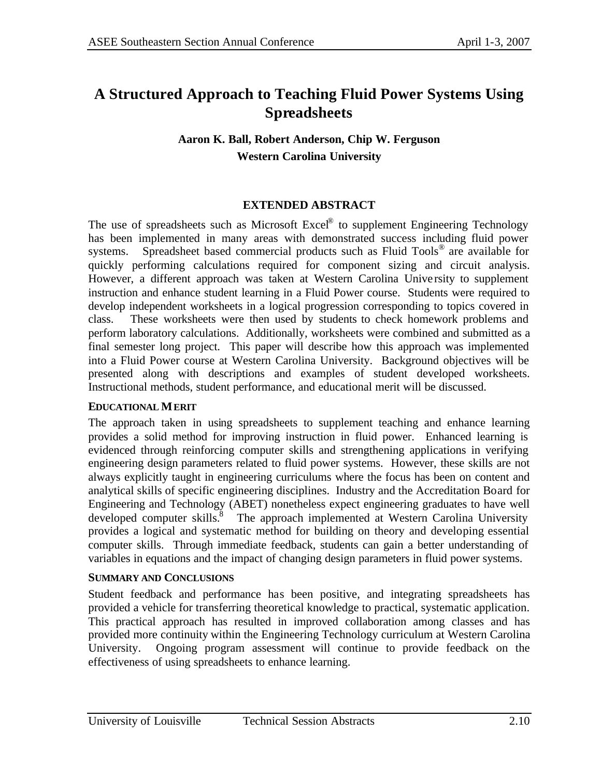# **A Structured Approach to Teaching Fluid Power Systems Using Spreadsheets**

## **Aaron K. Ball, Robert Anderson, Chip W. Ferguson Western Carolina University**

### **EXTENDED ABSTRACT**

The use of spreadsheets such as Microsoft  $\text{Excel}^{\otimes}$  to supplement Engineering Technology has been implemented in many areas with demonstrated success including fluid power systems. Spreadsheet based commercial products such as Fluid Tools<sup>®</sup> are available for quickly performing calculations required for component sizing and circuit analysis. However, a different approach was taken at Western Carolina Unive rsity to supplement instruction and enhance student learning in a Fluid Power course. Students were required to develop independent worksheets in a logical progression corresponding to topics covered in class. These worksheets were then used by students to check homework problems and perform laboratory calculations. Additionally, worksheets were combined and submitted as a final semester long project. This paper will describe how this approach was implemented into a Fluid Power course at Western Carolina University. Background objectives will be presented along with descriptions and examples of student developed worksheets. Instructional methods, student performance, and educational merit will be discussed.

#### **EDUCATIONAL MERIT**

The approach taken in using spreadsheets to supplement teaching and enhance learning provides a solid method for improving instruction in fluid power. Enhanced learning is evidenced through reinforcing computer skills and strengthening applications in verifying engineering design parameters related to fluid power systems. However, these skills are not always explicitly taught in engineering curriculums where the focus has been on content and analytical skills of specific engineering disciplines. Industry and the Accreditation Board for Engineering and Technology (ABET) nonetheless expect engineering graduates to have well developed computer skills.<sup>8</sup> The approach implemented at Western Carolina University provides a logical and systematic method for building on theory and developing essential computer skills. Through immediate feedback, students can gain a better understanding of variables in equations and the impact of changing design parameters in fluid power systems.

### **SUMMARY AND CONCLUSIONS**

Student feedback and performance has been positive, and integrating spreadsheets has provided a vehicle for transferring theoretical knowledge to practical, systematic application. This practical approach has resulted in improved collaboration among classes and has provided more continuity within the Engineering Technology curriculum at Western Carolina University. Ongoing program assessment will continue to provide feedback on the effectiveness of using spreadsheets to enhance learning.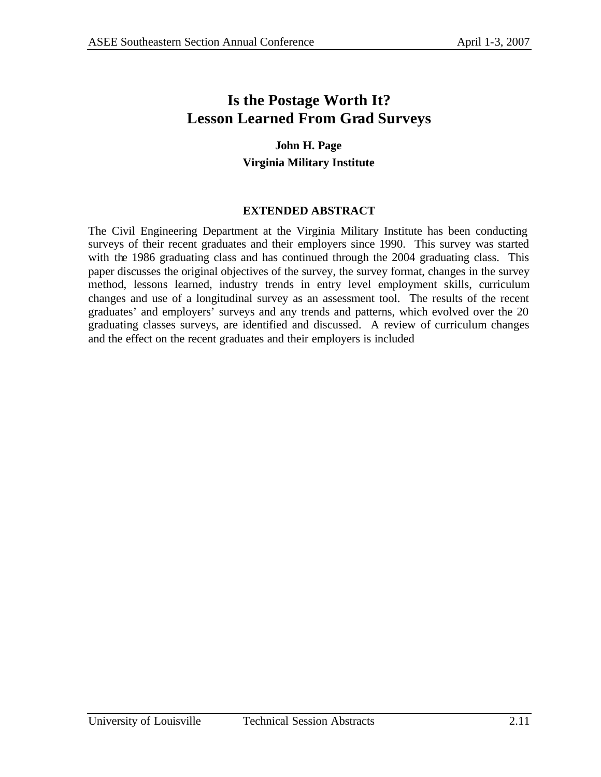# **Is the Postage Worth It? Lesson Learned From Grad Surveys**

### **John H. Page Virginia Military Institute**

### **EXTENDED ABSTRACT**

The Civil Engineering Department at the Virginia Military Institute has been conducting surveys of their recent graduates and their employers since 1990. This survey was started with the 1986 graduating class and has continued through the 2004 graduating class. This paper discusses the original objectives of the survey, the survey format, changes in the survey method, lessons learned, industry trends in entry level employment skills, curriculum changes and use of a longitudinal survey as an assessment tool. The results of the recent graduates' and employers' surveys and any trends and patterns, which evolved over the 20 graduating classes surveys, are identified and discussed. A review of curriculum changes and the effect on the recent graduates and their employers is included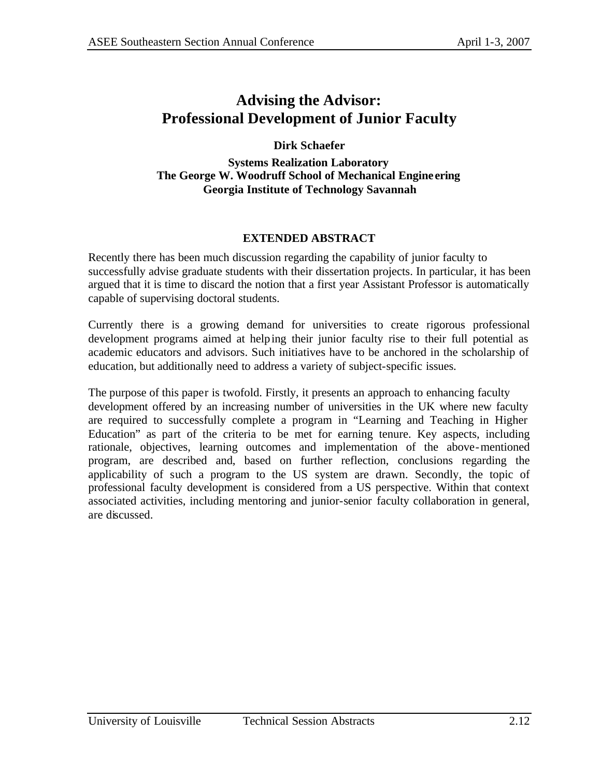# **Advising the Advisor: Professional Development of Junior Faculty**

### **Dirk Schaefer**

**Systems Realization Laboratory The George W. Woodruff School of Mechanical Engine ering Georgia Institute of Technology Savannah**

### **EXTENDED ABSTRACT**

Recently there has been much discussion regarding the capability of junior faculty to successfully advise graduate students with their dissertation projects. In particular, it has been argued that it is time to discard the notion that a first year Assistant Professor is automatically capable of supervising doctoral students.

Currently there is a growing demand for universities to create rigorous professional development programs aimed at helping their junior faculty rise to their full potential as academic educators and advisors. Such initiatives have to be anchored in the scholarship of education, but additionally need to address a variety of subject-specific issues.

The purpose of this paper is twofold. Firstly, it presents an approach to enhancing faculty development offered by an increasing number of universities in the UK where new faculty are required to successfully complete a program in "Learning and Teaching in Higher Education" as part of the criteria to be met for earning tenure. Key aspects, including rationale, objectives, learning outcomes and implementation of the above-mentioned program, are described and, based on further reflection, conclusions regarding the applicability of such a program to the US system are drawn. Secondly, the topic of professional faculty development is considered from a US perspective. Within that context associated activities, including mentoring and junior-senior faculty collaboration in general, are discussed.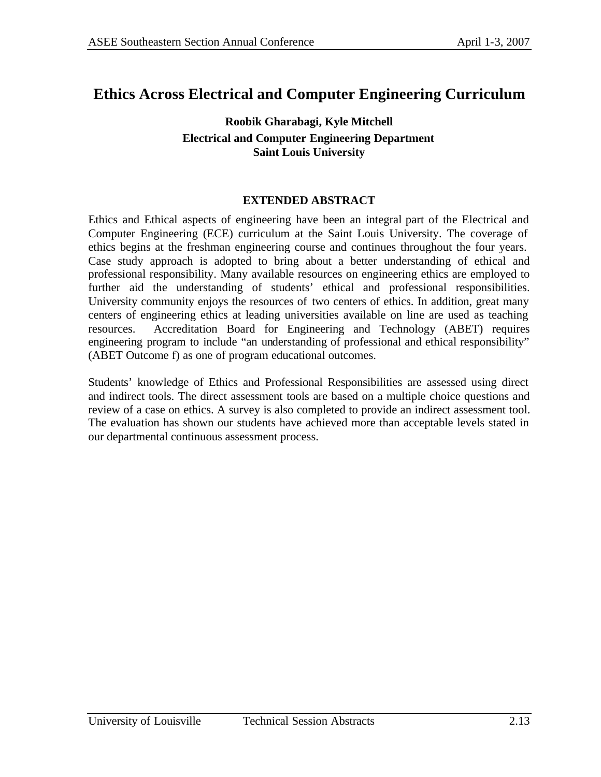# **Ethics Across Electrical and Computer Engineering Curriculum**

### **Roobik Gharabagi, Kyle Mitchell Electrical and Computer Engineering Department Saint Louis University**

#### **EXTENDED ABSTRACT**

Ethics and Ethical aspects of engineering have been an integral part of the Electrical and Computer Engineering (ECE) curriculum at the Saint Louis University. The coverage of ethics begins at the freshman engineering course and continues throughout the four years. Case study approach is adopted to bring about a better understanding of ethical and professional responsibility. Many available resources on engineering ethics are employed to further aid the understanding of students' ethical and professional responsibilities. University community enjoys the resources of two centers of ethics. In addition, great many centers of engineering ethics at leading universities available on line are used as teaching resources. Accreditation Board for Engineering and Technology (ABET) requires engineering program to include "an understanding of professional and ethical responsibility" (ABET Outcome f) as one of program educational outcomes.

Students' knowledge of Ethics and Professional Responsibilities are assessed using direct and indirect tools. The direct assessment tools are based on a multiple choice questions and review of a case on ethics. A survey is also completed to provide an indirect assessment tool. The evaluation has shown our students have achieved more than acceptable levels stated in our departmental continuous assessment process.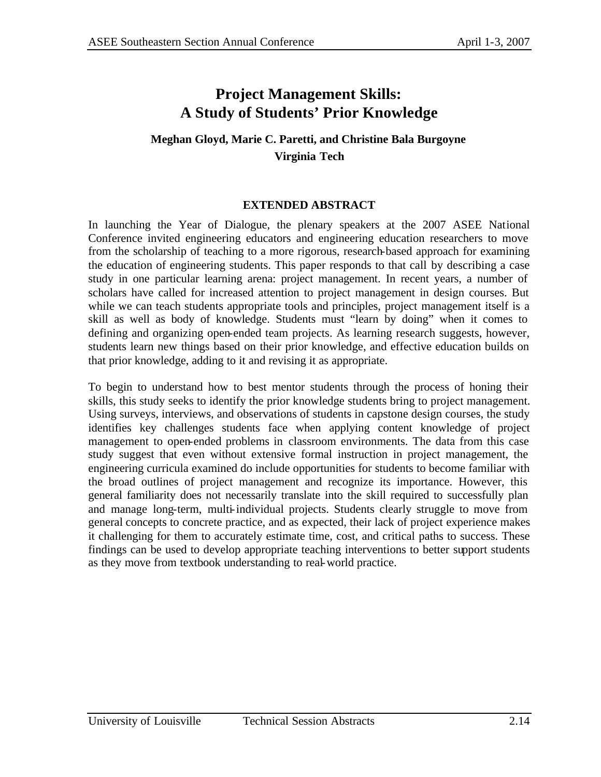## **Project Management Skills: A Study of Students' Prior Knowledge**

## **Meghan Gloyd, Marie C. Paretti, and Christine Bala Burgoyne Virginia Tech**

### **EXTENDED ABSTRACT**

In launching the Year of Dialogue, the plenary speakers at the 2007 ASEE National Conference invited engineering educators and engineering education researchers to move from the scholarship of teaching to a more rigorous, research-based approach for examining the education of engineering students. This paper responds to that call by describing a case study in one particular learning arena: project management. In recent years, a number of scholars have called for increased attention to project management in design courses. But while we can teach students appropriate tools and principles, project management itself is a skill as well as body of knowledge. Students must "learn by doing" when it comes to defining and organizing open-ended team projects. As learning research suggests, however, students learn new things based on their prior knowledge, and effective education builds on that prior knowledge, adding to it and revising it as appropriate.

To begin to understand how to best mentor students through the process of honing their skills, this study seeks to identify the prior knowledge students bring to project management. Using surveys, interviews, and observations of students in capstone design courses, the study identifies key challenges students face when applying content knowledge of project management to open-ended problems in classroom environments. The data from this case study suggest that even without extensive formal instruction in project management, the engineering curricula examined do include opportunities for students to become familiar with the broad outlines of project management and recognize its importance. However, this general familiarity does not necessarily translate into the skill required to successfully plan and manage long-term, multi-individual projects. Students clearly struggle to move from general concepts to concrete practice, and as expected, their lack of project experience makes it challenging for them to accurately estimate time, cost, and critical paths to success. These findings can be used to develop appropriate teaching interventions to better support students as they move from textbook understanding to real-world practice.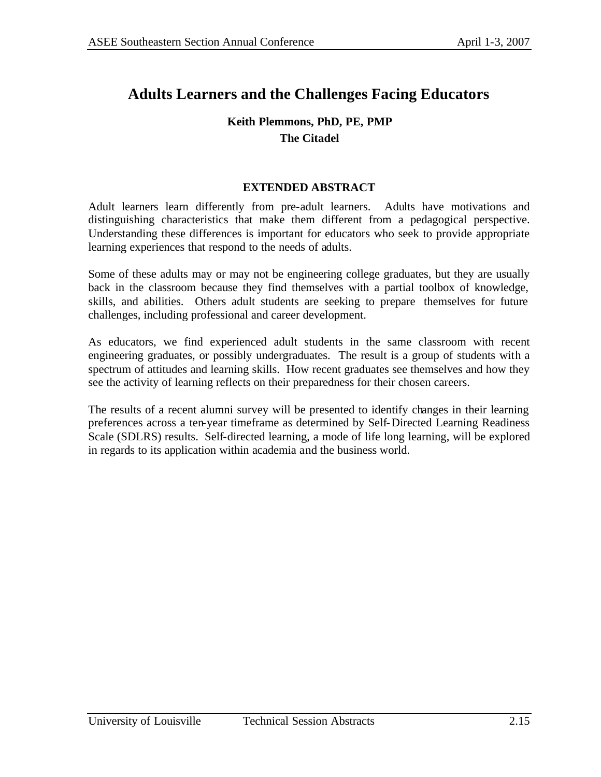# **Adults Learners and the Challenges Facing Educators**

### **Keith Plemmons, PhD, PE, PMP The Citadel**

#### **EXTENDED ABSTRACT**

Adult learners learn differently from pre-adult learners. Adults have motivations and distinguishing characteristics that make them different from a pedagogical perspective. Understanding these differences is important for educators who seek to provide appropriate learning experiences that respond to the needs of adults.

Some of these adults may or may not be engineering college graduates, but they are usually back in the classroom because they find themselves with a partial toolbox of knowledge, skills, and abilities. Others adult students are seeking to prepare themselves for future challenges, including professional and career development.

As educators, we find experienced adult students in the same classroom with recent engineering graduates, or possibly undergraduates. The result is a group of students with a spectrum of attitudes and learning skills. How recent graduates see themselves and how they see the activity of learning reflects on their preparedness for their chosen careers.

The results of a recent alumni survey will be presented to identify changes in their learning preferences across a ten-year timeframe as determined by Self-Directed Learning Readiness Scale (SDLRS) results. Self-directed learning, a mode of life long learning, will be explored in regards to its application within academia and the business world.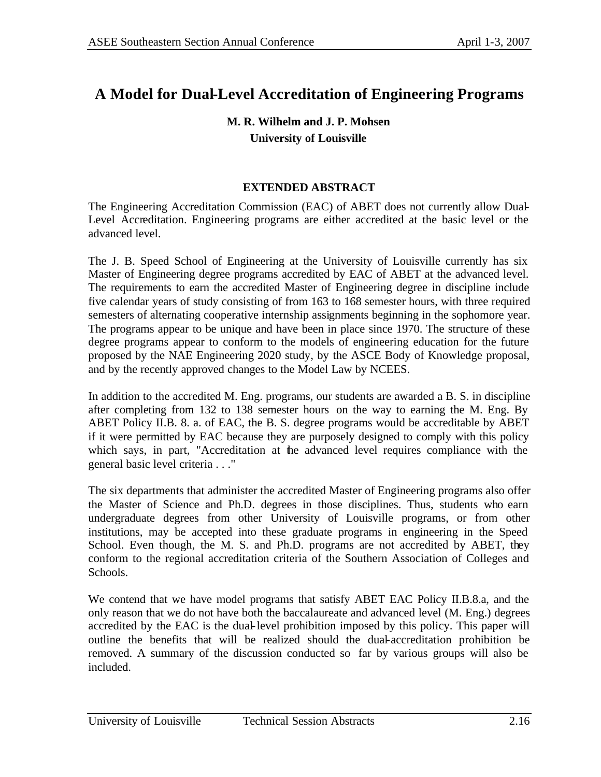# **A Model for Dual-Level Accreditation of Engineering Programs**

### **M. R. Wilhelm and J. P. Mohsen University of Louisville**

### **EXTENDED ABSTRACT**

The Engineering Accreditation Commission (EAC) of ABET does not currently allow Dual-Level Accreditation. Engineering programs are either accredited at the basic level or the advanced level.

The J. B. Speed School of Engineering at the University of Louisville currently has six Master of Engineering degree programs accredited by EAC of ABET at the advanced level. The requirements to earn the accredited Master of Engineering degree in discipline include five calendar years of study consisting of from 163 to 168 semester hours, with three required semesters of alternating cooperative internship assignments beginning in the sophomore year. The programs appear to be unique and have been in place since 1970. The structure of these degree programs appear to conform to the models of engineering education for the future proposed by the NAE Engineering 2020 study, by the ASCE Body of Knowledge proposal, and by the recently approved changes to the Model Law by NCEES.

In addition to the accredited M. Eng. programs, our students are awarded a B. S. in discipline after completing from 132 to 138 semester hours on the way to earning the M. Eng. By ABET Policy II.B. 8. a. of EAC, the B. S. degree programs would be accreditable by ABET if it were permitted by EAC because they are purposely designed to comply with this policy which says, in part, "Accreditation at the advanced level requires compliance with the general basic level criteria . . ."

The six departments that administer the accredited Master of Engineering programs also offer the Master of Science and Ph.D. degrees in those disciplines. Thus, students who earn undergraduate degrees from other University of Louisville programs, or from other institutions, may be accepted into these graduate programs in engineering in the Speed School. Even though, the M. S. and Ph.D. programs are not accredited by ABET, they conform to the regional accreditation criteria of the Southern Association of Colleges and Schools.

We contend that we have model programs that satisfy ABET EAC Policy II.B.8.a, and the only reason that we do not have both the baccalaureate and advanced level (M. Eng.) degrees accredited by the EAC is the dual-level prohibition imposed by this policy. This paper will outline the benefits that will be realized should the dual-accreditation prohibition be removed. A summary of the discussion conducted so far by various groups will also be included.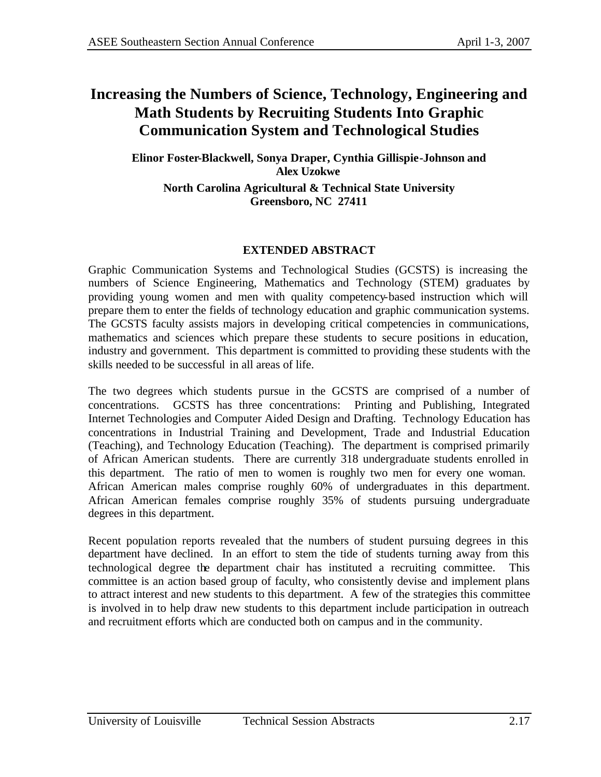# **Increasing the Numbers of Science, Technology, Engineering and Math Students by Recruiting Students Into Graphic Communication System and Technological Studies**

**Elinor Foster-Blackwell, Sonya Draper, Cynthia Gillispie-Johnson and Alex Uzokwe North Carolina Agricultural & Technical State University Greensboro, NC 27411**

### **EXTENDED ABSTRACT**

Graphic Communication Systems and Technological Studies (GCSTS) is increasing the numbers of Science Engineering, Mathematics and Technology (STEM) graduates by providing young women and men with quality competency-based instruction which will prepare them to enter the fields of technology education and graphic communication systems. The GCSTS faculty assists majors in developing critical competencies in communications, mathematics and sciences which prepare these students to secure positions in education, industry and government. This department is committed to providing these students with the skills needed to be successful in all areas of life.

The two degrees which students pursue in the GCSTS are comprised of a number of concentrations. GCSTS has three concentrations: Printing and Publishing, Integrated Internet Technologies and Computer Aided Design and Drafting. Technology Education has concentrations in Industrial Training and Development, Trade and Industrial Education (Teaching), and Technology Education (Teaching). The department is comprised primarily of African American students. There are currently 318 undergraduate students enrolled in this department. The ratio of men to women is roughly two men for every one woman. African American males comprise roughly 60% of undergraduates in this department. African American females comprise roughly 35% of students pursuing undergraduate degrees in this department.

Recent population reports revealed that the numbers of student pursuing degrees in this department have declined. In an effort to stem the tide of students turning away from this technological degree the department chair has instituted a recruiting committee. This committee is an action based group of faculty, who consistently devise and implement plans to attract interest and new students to this department. A few of the strategies this committee is involved in to help draw new students to this department include participation in outreach and recruitment efforts which are conducted both on campus and in the community.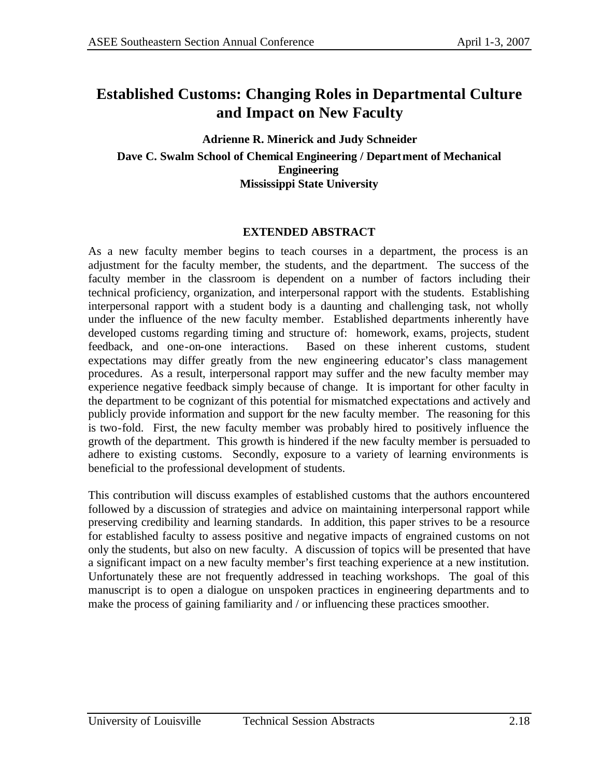## **Established Customs: Changing Roles in Departmental Culture and Impact on New Faculty**

**Adrienne R. Minerick and Judy Schneider Dave C. Swalm School of Chemical Engineering / Department of Mechanical Engineering Mississippi State University**

#### **EXTENDED ABSTRACT**

As a new faculty member begins to teach courses in a department, the process is an adjustment for the faculty member, the students, and the department. The success of the faculty member in the classroom is dependent on a number of factors including their technical proficiency, organization, and interpersonal rapport with the students. Establishing interpersonal rapport with a student body is a daunting and challenging task, not wholly under the influence of the new faculty member. Established departments inherently have developed customs regarding timing and structure of: homework, exams, projects, student feedback, and one-on-one interactions. Based on these inherent customs, student expectations may differ greatly from the new engineering educator's class management procedures. As a result, interpersonal rapport may suffer and the new faculty member may experience negative feedback simply because of change. It is important for other faculty in the department to be cognizant of this potential for mismatched expectations and actively and publicly provide information and support for the new faculty member. The reasoning for this is two-fold. First, the new faculty member was probably hired to positively influence the growth of the department. This growth is hindered if the new faculty member is persuaded to adhere to existing customs. Secondly, exposure to a variety of learning environments is beneficial to the professional development of students.

This contribution will discuss examples of established customs that the authors encountered followed by a discussion of strategies and advice on maintaining interpersonal rapport while preserving credibility and learning standards. In addition, this paper strives to be a resource for established faculty to assess positive and negative impacts of engrained customs on not only the students, but also on new faculty. A discussion of topics will be presented that have a significant impact on a new faculty member's first teaching experience at a new institution. Unfortunately these are not frequently addressed in teaching workshops. The goal of this manuscript is to open a dialogue on unspoken practices in engineering departments and to make the process of gaining familiarity and / or influencing these practices smoother.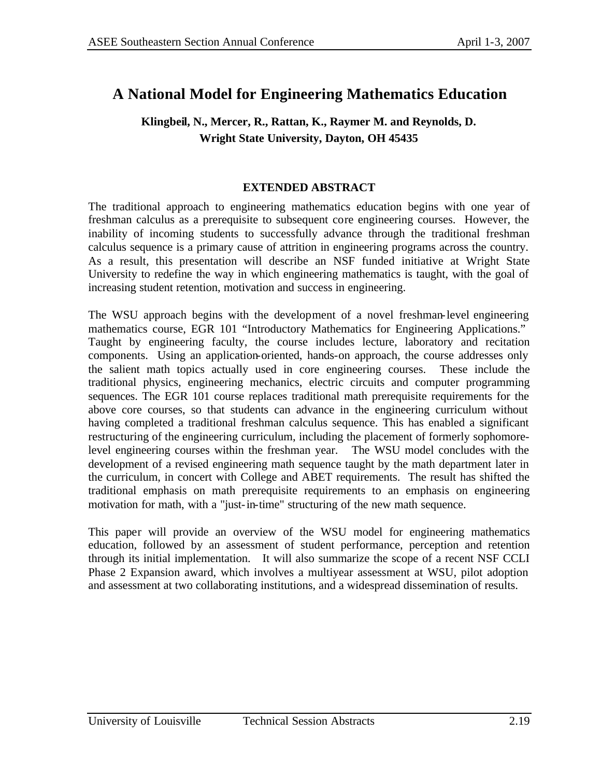# **A National Model for Engineering Mathematics Education**

### **Klingbeil, N., Mercer, R., Rattan, K., Raymer M. and Reynolds, D. Wright State University, Dayton, OH 45435**

### **EXTENDED ABSTRACT**

The traditional approach to engineering mathematics education begins with one year of freshman calculus as a prerequisite to subsequent core engineering courses. However, the inability of incoming students to successfully advance through the traditional freshman calculus sequence is a primary cause of attrition in engineering programs across the country. As a result, this presentation will describe an NSF funded initiative at Wright State University to redefine the way in which engineering mathematics is taught, with the goal of increasing student retention, motivation and success in engineering.

The WSU approach begins with the development of a novel freshman-level engineering mathematics course, EGR 101 "Introductory Mathematics for Engineering Applications." Taught by engineering faculty, the course includes lecture, laboratory and recitation components. Using an application-oriented, hands-on approach, the course addresses only the salient math topics actually used in core engineering courses. These include the traditional physics, engineering mechanics, electric circuits and computer programming sequences. The EGR 101 course replaces traditional math prerequisite requirements for the above core courses, so that students can advance in the engineering curriculum without having completed a traditional freshman calculus sequence. This has enabled a significant restructuring of the engineering curriculum, including the placement of formerly sophomorelevel engineering courses within the freshman year. The WSU model concludes with the development of a revised engineering math sequence taught by the math department later in the curriculum, in concert with College and ABET requirements. The result has shifted the traditional emphasis on math prerequisite requirements to an emphasis on engineering motivation for math, with a "just-in-time" structuring of the new math sequence.

This paper will provide an overview of the WSU model for engineering mathematics education, followed by an assessment of student performance, perception and retention through its initial implementation. It will also summarize the scope of a recent NSF CCLI Phase 2 Expansion award, which involves a multiyear assessment at WSU, pilot adoption and assessment at two collaborating institutions, and a widespread dissemination of results.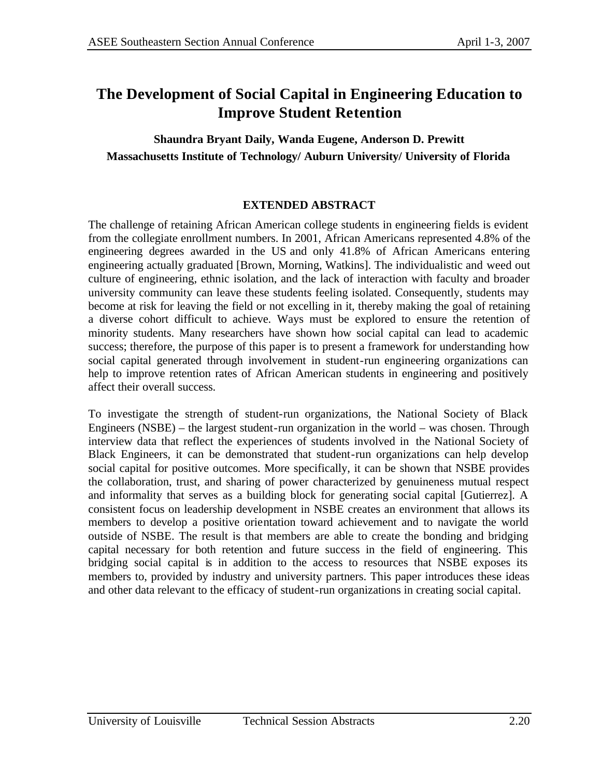# **The Development of Social Capital in Engineering Education to Improve Student Retention**

**Shaundra Bryant Daily, Wanda Eugene, Anderson D. Prewitt Massachusetts Institute of Technology/ Auburn University/ University of Florida**

### **EXTENDED ABSTRACT**

The challenge of retaining African American college students in engineering fields is evident from the collegiate enrollment numbers. In 2001, African Americans represented 4.8% of the engineering degrees awarded in the US and only 41.8% of African Americans entering engineering actually graduated [Brown, Morning, Watkins]. The individualistic and weed out culture of engineering, ethnic isolation, and the lack of interaction with faculty and broader university community can leave these students feeling isolated. Consequently, students may become at risk for leaving the field or not excelling in it, thereby making the goal of retaining a diverse cohort difficult to achieve. Ways must be explored to ensure the retention of minority students. Many researchers have shown how social capital can lead to academic success; therefore, the purpose of this paper is to present a framework for understanding how social capital generated through involvement in student-run engineering organizations can help to improve retention rates of African American students in engineering and positively affect their overall success.

To investigate the strength of student-run organizations, the National Society of Black Engineers (NSBE) – the largest student-run organization in the world – was chosen. Through interview data that reflect the experiences of students involved in the National Society of Black Engineers, it can be demonstrated that student-run organizations can help develop social capital for positive outcomes. More specifically, it can be shown that NSBE provides the collaboration, trust, and sharing of power characterized by genuineness mutual respect and informality that serves as a building block for generating social capital [Gutierrez]. A consistent focus on leadership development in NSBE creates an environment that allows its members to develop a positive orientation toward achievement and to navigate the world outside of NSBE. The result is that members are able to create the bonding and bridging capital necessary for both retention and future success in the field of engineering. This bridging social capital is in addition to the access to resources that NSBE exposes its members to, provided by industry and university partners. This paper introduces these ideas and other data relevant to the efficacy of student-run organizations in creating social capital.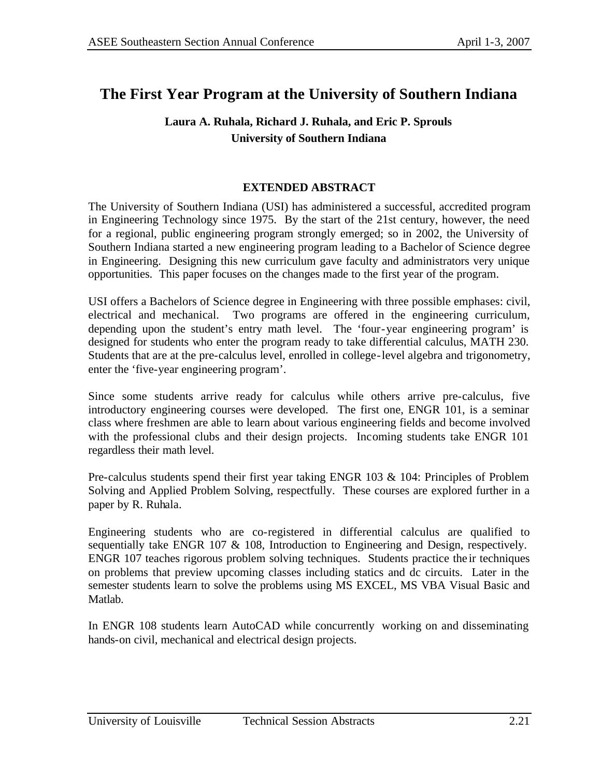# **The First Year Program at the University of Southern Indiana**

### **Laura A. Ruhala, Richard J. Ruhala, and Eric P. Sprouls University of Southern Indiana**

### **EXTENDED ABSTRACT**

The University of Southern Indiana (USI) has administered a successful, accredited program in Engineering Technology since 1975. By the start of the 21st century, however, the need for a regional, public engineering program strongly emerged; so in 2002, the University of Southern Indiana started a new engineering program leading to a Bachelor of Science degree in Engineering. Designing this new curriculum gave faculty and administrators very unique opportunities. This paper focuses on the changes made to the first year of the program.

USI offers a Bachelors of Science degree in Engineering with three possible emphases: civil, electrical and mechanical. Two programs are offered in the engineering curriculum, depending upon the student's entry math level. The 'four-year engineering program' is designed for students who enter the program ready to take differential calculus, MATH 230. Students that are at the pre-calculus level, enrolled in college-level algebra and trigonometry, enter the 'five-year engineering program'.

Since some students arrive ready for calculus while others arrive pre-calculus, five introductory engineering courses were developed. The first one, ENGR 101, is a seminar class where freshmen are able to learn about various engineering fields and become involved with the professional clubs and their design projects. Incoming students take ENGR 101 regardless their math level.

Pre-calculus students spend their first year taking ENGR 103 & 104: Principles of Problem Solving and Applied Problem Solving, respectfully. These courses are explored further in a paper by R. Ruhala.

Engineering students who are co-registered in differential calculus are qualified to sequentially take ENGR 107 & 108, Introduction to Engineering and Design, respectively. ENGR 107 teaches rigorous problem solving techniques. Students practice the ir techniques on problems that preview upcoming classes including statics and dc circuits. Later in the semester students learn to solve the problems using MS EXCEL, MS VBA Visual Basic and Matlab.

In ENGR 108 students learn AutoCAD while concurrently working on and disseminating hands-on civil, mechanical and electrical design projects.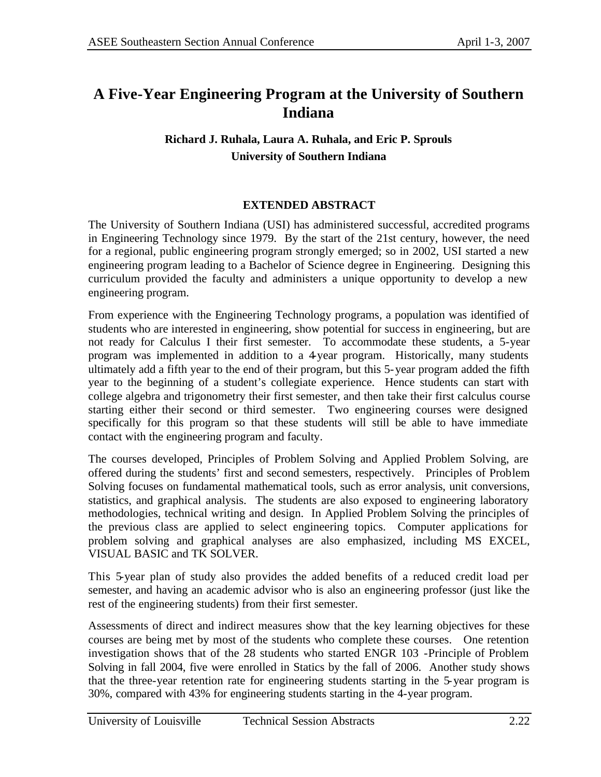# **A Five-Year Engineering Program at the University of Southern Indiana**

## **Richard J. Ruhala, Laura A. Ruhala, and Eric P. Sprouls University of Southern Indiana**

### **EXTENDED ABSTRACT**

The University of Southern Indiana (USI) has administered successful, accredited programs in Engineering Technology since 1979. By the start of the 21st century, however, the need for a regional, public engineering program strongly emerged; so in 2002, USI started a new engineering program leading to a Bachelor of Science degree in Engineering. Designing this curriculum provided the faculty and administers a unique opportunity to develop a new engineering program.

From experience with the Engineering Technology programs, a population was identified of students who are interested in engineering, show potential for success in engineering, but are not ready for Calculus I their first semester. To accommodate these students, a 5-year program was implemented in addition to a 4-year program. Historically, many students ultimately add a fifth year to the end of their program, but this 5-year program added the fifth year to the beginning of a student's collegiate experience. Hence students can start with college algebra and trigonometry their first semester, and then take their first calculus course starting either their second or third semester. Two engineering courses were designed specifically for this program so that these students will still be able to have immediate contact with the engineering program and faculty.

The courses developed, Principles of Problem Solving and Applied Problem Solving, are offered during the students' first and second semesters, respectively. Principles of Problem Solving focuses on fundamental mathematical tools, such as error analysis, unit conversions, statistics, and graphical analysis. The students are also exposed to engineering laboratory methodologies, technical writing and design. In Applied Problem Solving the principles of the previous class are applied to select engineering topics. Computer applications for problem solving and graphical analyses are also emphasized, including MS EXCEL, VISUAL BASIC and TK SOLVER.

This 5-year plan of study also provides the added benefits of a reduced credit load per semester, and having an academic advisor who is also an engineering professor (just like the rest of the engineering students) from their first semester.

Assessments of direct and indirect measures show that the key learning objectives for these courses are being met by most of the students who complete these courses. One retention investigation shows that of the 28 students who started ENGR 103 -Principle of Problem Solving in fall 2004, five were enrolled in Statics by the fall of 2006. Another study shows that the three-year retention rate for engineering students starting in the 5-year program is 30%, compared with 43% for engineering students starting in the 4-year program.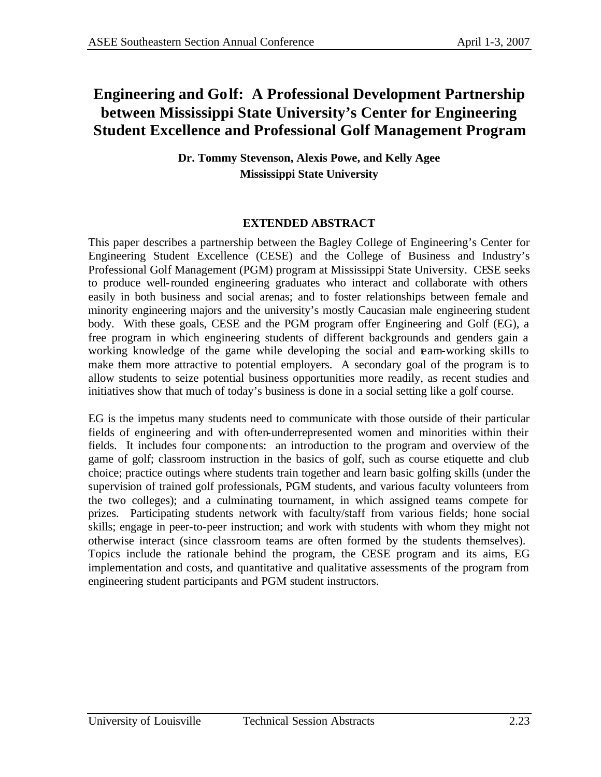# **Engineering and Golf: A Professional Development Partnership between Mississippi State University's Center for Engineering Student Excellence and Professional Golf Management Program**

**Dr. Tommy Stevenson, Alexis Powe, and Kelly Agee Mississippi State University**

### **EXTENDED ABSTRACT**

This paper describes a partnership between the Bagley College of Engineering's Center for Engineering Student Excellence (CESE) and the College of Business and Industry's Professional Golf Management (PGM) program at Mississippi State University. CESE seeks to produce well-rounded engineering graduates who interact and collaborate with others easily in both business and social arenas; and to foster relationships between female and minority engineering majors and the university's mostly Caucasian male engineering student body. With these goals, CESE and the PGM program offer Engineering and Golf (EG), a free program in which engineering students of different backgrounds and genders gain a working knowledge of the game while developing the social and team-working skills to make them more attractive to potential employers. A secondary goal of the program is to allow students to seize potential business opportunities more readily, as recent studies and initiatives show that much of today's business is done in a social setting like a golf course.

EG is the impetus many students need to communicate with those outside of their particular fields of engineering and with often-underrepresented women and minorities within their fields. It includes four components: an introduction to the program and overview of the game of golf; classroom instruction in the basics of golf, such as course etiquette and club choice; practice outings where students train together and learn basic golfing skills (under the supervision of trained golf professionals, PGM students, and various faculty volunteers from the two colleges); and a culminating tournament, in which assigned teams compete for prizes. Participating students network with faculty/staff from various fields; hone social skills; engage in peer-to-peer instruction; and work with students with whom they might not otherwise interact (since classroom teams are often formed by the students themselves). Topics include the rationale behind the program, the CESE program and its aims, EG implementation and costs, and quantitative and qualitative assessments of the program from engineering student participants and PGM student instructors.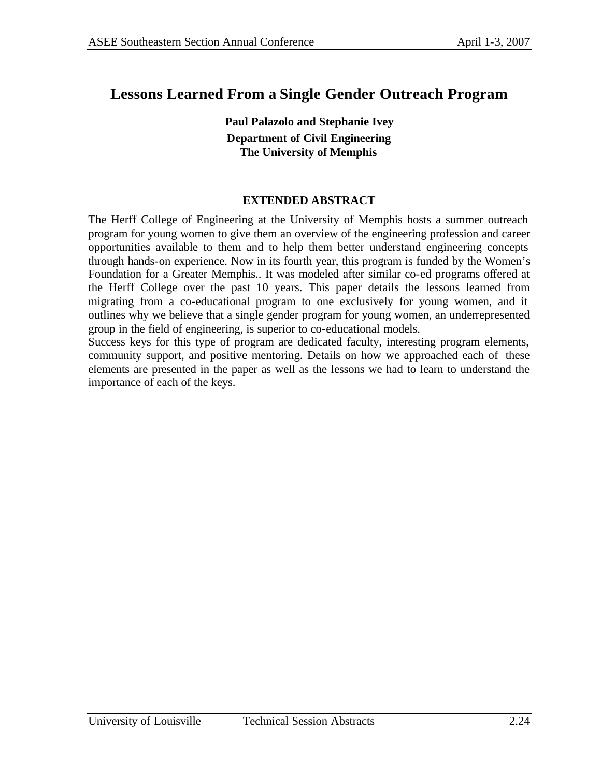## **Lessons Learned From a Single Gender Outreach Program**

**Paul Palazolo and Stephanie Ivey Department of Civil Engineering The University of Memphis**

#### **EXTENDED ABSTRACT**

The Herff College of Engineering at the University of Memphis hosts a summer outreach program for young women to give them an overview of the engineering profession and career opportunities available to them and to help them better understand engineering concepts through hands-on experience. Now in its fourth year, this program is funded by the Women's Foundation for a Greater Memphis.. It was modeled after similar co-ed programs offered at the Herff College over the past 10 years. This paper details the lessons learned from migrating from a co-educational program to one exclusively for young women, and it outlines why we believe that a single gender program for young women, an underrepresented group in the field of engineering, is superior to co-educational models.

Success keys for this type of program are dedicated faculty, interesting program elements, community support, and positive mentoring. Details on how we approached each of these elements are presented in the paper as well as the lessons we had to learn to understand the importance of each of the keys.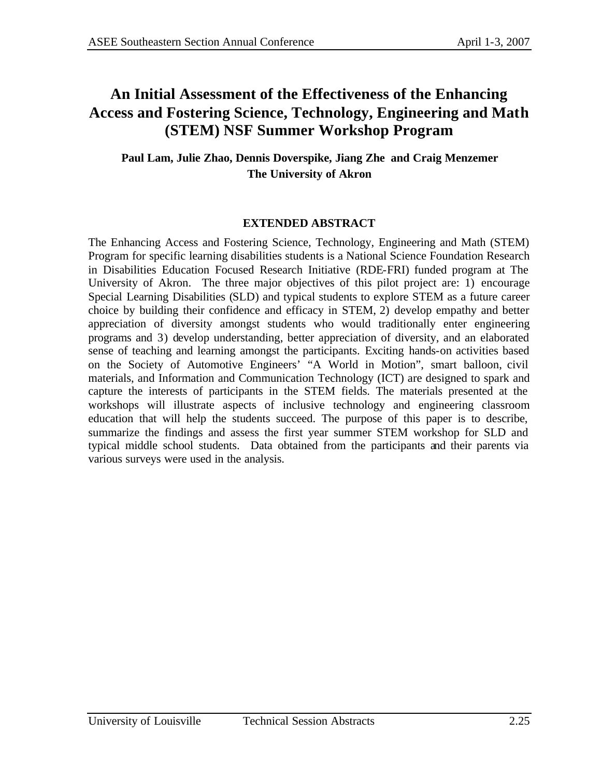# **An Initial Assessment of the Effectiveness of the Enhancing Access and Fostering Science, Technology, Engineering and Math (STEM) NSF Summer Workshop Program**

## **Paul Lam, Julie Zhao, Dennis Doverspike, Jiang Zhe and Craig Menzemer The University of Akron**

### **EXTENDED ABSTRACT**

The Enhancing Access and Fostering Science, Technology, Engineering and Math (STEM) Program for specific learning disabilities students is a National Science Foundation Research in Disabilities Education Focused Research Initiative (RDE-FRI) funded program at The University of Akron. The three major objectives of this pilot project are: 1) encourage Special Learning Disabilities (SLD) and typical students to explore STEM as a future career choice by building their confidence and efficacy in STEM, 2) develop empathy and better appreciation of diversity amongst students who would traditionally enter engineering programs and 3) develop understanding, better appreciation of diversity, and an elaborated sense of teaching and learning amongst the participants. Exciting hands-on activities based on the Society of Automotive Engineers' "A World in Motion", smart balloon, civil materials, and Information and Communication Technology (ICT) are designed to spark and capture the interests of participants in the STEM fields. The materials presented at the workshops will illustrate aspects of inclusive technology and engineering classroom education that will help the students succeed. The purpose of this paper is to describe, summarize the findings and assess the first year summer STEM workshop for SLD and typical middle school students. Data obtained from the participants and their parents via various surveys were used in the analysis.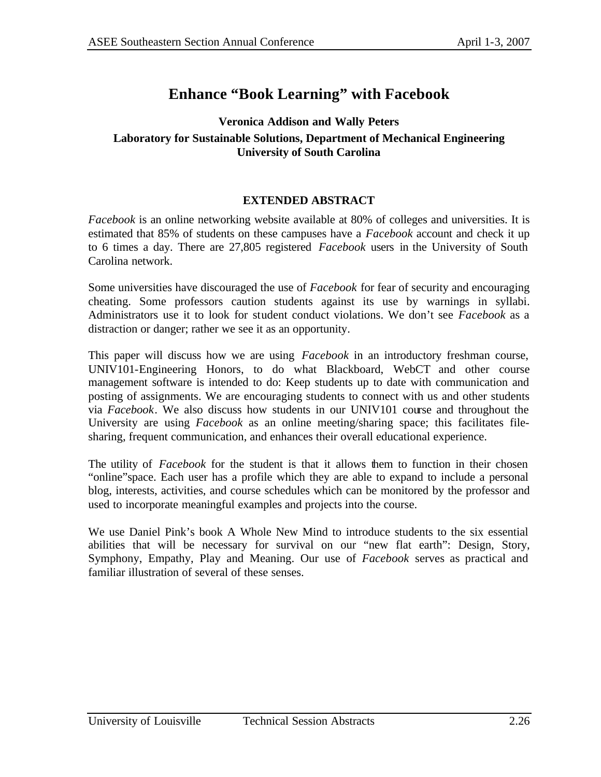# **Enhance "Book Learning" with Facebook**

### **Veronica Addison and Wally Peters Laboratory for Sustainable Solutions, Department of Mechanical Engineering University of South Carolina**

#### **EXTENDED ABSTRACT**

*Facebook* is an online networking website available at 80% of colleges and universities. It is estimated that 85% of students on these campuses have a *Facebook* account and check it up to 6 times a day. There are 27,805 registered *Facebook* users in the University of South Carolina network.

Some universities have discouraged the use of *Facebook* for fear of security and encouraging cheating. Some professors caution students against its use by warnings in syllabi. Administrators use it to look for student conduct violations. We don't see *Facebook* as a distraction or danger; rather we see it as an opportunity.

This paper will discuss how we are using *Facebook* in an introductory freshman course, UNIV101-Engineering Honors, to do what Blackboard, WebCT and other course management software is intended to do: Keep students up to date with communication and posting of assignments. We are encouraging students to connect with us and other students via *Facebook*. We also discuss how students in our UNIV101 course and throughout the University are using *Facebook* as an online meeting/sharing space; this facilitates filesharing, frequent communication, and enhances their overall educational experience.

The utility of *Facebook* for the student is that it allows them to function in their chosen "online"space. Each user has a profile which they are able to expand to include a personal blog, interests, activities, and course schedules which can be monitored by the professor and used to incorporate meaningful examples and projects into the course.

We use Daniel Pink's book A Whole New Mind to introduce students to the six essential abilities that will be necessary for survival on our "new flat earth": Design, Story, Symphony, Empathy, Play and Meaning. Our use of *Facebook* serves as practical and familiar illustration of several of these senses.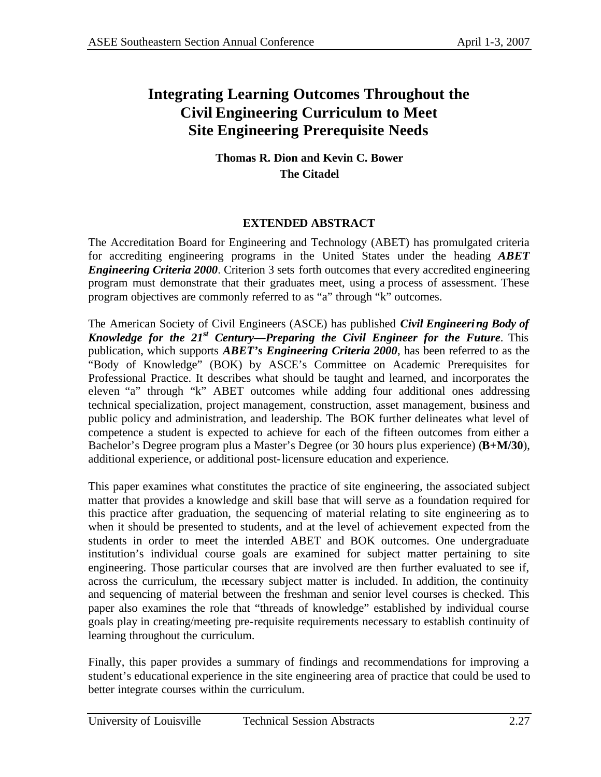# **Integrating Learning Outcomes Throughout the Civil Engineering Curriculum to Meet Site Engineering Prerequisite Needs**

### **Thomas R. Dion and Kevin C. Bower The Citadel**

### **EXTENDED ABSTRACT**

The Accreditation Board for Engineering and Technology (ABET) has promulgated criteria for accrediting engineering programs in the United States under the heading *ABET Engineering Criteria 2000*. Criterion 3 sets forth outcomes that every accredited engineering program must demonstrate that their graduates meet, using a process of assessment. These program objectives are commonly referred to as "a" through "k" outcomes.

The American Society of Civil Engineers (ASCE) has published *Civil Engineering Body of Knowledge for the 21st Century—Preparing the Civil Engineer for the Future*. This publication, which supports *ABET's Engineering Criteria 2000*, has been referred to as the "Body of Knowledge" (BOK) by ASCE's Committee on Academic Prerequisites for Professional Practice. It describes what should be taught and learned, and incorporates the eleven "a" through "k" ABET outcomes while adding four additional ones addressing technical specialization, project management, construction, asset management, business and public policy and administration, and leadership. The BOK further delineates what level of competence a student is expected to achieve for each of the fifteen outcomes from either a Bachelor's Degree program plus a Master's Degree (or 30 hours plus experience) (**B+M/30**), additional experience, or additional post-licensure education and experience.

This paper examines what constitutes the practice of site engineering, the associated subject matter that provides a knowledge and skill base that will serve as a foundation required for this practice after graduation, the sequencing of material relating to site engineering as to when it should be presented to students, and at the level of achievement expected from the students in order to meet the intended ABET and BOK outcomes. One undergraduate institution's individual course goals are examined for subject matter pertaining to site engineering. Those particular courses that are involved are then further evaluated to see if, across the curriculum, the necessary subject matter is included. In addition, the continuity and sequencing of material between the freshman and senior level courses is checked. This paper also examines the role that "threads of knowledge" established by individual course goals play in creating/meeting pre-requisite requirements necessary to establish continuity of learning throughout the curriculum.

Finally, this paper provides a summary of findings and recommendations for improving a student's educational experience in the site engineering area of practice that could be used to better integrate courses within the curriculum.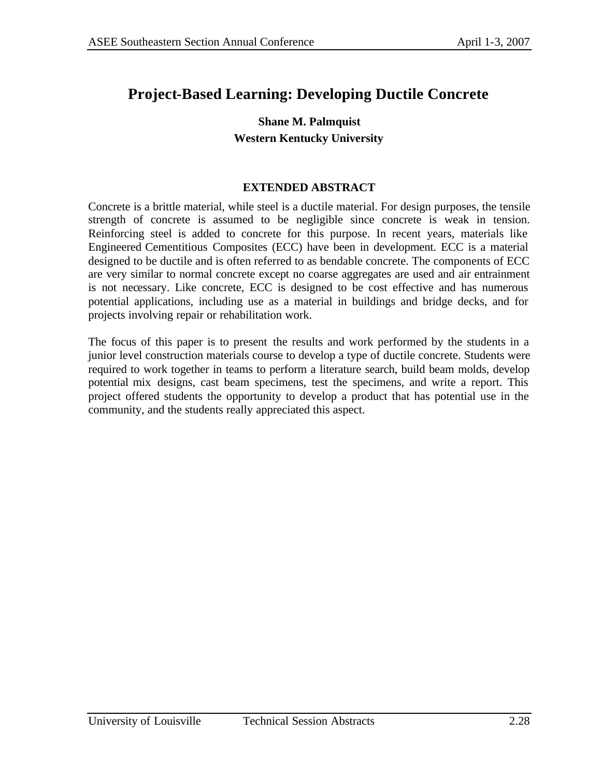# **Project-Based Learning: Developing Ductile Concrete**

## **Shane M. Palmquist Western Kentucky University**

### **EXTENDED ABSTRACT**

Concrete is a brittle material, while steel is a ductile material. For design purposes, the tensile strength of concrete is assumed to be negligible since concrete is weak in tension. Reinforcing steel is added to concrete for this purpose. In recent years, materials like Engineered Cementitious Composites (ECC) have been in development. ECC is a material designed to be ductile and is often referred to as bendable concrete. The components of ECC are very similar to normal concrete except no coarse aggregates are used and air entrainment is not necessary. Like concrete, ECC is designed to be cost effective and has numerous potential applications, including use as a material in buildings and bridge decks, and for projects involving repair or rehabilitation work.

The focus of this paper is to present the results and work performed by the students in a junior level construction materials course to develop a type of ductile concrete. Students were required to work together in teams to perform a literature search, build beam molds, develop potential mix designs, cast beam specimens, test the specimens, and write a report. This project offered students the opportunity to develop a product that has potential use in the community, and the students really appreciated this aspect.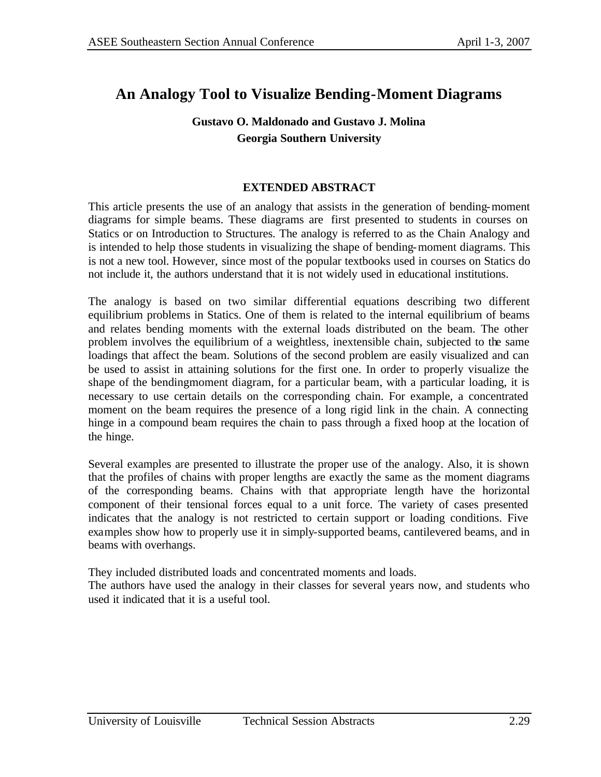# **An Analogy Tool to Visualize Bending-Moment Diagrams**

### **Gustavo O. Maldonado and Gustavo J. Molina Georgia Southern University**

### **EXTENDED ABSTRACT**

This article presents the use of an analogy that assists in the generation of bending-moment diagrams for simple beams. These diagrams are first presented to students in courses on Statics or on Introduction to Structures. The analogy is referred to as the Chain Analogy and is intended to help those students in visualizing the shape of bending-moment diagrams. This is not a new tool. However, since most of the popular textbooks used in courses on Statics do not include it, the authors understand that it is not widely used in educational institutions.

The analogy is based on two similar differential equations describing two different equilibrium problems in Statics. One of them is related to the internal equilibrium of beams and relates bending moments with the external loads distributed on the beam. The other problem involves the equilibrium of a weightless, inextensible chain, subjected to the same loadings that affect the beam. Solutions of the second problem are easily visualized and can be used to assist in attaining solutions for the first one. In order to properly visualize the shape of the bendingmoment diagram, for a particular beam, with a particular loading, it is necessary to use certain details on the corresponding chain. For example, a concentrated moment on the beam requires the presence of a long rigid link in the chain. A connecting hinge in a compound beam requires the chain to pass through a fixed hoop at the location of the hinge.

Several examples are presented to illustrate the proper use of the analogy. Also, it is shown that the profiles of chains with proper lengths are exactly the same as the moment diagrams of the corresponding beams. Chains with that appropriate length have the horizontal component of their tensional forces equal to a unit force. The variety of cases presented indicates that the analogy is not restricted to certain support or loading conditions. Five examples show how to properly use it in simply-supported beams, cantilevered beams, and in beams with overhangs.

They included distributed loads and concentrated moments and loads.

The authors have used the analogy in their classes for several years now, and students who used it indicated that it is a useful tool.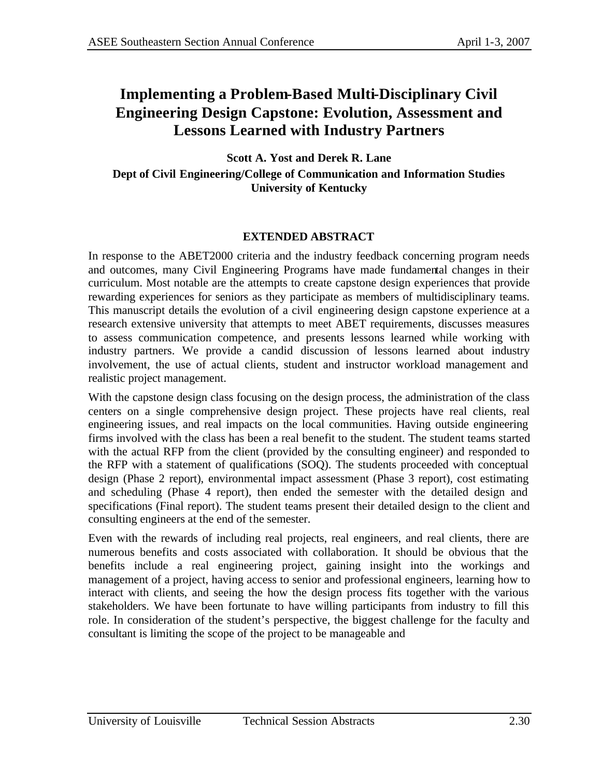# **Implementing a Problem-Based Multi-Disciplinary Civil Engineering Design Capstone: Evolution, Assessment and Lessons Learned with Industry Partners**

**Scott A. Yost and Derek R. Lane Dept of Civil Engineering/College of Communication and Information Studies University of Kentucky** 

### **EXTENDED ABSTRACT**

In response to the ABET2000 criteria and the industry feedback concerning program needs and outcomes, many Civil Engineering Programs have made fundamental changes in their curriculum. Most notable are the attempts to create capstone design experiences that provide rewarding experiences for seniors as they participate as members of multidisciplinary teams. This manuscript details the evolution of a civil engineering design capstone experience at a research extensive university that attempts to meet ABET requirements, discusses measures to assess communication competence, and presents lessons learned while working with industry partners. We provide a candid discussion of lessons learned about industry involvement, the use of actual clients, student and instructor workload management and realistic project management.

With the capstone design class focusing on the design process, the administration of the class centers on a single comprehensive design project. These projects have real clients, real engineering issues, and real impacts on the local communities. Having outside engineering firms involved with the class has been a real benefit to the student. The student teams started with the actual RFP from the client (provided by the consulting engineer) and responded to the RFP with a statement of qualifications (SOQ). The students proceeded with conceptual design (Phase 2 report), environmental impact assessment (Phase 3 report), cost estimating and scheduling (Phase 4 report), then ended the semester with the detailed design and specifications (Final report). The student teams present their detailed design to the client and consulting engineers at the end of the semester.

Even with the rewards of including real projects, real engineers, and real clients, there are numerous benefits and costs associated with collaboration. It should be obvious that the benefits include a real engineering project, gaining insight into the workings and management of a project, having access to senior and professional engineers, learning how to interact with clients, and seeing the how the design process fits together with the various stakeholders. We have been fortunate to have willing participants from industry to fill this role. In consideration of the student's perspective, the biggest challenge for the faculty and consultant is limiting the scope of the project to be manageable and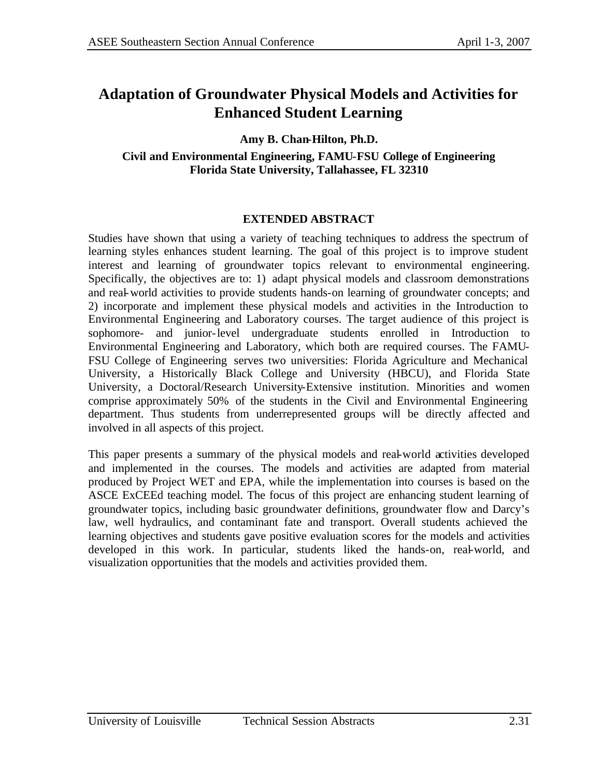# **Adaptation of Groundwater Physical Models and Activities for Enhanced Student Learning**

### **Amy B. Chan-Hilton, Ph.D.**

**Civil and Environmental Engineering, FAMU-FSU College of Engineering Florida State University, Tallahassee, FL 32310** 

#### **EXTENDED ABSTRACT**

Studies have shown that using a variety of teaching techniques to address the spectrum of learning styles enhances student learning. The goal of this project is to improve student interest and learning of groundwater topics relevant to environmental engineering. Specifically, the objectives are to: 1) adapt physical models and classroom demonstrations and real-world activities to provide students hands-on learning of groundwater concepts; and 2) incorporate and implement these physical models and activities in the Introduction to Environmental Engineering and Laboratory courses. The target audience of this project is sophomore- and junior-level undergraduate students enrolled in Introduction to Environmental Engineering and Laboratory, which both are required courses. The FAMU-FSU College of Engineering serves two universities: Florida Agriculture and Mechanical University, a Historically Black College and University (HBCU), and Florida State University, a Doctoral/Research University-Extensive institution. Minorities and women comprise approximately 50% of the students in the Civil and Environmental Engineering department. Thus students from underrepresented groups will be directly affected and involved in all aspects of this project.

This paper presents a summary of the physical models and real-world activities developed and implemented in the courses. The models and activities are adapted from material produced by Project WET and EPA, while the implementation into courses is based on the ASCE ExCEEd teaching model. The focus of this project are enhancing student learning of groundwater topics, including basic groundwater definitions, groundwater flow and Darcy's law, well hydraulics, and contaminant fate and transport. Overall students achieved the learning objectives and students gave positive evaluation scores for the models and activities developed in this work. In particular, students liked the hands-on, real-world, and visualization opportunities that the models and activities provided them.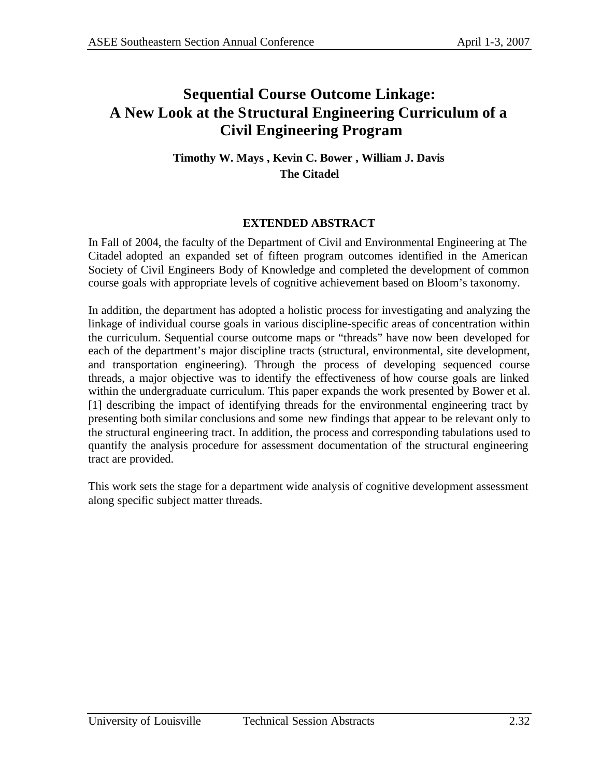# **Sequential Course Outcome Linkage: A New Look at the Structural Engineering Curriculum of a Civil Engineering Program**

### **Timothy W. Mays , Kevin C. Bower , William J. Davis The Citadel**

### **EXTENDED ABSTRACT**

In Fall of 2004, the faculty of the Department of Civil and Environmental Engineering at The Citadel adopted an expanded set of fifteen program outcomes identified in the American Society of Civil Engineers Body of Knowledge and completed the development of common course goals with appropriate levels of cognitive achievement based on Bloom's taxonomy.

In addition, the department has adopted a holistic process for investigating and analyzing the linkage of individual course goals in various discipline-specific areas of concentration within the curriculum. Sequential course outcome maps or "threads" have now been developed for each of the department's major discipline tracts (structural, environmental, site development, and transportation engineering). Through the process of developing sequenced course threads, a major objective was to identify the effectiveness of how course goals are linked within the undergraduate curriculum. This paper expands the work presented by Bower et al. [1] describing the impact of identifying threads for the environmental engineering tract by presenting both similar conclusions and some new findings that appear to be relevant only to the structural engineering tract. In addition, the process and corresponding tabulations used to quantify the analysis procedure for assessment documentation of the structural engineering tract are provided.

This work sets the stage for a department wide analysis of cognitive development assessment along specific subject matter threads.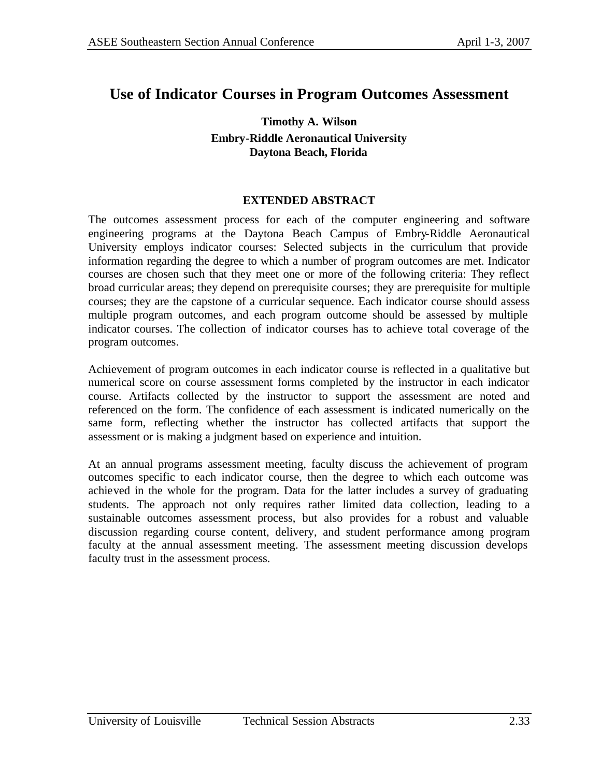## **Use of Indicator Courses in Program Outcomes Assessment**

### **Timothy A. Wilson Embry-Riddle Aeronautical University Daytona Beach, Florida**

#### **EXTENDED ABSTRACT**

The outcomes assessment process for each of the computer engineering and software engineering programs at the Daytona Beach Campus of Embry-Riddle Aeronautical University employs indicator courses: Selected subjects in the curriculum that provide information regarding the degree to which a number of program outcomes are met. Indicator courses are chosen such that they meet one or more of the following criteria: They reflect broad curricular areas; they depend on prerequisite courses; they are prerequisite for multiple courses; they are the capstone of a curricular sequence. Each indicator course should assess multiple program outcomes, and each program outcome should be assessed by multiple indicator courses. The collection of indicator courses has to achieve total coverage of the program outcomes.

Achievement of program outcomes in each indicator course is reflected in a qualitative but numerical score on course assessment forms completed by the instructor in each indicator course. Artifacts collected by the instructor to support the assessment are noted and referenced on the form. The confidence of each assessment is indicated numerically on the same form, reflecting whether the instructor has collected artifacts that support the assessment or is making a judgment based on experience and intuition.

At an annual programs assessment meeting, faculty discuss the achievement of program outcomes specific to each indicator course, then the degree to which each outcome was achieved in the whole for the program. Data for the latter includes a survey of graduating students. The approach not only requires rather limited data collection, leading to a sustainable outcomes assessment process, but also provides for a robust and valuable discussion regarding course content, delivery, and student performance among program faculty at the annual assessment meeting. The assessment meeting discussion develops faculty trust in the assessment process.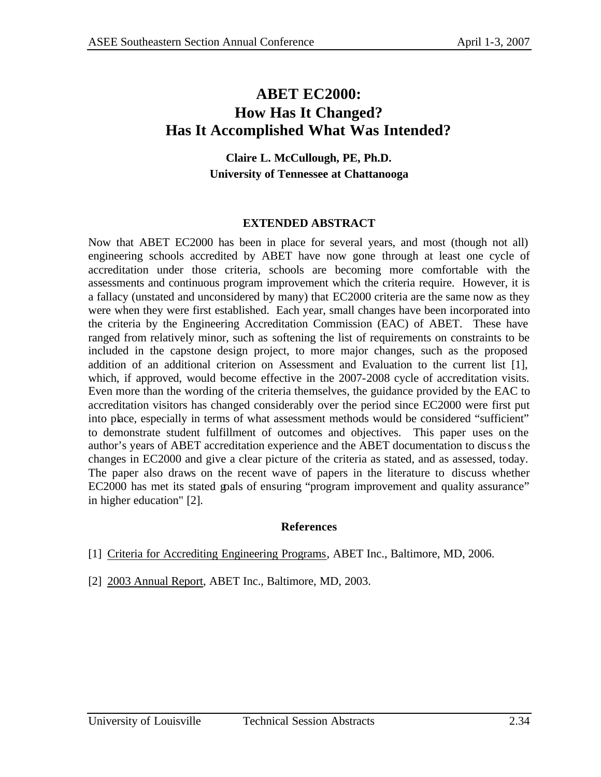## **ABET EC2000: How Has It Changed? Has It Accomplished What Was Intended?**

### **Claire L. McCullough, PE, Ph.D. University of Tennessee at Chattanooga**

### **EXTENDED ABSTRACT**

Now that ABET EC2000 has been in place for several years, and most (though not all) engineering schools accredited by ABET have now gone through at least one cycle of accreditation under those criteria, schools are becoming more comfortable with the assessments and continuous program improvement which the criteria require. However, it is a fallacy (unstated and unconsidered by many) that EC2000 criteria are the same now as they were when they were first established. Each year, small changes have been incorporated into the criteria by the Engineering Accreditation Commission (EAC) of ABET. These have ranged from relatively minor, such as softening the list of requirements on constraints to be included in the capstone design project, to more major changes, such as the proposed addition of an additional criterion on Assessment and Evaluation to the current list [1], which, if approved, would become effective in the 2007-2008 cycle of accreditation visits. Even more than the wording of the criteria themselves, the guidance provided by the EAC to accreditation visitors has changed considerably over the period since EC2000 were first put into place, especially in terms of what assessment methods would be considered "sufficient" to demonstrate student fulfillment of outcomes and objectives. This paper uses on the author's years of ABET accreditation experience and the ABET documentation to discuss the changes in EC2000 and give a clear picture of the criteria as stated, and as assessed, today. The paper also draws on the recent wave of papers in the literature to discuss whether EC2000 has met its stated goals of ensuring "program improvement and quality assurance" in higher education" [2].

### **References**

- [1] Criteria for Accrediting Engineering Programs, ABET Inc., Baltimore, MD, 2006.
- [2] 2003 Annual Report, ABET Inc., Baltimore, MD, 2003.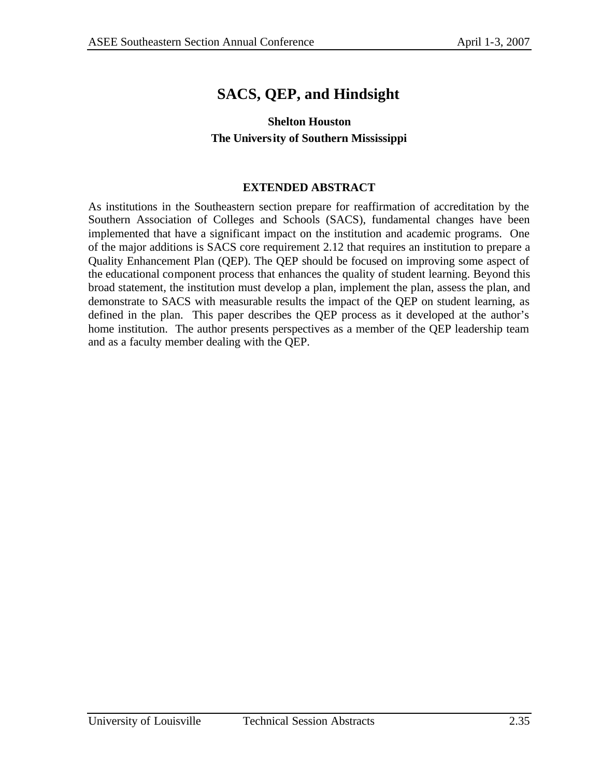# **SACS, QEP, and Hindsight**

### **Shelton Houston The University of Southern Mississippi**

### **EXTENDED ABSTRACT**

As institutions in the Southeastern section prepare for reaffirmation of accreditation by the Southern Association of Colleges and Schools (SACS), fundamental changes have been implemented that have a significant impact on the institution and academic programs. One of the major additions is SACS core requirement 2.12 that requires an institution to prepare a Quality Enhancement Plan (QEP). The QEP should be focused on improving some aspect of the educational component process that enhances the quality of student learning. Beyond this broad statement, the institution must develop a plan, implement the plan, assess the plan, and demonstrate to SACS with measurable results the impact of the QEP on student learning, as defined in the plan. This paper describes the QEP process as it developed at the author's home institution. The author presents perspectives as a member of the QEP leadership team and as a faculty member dealing with the QEP.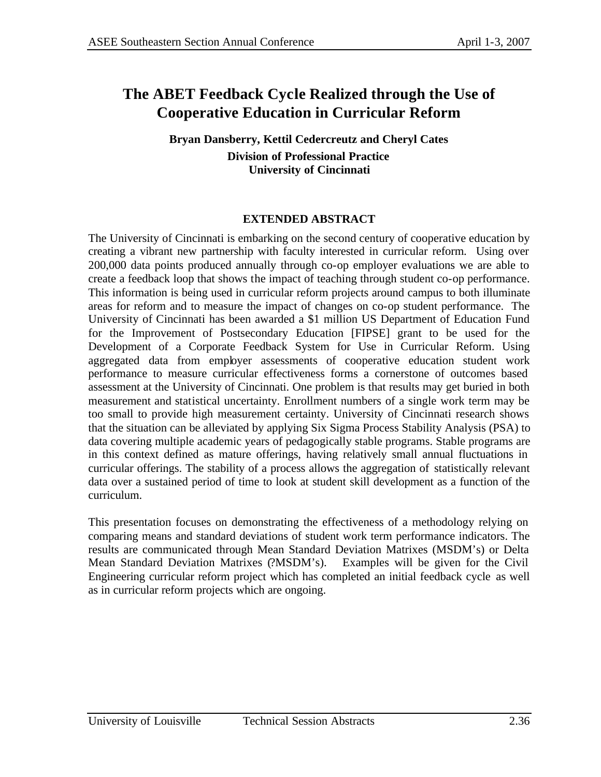# **The ABET Feedback Cycle Realized through the Use of Cooperative Education in Curricular Reform**

**Bryan Dansberry, Kettil Cedercreutz and Cheryl Cates Division of Professional Practice University of Cincinnati**

### **EXTENDED ABSTRACT**

The University of Cincinnati is embarking on the second century of cooperative education by creating a vibrant new partnership with faculty interested in curricular reform. Using over 200,000 data points produced annually through co-op employer evaluations we are able to create a feedback loop that shows the impact of teaching through student co-op performance. This information is being used in curricular reform projects around campus to both illuminate areas for reform and to measure the impact of changes on co-op student performance. The University of Cincinnati has been awarded a \$1 million US Department of Education Fund for the Improvement of Postsecondary Education [FIPSE] grant to be used for the Development of a Corporate Feedback System for Use in Curricular Reform. Using aggregated data from employer assessments of cooperative education student work performance to measure curricular effectiveness forms a cornerstone of outcomes based assessment at the University of Cincinnati. One problem is that results may get buried in both measurement and statistical uncertainty. Enrollment numbers of a single work term may be too small to provide high measurement certainty. University of Cincinnati research shows that the situation can be alleviated by applying Six Sigma Process Stability Analysis (PSA) to data covering multiple academic years of pedagogically stable programs. Stable programs are in this context defined as mature offerings, having relatively small annual fluctuations in curricular offerings. The stability of a process allows the aggregation of statistically relevant data over a sustained period of time to look at student skill development as a function of the curriculum.

This presentation focuses on demonstrating the effectiveness of a methodology relying on comparing means and standard deviations of student work term performance indicators. The results are communicated through Mean Standard Deviation Matrixes (MSDM's) or Delta Mean Standard Deviation Matrixes (?MSDM's). Examples will be given for the Civil Engineering curricular reform project which has completed an initial feedback cycle as well as in curricular reform projects which are ongoing.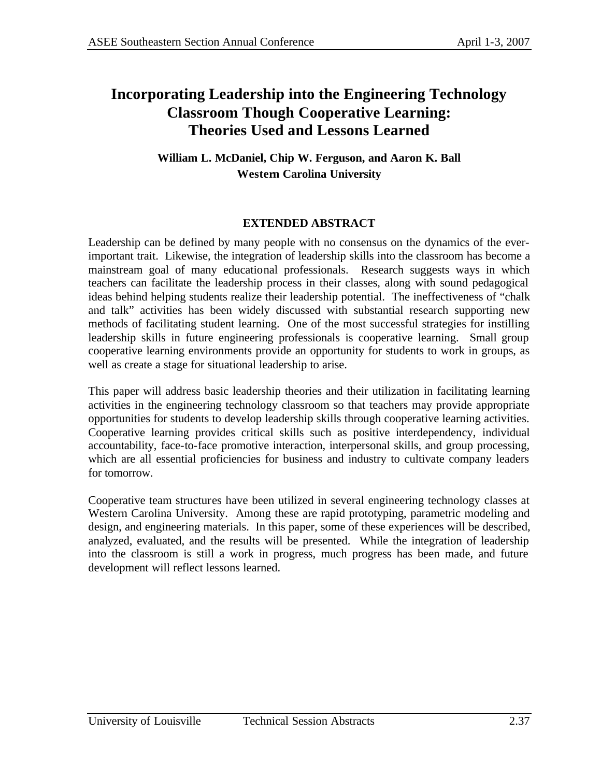## **Incorporating Leadership into the Engineering Technology Classroom Though Cooperative Learning: Theories Used and Lessons Learned**

### **William L. McDaniel, Chip W. Ferguson, and Aaron K. Ball Western Carolina University**

### **EXTENDED ABSTRACT**

Leadership can be defined by many people with no consensus on the dynamics of the everimportant trait. Likewise, the integration of leadership skills into the classroom has become a mainstream goal of many educational professionals. Research suggests ways in which teachers can facilitate the leadership process in their classes, along with sound pedagogical ideas behind helping students realize their leadership potential. The ineffectiveness of "chalk and talk" activities has been widely discussed with substantial research supporting new methods of facilitating student learning. One of the most successful strategies for instilling leadership skills in future engineering professionals is cooperative learning. Small group cooperative learning environments provide an opportunity for students to work in groups, as well as create a stage for situational leadership to arise.

This paper will address basic leadership theories and their utilization in facilitating learning activities in the engineering technology classroom so that teachers may provide appropriate opportunities for students to develop leadership skills through cooperative learning activities. Cooperative learning provides critical skills such as positive interdependency, individual accountability, face-to-face promotive interaction, interpersonal skills, and group processing, which are all essential proficiencies for business and industry to cultivate company leaders for tomorrow.

Cooperative team structures have been utilized in several engineering technology classes at Western Carolina University. Among these are rapid prototyping, parametric modeling and design, and engineering materials. In this paper, some of these experiences will be described, analyzed, evaluated, and the results will be presented. While the integration of leadership into the classroom is still a work in progress, much progress has been made, and future development will reflect lessons learned.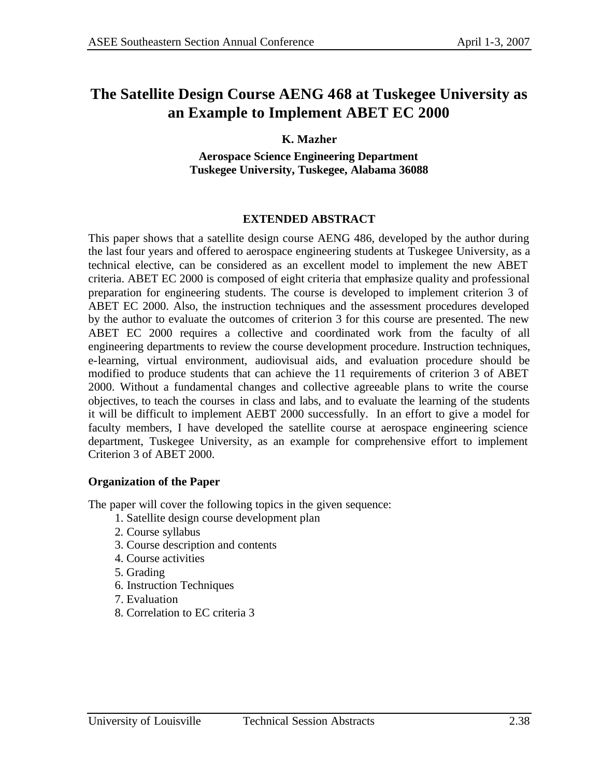## **The Satellite Design Course AENG 468 at Tuskegee University as an Example to Implement ABET EC 2000**

### **K. Mazher**

**Aerospace Science Engineering Department Tuskegee University, Tuskegee, Alabama 36088**

### **EXTENDED ABSTRACT**

This paper shows that a satellite design course AENG 486, developed by the author during the last four years and offered to aerospace engineering students at Tuskegee University, as a technical elective, can be considered as an excellent model to implement the new ABET criteria. ABET EC 2000 is composed of eight criteria that emphasize quality and professional preparation for engineering students. The course is developed to implement criterion 3 of ABET EC 2000. Also, the instruction techniques and the assessment procedures developed by the author to evaluate the outcomes of criterion 3 for this course are presented. The new ABET EC 2000 requires a collective and coordinated work from the faculty of all engineering departments to review the course development procedure. Instruction techniques, e-learning, virtual environment, audiovisual aids, and evaluation procedure should be modified to produce students that can achieve the 11 requirements of criterion 3 of ABET 2000. Without a fundamental changes and collective agreeable plans to write the course objectives, to teach the courses in class and labs, and to evaluate the learning of the students it will be difficult to implement AEBT 2000 successfully. In an effort to give a model for faculty members, I have developed the satellite course at aerospace engineering science department, Tuskegee University, as an example for comprehensive effort to implement Criterion 3 of ABET 2000.

#### **Organization of the Paper**

The paper will cover the following topics in the given sequence:

- 1. Satellite design course development plan
- 2. Course syllabus
- 3. Course description and contents
- 4. Course activities
- 5. Grading
- 6. Instruction Techniques
- 7. Evaluation
- 8. Correlation to EC criteria 3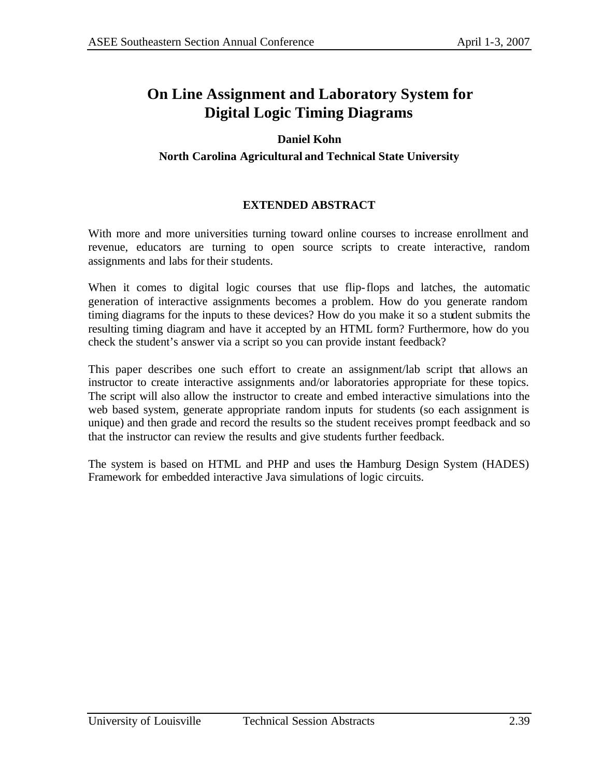## **On Line Assignment and Laboratory System for Digital Logic Timing Diagrams**

### **Daniel Kohn**

### **North Carolina Agricultural and Technical State University**

### **EXTENDED ABSTRACT**

With more and more universities turning toward online courses to increase enrollment and revenue, educators are turning to open source scripts to create interactive, random assignments and labs for their students.

When it comes to digital logic courses that use flip-flops and latches, the automatic generation of interactive assignments becomes a problem. How do you generate random timing diagrams for the inputs to these devices? How do you make it so a student submits the resulting timing diagram and have it accepted by an HTML form? Furthermore, how do you check the student's answer via a script so you can provide instant feedback?

This paper describes one such effort to create an assignment/lab script that allows an instructor to create interactive assignments and/or laboratories appropriate for these topics. The script will also allow the instructor to create and embed interactive simulations into the web based system, generate appropriate random inputs for students (so each assignment is unique) and then grade and record the results so the student receives prompt feedback and so that the instructor can review the results and give students further feedback.

The system is based on HTML and PHP and uses the Hamburg Design System (HADES) Framework for embedded interactive Java simulations of logic circuits.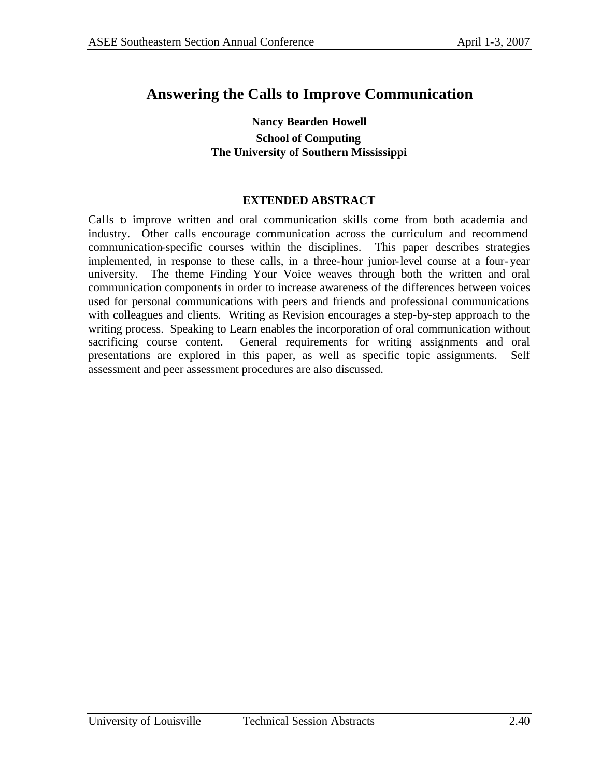## **Answering the Calls to Improve Communication**

#### **Nancy Bearden Howell School of Computing The University of Southern Mississippi**

#### **EXTENDED ABSTRACT**

Calls to improve written and oral communication skills come from both academia and industry. Other calls encourage communication across the curriculum and recommend communication-specific courses within the disciplines. This paper describes strategies implemented, in response to these calls, in a three-hour junior-level course at a four-year university. The theme Finding Your Voice weaves through both the written and oral communication components in order to increase awareness of the differences between voices used for personal communications with peers and friends and professional communications with colleagues and clients. Writing as Revision encourages a step-by-step approach to the writing process. Speaking to Learn enables the incorporation of oral communication without sacrificing course content. General requirements for writing assignments and oral presentations are explored in this paper, as well as specific topic assignments. Self assessment and peer assessment procedures are also discussed.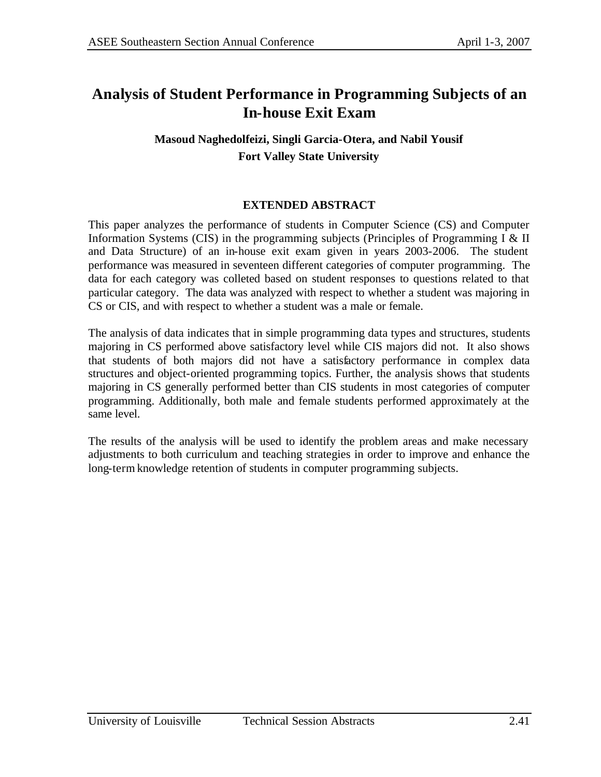## **Analysis of Student Performance in Programming Subjects of an In-house Exit Exam**

### **Masoud Naghedolfeizi, Singli Garcia-Otera, and Nabil Yousif Fort Valley State University**

### **EXTENDED ABSTRACT**

This paper analyzes the performance of students in Computer Science (CS) and Computer Information Systems (CIS) in the programming subjects (Principles of Programming I & II and Data Structure) of an in-house exit exam given in years 2003-2006. The student performance was measured in seventeen different categories of computer programming. The data for each category was colleted based on student responses to questions related to that particular category. The data was analyzed with respect to whether a student was majoring in CS or CIS, and with respect to whether a student was a male or female.

The analysis of data indicates that in simple programming data types and structures, students majoring in CS performed above satisfactory level while CIS majors did not. It also shows that students of both majors did not have a satisfactory performance in complex data structures and object-oriented programming topics. Further, the analysis shows that students majoring in CS generally performed better than CIS students in most categories of computer programming. Additionally, both male and female students performed approximately at the same level.

The results of the analysis will be used to identify the problem areas and make necessary adjustments to both curriculum and teaching strategies in order to improve and enhance the long-term knowledge retention of students in computer programming subjects.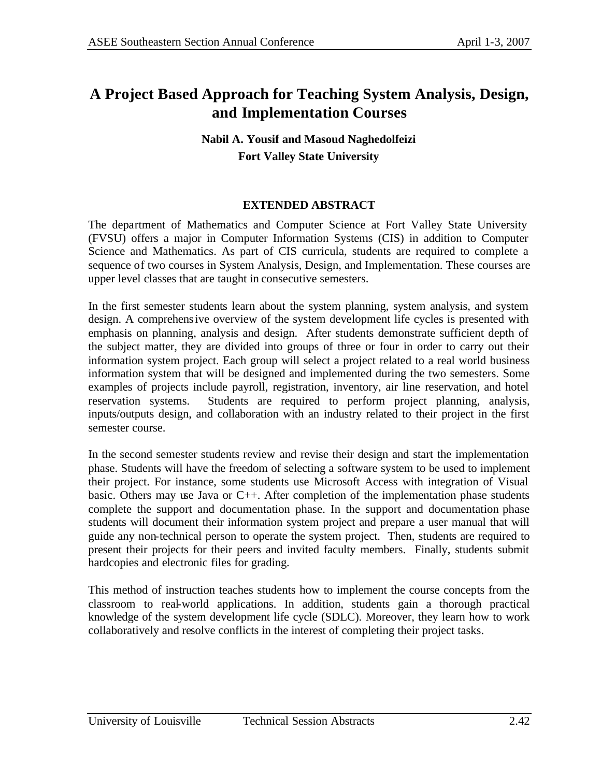## **A Project Based Approach for Teaching System Analysis, Design, and Implementation Courses**

### **Nabil A. Yousif and Masoud Naghedolfeizi Fort Valley State University**

### **EXTENDED ABSTRACT**

The department of Mathematics and Computer Science at Fort Valley State University (FVSU) offers a major in Computer Information Systems (CIS) in addition to Computer Science and Mathematics. As part of CIS curricula, students are required to complete a sequence of two courses in System Analysis, Design, and Implementation. These courses are upper level classes that are taught in consecutive semesters.

In the first semester students learn about the system planning, system analysis, and system design. A comprehensive overview of the system development life cycles is presented with emphasis on planning, analysis and design. After students demonstrate sufficient depth of the subject matter, they are divided into groups of three or four in order to carry out their information system project. Each group will select a project related to a real world business information system that will be designed and implemented during the two semesters. Some examples of projects include payroll, registration, inventory, air line reservation, and hotel reservation systems. Students are required to perform project planning, analysis, inputs/outputs design, and collaboration with an industry related to their project in the first semester course.

In the second semester students review and revise their design and start the implementation phase. Students will have the freedom of selecting a software system to be used to implement their project. For instance, some students use Microsoft Access with integration of Visual basic. Others may use Java or  $C_{++}$ . After completion of the implementation phase students complete the support and documentation phase. In the support and documentation phase students will document their information system project and prepare a user manual that will guide any non-technical person to operate the system project. Then, students are required to present their projects for their peers and invited faculty members. Finally, students submit hardcopies and electronic files for grading.

This method of instruction teaches students how to implement the course concepts from the classroom to real-world applications. In addition, students gain a thorough practical knowledge of the system development life cycle (SDLC). Moreover, they learn how to work collaboratively and resolve conflicts in the interest of completing their project tasks.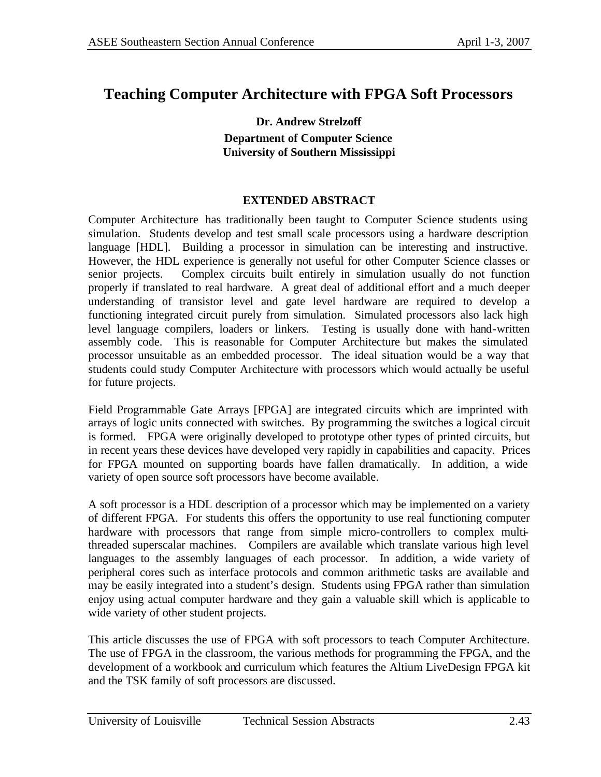### **Teaching Computer Architecture with FPGA Soft Processors**

**Dr. Andrew Strelzoff Department of Computer Science University of Southern Mississippi**

#### **EXTENDED ABSTRACT**

Computer Architecture has traditionally been taught to Computer Science students using simulation. Students develop and test small scale processors using a hardware description language [HDL]. Building a processor in simulation can be interesting and instructive. However, the HDL experience is generally not useful for other Computer Science classes or senior projects. Complex circuits built entirely in simulation usually do not function properly if translated to real hardware. A great deal of additional effort and a much deeper understanding of transistor level and gate level hardware are required to develop a functioning integrated circuit purely from simulation. Simulated processors also lack high level language compilers, loaders or linkers. Testing is usually done with hand-written assembly code. This is reasonable for Computer Architecture but makes the simulated processor unsuitable as an embedded processor. The ideal situation would be a way that students could study Computer Architecture with processors which would actually be useful for future projects.

Field Programmable Gate Arrays [FPGA] are integrated circuits which are imprinted with arrays of logic units connected with switches. By programming the switches a logical circuit is formed. FPGA were originally developed to prototype other types of printed circuits, but in recent years these devices have developed very rapidly in capabilities and capacity. Prices for FPGA mounted on supporting boards have fallen dramatically. In addition, a wide variety of open source soft processors have become available.

A soft processor is a HDL description of a processor which may be implemented on a variety of different FPGA. For students this offers the opportunity to use real functioning computer hardware with processors that range from simple micro-controllers to complex multithreaded superscalar machines. Compilers are available which translate various high level languages to the assembly languages of each processor. In addition, a wide variety of peripheral cores such as interface protocols and common arithmetic tasks are available and may be easily integrated into a student's design. Students using FPGA rather than simulation enjoy using actual computer hardware and they gain a valuable skill which is applicable to wide variety of other student projects.

This article discusses the use of FPGA with soft processors to teach Computer Architecture. The use of FPGA in the classroom, the various methods for programming the FPGA, and the development of a workbook and curriculum which features the Altium LiveDesign FPGA kit and the TSK family of soft processors are discussed.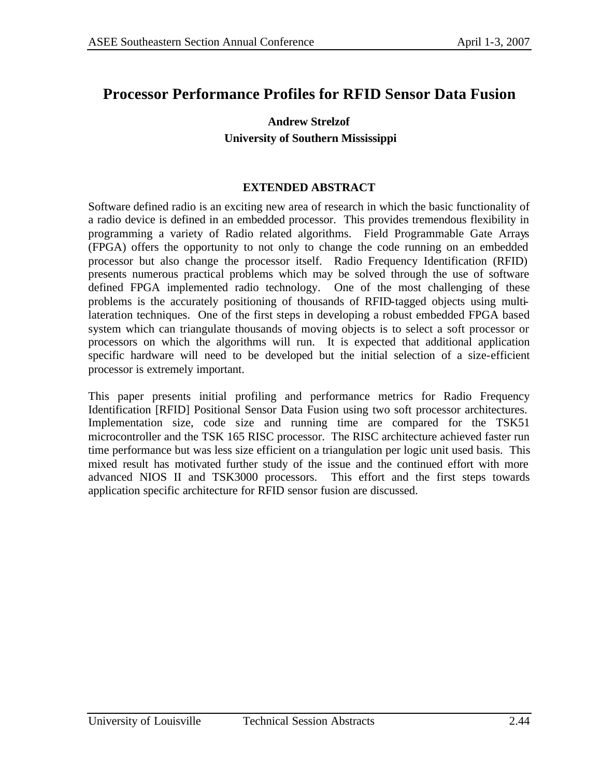### **Processor Performance Profiles for RFID Sensor Data Fusion**

### **Andrew Strelzof University of Southern Mississippi**

#### **EXTENDED ABSTRACT**

Software defined radio is an exciting new area of research in which the basic functionality of a radio device is defined in an embedded processor. This provides tremendous flexibility in programming a variety of Radio related algorithms. Field Programmable Gate Arrays (FPGA) offers the opportunity to not only to change the code running on an embedded processor but also change the processor itself. Radio Frequency Identification (RFID) presents numerous practical problems which may be solved through the use of software defined FPGA implemented radio technology. One of the most challenging of these problems is the accurately positioning of thousands of RFID-tagged objects using multilateration techniques. One of the first steps in developing a robust embedded FPGA based system which can triangulate thousands of moving objects is to select a soft processor or processors on which the algorithms will run. It is expected that additional application specific hardware will need to be developed but the initial selection of a size-efficient processor is extremely important.

This paper presents initial profiling and performance metrics for Radio Frequency Identification [RFID] Positional Sensor Data Fusion using two soft processor architectures. Implementation size, code size and running time are compared for the TSK51 microcontroller and the TSK 165 RISC processor. The RISC architecture achieved faster run time performance but was less size efficient on a triangulation per logic unit used basis. This mixed result has motivated further study of the issue and the continued effort with more advanced NIOS II and TSK3000 processors. This effort and the first steps towards application specific architecture for RFID sensor fusion are discussed.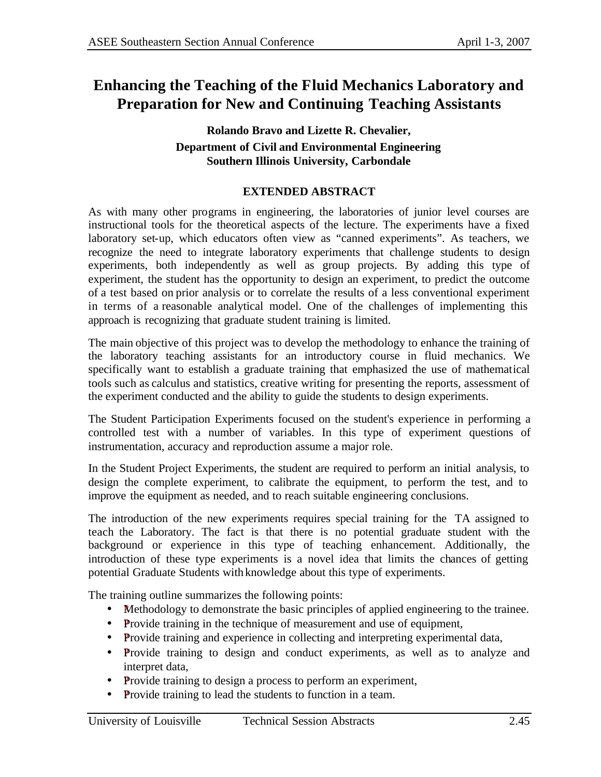# **Enhancing the Teaching of the Fluid Mechanics Laboratory and Preparation for New and Continuing Teaching Assistants**

### **Rolando Bravo and Lizette R. Chevalier, Department of Civil and Environmental Engineering Southern Illinois University, Carbondale**

### **EXTENDED ABSTRACT**

As with many other programs in engineering, the laboratories of junior level courses are instructional tools for the theoretical aspects of the lecture. The experiments have a fixed laboratory set-up, which educators often view as "canned experiments". As teachers, we recognize the need to integrate laboratory experiments that challenge students to design experiments, both independently as well as group projects. By adding this type of experiment, the student has the opportunity to design an experiment, to predict the outcome of a test based on prior analysis or to correlate the results of a less conventional experiment in terms of a reasonable analytical model. One of the challenges of implementing this approach is recognizing that graduate student training is limited.

The main objective of this project was to develop the methodology to enhance the training of the laboratory teaching assistants for an introductory course in fluid mechanics. We specifically want to establish a graduate training that emphasized the use of mathematical tools such as calculus and statistics, creative writing for presenting the reports, assessment of the experiment conducted and the ability to guide the students to design experiments.

The Student Participation Experiments focused on the student's experience in performing a controlled test with a number of variables. In this type of experiment questions of instrumentation, accuracy and reproduction assume a major role.

In the Student Project Experiments, the student are required to perform an initial analysis, to design the complete experiment, to calibrate the equipment, to perform the test, and to improve the equipment as needed, and to reach suitable engineering conclusions.

The introduction of the new experiments requires special training for the TA assigned to teach the Laboratory. The fact is that there is no potential graduate student with the background or experience in this type of teaching enhancement. Additionally, the introduction of these type experiments is a novel idea that limits the chances of getting potential Graduate Students withknowledge about this type of experiments.

The training outline summarizes the following points:

- Methodology to demonstrate the basic principles of applied engineering to the trainee.
- Provide training in the technique of measurement and use of equipment,
- Provide training and experience in collecting and interpreting experimental data,
- Provide training to design and conduct experiments, as well as to analyze and interpret data,
- Provide training to design a process to perform an experiment,
- Provide training to lead the students to function in a team.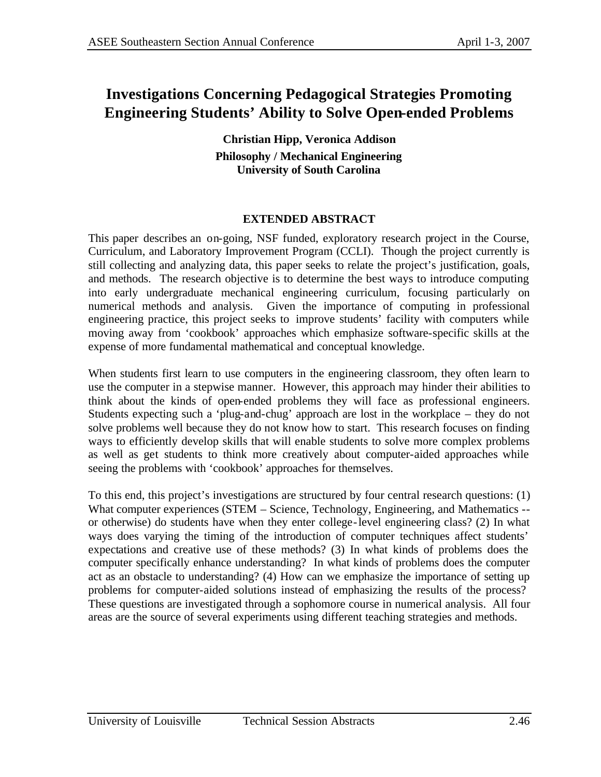# **Investigations Concerning Pedagogical Strategies Promoting Engineering Students' Ability to Solve Open-ended Problems**

**Christian Hipp, Veronica Addison Philosophy / Mechanical Engineering University of South Carolina**

### **EXTENDED ABSTRACT**

This paper describes an on-going, NSF funded, exploratory research project in the Course, Curriculum, and Laboratory Improvement Program (CCLI). Though the project currently is still collecting and analyzing data, this paper seeks to relate the project's justification, goals, and methods. The research objective is to determine the best ways to introduce computing into early undergraduate mechanical engineering curriculum, focusing particularly on numerical methods and analysis. Given the importance of computing in professional engineering practice, this project seeks to improve students' facility with computers while moving away from 'cookbook' approaches which emphasize software-specific skills at the expense of more fundamental mathematical and conceptual knowledge.

When students first learn to use computers in the engineering classroom, they often learn to use the computer in a stepwise manner. However, this approach may hinder their abilities to think about the kinds of open-ended problems they will face as professional engineers. Students expecting such a 'plug-and-chug' approach are lost in the workplace – they do not solve problems well because they do not know how to start. This research focuses on finding ways to efficiently develop skills that will enable students to solve more complex problems as well as get students to think more creatively about computer-aided approaches while seeing the problems with 'cookbook' approaches for themselves.

To this end, this project's investigations are structured by four central research questions: (1) What computer experiences (STEM – Science, Technology, Engineering, and Mathematics -or otherwise) do students have when they enter college-level engineering class? (2) In what ways does varying the timing of the introduction of computer techniques affect students' expectations and creative use of these methods? (3) In what kinds of problems does the computer specifically enhance understanding? In what kinds of problems does the computer act as an obstacle to understanding? (4) How can we emphasize the importance of setting up problems for computer-aided solutions instead of emphasizing the results of the process? These questions are investigated through a sophomore course in numerical analysis. All four areas are the source of several experiments using different teaching strategies and methods.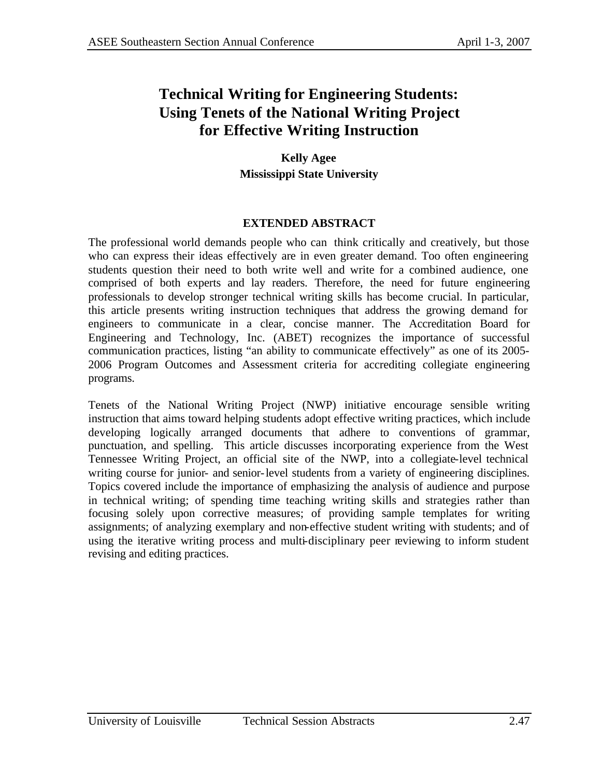# **Technical Writing for Engineering Students: Using Tenets of the National Writing Project for Effective Writing Instruction**

### **Kelly Agee Mississippi State University**

### **EXTENDED ABSTRACT**

The professional world demands people who can think critically and creatively, but those who can express their ideas effectively are in even greater demand. Too often engineering students question their need to both write well and write for a combined audience, one comprised of both experts and lay readers. Therefore, the need for future engineering professionals to develop stronger technical writing skills has become crucial. In particular, this article presents writing instruction techniques that address the growing demand for engineers to communicate in a clear, concise manner. The Accreditation Board for Engineering and Technology, Inc. (ABET) recognizes the importance of successful communication practices, listing "an ability to communicate effectively" as one of its 2005- 2006 Program Outcomes and Assessment criteria for accrediting collegiate engineering programs.

Tenets of the National Writing Project (NWP) initiative encourage sensible writing instruction that aims toward helping students adopt effective writing practices, which include developing logically arranged documents that adhere to conventions of grammar, punctuation, and spelling. This article discusses incorporating experience from the West Tennessee Writing Project, an official site of the NWP, into a collegiate-level technical writing course for junior- and senior-level students from a variety of engineering disciplines. Topics covered include the importance of emphasizing the analysis of audience and purpose in technical writing; of spending time teaching writing skills and strategies rather than focusing solely upon corrective measures; of providing sample templates for writing assignments; of analyzing exemplary and non-effective student writing with students; and of using the iterative writing process and multi-disciplinary peer reviewing to inform student revising and editing practices.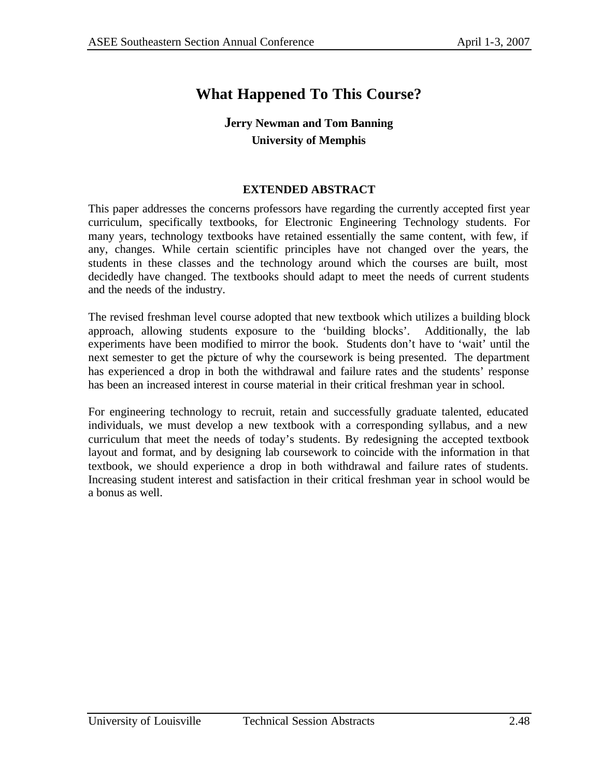# **What Happened To This Course?**

### **Jerry Newman and Tom Banning University of Memphis**

#### **EXTENDED ABSTRACT**

This paper addresses the concerns professors have regarding the currently accepted first year curriculum, specifically textbooks, for Electronic Engineering Technology students. For many years, technology textbooks have retained essentially the same content, with few, if any, changes. While certain scientific principles have not changed over the years, the students in these classes and the technology around which the courses are built, most decidedly have changed. The textbooks should adapt to meet the needs of current students and the needs of the industry.

The revised freshman level course adopted that new textbook which utilizes a building block approach, allowing students exposure to the 'building blocks'. Additionally, the lab experiments have been modified to mirror the book. Students don't have to 'wait' until the next semester to get the picture of why the coursework is being presented. The department has experienced a drop in both the withdrawal and failure rates and the students' response has been an increased interest in course material in their critical freshman year in school.

For engineering technology to recruit, retain and successfully graduate talented, educated individuals, we must develop a new textbook with a corresponding syllabus, and a new curriculum that meet the needs of today's students. By redesigning the accepted textbook layout and format, and by designing lab coursework to coincide with the information in that textbook, we should experience a drop in both withdrawal and failure rates of students. Increasing student interest and satisfaction in their critical freshman year in school would be a bonus as well.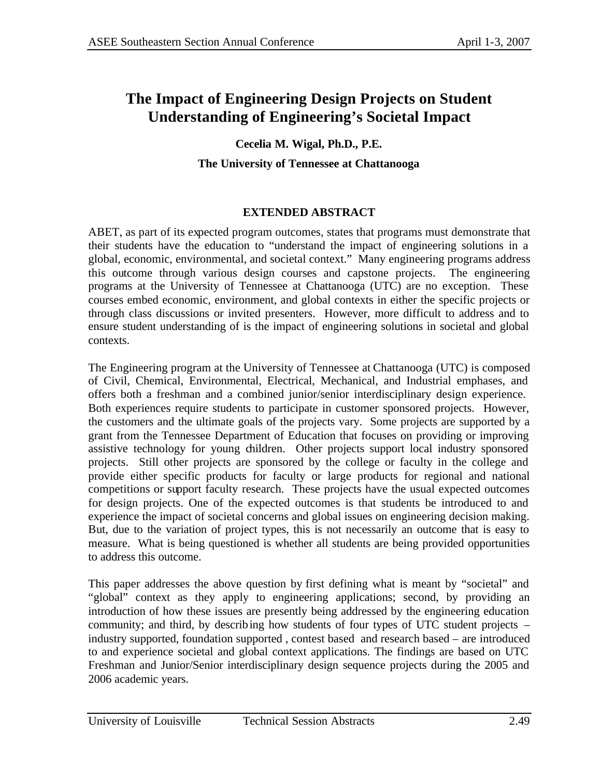# **The Impact of Engineering Design Projects on Student Understanding of Engineering's Societal Impact**

### **Cecelia M. Wigal, Ph.D., P.E.**

### **The University of Tennessee at Chattanooga**

### **EXTENDED ABSTRACT**

ABET, as part of its expected program outcomes, states that programs must demonstrate that their students have the education to "understand the impact of engineering solutions in a global, economic, environmental, and societal context." Many engineering programs address this outcome through various design courses and capstone projects. The engineering programs at the University of Tennessee at Chattanooga (UTC) are no exception. These courses embed economic, environment, and global contexts in either the specific projects or through class discussions or invited presenters. However, more difficult to address and to ensure student understanding of is the impact of engineering solutions in societal and global contexts.

The Engineering program at the University of Tennessee at Chattanooga (UTC) is composed of Civil, Chemical, Environmental, Electrical, Mechanical, and Industrial emphases, and offers both a freshman and a combined junior/senior interdisciplinary design experience. Both experiences require students to participate in customer sponsored projects. However, the customers and the ultimate goals of the projects vary. Some projects are supported by a grant from the Tennessee Department of Education that focuses on providing or improving assistive technology for young children. Other projects support local industry sponsored projects. Still other projects are sponsored by the college or faculty in the college and provide either specific products for faculty or large products for regional and national competitions or support faculty research. These projects have the usual expected outcomes for design projects. One of the expected outcomes is that students be introduced to and experience the impact of societal concerns and global issues on engineering decision making. But, due to the variation of project types, this is not necessarily an outcome that is easy to measure. What is being questioned is whether all students are being provided opportunities to address this outcome.

This paper addresses the above question by first defining what is meant by "societal" and "global" context as they apply to engineering applications; second, by providing an introduction of how these issues are presently being addressed by the engineering education community; and third, by describing how students of four types of UTC student projects – industry supported, foundation supported , contest based and research based – are introduced to and experience societal and global context applications. The findings are based on UTC Freshman and Junior/Senior interdisciplinary design sequence projects during the 2005 and 2006 academic years.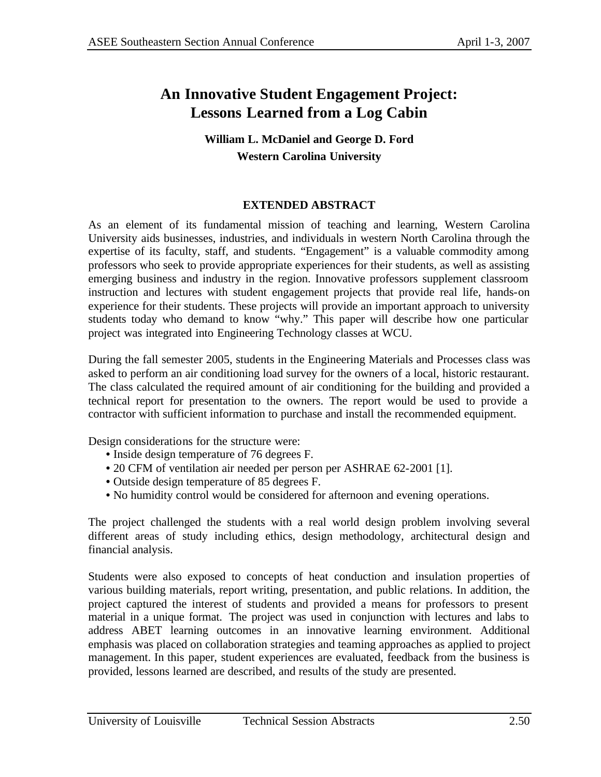## **An Innovative Student Engagement Project: Lessons Learned from a Log Cabin**

### **William L. McDaniel and George D. Ford Western Carolina University**

### **EXTENDED ABSTRACT**

As an element of its fundamental mission of teaching and learning, Western Carolina University aids businesses, industries, and individuals in western North Carolina through the expertise of its faculty, staff, and students. "Engagement" is a valuable commodity among professors who seek to provide appropriate experiences for their students, as well as assisting emerging business and industry in the region. Innovative professors supplement classroom instruction and lectures with student engagement projects that provide real life, hands-on experience for their students. These projects will provide an important approach to university students today who demand to know "why." This paper will describe how one particular project was integrated into Engineering Technology classes at WCU.

During the fall semester 2005, students in the Engineering Materials and Processes class was asked to perform an air conditioning load survey for the owners of a local, historic restaurant. The class calculated the required amount of air conditioning for the building and provided a technical report for presentation to the owners. The report would be used to provide a contractor with sufficient information to purchase and install the recommended equipment.

Design considerations for the structure were:

- Inside design temperature of 76 degrees F.
- 20 CFM of ventilation air needed per person per ASHRAE 62-2001 [1].
- Outside design temperature of 85 degrees F.
- No humidity control would be considered for afternoon and evening operations.

The project challenged the students with a real world design problem involving several different areas of study including ethics, design methodology, architectural design and financial analysis.

Students were also exposed to concepts of heat conduction and insulation properties of various building materials, report writing, presentation, and public relations. In addition, the project captured the interest of students and provided a means for professors to present material in a unique format. The project was used in conjunction with lectures and labs to address ABET learning outcomes in an innovative learning environment. Additional emphasis was placed on collaboration strategies and teaming approaches as applied to project management. In this paper, student experiences are evaluated, feedback from the business is provided, lessons learned are described, and results of the study are presented.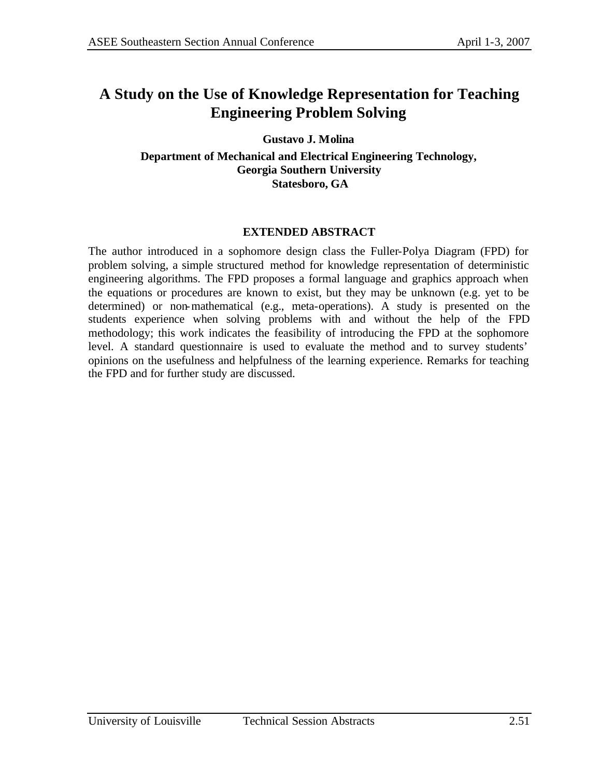## **A Study on the Use of Knowledge Representation for Teaching Engineering Problem Solving**

**Gustavo J. Molina**

**Department of Mechanical and Electrical Engineering Technology, Georgia Southern University Statesboro, GA** 

### **EXTENDED ABSTRACT**

The author introduced in a sophomore design class the Fuller-Polya Diagram (FPD) for problem solving, a simple structured method for knowledge representation of deterministic engineering algorithms. The FPD proposes a formal language and graphics approach when the equations or procedures are known to exist, but they may be unknown (e.g. yet to be determined) or non-mathematical (e.g., meta-operations). A study is presented on the students experience when solving problems with and without the help of the FPD methodology; this work indicates the feasibility of introducing the FPD at the sophomore level. A standard questionnaire is used to evaluate the method and to survey students' opinions on the usefulness and helpfulness of the learning experience. Remarks for teaching the FPD and for further study are discussed.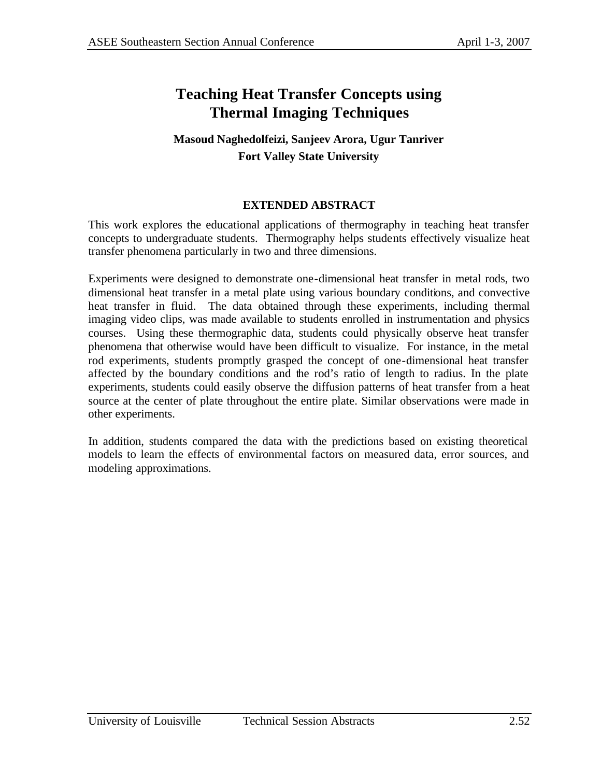## **Teaching Heat Transfer Concepts using Thermal Imaging Techniques**

### **Masoud Naghedolfeizi, Sanjeev Arora, Ugur Tanriver Fort Valley State University**

### **EXTENDED ABSTRACT**

This work explores the educational applications of thermography in teaching heat transfer concepts to undergraduate students. Thermography helps students effectively visualize heat transfer phenomena particularly in two and three dimensions.

Experiments were designed to demonstrate one-dimensional heat transfer in metal rods, two dimensional heat transfer in a metal plate using various boundary conditions, and convective heat transfer in fluid. The data obtained through these experiments, including thermal imaging video clips, was made available to students enrolled in instrumentation and physics courses. Using these thermographic data, students could physically observe heat transfer phenomena that otherwise would have been difficult to visualize. For instance, in the metal rod experiments, students promptly grasped the concept of one-dimensional heat transfer affected by the boundary conditions and the rod's ratio of length to radius. In the plate experiments, students could easily observe the diffusion patterns of heat transfer from a heat source at the center of plate throughout the entire plate. Similar observations were made in other experiments.

In addition, students compared the data with the predictions based on existing theoretical models to learn the effects of environmental factors on measured data, error sources, and modeling approximations.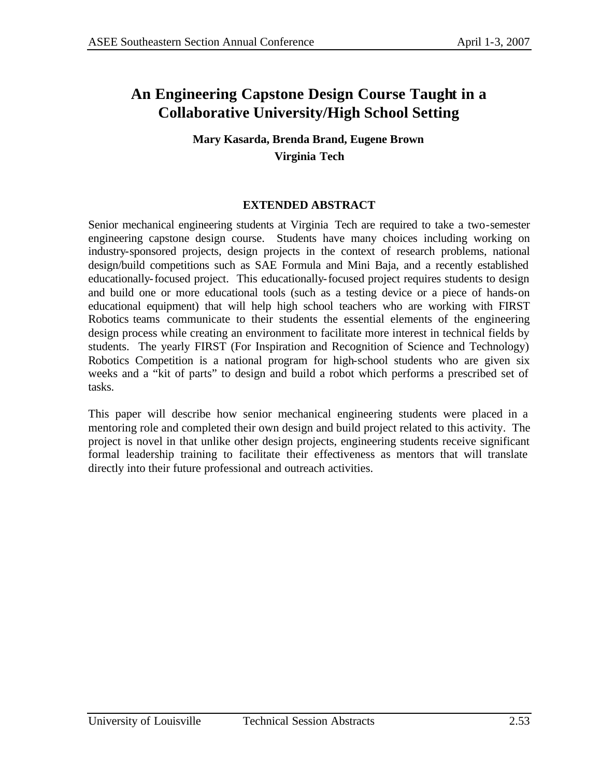# **An Engineering Capstone Design Course Taught in a Collaborative University/High School Setting**

### **Mary Kasarda, Brenda Brand, Eugene Brown Virginia Tech**

### **EXTENDED ABSTRACT**

Senior mechanical engineering students at Virginia Tech are required to take a two-semester engineering capstone design course. Students have many choices including working on industry-sponsored projects, design projects in the context of research problems, national design/build competitions such as SAE Formula and Mini Baja, and a recently established educationally-focused project. This educationally-focused project requires students to design and build one or more educational tools (such as a testing device or a piece of hands-on educational equipment) that will help high school teachers who are working with FIRST Robotics teams communicate to their students the essential elements of the engineering design process while creating an environment to facilitate more interest in technical fields by students. The yearly FIRST (For Inspiration and Recognition of Science and Technology) Robotics Competition is a national program for high-school students who are given six weeks and a "kit of parts" to design and build a robot which performs a prescribed set of tasks.

This paper will describe how senior mechanical engineering students were placed in a mentoring role and completed their own design and build project related to this activity. The project is novel in that unlike other design projects, engineering students receive significant formal leadership training to facilitate their effectiveness as mentors that will translate directly into their future professional and outreach activities.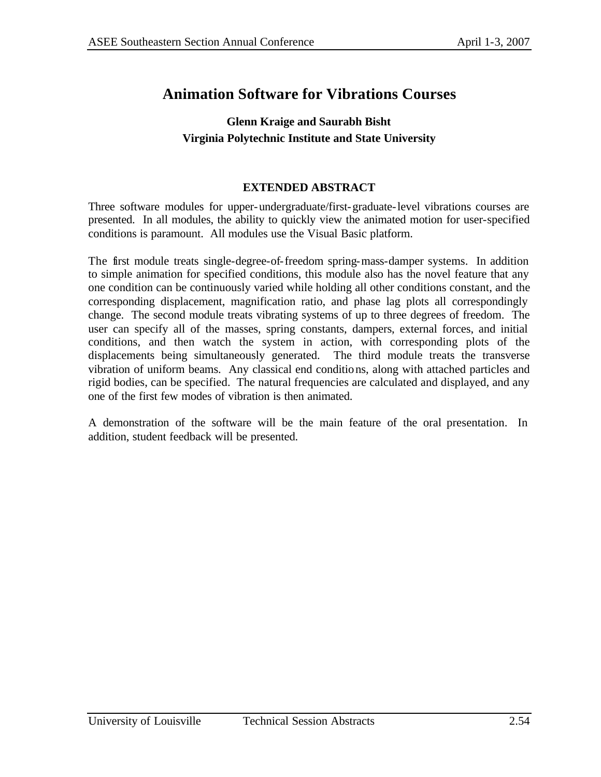## **Animation Software for Vibrations Courses**

### **Glenn Kraige and Saurabh Bisht Virginia Polytechnic Institute and State University**

#### **EXTENDED ABSTRACT**

Three software modules for upper-undergraduate/first-graduate-level vibrations courses are presented. In all modules, the ability to quickly view the animated motion for user-specified conditions is paramount. All modules use the Visual Basic platform.

The first module treats single-degree-of-freedom spring-mass-damper systems. In addition to simple animation for specified conditions, this module also has the novel feature that any one condition can be continuously varied while holding all other conditions constant, and the corresponding displacement, magnification ratio, and phase lag plots all correspondingly change. The second module treats vibrating systems of up to three degrees of freedom. The user can specify all of the masses, spring constants, dampers, external forces, and initial conditions, and then watch the system in action, with corresponding plots of the displacements being simultaneously generated. The third module treats the transverse vibration of uniform beams. Any classical end conditions, along with attached particles and rigid bodies, can be specified. The natural frequencies are calculated and displayed, and any one of the first few modes of vibration is then animated.

A demonstration of the software will be the main feature of the oral presentation. In addition, student feedback will be presented.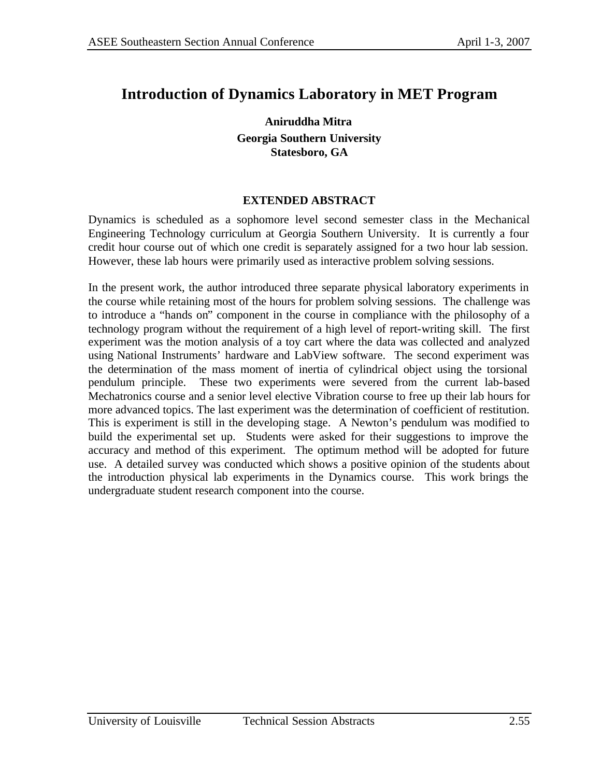## **Introduction of Dynamics Laboratory in MET Program**

**Aniruddha Mitra Georgia Southern University Statesboro, GA**

#### **EXTENDED ABSTRACT**

Dynamics is scheduled as a sophomore level second semester class in the Mechanical Engineering Technology curriculum at Georgia Southern University. It is currently a four credit hour course out of which one credit is separately assigned for a two hour lab session. However, these lab hours were primarily used as interactive problem solving sessions.

In the present work, the author introduced three separate physical laboratory experiments in the course while retaining most of the hours for problem solving sessions. The challenge was to introduce a "hands on" component in the course in compliance with the philosophy of a technology program without the requirement of a high level of report-writing skill. The first experiment was the motion analysis of a toy cart where the data was collected and analyzed using National Instruments' hardware and LabView software. The second experiment was the determination of the mass moment of inertia of cylindrical object using the torsional pendulum principle. These two experiments were severed from the current lab-based Mechatronics course and a senior level elective Vibration course to free up their lab hours for more advanced topics. The last experiment was the determination of coefficient of restitution. This is experiment is still in the developing stage. A Newton's pendulum was modified to build the experimental set up. Students were asked for their suggestions to improve the accuracy and method of this experiment. The optimum method will be adopted for future use. A detailed survey was conducted which shows a positive opinion of the students about the introduction physical lab experiments in the Dynamics course. This work brings the undergraduate student research component into the course.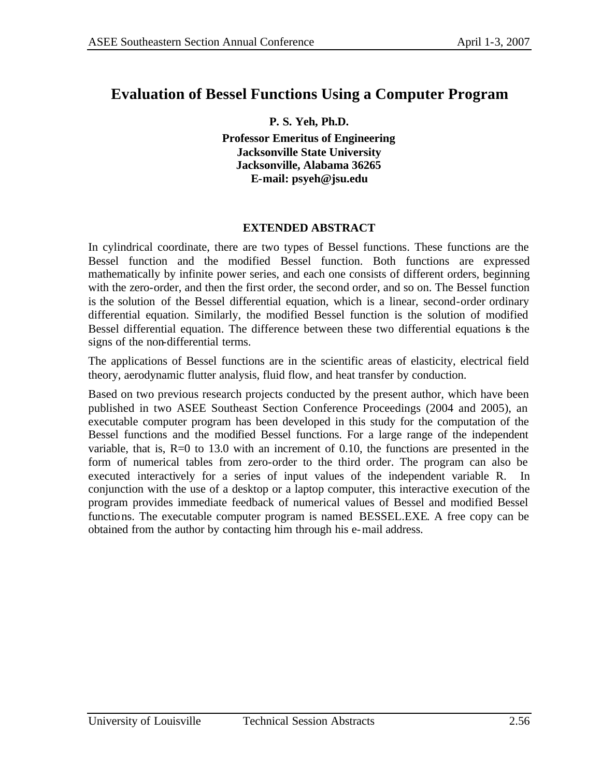### **Evaluation of Bessel Functions Using a Computer Program**

**P. S. Yeh, Ph.D. Professor Emeritus of Engineering Jacksonville State University Jacksonville, Alabama 36265 E-mail: psyeh@jsu.edu**

#### **EXTENDED ABSTRACT**

In cylindrical coordinate, there are two types of Bessel functions. These functions are the Bessel function and the modified Bessel function. Both functions are expressed mathematically by infinite power series, and each one consists of different orders, beginning with the zero-order, and then the first order, the second order, and so on. The Bessel function is the solution of the Bessel differential equation, which is a linear, second-order ordinary differential equation. Similarly, the modified Bessel function is the solution of modified Bessel differential equation. The difference between these two differential equations is the signs of the non-differential terms.

The applications of Bessel functions are in the scientific areas of elasticity, electrical field theory, aerodynamic flutter analysis, fluid flow, and heat transfer by conduction.

Based on two previous research projects conducted by the present author, which have been published in two ASEE Southeast Section Conference Proceedings (2004 and 2005), an executable computer program has been developed in this study for the computation of the Bessel functions and the modified Bessel functions. For a large range of the independent variable, that is,  $R=0$  to 13.0 with an increment of 0.10, the functions are presented in the form of numerical tables from zero-order to the third order. The program can also be executed interactively for a series of input values of the independent variable R. In conjunction with the use of a desktop or a laptop computer, this interactive execution of the program provides immediate feedback of numerical values of Bessel and modified Bessel functions. The executable computer program is named BESSEL.EXE. A free copy can be obtained from the author by contacting him through his e-mail address.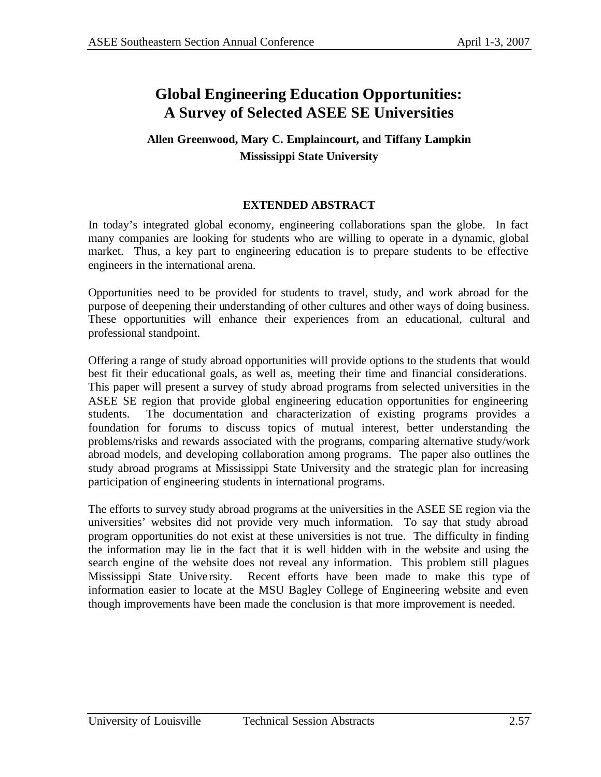## **Global Engineering Education Opportunities: A Survey of Selected ASEE SE Universities**

### **Allen Greenwood, Mary C. Emplaincourt, and Tiffany Lampkin Mississippi State University**

### **EXTENDED ABSTRACT**

In today's integrated global economy, engineering collaborations span the globe. In fact many companies are looking for students who are willing to operate in a dynamic, global market. Thus, a key part to engineering education is to prepare students to be effective engineers in the international arena.

Opportunities need to be provided for students to travel, study, and work abroad for the purpose of deepening their understanding of other cultures and other ways of doing business. These opportunities will enhance their experiences from an educational, cultural and professional standpoint.

Offering a range of study abroad opportunities will provide options to the students that would best fit their educational goals, as well as, meeting their time and financial considerations. This paper will present a survey of study abroad programs from selected universities in the ASEE SE region that provide global engineering education opportunities for engineering students. The documentation and characterization of existing programs provides a foundation for forums to discuss topics of mutual interest, better understanding the problems/risks and rewards associated with the programs, comparing alternative study/work abroad models, and developing collaboration among programs. The paper also outlines the study abroad programs at Mississippi State University and the strategic plan for increasing participation of engineering students in international programs.

The efforts to survey study abroad programs at the universities in the ASEE SE region via the universities' websites did not provide very much information. To say that study abroad program opportunities do not exist at these universities is not true. The difficulty in finding the information may lie in the fact that it is well hidden with in the website and using the search engine of the website does not reveal any information. This problem still plagues Mississippi State Unive rsity. Recent efforts have been made to make this type of information easier to locate at the MSU Bagley College of Engineering website and even though improvements have been made the conclusion is that more improvement is needed.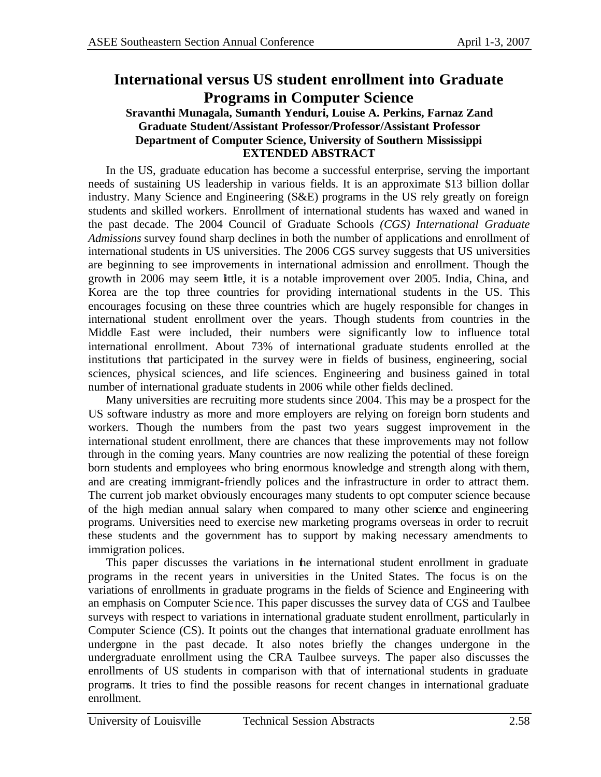## **International versus US student enrollment into Graduate Programs in Computer Science**

#### **Sravanthi Munagala, Sumanth Yenduri, Louise A. Perkins, Farnaz Zand Graduate Student/Assistant Professor/Professor/Assistant Professor Department of Computer Science, University of Southern Mississippi EXTENDED ABSTRACT**

In the US, graduate education has become a successful enterprise, serving the important needs of sustaining US leadership in various fields. It is an approximate \$13 billion dollar industry. Many Science and Engineering (S&E) programs in the US rely greatly on foreign students and skilled workers. Enrollment of international students has waxed and waned in the past decade. The 2004 Council of Graduate Schools *(CGS) International Graduate Admissions* survey found sharp declines in both the number of applications and enrollment of international students in US universities. The 2006 CGS survey suggests that US universities are beginning to see improvements in international admission and enrollment. Though the growth in 2006 may seem little, it is a notable improvement over 2005. India, China, and Korea are the top three countries for providing international students in the US. This encourages focusing on these three countries which are hugely responsible for changes in international student enrollment over the years. Though students from countries in the Middle East were included, their numbers were significantly low to influence total international enrollment. About 73% of international graduate students enrolled at the institutions that participated in the survey were in fields of business, engineering, social sciences, physical sciences, and life sciences. Engineering and business gained in total number of international graduate students in 2006 while other fields declined.

Many universities are recruiting more students since 2004. This may be a prospect for the US software industry as more and more employers are relying on foreign born students and workers. Though the numbers from the past two years suggest improvement in the international student enrollment, there are chances that these improvements may not follow through in the coming years. Many countries are now realizing the potential of these foreign born students and employees who bring enormous knowledge and strength along with them, and are creating immigrant-friendly polices and the infrastructure in order to attract them. The current job market obviously encourages many students to opt computer science because of the high median annual salary when compared to many other science and engineering programs. Universities need to exercise new marketing programs overseas in order to recruit these students and the government has to support by making necessary amendments to immigration polices.

This paper discusses the variations in the international student enrollment in graduate programs in the recent years in universities in the United States. The focus is on the variations of enrollments in graduate programs in the fields of Science and Engineering with an emphasis on Computer Science. This paper discusses the survey data of CGS and Taulbee surveys with respect to variations in international graduate student enrollment, particularly in Computer Science (CS). It points out the changes that international graduate enrollment has undergone in the past decade. It also notes briefly the changes undergone in the undergraduate enrollment using the CRA Taulbee surveys. The paper also discusses the enrollments of US students in comparison with that of international students in graduate programs. It tries to find the possible reasons for recent changes in international graduate enrollment.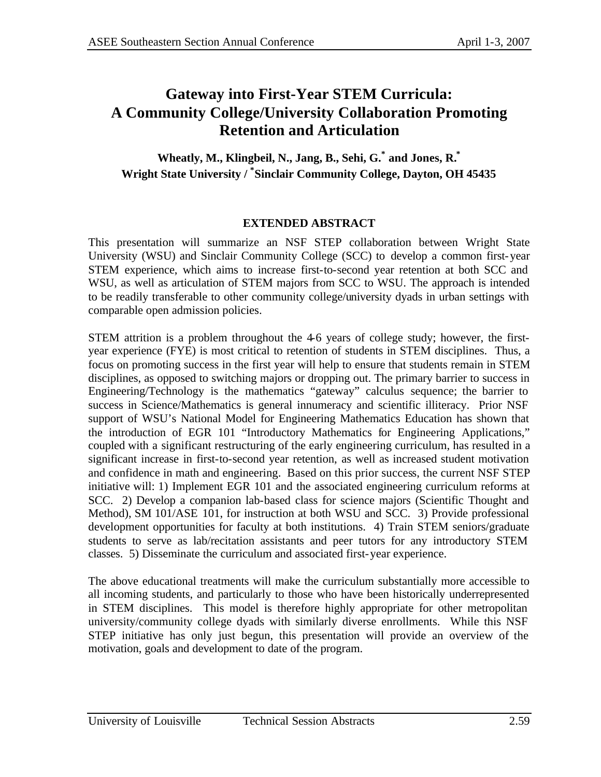## **Gateway into First-Year STEM Curricula: A Community College/University Collaboration Promoting Retention and Articulation**

**Wheatly, M., Klingbeil, N., Jang, B., Sehi, G.\* and Jones, R.\* Wright State University / \* Sinclair Community College, Dayton, OH 45435**

### **EXTENDED ABSTRACT**

This presentation will summarize an NSF STEP collaboration between Wright State University (WSU) and Sinclair Community College (SCC) to develop a common first-year STEM experience, which aims to increase first-to-second year retention at both SCC and WSU, as well as articulation of STEM majors from SCC to WSU. The approach is intended to be readily transferable to other community college/university dyads in urban settings with comparable open admission policies.

STEM attrition is a problem throughout the 4-6 years of college study; however, the firstyear experience (FYE) is most critical to retention of students in STEM disciplines. Thus, a focus on promoting success in the first year will help to ensure that students remain in STEM disciplines, as opposed to switching majors or dropping out. The primary barrier to success in Engineering/Technology is the mathematics "gateway" calculus sequence; the barrier to success in Science/Mathematics is general innumeracy and scientific illiteracy. Prior NSF support of WSU's National Model for Engineering Mathematics Education has shown that the introduction of EGR 101 "Introductory Mathematics for Engineering Applications," coupled with a significant restructuring of the early engineering curriculum, has resulted in a significant increase in first-to-second year retention, as well as increased student motivation and confidence in math and engineering. Based on this prior success, the current NSF STEP initiative will: 1) Implement EGR 101 and the associated engineering curriculum reforms at SCC. 2) Develop a companion lab-based class for science majors (Scientific Thought and Method), SM 101/ASE 101, for instruction at both WSU and SCC. 3) Provide professional development opportunities for faculty at both institutions. 4) Train STEM seniors/graduate students to serve as lab/recitation assistants and peer tutors for any introductory STEM classes. 5) Disseminate the curriculum and associated first-year experience.

The above educational treatments will make the curriculum substantially more accessible to all incoming students, and particularly to those who have been historically underrepresented in STEM disciplines. This model is therefore highly appropriate for other metropolitan university/community college dyads with similarly diverse enrollments. While this NSF STEP initiative has only just begun, this presentation will provide an overview of the motivation, goals and development to date of the program.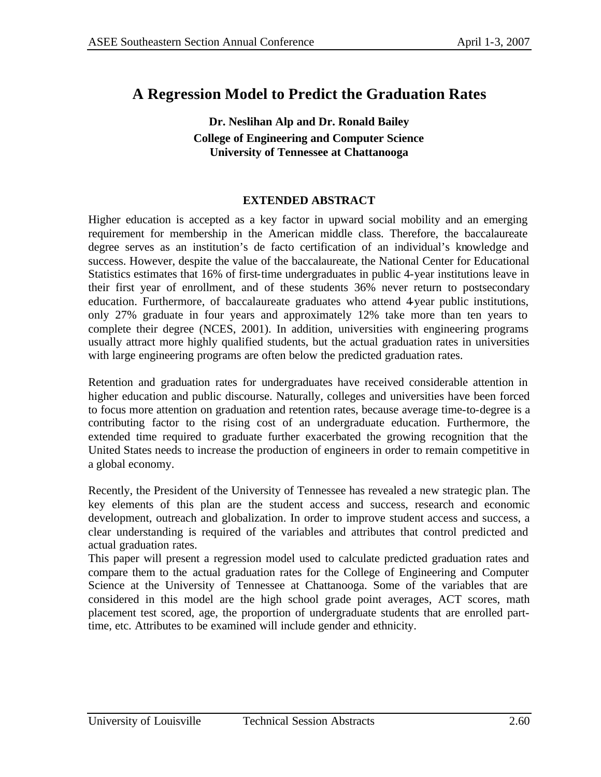## **A Regression Model to Predict the Graduation Rates**

### **Dr. Neslihan Alp and Dr. Ronald Bailey College of Engineering and Computer Science University of Tennessee at Chattanooga**

#### **EXTENDED ABSTRACT**

Higher education is accepted as a key factor in upward social mobility and an emerging requirement for membership in the American middle class. Therefore, the baccalaureate degree serves as an institution's de facto certification of an individual's knowledge and success. However, despite the value of the baccalaureate, the National Center for Educational Statistics estimates that 16% of first-time undergraduates in public 4-year institutions leave in their first year of enrollment, and of these students 36% never return to postsecondary education. Furthermore, of baccalaureate graduates who attend 4 year public institutions, only 27% graduate in four years and approximately 12% take more than ten years to complete their degree (NCES, 2001). In addition, universities with engineering programs usually attract more highly qualified students, but the actual graduation rates in universities with large engineering programs are often below the predicted graduation rates.

Retention and graduation rates for undergraduates have received considerable attention in higher education and public discourse. Naturally, colleges and universities have been forced to focus more attention on graduation and retention rates, because average time-to-degree is a contributing factor to the rising cost of an undergraduate education. Furthermore, the extended time required to graduate further exacerbated the growing recognition that the United States needs to increase the production of engineers in order to remain competitive in a global economy.

Recently, the President of the University of Tennessee has revealed a new strategic plan. The key elements of this plan are the student access and success, research and economic development, outreach and globalization. In order to improve student access and success, a clear understanding is required of the variables and attributes that control predicted and actual graduation rates.

This paper will present a regression model used to calculate predicted graduation rates and compare them to the actual graduation rates for the College of Engineering and Computer Science at the University of Tennessee at Chattanooga. Some of the variables that are considered in this model are the high school grade point averages, ACT scores, math placement test scored, age, the proportion of undergraduate students that are enrolled parttime, etc. Attributes to be examined will include gender and ethnicity.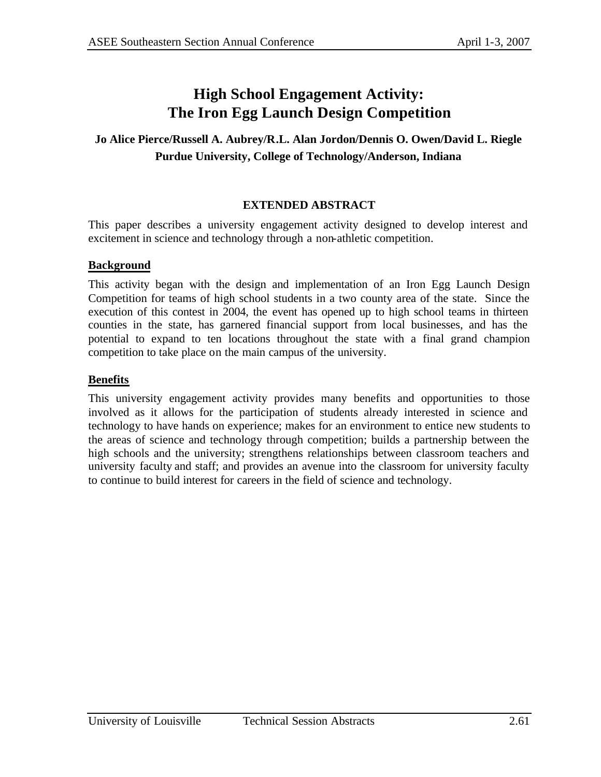## **High School Engagement Activity: The Iron Egg Launch Design Competition**

### **Jo Alice Pierce/Russell A. Aubrey/R.L. Alan Jordon/Dennis O. Owen/David L. Riegle Purdue University, College of Technology/Anderson, Indiana**

#### **EXTENDED ABSTRACT**

This paper describes a university engagement activity designed to develop interest and excitement in science and technology through a non-athletic competition.

#### **Background**

This activity began with the design and implementation of an Iron Egg Launch Design Competition for teams of high school students in a two county area of the state. Since the execution of this contest in 2004, the event has opened up to high school teams in thirteen counties in the state, has garnered financial support from local businesses, and has the potential to expand to ten locations throughout the state with a final grand champion competition to take place on the main campus of the university.

#### **Benefits**

This university engagement activity provides many benefits and opportunities to those involved as it allows for the participation of students already interested in science and technology to have hands on experience; makes for an environment to entice new students to the areas of science and technology through competition; builds a partnership between the high schools and the university; strengthens relationships between classroom teachers and university faculty and staff; and provides an avenue into the classroom for university faculty to continue to build interest for careers in the field of science and technology.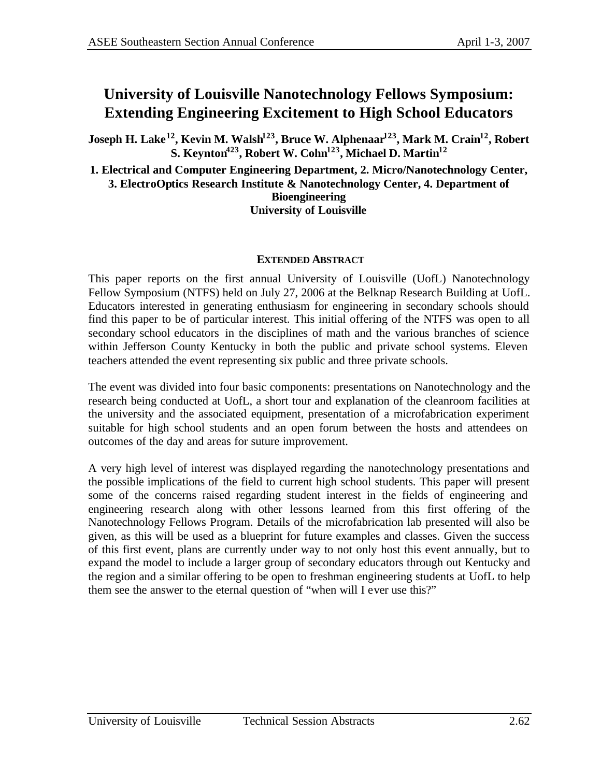## **University of Louisville Nanotechnology Fellows Symposium: Extending Engineering Excitement to High School Educators**

**Joseph H. Lake<sup>12</sup>, Kevin M. Walsh<sup>123</sup>, Bruce W. Alphenaar<sup>123</sup>, Mark M. Crain<sup>12</sup>, Robert S. Keynton<sup>423</sup>, Robert W. Cohn<sup>123</sup>, Michael D. Martin<sup>12</sup>**

**1. Electrical and Computer Engineering Department, 2. Micro/Nanotechnology Center, 3. ElectroOptics Research Institute & Nanotechnology Center, 4. Department of Bioengineering University of Louisville**

#### **EXTENDED ABSTRACT**

This paper reports on the first annual University of Louisville (UofL) Nanotechnology Fellow Symposium (NTFS) held on July 27, 2006 at the Belknap Research Building at UofL. Educators interested in generating enthusiasm for engineering in secondary schools should find this paper to be of particular interest. This initial offering of the NTFS was open to all secondary school educators in the disciplines of math and the various branches of science within Jefferson County Kentucky in both the public and private school systems. Eleven teachers attended the event representing six public and three private schools.

The event was divided into four basic components: presentations on Nanotechnology and the research being conducted at UofL, a short tour and explanation of the cleanroom facilities at the university and the associated equipment, presentation of a microfabrication experiment suitable for high school students and an open forum between the hosts and attendees on outcomes of the day and areas for suture improvement.

A very high level of interest was displayed regarding the nanotechnology presentations and the possible implications of the field to current high school students. This paper will present some of the concerns raised regarding student interest in the fields of engineering and engineering research along with other lessons learned from this first offering of the Nanotechnology Fellows Program. Details of the microfabrication lab presented will also be given, as this will be used as a blueprint for future examples and classes. Given the success of this first event, plans are currently under way to not only host this event annually, but to expand the model to include a larger group of secondary educators through out Kentucky and the region and a similar offering to be open to freshman engineering students at UofL to help them see the answer to the eternal question of "when will I ever use this?"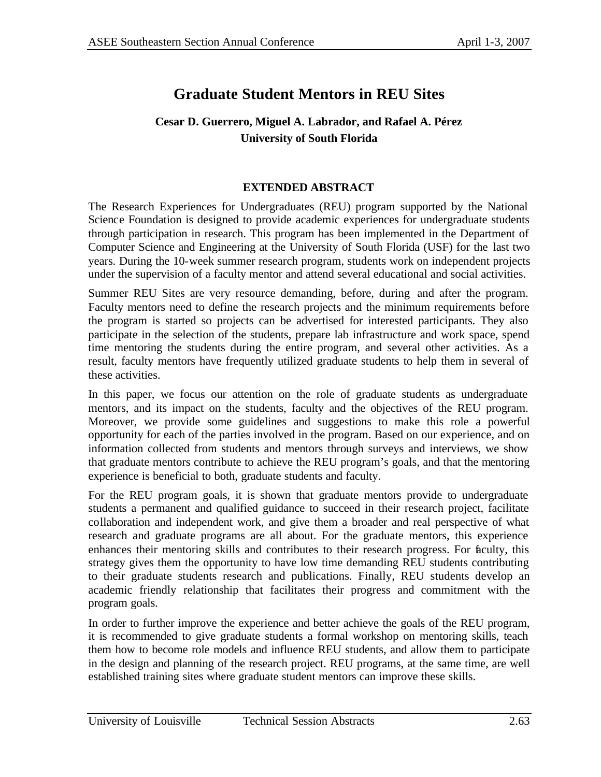# **Graduate Student Mentors in REU Sites**

### **Cesar D. Guerrero, Miguel A. Labrador, and Rafael A. Pérez University of South Florida**

#### **EXTENDED ABSTRACT**

The Research Experiences for Undergraduates (REU) program supported by the National Science Foundation is designed to provide academic experiences for undergraduate students through participation in research. This program has been implemented in the Department of Computer Science and Engineering at the University of South Florida (USF) for the last two years. During the 10-week summer research program, students work on independent projects under the supervision of a faculty mentor and attend several educational and social activities.

Summer REU Sites are very resource demanding, before, during and after the program. Faculty mentors need to define the research projects and the minimum requirements before the program is started so projects can be advertised for interested participants. They also participate in the selection of the students, prepare lab infrastructure and work space, spend time mentoring the students during the entire program, and several other activities. As a result, faculty mentors have frequently utilized graduate students to help them in several of these activities.

In this paper, we focus our attention on the role of graduate students as undergraduate mentors, and its impact on the students, faculty and the objectives of the REU program. Moreover, we provide some guidelines and suggestions to make this role a powerful opportunity for each of the parties involved in the program. Based on our experience, and on information collected from students and mentors through surveys and interviews, we show that graduate mentors contribute to achieve the REU program's goals, and that the mentoring experience is beneficial to both, graduate students and faculty.

For the REU program goals, it is shown that graduate mentors provide to undergraduate students a permanent and qualified guidance to succeed in their research project, facilitate collaboration and independent work, and give them a broader and real perspective of what research and graduate programs are all about. For the graduate mentors, this experience enhances their mentoring skills and contributes to their research progress. For faculty, this strategy gives them the opportunity to have low time demanding REU students contributing to their graduate students research and publications. Finally, REU students develop an academic friendly relationship that facilitates their progress and commitment with the program goals.

In order to further improve the experience and better achieve the goals of the REU program, it is recommended to give graduate students a formal workshop on mentoring skills, teach them how to become role models and influence REU students, and allow them to participate in the design and planning of the research project. REU programs, at the same time, are well established training sites where graduate student mentors can improve these skills.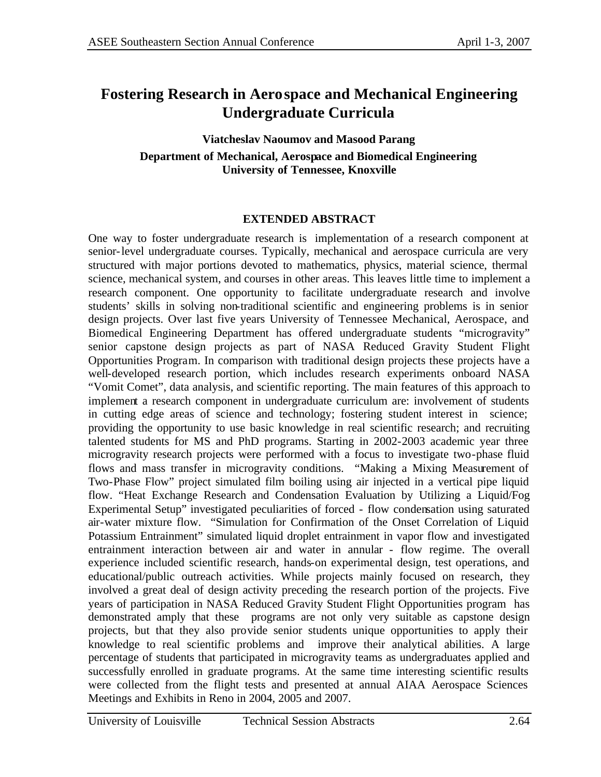## **Fostering Research in Aerospace and Mechanical Engineering Undergraduate Curricula**

### **Viatcheslav Naoumov and Masood Parang Department of Mechanical, Aerospace and Biomedical Engineering University of Tennessee, Knoxville**

#### **EXTENDED ABSTRACT**

One way to foster undergraduate research is implementation of a research component at senior-level undergraduate courses. Typically, mechanical and aerospace curricula are very structured with major portions devoted to mathematics, physics, material science, thermal science, mechanical system, and courses in other areas. This leaves little time to implement a research component. One opportunity to facilitate undergraduate research and involve students' skills in solving non-traditional scientific and engineering problems is in senior design projects. Over last five years University of Tennessee Mechanical, Aerospace, and Biomedical Engineering Department has offered undergraduate students "microgravity" senior capstone design projects as part of NASA Reduced Gravity Student Flight Opportunities Program. In comparison with traditional design projects these projects have a well-developed research portion, which includes research experiments onboard NASA "Vomit Comet", data analysis, and scientific reporting. The main features of this approach to implement a research component in undergraduate curriculum are: involvement of students in cutting edge areas of science and technology; fostering student interest in science; providing the opportunity to use basic knowledge in real scientific research; and recruiting talented students for MS and PhD programs. Starting in 2002-2003 academic year three microgravity research projects were performed with a focus to investigate two-phase fluid flows and mass transfer in microgravity conditions. "Making a Mixing Measurement of Two-Phase Flow" project simulated film boiling using air injected in a vertical pipe liquid flow. "Heat Exchange Research and Condensation Evaluation by Utilizing a Liquid/Fog Experimental Setup" investigated peculiarities of forced - flow condensation using saturated air-water mixture flow. "Simulation for Confirmation of the Onset Correlation of Liquid Potassium Entrainment" simulated liquid droplet entrainment in vapor flow and investigated entrainment interaction between air and water in annular - flow regime. The overall experience included scientific research, hands-on experimental design, test operations, and educational/public outreach activities. While projects mainly focused on research, they involved a great deal of design activity preceding the research portion of the projects. Five years of participation in NASA Reduced Gravity Student Flight Opportunities program has demonstrated amply that these programs are not only very suitable as capstone design projects, but that they also provide senior students unique opportunities to apply their knowledge to real scientific problems and improve their analytical abilities. A large percentage of students that participated in microgravity teams as undergraduates applied and successfully enrolled in graduate programs. At the same time interesting scientific results were collected from the flight tests and presented at annual AIAA Aerospace Sciences Meetings and Exhibits in Reno in 2004, 2005 and 2007.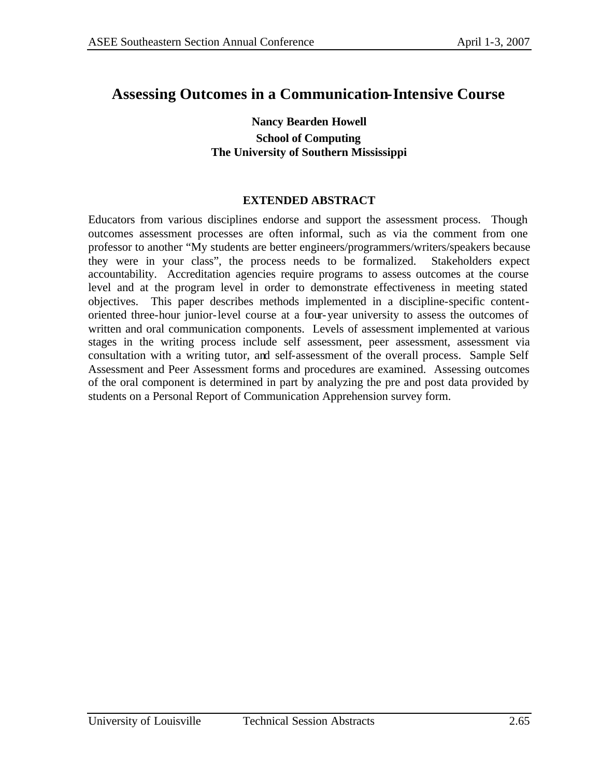### **Assessing Outcomes in a Communication-Intensive Course**

#### **Nancy Bearden Howell School of Computing The University of Southern Mississippi**

#### **EXTENDED ABSTRACT**

Educators from various disciplines endorse and support the assessment process. Though outcomes assessment processes are often informal, such as via the comment from one professor to another "My students are better engineers/programmers/writers/speakers because they were in your class", the process needs to be formalized. Stakeholders expect accountability. Accreditation agencies require programs to assess outcomes at the course level and at the program level in order to demonstrate effectiveness in meeting stated objectives. This paper describes methods implemented in a discipline-specific contentoriented three-hour junior-level course at a four-year university to assess the outcomes of written and oral communication components. Levels of assessment implemented at various stages in the writing process include self assessment, peer assessment, assessment via consultation with a writing tutor, and self-assessment of the overall process. Sample Self Assessment and Peer Assessment forms and procedures are examined. Assessing outcomes of the oral component is determined in part by analyzing the pre and post data provided by students on a Personal Report of Communication Apprehension survey form.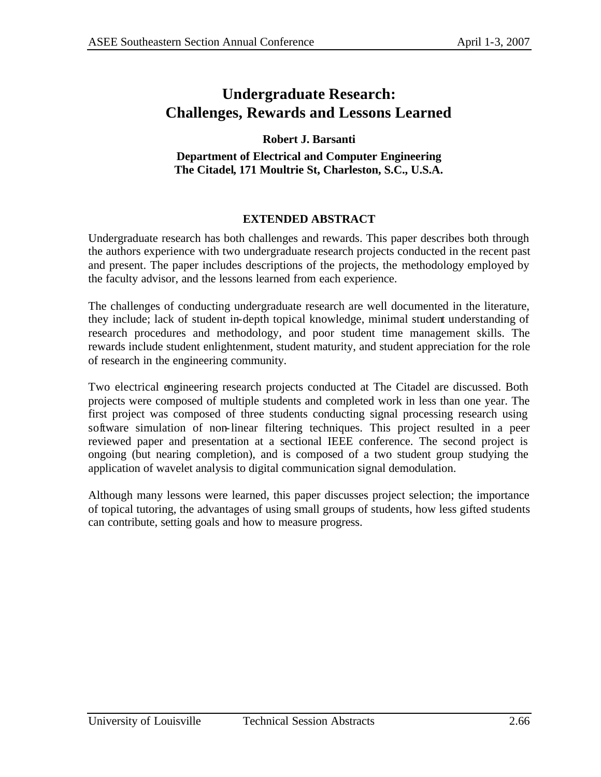## **Undergraduate Research: Challenges, Rewards and Lessons Learned**

### **Robert J. Barsanti**

**Department of Electrical and Computer Engineering The Citadel, 171 Moultrie St, Charleston, S.C., U.S.A.**

### **EXTENDED ABSTRACT**

Undergraduate research has both challenges and rewards. This paper describes both through the authors experience with two undergraduate research projects conducted in the recent past and present. The paper includes descriptions of the projects, the methodology employed by the faculty advisor, and the lessons learned from each experience.

The challenges of conducting undergraduate research are well documented in the literature, they include; lack of student in-depth topical knowledge, minimal student understanding of research procedures and methodology, and poor student time management skills. The rewards include student enlightenment, student maturity, and student appreciation for the role of research in the engineering community.

Two electrical engineering research projects conducted at The Citadel are discussed. Both projects were composed of multiple students and completed work in less than one year. The first project was composed of three students conducting signal processing research using software simulation of non-linear filtering techniques. This project resulted in a peer reviewed paper and presentation at a sectional IEEE conference. The second project is ongoing (but nearing completion), and is composed of a two student group studying the application of wavelet analysis to digital communication signal demodulation.

Although many lessons were learned, this paper discusses project selection; the importance of topical tutoring, the advantages of using small groups of students, how less gifted students can contribute, setting goals and how to measure progress.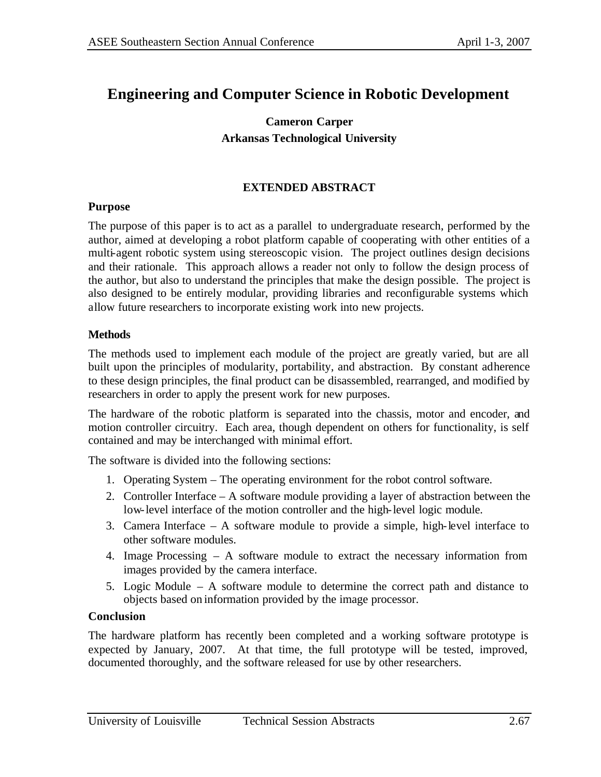## **Engineering and Computer Science in Robotic Development**

### **Cameron Carper Arkansas Technological University**

#### **EXTENDED ABSTRACT**

#### **Purpose**

The purpose of this paper is to act as a parallel to undergraduate research, performed by the author, aimed at developing a robot platform capable of cooperating with other entities of a multi-agent robotic system using stereoscopic vision. The project outlines design decisions and their rationale. This approach allows a reader not only to follow the design process of the author, but also to understand the principles that make the design possible. The project is also designed to be entirely modular, providing libraries and reconfigurable systems which allow future researchers to incorporate existing work into new projects.

#### **Methods**

The methods used to implement each module of the project are greatly varied, but are all built upon the principles of modularity, portability, and abstraction. By constant adherence to these design principles, the final product can be disassembled, rearranged, and modified by researchers in order to apply the present work for new purposes.

The hardware of the robotic platform is separated into the chassis, motor and encoder, and motion controller circuitry. Each area, though dependent on others for functionality, is self contained and may be interchanged with minimal effort.

The software is divided into the following sections:

- 1. Operating System The operating environment for the robot control software.
- 2. Controller Interface A software module providing a layer of abstraction between the low-level interface of the motion controller and the high-level logic module.
- 3. Camera Interface A software module to provide a simple, high-level interface to other software modules.
- 4. Image Processing A software module to extract the necessary information from images provided by the camera interface.
- 5. Logic Module A software module to determine the correct path and distance to objects based on information provided by the image processor.

#### **Conclusion**

The hardware platform has recently been completed and a working software prototype is expected by January, 2007. At that time, the full prototype will be tested, improved, documented thoroughly, and the software released for use by other researchers.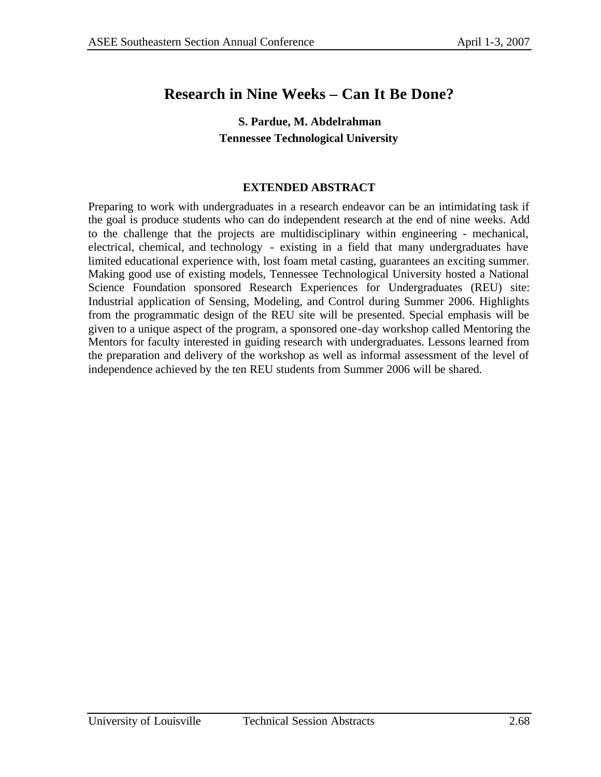# **Research in Nine Weeks – Can It Be Done?**

### **S. Pardue, M. Abdelrahman Tennessee Technological University**

### **EXTENDED ABSTRACT**

Preparing to work with undergraduates in a research endeavor can be an intimidating task if the goal is produce students who can do independent research at the end of nine weeks. Add to the challenge that the projects are multidisciplinary within engineering - mechanical, electrical, chemical, and technology - existing in a field that many undergraduates have limited educational experience with, lost foam metal casting, guarantees an exciting summer. Making good use of existing models, Tennessee Technological University hosted a National Science Foundation sponsored Research Experiences for Undergraduates (REU) site: Industrial application of Sensing, Modeling, and Control during Summer 2006. Highlights from the programmatic design of the REU site will be presented. Special emphasis will be given to a unique aspect of the program, a sponsored one-day workshop called Mentoring the Mentors for faculty interested in guiding research with undergraduates. Lessons learned from the preparation and delivery of the workshop as well as informal assessment of the level of independence achieved by the ten REU students from Summer 2006 will be shared.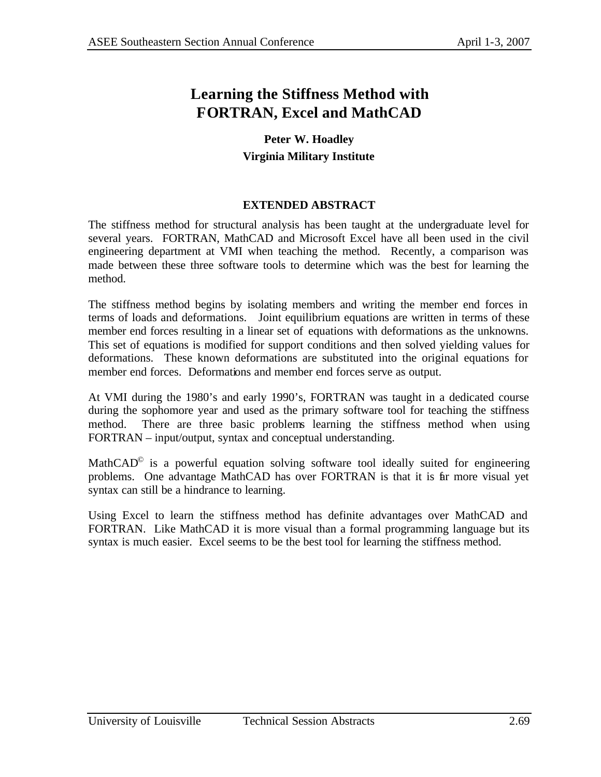# **Learning the Stiffness Method with FORTRAN, Excel and MathCAD**

### **Peter W. Hoadley Virginia Military Institute**

### **EXTENDED ABSTRACT**

The stiffness method for structural analysis has been taught at the undergraduate level for several years. FORTRAN, MathCAD and Microsoft Excel have all been used in the civil engineering department at VMI when teaching the method. Recently, a comparison was made between these three software tools to determine which was the best for learning the method.

The stiffness method begins by isolating members and writing the member end forces in terms of loads and deformations. Joint equilibrium equations are written in terms of these member end forces resulting in a linear set of equations with deformations as the unknowns. This set of equations is modified for support conditions and then solved yielding values for deformations. These known deformations are substituted into the original equations for member end forces. Deformations and member end forces serve as output.

At VMI during the 1980's and early 1990's, FORTRAN was taught in a dedicated course during the sophomore year and used as the primary software tool for teaching the stiffness method. There are three basic problems learning the stiffness method when using FORTRAN – input/output, syntax and conceptual understanding.

MathCAD $^{\circ}$  is a powerful equation solving software tool ideally suited for engineering problems. One advantage MathCAD has over FORTRAN is that it is far more visual yet syntax can still be a hindrance to learning.

Using Excel to learn the stiffness method has definite advantages over MathCAD and FORTRAN. Like MathCAD it is more visual than a formal programming language but its syntax is much easier. Excel seems to be the best tool for learning the stiffness method.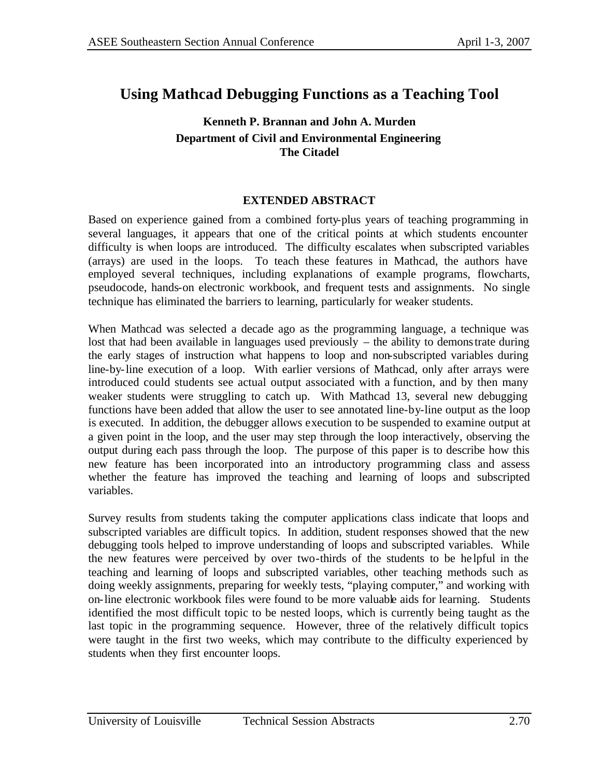## **Using Mathcad Debugging Functions as a Teaching Tool**

### **Kenneth P. Brannan and John A. Murden Department of Civil and Environmental Engineering The Citadel**

#### **EXTENDED ABSTRACT**

Based on experience gained from a combined forty-plus years of teaching programming in several languages, it appears that one of the critical points at which students encounter difficulty is when loops are introduced. The difficulty escalates when subscripted variables (arrays) are used in the loops. To teach these features in Mathcad, the authors have employed several techniques, including explanations of example programs, flowcharts, pseudocode, hands-on electronic workbook, and frequent tests and assignments. No single technique has eliminated the barriers to learning, particularly for weaker students.

When Mathcad was selected a decade ago as the programming language, a technique was lost that had been available in languages used previously – the ability to demonstrate during the early stages of instruction what happens to loop and non-subscripted variables during line-by-line execution of a loop. With earlier versions of Mathcad, only after arrays were introduced could students see actual output associated with a function, and by then many weaker students were struggling to catch up. With Mathcad 13, several new debugging functions have been added that allow the user to see annotated line-by-line output as the loop is executed. In addition, the debugger allows execution to be suspended to examine output at a given point in the loop, and the user may step through the loop interactively, observing the output during each pass through the loop. The purpose of this paper is to describe how this new feature has been incorporated into an introductory programming class and assess whether the feature has improved the teaching and learning of loops and subscripted variables.

Survey results from students taking the computer applications class indicate that loops and subscripted variables are difficult topics. In addition, student responses showed that the new debugging tools helped to improve understanding of loops and subscripted variables. While the new features were perceived by over two-thirds of the students to be he lpful in the teaching and learning of loops and subscripted variables, other teaching methods such as doing weekly assignments, preparing for weekly tests, "playing computer," and working with on-line electronic workbook files were found to be more valuable aids for learning. Students identified the most difficult topic to be nested loops, which is currently being taught as the last topic in the programming sequence. However, three of the relatively difficult topics were taught in the first two weeks, which may contribute to the difficulty experienced by students when they first encounter loops.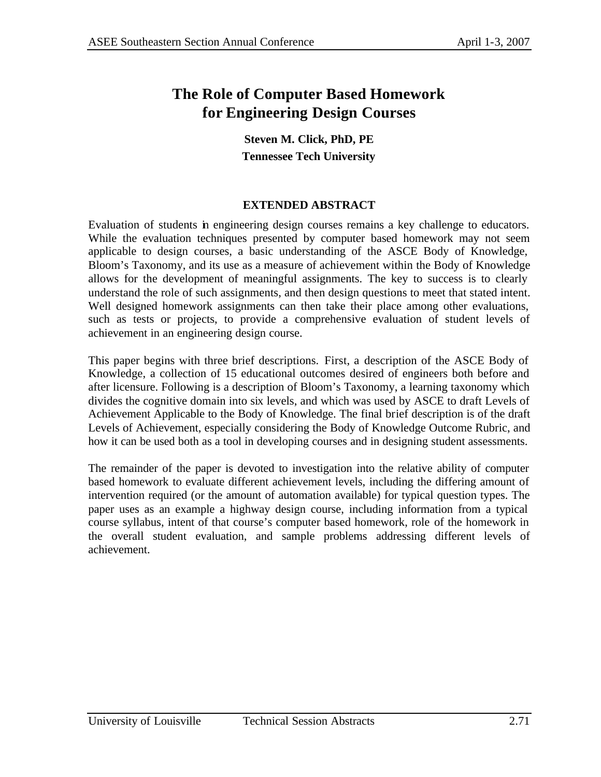# **The Role of Computer Based Homework for Engineering Design Courses**

**Steven M. Click, PhD, PE Tennessee Tech University**

### **EXTENDED ABSTRACT**

Evaluation of students in engineering design courses remains a key challenge to educators. While the evaluation techniques presented by computer based homework may not seem applicable to design courses, a basic understanding of the ASCE Body of Knowledge, Bloom's Taxonomy, and its use as a measure of achievement within the Body of Knowledge allows for the development of meaningful assignments. The key to success is to clearly understand the role of such assignments, and then design questions to meet that stated intent. Well designed homework assignments can then take their place among other evaluations, such as tests or projects, to provide a comprehensive evaluation of student levels of achievement in an engineering design course.

This paper begins with three brief descriptions. First, a description of the ASCE Body of Knowledge, a collection of 15 educational outcomes desired of engineers both before and after licensure. Following is a description of Bloom's Taxonomy, a learning taxonomy which divides the cognitive domain into six levels, and which was used by ASCE to draft Levels of Achievement Applicable to the Body of Knowledge. The final brief description is of the draft Levels of Achievement, especially considering the Body of Knowledge Outcome Rubric, and how it can be used both as a tool in developing courses and in designing student assessments.

The remainder of the paper is devoted to investigation into the relative ability of computer based homework to evaluate different achievement levels, including the differing amount of intervention required (or the amount of automation available) for typical question types. The paper uses as an example a highway design course, including information from a typical course syllabus, intent of that course's computer based homework, role of the homework in the overall student evaluation, and sample problems addressing different levels of achievement.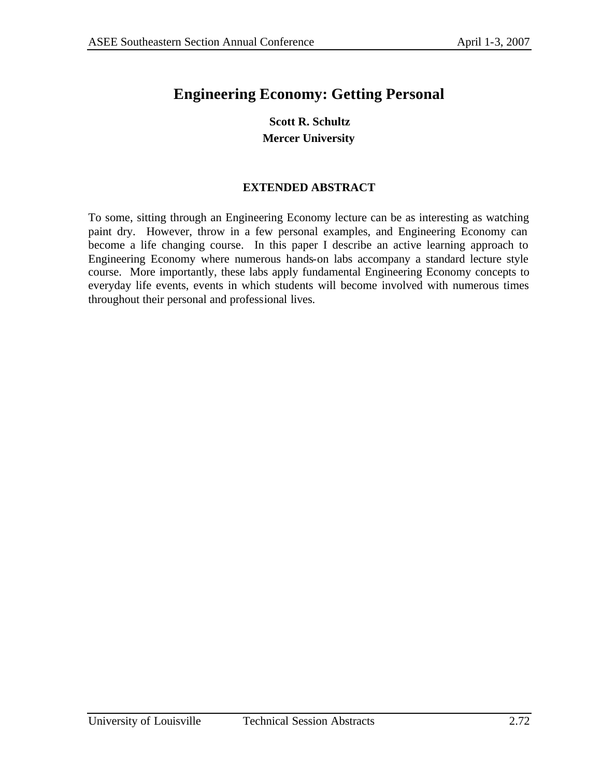# **Engineering Economy: Getting Personal**

### **Scott R. Schultz Mercer University**

### **EXTENDED ABSTRACT**

To some, sitting through an Engineering Economy lecture can be as interesting as watching paint dry. However, throw in a few personal examples, and Engineering Economy can become a life changing course. In this paper I describe an active learning approach to Engineering Economy where numerous hands-on labs accompany a standard lecture style course. More importantly, these labs apply fundamental Engineering Economy concepts to everyday life events, events in which students will become involved with numerous times throughout their personal and professional lives.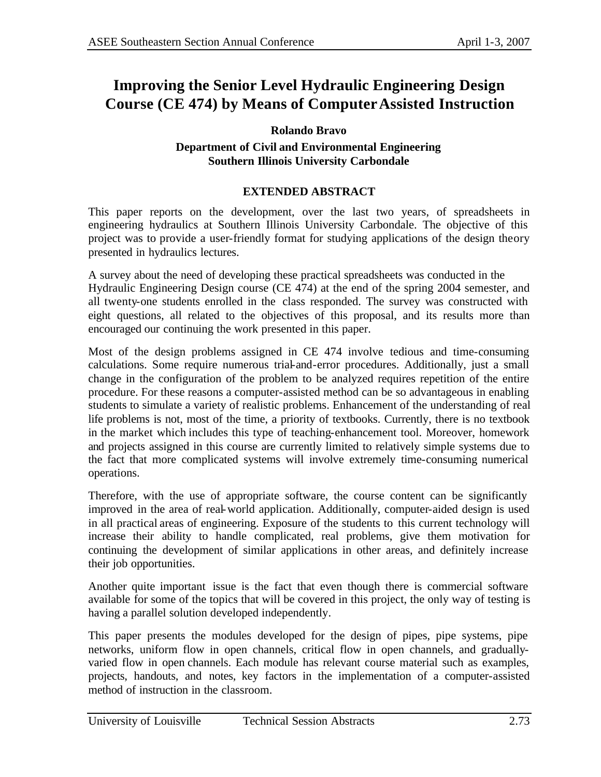# **Improving the Senior Level Hydraulic Engineering Design Course (CE 474) by Means of ComputerAssisted Instruction**

### **Rolando Bravo**

### **Department of Civil and Environmental Engineering Southern Illinois University Carbondale**

### **EXTENDED ABSTRACT**

This paper reports on the development, over the last two years, of spreadsheets in engineering hydraulics at Southern Illinois University Carbondale. The objective of this project was to provide a user-friendly format for studying applications of the design theory presented in hydraulics lectures.

A survey about the need of developing these practical spreadsheets was conducted in the Hydraulic Engineering Design course (CE 474) at the end of the spring 2004 semester, and all twenty-one students enrolled in the class responded. The survey was constructed with eight questions, all related to the objectives of this proposal, and its results more than encouraged our continuing the work presented in this paper.

Most of the design problems assigned in CE 474 involve tedious and time-consuming calculations. Some require numerous trial-and-error procedures. Additionally, just a small change in the configuration of the problem to be analyzed requires repetition of the entire procedure. For these reasons a computer-assisted method can be so advantageous in enabling students to simulate a variety of realistic problems. Enhancement of the understanding of real life problems is not, most of the time, a priority of textbooks. Currently, there is no textbook in the market which includes this type of teaching-enhancement tool. Moreover, homework and projects assigned in this course are currently limited to relatively simple systems due to the fact that more complicated systems will involve extremely time-consuming numerical operations.

Therefore, with the use of appropriate software, the course content can be significantly improved in the area of real-world application. Additionally, computer-aided design is used in all practical areas of engineering. Exposure of the students to this current technology will increase their ability to handle complicated, real problems, give them motivation for continuing the development of similar applications in other areas, and definitely increase their job opportunities.

Another quite important issue is the fact that even though there is commercial software available for some of the topics that will be covered in this project, the only way of testing is having a parallel solution developed independently.

This paper presents the modules developed for the design of pipes, pipe systems, pipe networks, uniform flow in open channels, critical flow in open channels, and graduallyvaried flow in open channels. Each module has relevant course material such as examples, projects, handouts, and notes, key factors in the implementation of a computer-assisted method of instruction in the classroom.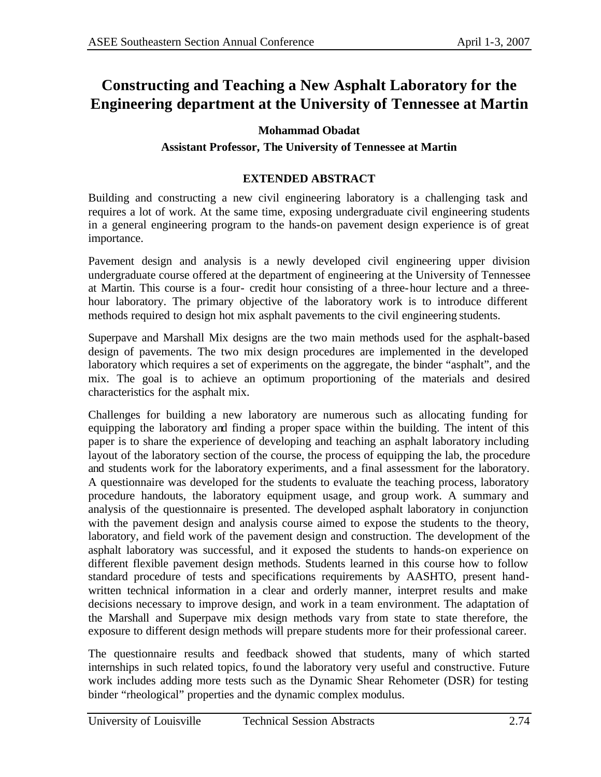# **Constructing and Teaching a New Asphalt Laboratory for the Engineering department at the University of Tennessee at Martin**

## **Mohammad Obadat**

### **Assistant Professor, The University of Tennessee at Martin**

## **EXTENDED ABSTRACT**

Building and constructing a new civil engineering laboratory is a challenging task and requires a lot of work. At the same time, exposing undergraduate civil engineering students in a general engineering program to the hands-on pavement design experience is of great importance.

Pavement design and analysis is a newly developed civil engineering upper division undergraduate course offered at the department of engineering at the University of Tennessee at Martin. This course is a four- credit hour consisting of a three-hour lecture and a threehour laboratory. The primary objective of the laboratory work is to introduce different methods required to design hot mix asphalt pavements to the civil engineering students.

Superpave and Marshall Mix designs are the two main methods used for the asphalt-based design of pavements. The two mix design procedures are implemented in the developed laboratory which requires a set of experiments on the aggregate, the binder "asphalt", and the mix. The goal is to achieve an optimum proportioning of the materials and desired characteristics for the asphalt mix.

Challenges for building a new laboratory are numerous such as allocating funding for equipping the laboratory and finding a proper space within the building. The intent of this paper is to share the experience of developing and teaching an asphalt laboratory including layout of the laboratory section of the course, the process of equipping the lab, the procedure and students work for the laboratory experiments, and a final assessment for the laboratory. A questionnaire was developed for the students to evaluate the teaching process, laboratory procedure handouts, the laboratory equipment usage, and group work. A summary and analysis of the questionnaire is presented. The developed asphalt laboratory in conjunction with the pavement design and analysis course aimed to expose the students to the theory, laboratory, and field work of the pavement design and construction. The development of the asphalt laboratory was successful, and it exposed the students to hands-on experience on different flexible pavement design methods. Students learned in this course how to follow standard procedure of tests and specifications requirements by AASHTO, present handwritten technical information in a clear and orderly manner, interpret results and make decisions necessary to improve design, and work in a team environment. The adaptation of the Marshall and Superpave mix design methods vary from state to state therefore, the exposure to different design methods will prepare students more for their professional career.

The questionnaire results and feedback showed that students, many of which started internships in such related topics, found the laboratory very useful and constructive. Future work includes adding more tests such as the Dynamic Shear Rehometer (DSR) for testing binder "rheological" properties and the dynamic complex modulus.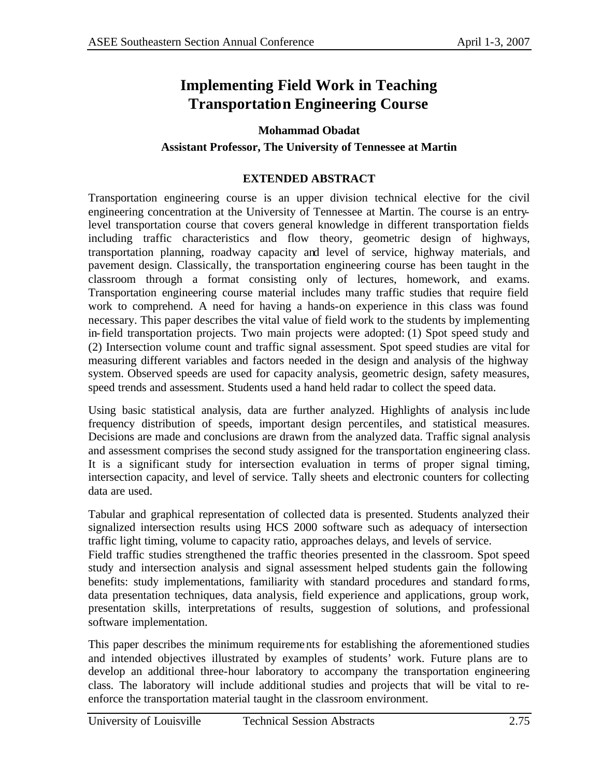# **Implementing Field Work in Teaching Transportation Engineering Course**

## **Mohammad Obadat**

### **Assistant Professor, The University of Tennessee at Martin**

### **EXTENDED ABSTRACT**

Transportation engineering course is an upper division technical elective for the civil engineering concentration at the University of Tennessee at Martin. The course is an entrylevel transportation course that covers general knowledge in different transportation fields including traffic characteristics and flow theory, geometric design of highways, transportation planning, roadway capacity and level of service, highway materials, and pavement design. Classically, the transportation engineering course has been taught in the classroom through a format consisting only of lectures, homework, and exams. Transportation engineering course material includes many traffic studies that require field work to comprehend. A need for having a hands-on experience in this class was found necessary. This paper describes the vital value of field work to the students by implementing in-field transportation projects. Two main projects were adopted: (1) Spot speed study and (2) Intersection volume count and traffic signal assessment. Spot speed studies are vital for measuring different variables and factors needed in the design and analysis of the highway system. Observed speeds are used for capacity analysis, geometric design, safety measures, speed trends and assessment. Students used a hand held radar to collect the speed data.

Using basic statistical analysis, data are further analyzed. Highlights of analysis inc lude frequency distribution of speeds, important design percentiles, and statistical measures. Decisions are made and conclusions are drawn from the analyzed data. Traffic signal analysis and assessment comprises the second study assigned for the transportation engineering class. It is a significant study for intersection evaluation in terms of proper signal timing, intersection capacity, and level of service. Tally sheets and electronic counters for collecting data are used.

Tabular and graphical representation of collected data is presented. Students analyzed their signalized intersection results using HCS 2000 software such as adequacy of intersection traffic light timing, volume to capacity ratio, approaches delays, and levels of service.

Field traffic studies strengthened the traffic theories presented in the classroom. Spot speed study and intersection analysis and signal assessment helped students gain the following benefits: study implementations, familiarity with standard procedures and standard forms, data presentation techniques, data analysis, field experience and applications, group work, presentation skills, interpretations of results, suggestion of solutions, and professional software implementation.

This paper describes the minimum requirements for establishing the aforementioned studies and intended objectives illustrated by examples of students' work. Future plans are to develop an additional three-hour laboratory to accompany the transportation engineering class. The laboratory will include additional studies and projects that will be vital to reenforce the transportation material taught in the classroom environment.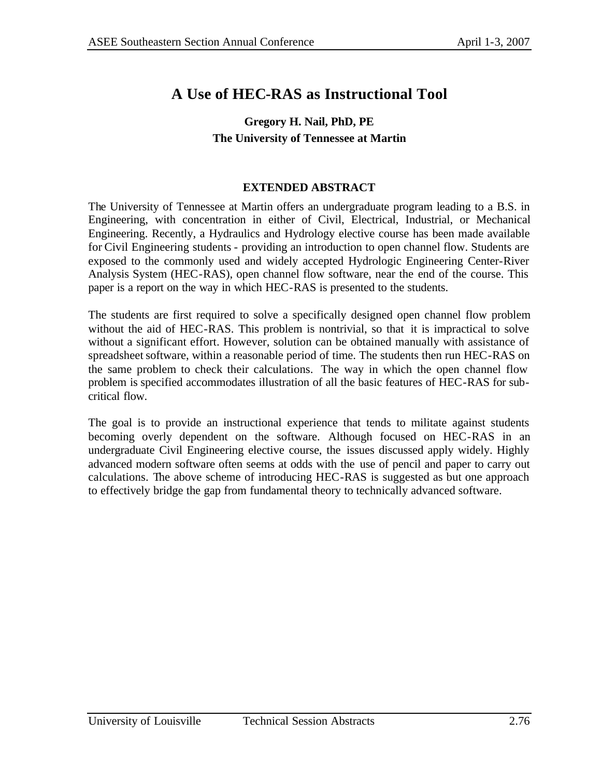# **A Use of HEC-RAS as Instructional Tool**

# **Gregory H. Nail, PhD, PE The University of Tennessee at Martin**

### **EXTENDED ABSTRACT**

The University of Tennessee at Martin offers an undergraduate program leading to a B.S. in Engineering, with concentration in either of Civil, Electrical, Industrial, or Mechanical Engineering. Recently, a Hydraulics and Hydrology elective course has been made available for Civil Engineering students - providing an introduction to open channel flow. Students are exposed to the commonly used and widely accepted Hydrologic Engineering Center-River Analysis System (HEC-RAS), open channel flow software, near the end of the course. This paper is a report on the way in which HEC-RAS is presented to the students.

The students are first required to solve a specifically designed open channel flow problem without the aid of HEC-RAS. This problem is nontrivial, so that it is impractical to solve without a significant effort. However, solution can be obtained manually with assistance of spreadsheet software, within a reasonable period of time. The students then run HEC-RAS on the same problem to check their calculations. The way in which the open channel flow problem is specified accommodates illustration of all the basic features of HEC-RAS for subcritical flow.

The goal is to provide an instructional experience that tends to militate against students becoming overly dependent on the software. Although focused on HEC-RAS in an undergraduate Civil Engineering elective course, the issues discussed apply widely. Highly advanced modern software often seems at odds with the use of pencil and paper to carry out calculations. The above scheme of introducing HEC-RAS is suggested as but one approach to effectively bridge the gap from fundamental theory to technically advanced software.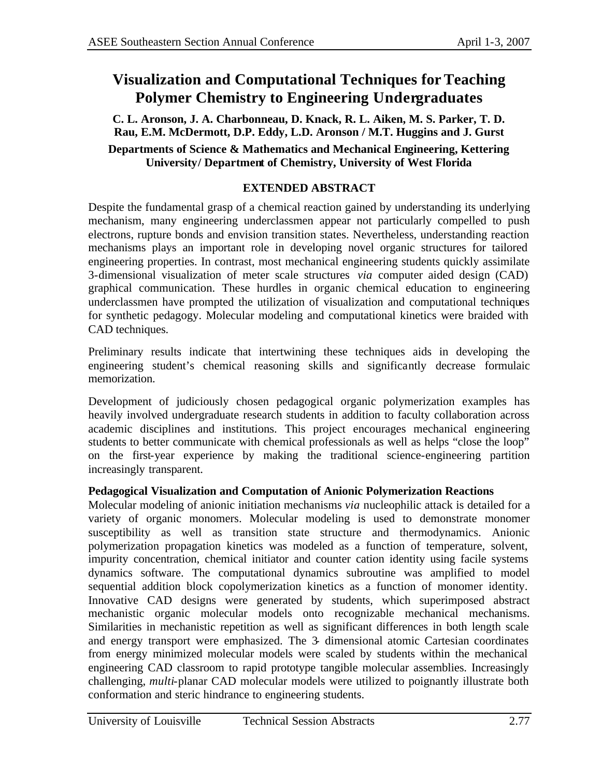# **Visualization and Computational Techniques forTeaching Polymer Chemistry to Engineering Undergraduates**

**C. L. Aronson, J. A. Charbonneau, D. Knack, R. L. Aiken, M. S. Parker, T. D. Rau, E.M. McDermott, D.P. Eddy, L.D. Aronson / M.T. Huggins and J. Gurst Departments of Science & Mathematics and Mechanical Engineering, Kettering University/ Department of Chemistry, University of West Florida**

## **EXTENDED ABSTRACT**

Despite the fundamental grasp of a chemical reaction gained by understanding its underlying mechanism, many engineering underclassmen appear not particularly compelled to push electrons, rupture bonds and envision transition states. Nevertheless, understanding reaction mechanisms plays an important role in developing novel organic structures for tailored engineering properties. In contrast, most mechanical engineering students quickly assimilate 3-dimensional visualization of meter scale structures *via* computer aided design (CAD) graphical communication. These hurdles in organic chemical education to engineering underclassmen have prompted the utilization of visualization and computational techniques for synthetic pedagogy. Molecular modeling and computational kinetics were braided with CAD techniques.

Preliminary results indicate that intertwining these techniques aids in developing the engineering student's chemical reasoning skills and significantly decrease formulaic memorization.

Development of judiciously chosen pedagogical organic polymerization examples has heavily involved undergraduate research students in addition to faculty collaboration across academic disciplines and institutions. This project encourages mechanical engineering students to better communicate with chemical professionals as well as helps "close the loop" on the first-year experience by making the traditional science-engineering partition increasingly transparent.

### **Pedagogical Visualization and Computation of Anionic Polymerization Reactions**

Molecular modeling of anionic initiation mechanisms *via* nucleophilic attack is detailed for a variety of organic monomers. Molecular modeling is used to demonstrate monomer susceptibility as well as transition state structure and thermodynamics. Anionic polymerization propagation kinetics was modeled as a function of temperature, solvent, impurity concentration, chemical initiator and counter cation identity using facile systems dynamics software. The computational dynamics subroutine was amplified to model sequential addition block copolymerization kinetics as a function of monomer identity. Innovative CAD designs were generated by students, which superimposed abstract mechanistic organic molecular models onto recognizable mechanical mechanisms. Similarities in mechanistic repetition as well as significant differences in both length scale and energy transport were emphasized. The 3- dimensional atomic Cartesian coordinates from energy minimized molecular models were scaled by students within the mechanical engineering CAD classroom to rapid prototype tangible molecular assemblies. Increasingly challenging, *multi*-planar CAD molecular models were utilized to poignantly illustrate both conformation and steric hindrance to engineering students.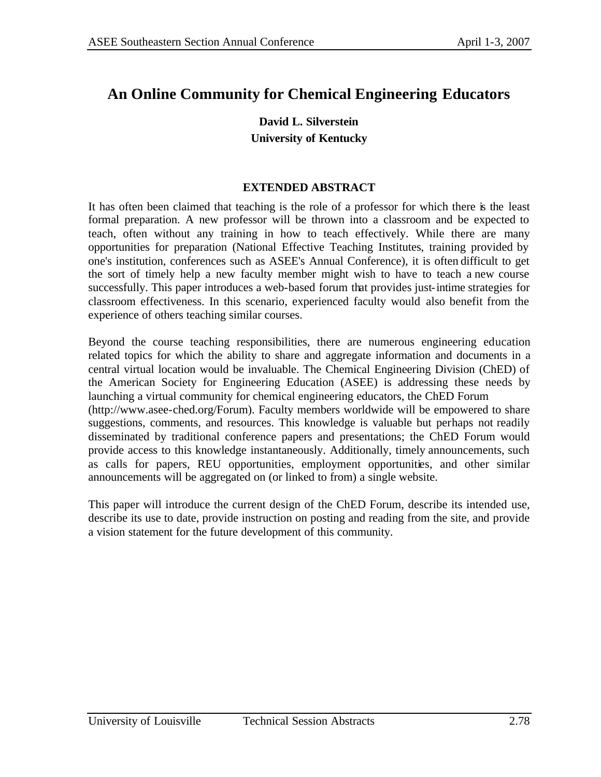# **An Online Community for Chemical Engineering Educators**

# **David L. Silverstein University of Kentucky**

## **EXTENDED ABSTRACT**

It has often been claimed that teaching is the role of a professor for which there is the least formal preparation. A new professor will be thrown into a classroom and be expected to teach, often without any training in how to teach effectively. While there are many opportunities for preparation (National Effective Teaching Institutes, training provided by one's institution, conferences such as ASEE's Annual Conference), it is often difficult to get the sort of timely help a new faculty member might wish to have to teach a new course successfully. This paper introduces a web-based forum that provides just-intime strategies for classroom effectiveness. In this scenario, experienced faculty would also benefit from the experience of others teaching similar courses.

Beyond the course teaching responsibilities, there are numerous engineering education related topics for which the ability to share and aggregate information and documents in a central virtual location would be invaluable. The Chemical Engineering Division (ChED) of the American Society for Engineering Education (ASEE) is addressing these needs by launching a virtual community for chemical engineering educators, the ChED Forum (http://www.asee-ched.org/Forum). Faculty members worldwide will be empowered to share suggestions, comments, and resources. This knowledge is valuable but perhaps not readily disseminated by traditional conference papers and presentations; the ChED Forum would provide access to this knowledge instantaneously. Additionally, timely announcements, such as calls for papers, REU opportunities, employment opportunities, and other similar announcements will be aggregated on (or linked to from) a single website.

This paper will introduce the current design of the ChED Forum, describe its intended use, describe its use to date, provide instruction on posting and reading from the site, and provide a vision statement for the future development of this community.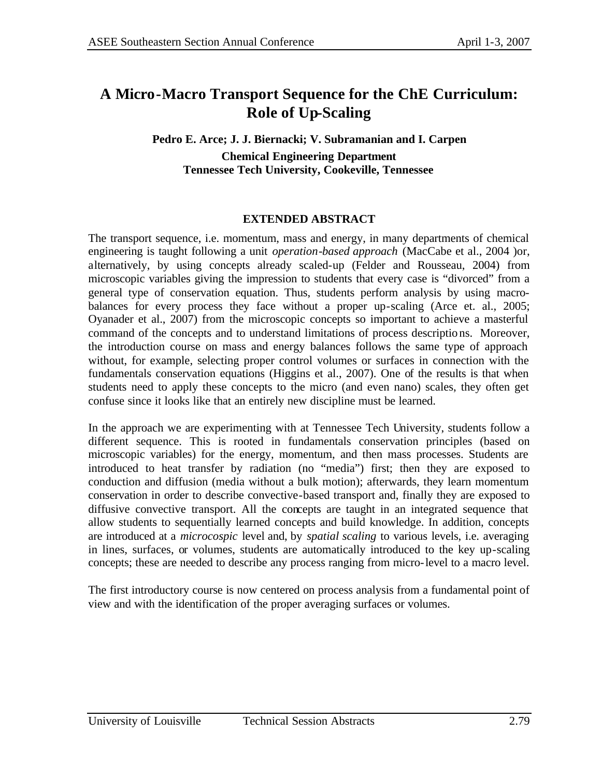# **A Micro-Macro Transport Sequence for the ChE Curriculum: Role of Up-Scaling**

### **Pedro E. Arce; J. J. Biernacki; V. Subramanian and I. Carpen Chemical Engineering Department Tennessee Tech University, Cookeville, Tennessee**

### **EXTENDED ABSTRACT**

The transport sequence, i.e. momentum, mass and energy, in many departments of chemical engineering is taught following a unit *operation-based approach* (MacCabe et al., 2004 )or, alternatively, by using concepts already scaled-up (Felder and Rousseau, 2004) from microscopic variables giving the impression to students that every case is "divorced" from a general type of conservation equation. Thus, students perform analysis by using macrobalances for every process they face without a proper up-scaling (Arce et. al., 2005; Oyanader et al., 2007) from the microscopic concepts so important to achieve a masterful command of the concepts and to understand limitations of process descriptions. Moreover, the introduction course on mass and energy balances follows the same type of approach without, for example, selecting proper control volumes or surfaces in connection with the fundamentals conservation equations (Higgins et al., 2007). One of the results is that when students need to apply these concepts to the micro (and even nano) scales, they often get confuse since it looks like that an entirely new discipline must be learned.

In the approach we are experimenting with at Tennessee Tech University, students follow a different sequence. This is rooted in fundamentals conservation principles (based on microscopic variables) for the energy, momentum, and then mass processes. Students are introduced to heat transfer by radiation (no "media") first; then they are exposed to conduction and diffusion (media without a bulk motion); afterwards, they learn momentum conservation in order to describe convective-based transport and, finally they are exposed to diffusive convective transport. All the concepts are taught in an integrated sequence that allow students to sequentially learned concepts and build knowledge. In addition, concepts are introduced at a *microcospic* level and, by *spatial scaling* to various levels, i.e. averaging in lines, surfaces, or volumes, students are automatically introduced to the key up-scaling concepts; these are needed to describe any process ranging from micro-level to a macro level.

The first introductory course is now centered on process analysis from a fundamental point of view and with the identification of the proper averaging surfaces or volumes.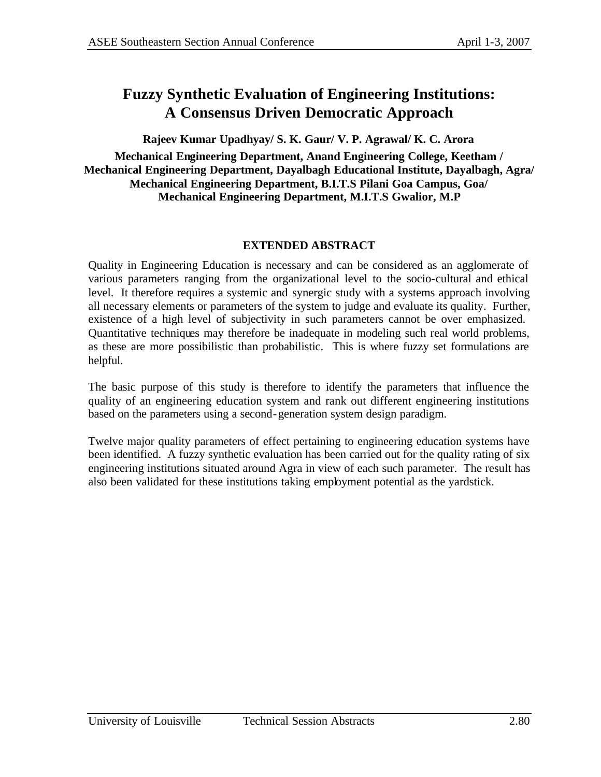# **Fuzzy Synthetic Evaluation of Engineering Institutions: A Consensus Driven Democratic Approach**

**Rajeev Kumar Upadhyay/ S. K. Gaur/ V. P. Agrawal/ K. C. Arora**

### **Mechanical Engineering Department, Anand Engineering College, Keetham / Mechanical Engineering Department, Dayalbagh Educational Institute, Dayalbagh, Agra/ Mechanical Engineering Department, B.I.T.S Pilani Goa Campus, Goa/ Mechanical Engineering Department, M.I.T.S Gwalior, M.P**

## **EXTENDED ABSTRACT**

Quality in Engineering Education is necessary and can be considered as an agglomerate of various parameters ranging from the organizational level to the socio-cultural and ethical level. It therefore requires a systemic and synergic study with a systems approach involving all necessary elements or parameters of the system to judge and evaluate its quality. Further, existence of a high level of subjectivity in such parameters cannot be over emphasized. Quantitative techniques may therefore be inadequate in modeling such real world problems, as these are more possibilistic than probabilistic. This is where fuzzy set formulations are helpful.

The basic purpose of this study is therefore to identify the parameters that influence the quality of an engineering education system and rank out different engineering institutions based on the parameters using a second-generation system design paradigm.

Twelve major quality parameters of effect pertaining to engineering education systems have been identified. A fuzzy synthetic evaluation has been carried out for the quality rating of six engineering institutions situated around Agra in view of each such parameter. The result has also been validated for these institutions taking employment potential as the yardstick.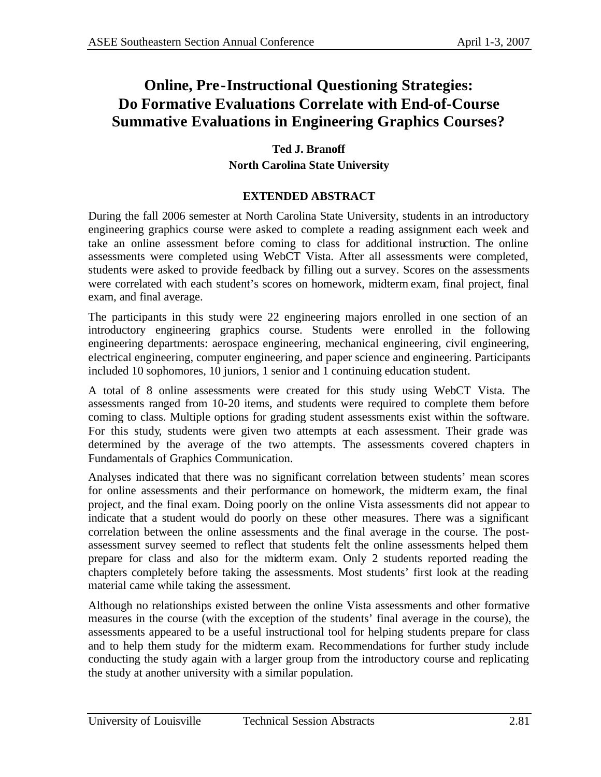# **Online, Pre-Instructional Questioning Strategies: Do Formative Evaluations Correlate with End-of-Course Summative Evaluations in Engineering Graphics Courses?**

# **Ted J. Branoff North Carolina State University**

## **EXTENDED ABSTRACT**

During the fall 2006 semester at North Carolina State University, students in an introductory engineering graphics course were asked to complete a reading assignment each week and take an online assessment before coming to class for additional instruction. The online assessments were completed using WebCT Vista. After all assessments were completed, students were asked to provide feedback by filling out a survey. Scores on the assessments were correlated with each student's scores on homework, midterm exam, final project, final exam, and final average.

The participants in this study were 22 engineering majors enrolled in one section of an introductory engineering graphics course. Students were enrolled in the following engineering departments: aerospace engineering, mechanical engineering, civil engineering, electrical engineering, computer engineering, and paper science and engineering. Participants included 10 sophomores, 10 juniors, 1 senior and 1 continuing education student.

A total of 8 online assessments were created for this study using WebCT Vista. The assessments ranged from 10-20 items, and students were required to complete them before coming to class. Multiple options for grading student assessments exist within the software. For this study, students were given two attempts at each assessment. Their grade was determined by the average of the two attempts. The assessments covered chapters in Fundamentals of Graphics Communication.

Analyses indicated that there was no significant correlation between students' mean scores for online assessments and their performance on homework, the midterm exam, the final project, and the final exam. Doing poorly on the online Vista assessments did not appear to indicate that a student would do poorly on these other measures. There was a significant correlation between the online assessments and the final average in the course. The postassessment survey seemed to reflect that students felt the online assessments helped them prepare for class and also for the midterm exam. Only 2 students reported reading the chapters completely before taking the assessments. Most students' first look at the reading material came while taking the assessment.

Although no relationships existed between the online Vista assessments and other formative measures in the course (with the exception of the students' final average in the course), the assessments appeared to be a useful instructional tool for helping students prepare for class and to help them study for the midterm exam. Recommendations for further study include conducting the study again with a larger group from the introductory course and replicating the study at another university with a similar population.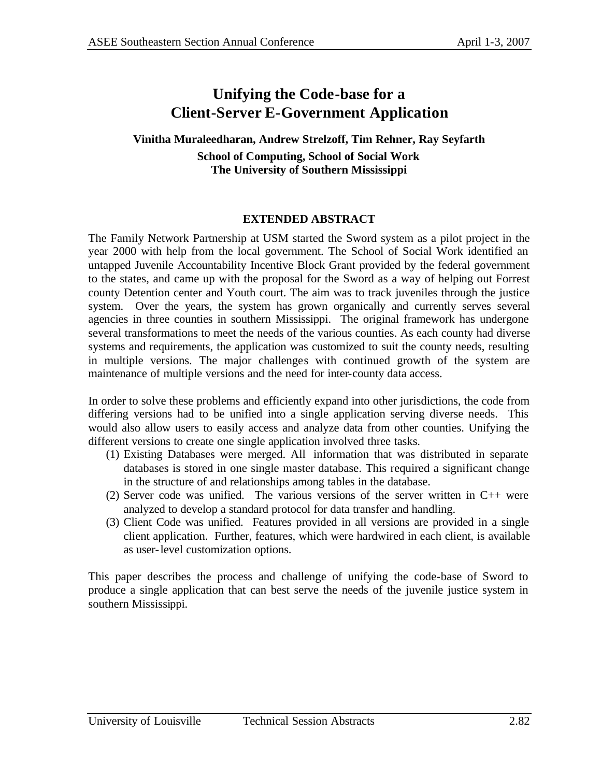# **Unifying the Code-base for a Client-Server E-Government Application**

## **Vinitha Muraleedharan, Andrew Strelzoff, Tim Rehner, Ray Seyfarth School of Computing, School of Social Work The University of Southern Mississippi**

## **EXTENDED ABSTRACT**

The Family Network Partnership at USM started the Sword system as a pilot project in the year 2000 with help from the local government. The School of Social Work identified an untapped Juvenile Accountability Incentive Block Grant provided by the federal government to the states, and came up with the proposal for the Sword as a way of helping out Forrest county Detention center and Youth court. The aim was to track juveniles through the justice system. Over the years, the system has grown organically and currently serves several agencies in three counties in southern Mississippi. The original framework has undergone several transformations to meet the needs of the various counties. As each county had diverse systems and requirements, the application was customized to suit the county needs, resulting in multiple versions. The major challenges with continued growth of the system are maintenance of multiple versions and the need for inter-county data access.

In order to solve these problems and efficiently expand into other jurisdictions, the code from differing versions had to be unified into a single application serving diverse needs. This would also allow users to easily access and analyze data from other counties. Unifying the different versions to create one single application involved three tasks.

- (1) Existing Databases were merged. All information that was distributed in separate databases is stored in one single master database. This required a significant change in the structure of and relationships among tables in the database.
- (2) Server code was unified. The various versions of the server written in C++ were analyzed to develop a standard protocol for data transfer and handling.
- (3) Client Code was unified. Features provided in all versions are provided in a single client application. Further, features, which were hardwired in each client, is available as user-level customization options.

This paper describes the process and challenge of unifying the code-base of Sword to produce a single application that can best serve the needs of the juvenile justice system in southern Mississippi.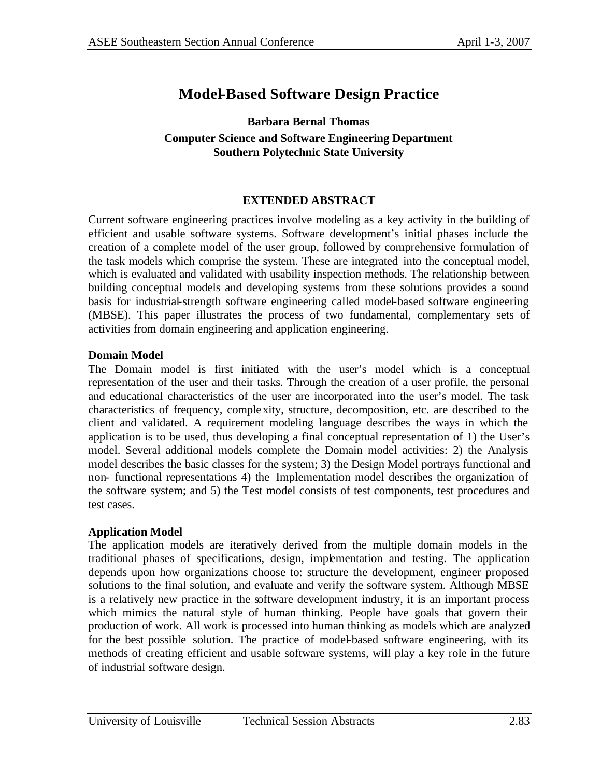# **Model-Based Software Design Practice**

### **Barbara Bernal Thomas Computer Science and Software Engineering Department Southern Polytechnic State University**

### **EXTENDED ABSTRACT**

Current software engineering practices involve modeling as a key activity in the building of efficient and usable software systems. Software development's initial phases include the creation of a complete model of the user group, followed by comprehensive formulation of the task models which comprise the system. These are integrated into the conceptual model, which is evaluated and validated with usability inspection methods. The relationship between building conceptual models and developing systems from these solutions provides a sound basis for industrial-strength software engineering called model-based software engineering (MBSE). This paper illustrates the process of two fundamental, complementary sets of activities from domain engineering and application engineering.

### **Domain Model**

The Domain model is first initiated with the user's model which is a conceptual representation of the user and their tasks. Through the creation of a user profile, the personal and educational characteristics of the user are incorporated into the user's model. The task characteristics of frequency, complexity, structure, decomposition, etc. are described to the client and validated. A requirement modeling language describes the ways in which the application is to be used, thus developing a final conceptual representation of 1) the User's model. Several additional models complete the Domain model activities: 2) the Analysis model describes the basic classes for the system; 3) the Design Model portrays functional and non- functional representations 4) the Implementation model describes the organization of the software system; and 5) the Test model consists of test components, test procedures and test cases.

#### **Application Model**

The application models are iteratively derived from the multiple domain models in the traditional phases of specifications, design, implementation and testing. The application depends upon how organizations choose to: structure the development, engineer proposed solutions to the final solution, and evaluate and verify the software system. Although MBSE is a relatively new practice in the software development industry, it is an important process which mimics the natural style of human thinking. People have goals that govern their production of work. All work is processed into human thinking as models which are analyzed for the best possible solution. The practice of model-based software engineering, with its methods of creating efficient and usable software systems, will play a key role in the future of industrial software design.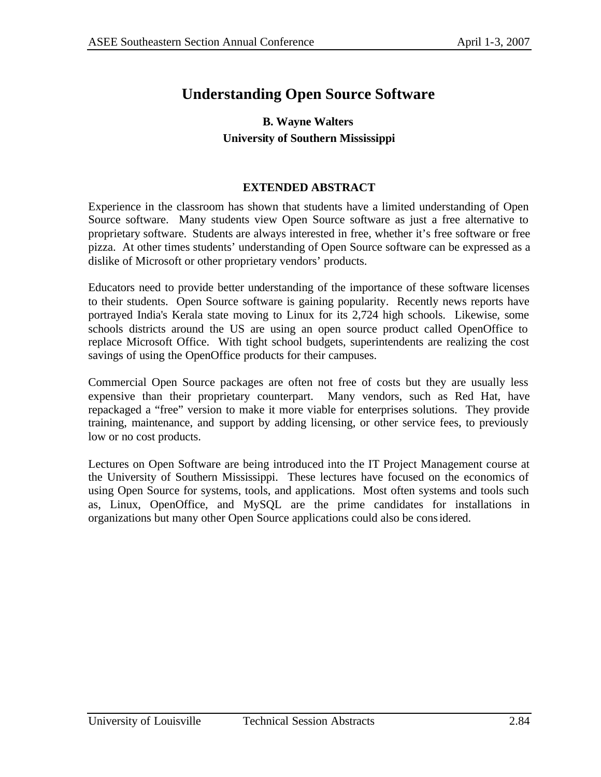# **Understanding Open Source Software**

# **B. Wayne Walters University of Southern Mississippi**

### **EXTENDED ABSTRACT**

Experience in the classroom has shown that students have a limited understanding of Open Source software. Many students view Open Source software as just a free alternative to proprietary software. Students are always interested in free, whether it's free software or free pizza. At other times students' understanding of Open Source software can be expressed as a dislike of Microsoft or other proprietary vendors' products.

Educators need to provide better understanding of the importance of these software licenses to their students. Open Source software is gaining popularity. Recently news reports have portrayed India's Kerala state moving to Linux for its 2,724 high schools. Likewise, some schools districts around the US are using an open source product called OpenOffice to replace Microsoft Office. With tight school budgets, superintendents are realizing the cost savings of using the OpenOffice products for their campuses.

Commercial Open Source packages are often not free of costs but they are usually less expensive than their proprietary counterpart. Many vendors, such as Red Hat, have repackaged a "free" version to make it more viable for enterprises solutions. They provide training, maintenance, and support by adding licensing, or other service fees, to previously low or no cost products.

Lectures on Open Software are being introduced into the IT Project Management course at the University of Southern Mississippi. These lectures have focused on the economics of using Open Source for systems, tools, and applications. Most often systems and tools such as, Linux, OpenOffice, and MySQL are the prime candidates for installations in organizations but many other Open Source applications could also be considered.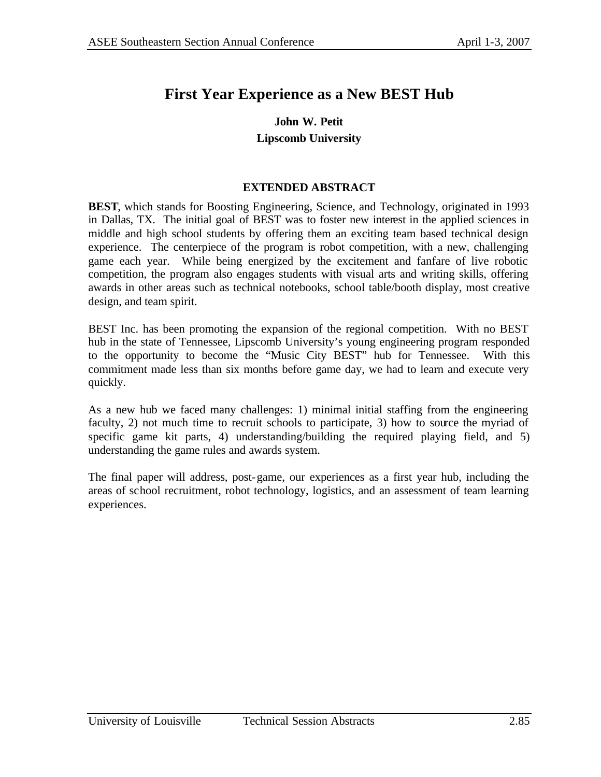# **First Year Experience as a New BEST Hub**

### **John W. Petit Lipscomb University**

### **EXTENDED ABSTRACT**

**BEST**, which stands for Boosting Engineering, Science, and Technology, originated in 1993 in Dallas, TX. The initial goal of BEST was to foster new interest in the applied sciences in middle and high school students by offering them an exciting team based technical design experience. The centerpiece of the program is robot competition, with a new, challenging game each year. While being energized by the excitement and fanfare of live robotic competition, the program also engages students with visual arts and writing skills, offering awards in other areas such as technical notebooks, school table/booth display, most creative design, and team spirit.

BEST Inc. has been promoting the expansion of the regional competition. With no BEST hub in the state of Tennessee, Lipscomb University's young engineering program responded to the opportunity to become the "Music City BEST" hub for Tennessee. With this commitment made less than six months before game day, we had to learn and execute very quickly.

As a new hub we faced many challenges: 1) minimal initial staffing from the engineering faculty, 2) not much time to recruit schools to participate, 3) how to source the myriad of specific game kit parts, 4) understanding/building the required playing field, and 5) understanding the game rules and awards system.

The final paper will address, post-game, our experiences as a first year hub, including the areas of school recruitment, robot technology, logistics, and an assessment of team learning experiences.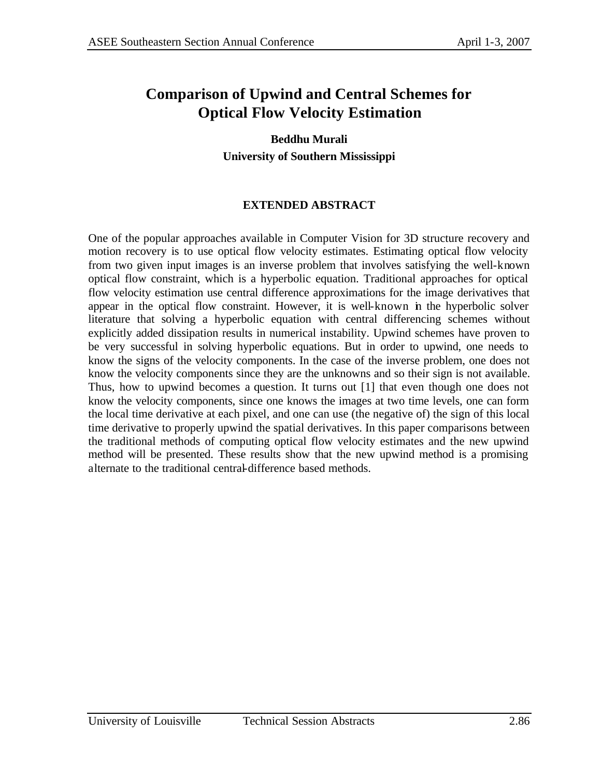# **Comparison of Upwind and Central Schemes for Optical Flow Velocity Estimation**

**Beddhu Murali University of Southern Mississippi**

# **EXTENDED ABSTRACT**

One of the popular approaches available in Computer Vision for 3D structure recovery and motion recovery is to use optical flow velocity estimates. Estimating optical flow velocity from two given input images is an inverse problem that involves satisfying the well-known optical flow constraint, which is a hyperbolic equation. Traditional approaches for optical flow velocity estimation use central difference approximations for the image derivatives that appear in the optical flow constraint. However, it is well-known in the hyperbolic solver literature that solving a hyperbolic equation with central differencing schemes without explicitly added dissipation results in numerical instability. Upwind schemes have proven to be very successful in solving hyperbolic equations. But in order to upwind, one needs to know the signs of the velocity components. In the case of the inverse problem, one does not know the velocity components since they are the unknowns and so their sign is not available. Thus, how to upwind becomes a question. It turns out [1] that even though one does not know the velocity components, since one knows the images at two time levels, one can form the local time derivative at each pixel, and one can use (the negative of) the sign of this local time derivative to properly upwind the spatial derivatives. In this paper comparisons between the traditional methods of computing optical flow velocity estimates and the new upwind method will be presented. These results show that the new upwind method is a promising alternate to the traditional central-difference based methods.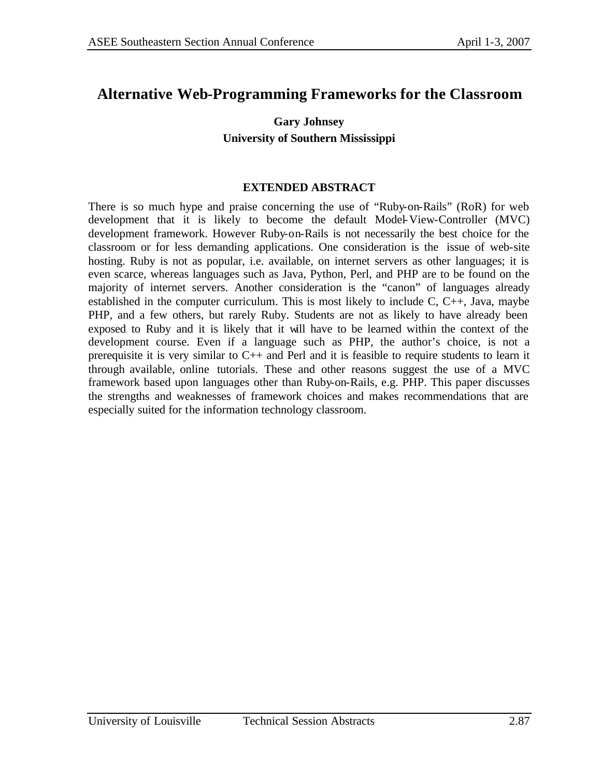# **Alternative Web-Programming Frameworks for the Classroom**

# **Gary Johnsey University of Southern Mississippi**

### **EXTENDED ABSTRACT**

There is so much hype and praise concerning the use of "Ruby-on-Rails" (RoR) for web development that it is likely to become the default Model-View-Controller (MVC) development framework. However Ruby-on-Rails is not necessarily the best choice for the classroom or for less demanding applications. One consideration is the issue of web-site hosting. Ruby is not as popular, i.e. available, on internet servers as other languages; it is even scarce, whereas languages such as Java, Python, Perl, and PHP are to be found on the majority of internet servers. Another consideration is the "canon" of languages already established in the computer curriculum. This is most likely to include  $C$ ,  $C_{++}$ , Java, maybe PHP, and a few others, but rarely Ruby. Students are not as likely to have already been exposed to Ruby and it is likely that it will have to be learned within the context of the development course. Even if a language such as PHP, the author's choice, is not a prerequisite it is very similar to C++ and Perl and it is feasible to require students to learn it through available, online tutorials. These and other reasons suggest the use of a MVC framework based upon languages other than Ruby-on-Rails, e.g. PHP. This paper discusses the strengths and weaknesses of framework choices and makes recommendations that are especially suited for the information technology classroom.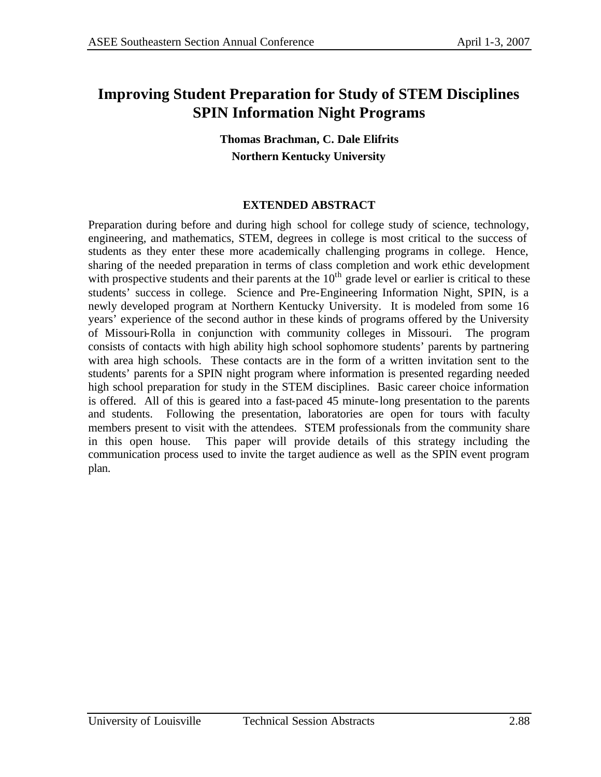# **Improving Student Preparation for Study of STEM Disciplines SPIN Information Night Programs**

**Thomas Brachman, C. Dale Elifrits Northern Kentucky University**

### **EXTENDED ABSTRACT**

Preparation during before and during high school for college study of science, technology, engineering, and mathematics, STEM, degrees in college is most critical to the success of students as they enter these more academically challenging programs in college. Hence, sharing of the needed preparation in terms of class completion and work ethic development with prospective students and their parents at the 10<sup>th</sup> grade level or earlier is critical to these students' success in college. Science and Pre-Engineering Information Night, SPIN, is a newly developed program at Northern Kentucky University. It is modeled from some 16 years' experience of the second author in these kinds of programs offered by the University of Missouri-Rolla in conjunction with community colleges in Missouri. The program consists of contacts with high ability high school sophomore students' parents by partnering with area high schools. These contacts are in the form of a written invitation sent to the students' parents for a SPIN night program where information is presented regarding needed high school preparation for study in the STEM disciplines. Basic career choice information is offered. All of this is geared into a fast-paced 45 minute-long presentation to the parents and students. Following the presentation, laboratories are open for tours with faculty members present to visit with the attendees. STEM professionals from the community share in this open house. This paper will provide details of this strategy including the communication process used to invite the target audience as well as the SPIN event program plan.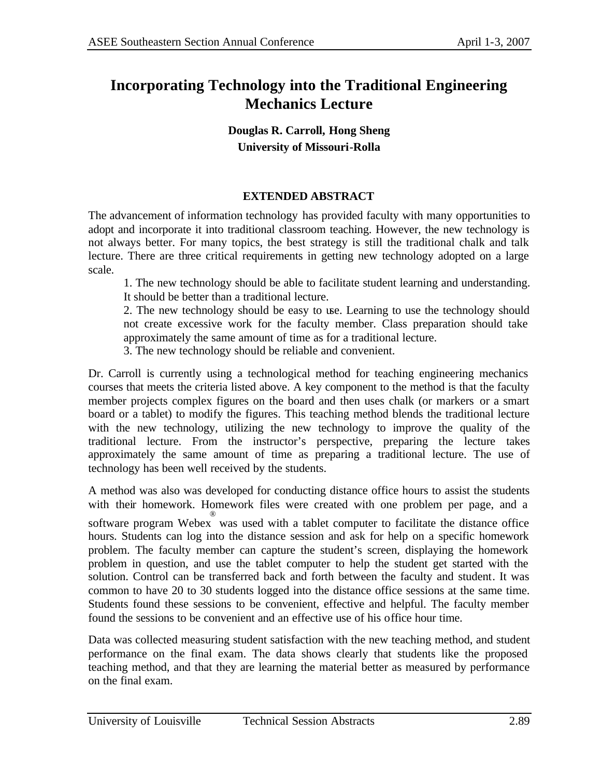# **Incorporating Technology into the Traditional Engineering Mechanics Lecture**

**Douglas R. Carroll, Hong Sheng University of Missouri-Rolla** 

## **EXTENDED ABSTRACT**

The advancement of information technology has provided faculty with many opportunities to adopt and incorporate it into traditional classroom teaching. However, the new technology is not always better. For many topics, the best strategy is still the traditional chalk and talk lecture. There are three critical requirements in getting new technology adopted on a large scale.

1. The new technology should be able to facilitate student learning and understanding. It should be better than a traditional lecture.

2. The new technology should be easy to use. Learning to use the technology should not create excessive work for the faculty member. Class preparation should take approximately the same amount of time as for a traditional lecture.

3. The new technology should be reliable and convenient.

Dr. Carroll is currently using a technological method for teaching engineering mechanics courses that meets the criteria listed above. A key component to the method is that the faculty member projects complex figures on the board and then uses chalk (or markers or a smart board or a tablet) to modify the figures. This teaching method blends the traditional lecture with the new technology, utilizing the new technology to improve the quality of the traditional lecture. From the instructor's perspective, preparing the lecture takes approximately the same amount of time as preparing a traditional lecture. The use of technology has been well received by the students.

A method was also was developed for conducting distance office hours to assist the students with their homework. Homework files were created with one problem per page, and a software program Webex ® was used with a tablet computer to facilitate the distance office hours. Students can log into the distance session and ask for help on a specific homework problem. The faculty member can capture the student's screen, displaying the homework problem in question, and use the tablet computer to help the student get started with the solution. Control can be transferred back and forth between the faculty and student. It was common to have 20 to 30 students logged into the distance office sessions at the same time. Students found these sessions to be convenient, effective and helpful. The faculty member found the sessions to be convenient and an effective use of his office hour time.

Data was collected measuring student satisfaction with the new teaching method, and student performance on the final exam. The data shows clearly that students like the proposed teaching method, and that they are learning the material better as measured by performance on the final exam.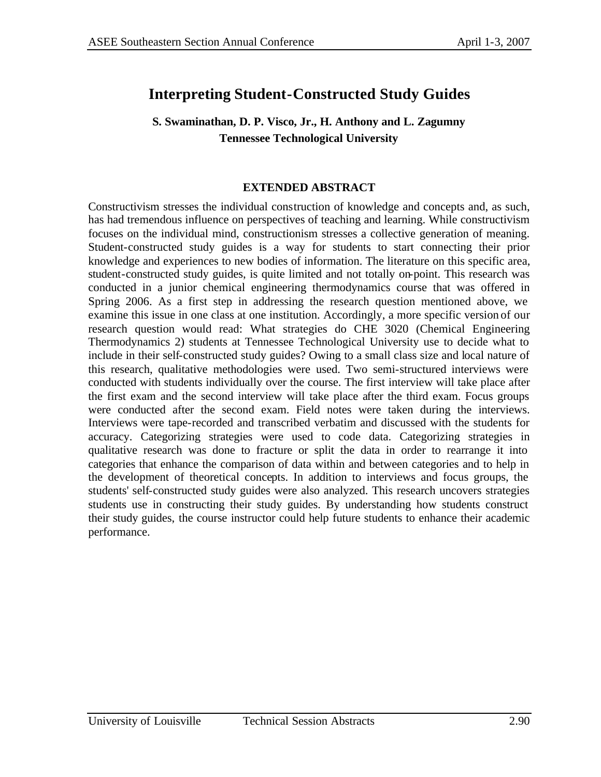# **Interpreting Student-Constructed Study Guides**

# **S. Swaminathan, D. P. Visco, Jr., H. Anthony and L. Zagumny Tennessee Technological University**

### **EXTENDED ABSTRACT**

Constructivism stresses the individual construction of knowledge and concepts and, as such, has had tremendous influence on perspectives of teaching and learning. While constructivism focuses on the individual mind, constructionism stresses a collective generation of meaning. Student-constructed study guides is a way for students to start connecting their prior knowledge and experiences to new bodies of information. The literature on this specific area, student-constructed study guides, is quite limited and not totally on-point. This research was conducted in a junior chemical engineering thermodynamics course that was offered in Spring 2006. As a first step in addressing the research question mentioned above, we examine this issue in one class at one institution. Accordingly, a more specific version of our research question would read: What strategies do CHE 3020 (Chemical Engineering Thermodynamics 2) students at Tennessee Technological University use to decide what to include in their self-constructed study guides? Owing to a small class size and local nature of this research, qualitative methodologies were used. Two semi-structured interviews were conducted with students individually over the course. The first interview will take place after the first exam and the second interview will take place after the third exam. Focus groups were conducted after the second exam. Field notes were taken during the interviews. Interviews were tape-recorded and transcribed verbatim and discussed with the students for accuracy. Categorizing strategies were used to code data. Categorizing strategies in qualitative research was done to fracture or split the data in order to rearrange it into categories that enhance the comparison of data within and between categories and to help in the development of theoretical concepts. In addition to interviews and focus groups, the students' self-constructed study guides were also analyzed. This research uncovers strategies students use in constructing their study guides. By understanding how students construct their study guides, the course instructor could help future students to enhance their academic performance.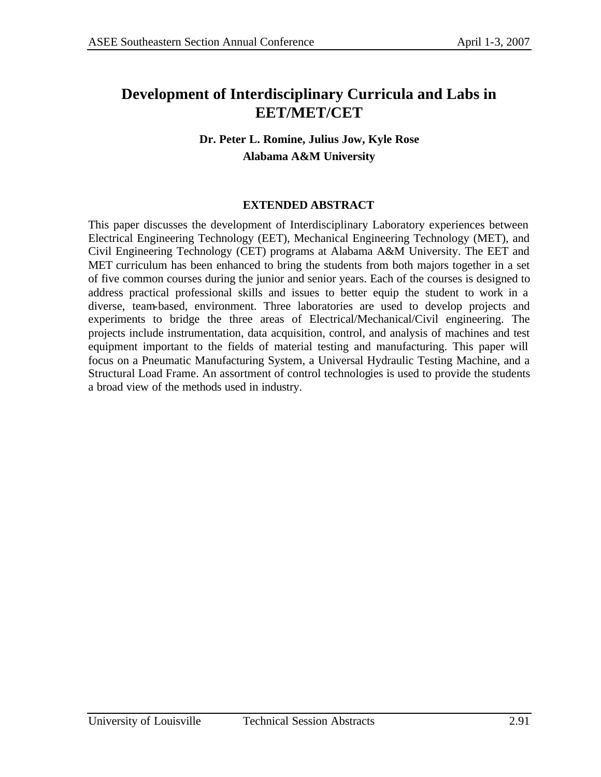# **Development of Interdisciplinary Curricula and Labs in EET/MET/CET**

# **Dr. Peter L. Romine, Julius Jow, Kyle Rose Alabama A&M University**

## **EXTENDED ABSTRACT**

This paper discusses the development of Interdisciplinary Laboratory experiences between Electrical Engineering Technology (EET), Mechanical Engineering Technology (MET), and Civil Engineering Technology (CET) programs at Alabama A&M University. The EET and MET curriculum has been enhanced to bring the students from both majors together in a set of five common courses during the junior and senior years. Each of the courses is designed to address practical professional skills and issues to better equip the student to work in a diverse, team-based, environment. Three laboratories are used to develop projects and experiments to bridge the three areas of Electrical/Mechanical/Civil engineering. The projects include instrumentation, data acquisition, control, and analysis of machines and test equipment important to the fields of material testing and manufacturing. This paper will focus on a Pneumatic Manufacturing System, a Universal Hydraulic Testing Machine, and a Structural Load Frame. An assortment of control technologies is used to provide the students a broad view of the methods used in industry.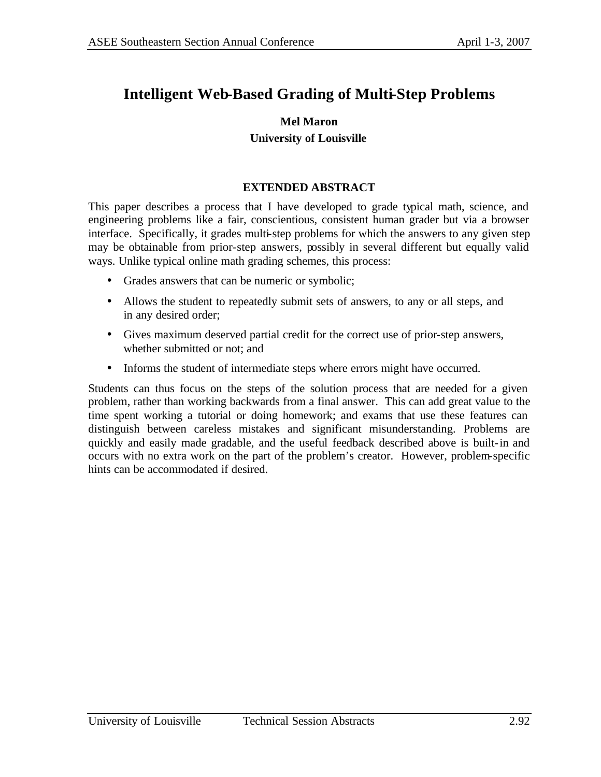# **Intelligent Web-Based Grading of Multi-Step Problems**

### **Mel Maron University of Louisville**

### **EXTENDED ABSTRACT**

This paper describes a process that I have developed to grade typical math, science, and engineering problems like a fair, conscientious, consistent human grader but via a browser interface. Specifically, it grades multi-step problems for which the answers to any given step may be obtainable from prior-step answers, possibly in several different but equally valid ways. Unlike typical online math grading schemes, this process:

- Grades answers that can be numeric or symbolic;
- Allows the student to repeatedly submit sets of answers, to any or all steps, and in any desired order;
- Gives maximum deserved partial credit for the correct use of prior-step answers, whether submitted or not; and
- Informs the student of intermediate steps where errors might have occurred.

Students can thus focus on the steps of the solution process that are needed for a given problem, rather than working backwards from a final answer. This can add great value to the time spent working a tutorial or doing homework; and exams that use these features can distinguish between careless mistakes and significant misunderstanding. Problems are quickly and easily made gradable, and the useful feedback described above is built-in and occurs with no extra work on the part of the problem's creator. However, problem-specific hints can be accommodated if desired.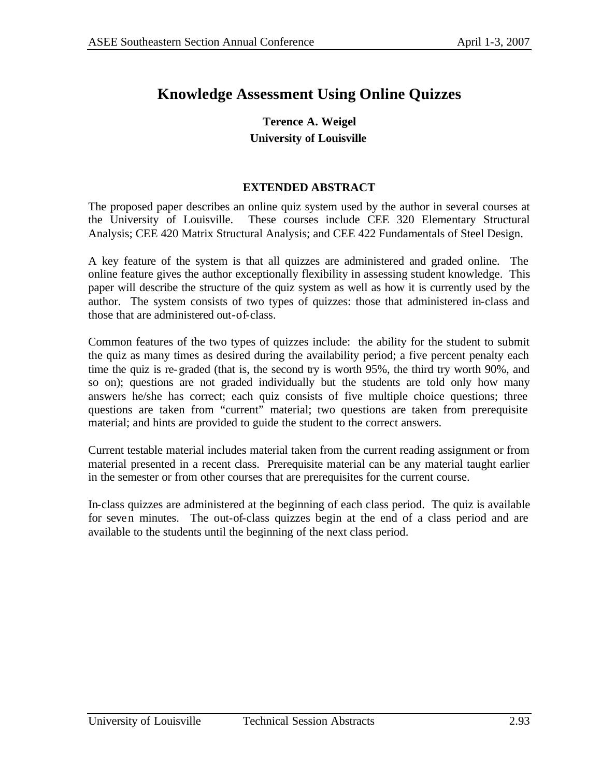# **Knowledge Assessment Using Online Quizzes**

# **Terence A. Weigel University of Louisville**

### **EXTENDED ABSTRACT**

The proposed paper describes an online quiz system used by the author in several courses at the University of Louisville. These courses include CEE 320 Elementary Structural Analysis; CEE 420 Matrix Structural Analysis; and CEE 422 Fundamentals of Steel Design.

A key feature of the system is that all quizzes are administered and graded online. The online feature gives the author exceptionally flexibility in assessing student knowledge. This paper will describe the structure of the quiz system as well as how it is currently used by the author. The system consists of two types of quizzes: those that administered in-class and those that are administered out-of-class.

Common features of the two types of quizzes include: the ability for the student to submit the quiz as many times as desired during the availability period; a five percent penalty each time the quiz is re-graded (that is, the second try is worth 95%, the third try worth 90%, and so on); questions are not graded individually but the students are told only how many answers he/she has correct; each quiz consists of five multiple choice questions; three questions are taken from "current" material; two questions are taken from prerequisite material; and hints are provided to guide the student to the correct answers.

Current testable material includes material taken from the current reading assignment or from material presented in a recent class. Prerequisite material can be any material taught earlier in the semester or from other courses that are prerequisites for the current course.

In-class quizzes are administered at the beginning of each class period. The quiz is available for seven minutes. The out-of-class quizzes begin at the end of a class period and are available to the students until the beginning of the next class period.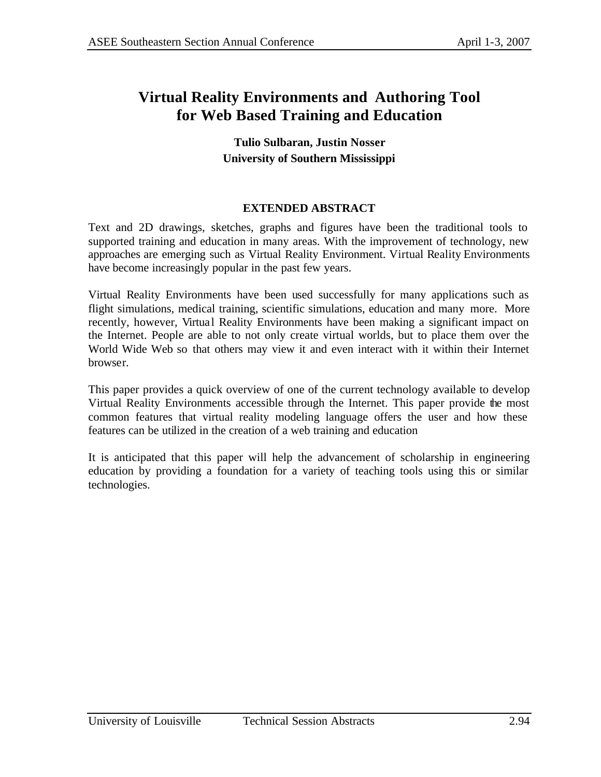# **Virtual Reality Environments and Authoring Tool for Web Based Training and Education**

## **Tulio Sulbaran, Justin Nosser University of Southern Mississippi**

## **EXTENDED ABSTRACT**

Text and 2D drawings, sketches, graphs and figures have been the traditional tools to supported training and education in many areas. With the improvement of technology, new approaches are emerging such as Virtual Reality Environment. Virtual Reality Environments have become increasingly popular in the past few years.

Virtual Reality Environments have been used successfully for many applications such as flight simulations, medical training, scientific simulations, education and many more. More recently, however, Virtual Reality Environments have been making a significant impact on the Internet. People are able to not only create virtual worlds, but to place them over the World Wide Web so that others may view it and even interact with it within their Internet browser.

This paper provides a quick overview of one of the current technology available to develop Virtual Reality Environments accessible through the Internet. This paper provide the most common features that virtual reality modeling language offers the user and how these features can be utilized in the creation of a web training and education

It is anticipated that this paper will help the advancement of scholarship in engineering education by providing a foundation for a variety of teaching tools using this or similar technologies.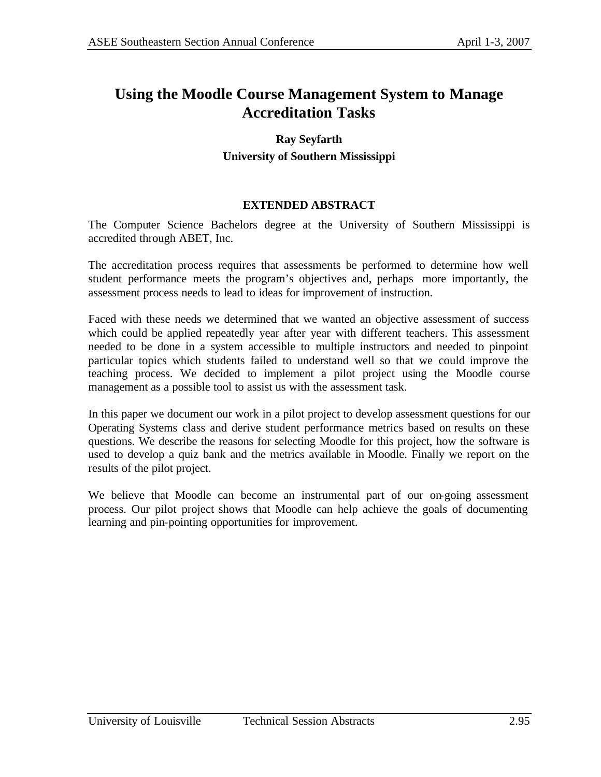# **Using the Moodle Course Management System to Manage Accreditation Tasks**

# **Ray Seyfarth University of Southern Mississippi**

### **EXTENDED ABSTRACT**

The Computer Science Bachelors degree at the University of Southern Mississippi is accredited through ABET, Inc.

The accreditation process requires that assessments be performed to determine how well student performance meets the program's objectives and, perhaps more importantly, the assessment process needs to lead to ideas for improvement of instruction.

Faced with these needs we determined that we wanted an objective assessment of success which could be applied repeatedly year after year with different teachers. This assessment needed to be done in a system accessible to multiple instructors and needed to pinpoint particular topics which students failed to understand well so that we could improve the teaching process. We decided to implement a pilot project using the Moodle course management as a possible tool to assist us with the assessment task.

In this paper we document our work in a pilot project to develop assessment questions for our Operating Systems class and derive student performance metrics based on results on these questions. We describe the reasons for selecting Moodle for this project, how the software is used to develop a quiz bank and the metrics available in Moodle. Finally we report on the results of the pilot project.

We believe that Moodle can become an instrumental part of our on-going assessment process. Our pilot project shows that Moodle can help achieve the goals of documenting learning and pin-pointing opportunities for improvement.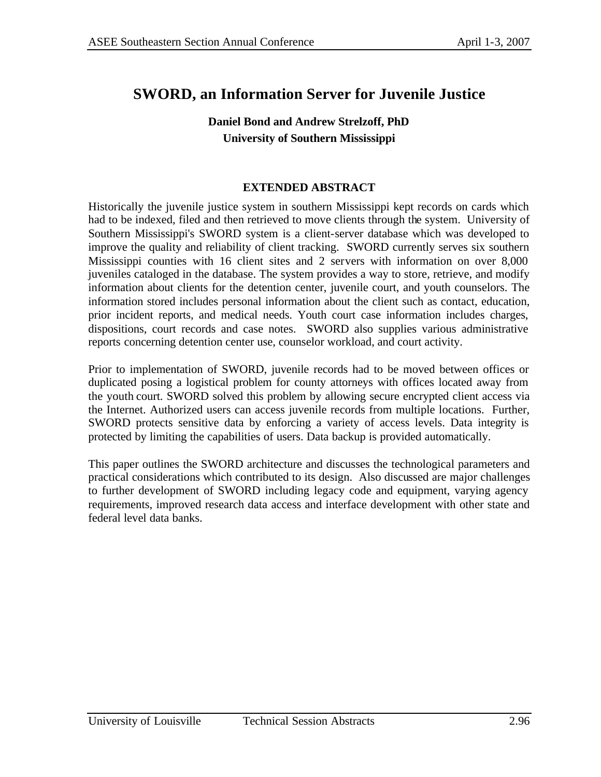# **SWORD, an Information Server for Juvenile Justice**

# **Daniel Bond and Andrew Strelzoff, PhD University of Southern Mississippi**

### **EXTENDED ABSTRACT**

Historically the juvenile justice system in southern Mississippi kept records on cards which had to be indexed, filed and then retrieved to move clients through the system. University of Southern Mississippi's SWORD system is a client-server database which was developed to improve the quality and reliability of client tracking. SWORD currently serves six southern Mississippi counties with 16 client sites and 2 servers with information on over 8,000 juveniles cataloged in the database. The system provides a way to store, retrieve, and modify information about clients for the detention center, juvenile court, and youth counselors. The information stored includes personal information about the client such as contact, education, prior incident reports, and medical needs. Youth court case information includes charges, dispositions, court records and case notes. SWORD also supplies various administrative reports concerning detention center use, counselor workload, and court activity.

Prior to implementation of SWORD, juvenile records had to be moved between offices or duplicated posing a logistical problem for county attorneys with offices located away from the youth court. SWORD solved this problem by allowing secure encrypted client access via the Internet. Authorized users can access juvenile records from multiple locations. Further, SWORD protects sensitive data by enforcing a variety of access levels. Data integrity is protected by limiting the capabilities of users. Data backup is provided automatically.

This paper outlines the SWORD architecture and discusses the technological parameters and practical considerations which contributed to its design. Also discussed are major challenges to further development of SWORD including legacy code and equipment, varying agency requirements, improved research data access and interface development with other state and federal level data banks.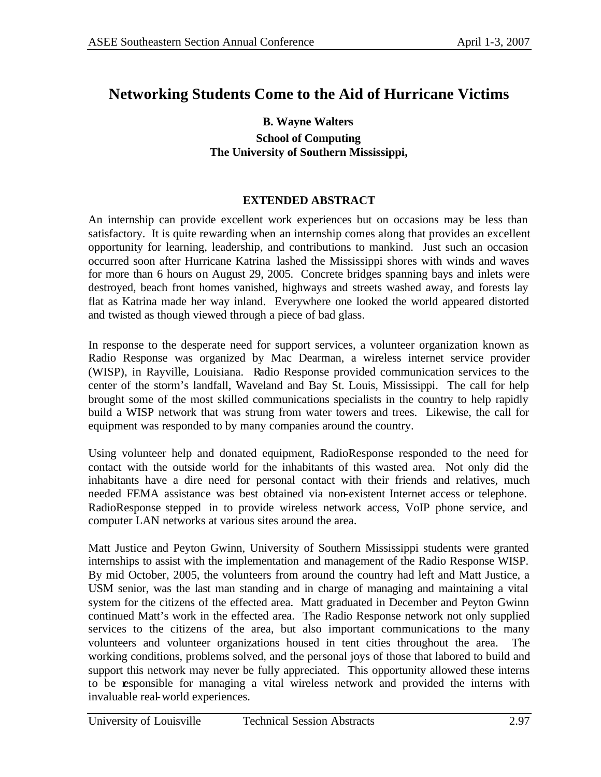# **Networking Students Come to the Aid of Hurricane Victims**

### **B. Wayne Walters School of Computing The University of Southern Mississippi,**

### **EXTENDED ABSTRACT**

An internship can provide excellent work experiences but on occasions may be less than satisfactory. It is quite rewarding when an internship comes along that provides an excellent opportunity for learning, leadership, and contributions to mankind. Just such an occasion occurred soon after Hurricane Katrina lashed the Mississippi shores with winds and waves for more than 6 hours on August 29, 2005. Concrete bridges spanning bays and inlets were destroyed, beach front homes vanished, highways and streets washed away, and forests lay flat as Katrina made her way inland. Everywhere one looked the world appeared distorted and twisted as though viewed through a piece of bad glass.

In response to the desperate need for support services, a volunteer organization known as Radio Response was organized by Mac Dearman, a wireless internet service provider (WISP), in Rayville, Louisiana. Radio Response provided communication services to the center of the storm's landfall, Waveland and Bay St. Louis, Mississippi. The call for help brought some of the most skilled communications specialists in the country to help rapidly build a WISP network that was strung from water towers and trees. Likewise, the call for equipment was responded to by many companies around the country.

Using volunteer help and donated equipment, RadioResponse responded to the need for contact with the outside world for the inhabitants of this wasted area. Not only did the inhabitants have a dire need for personal contact with their friends and relatives, much needed FEMA assistance was best obtained via non-existent Internet access or telephone. RadioResponse stepped in to provide wireless network access, VoIP phone service, and computer LAN networks at various sites around the area.

Matt Justice and Peyton Gwinn, University of Southern Mississippi students were granted internships to assist with the implementation and management of the Radio Response WISP. By mid October, 2005, the volunteers from around the country had left and Matt Justice, a USM senior, was the last man standing and in charge of managing and maintaining a vital system for the citizens of the effected area. Matt graduated in December and Peyton Gwinn continued Matt's work in the effected area. The Radio Response network not only supplied services to the citizens of the area, but also important communications to the many volunteers and volunteer organizations housed in tent cities throughout the area. The working conditions, problems solved, and the personal joys of those that labored to build and support this network may never be fully appreciated. This opportunity allowed these interns to be responsible for managing a vital wireless network and provided the interns with invaluable real-world experiences.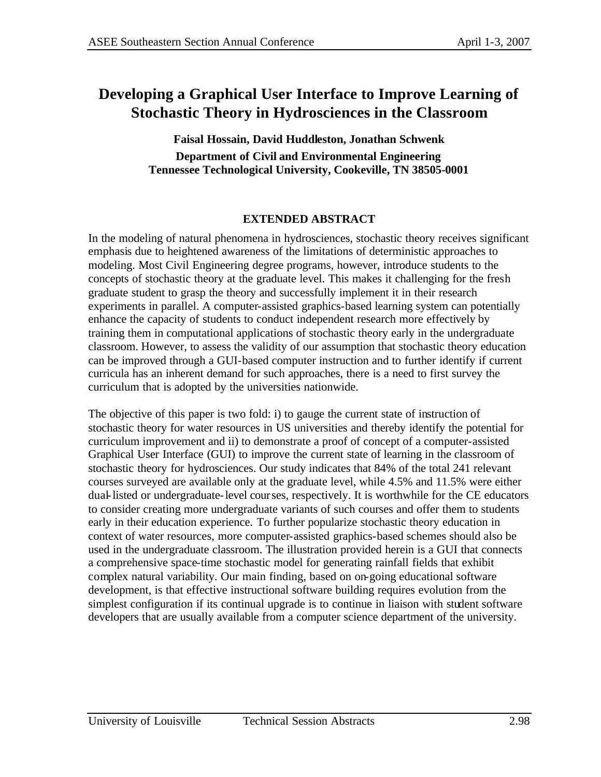# **Developing a Graphical User Interface to Improve Learning of Stochastic Theory in Hydrosciences in the Classroom**

**Faisal Hossain, David Huddleston, Jonathan Schwenk Department of Civil and Environmental Engineering Tennessee Technological University, Cookeville, TN 38505-0001**

## **EXTENDED ABSTRACT**

In the modeling of natural phenomena in hydrosciences, stochastic theory receives significant emphasis due to heightened awareness of the limitations of deterministic approaches to modeling. Most Civil Engineering degree programs, however, introduce students to the concepts of stochastic theory at the graduate level. This makes it challenging for the fresh graduate student to grasp the theory and successfully implement it in their research experiments in parallel. A computer-assisted graphics-based learning system can potentially enhance the capacity of students to conduct independent research more effectively by training them in computational applications of stochastic theory early in the undergraduate classroom. However, to assess the validity of our assumption that stochastic theory education can be improved through a GUI-based computer instruction and to further identify if current curricula has an inherent demand for such approaches, there is a need to first survey the curriculum that is adopted by the universities nationwide.

The objective of this paper is two fold: i) to gauge the current state of instruction of stochastic theory for water resources in US universities and thereby identify the potential for curriculum improvement and ii) to demonstrate a proof of concept of a computer-assisted Graphical User Interface (GUI) to improve the current state of learning in the classroom of stochastic theory for hydrosciences. Our study indicates that 84% of the total 241 relevant courses surveyed are available only at the graduate level, while 4.5% and 11.5% were either dual-listed or undergraduate-level courses, respectively. It is worthwhile for the CE educators to consider creating more undergraduate variants of such courses and offer them to students early in their education experience. To further popularize stochastic theory education in context of water resources, more computer-assisted graphics-based schemes should also be used in the undergraduate classroom. The illustration provided herein is a GUI that connects a comprehensive space-time stochastic model for generating rainfall fields that exhibit complex natural variability. Our main finding, based on on-going educational software development, is that effective instructional software building requires evolution from the simplest configuration if its continual upgrade is to continue in liaison with student software developers that are usually available from a computer science department of the university.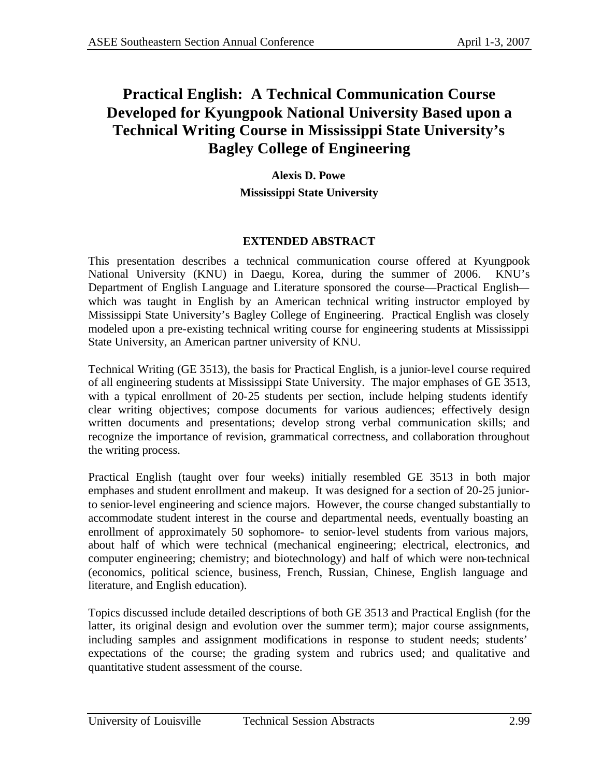# **Practical English: A Technical Communication Course Developed for Kyungpook National University Based upon a Technical Writing Course in Mississippi State University's Bagley College of Engineering**

**Alexis D. Powe Mississippi State University**

## **EXTENDED ABSTRACT**

This presentation describes a technical communication course offered at Kyungpook National University (KNU) in Daegu, Korea, during the summer of 2006. KNU's Department of English Language and Literature sponsored the course—Practical English which was taught in English by an American technical writing instructor employed by Mississippi State University's Bagley College of Engineering. Practical English was closely modeled upon a pre-existing technical writing course for engineering students at Mississippi State University, an American partner university of KNU.

Technical Writing (GE 3513), the basis for Practical English, is a junior-level course required of all engineering students at Mississippi State University. The major emphases of GE 3513, with a typical enrollment of 20-25 students per section, include helping students identify clear writing objectives; compose documents for various audiences; effectively design written documents and presentations; develop strong verbal communication skills; and recognize the importance of revision, grammatical correctness, and collaboration throughout the writing process.

Practical English (taught over four weeks) initially resembled GE 3513 in both major emphases and student enrollment and makeup. It was designed for a section of 20-25 juniorto senior-level engineering and science majors. However, the course changed substantially to accommodate student interest in the course and departmental needs, eventually boasting an enrollment of approximately 50 sophomore- to senior-level students from various majors, about half of which were technical (mechanical engineering; electrical, electronics, and computer engineering; chemistry; and biotechnology) and half of which were non-technical (economics, political science, business, French, Russian, Chinese, English language and literature, and English education).

Topics discussed include detailed descriptions of both GE 3513 and Practical English (for the latter, its original design and evolution over the summer term); major course assignments, including samples and assignment modifications in response to student needs; students' expectations of the course; the grading system and rubrics used; and qualitative and quantitative student assessment of the course.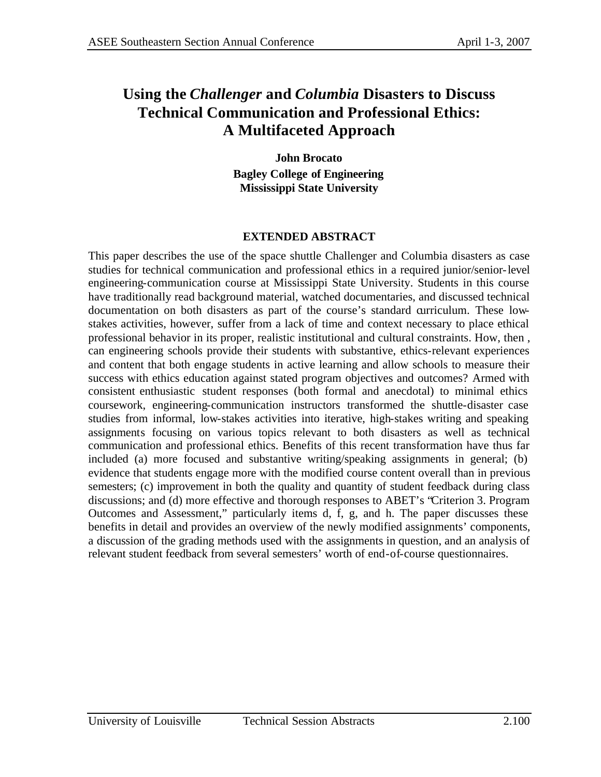# **Using the** *Challenger* **and** *Columbia* **Disasters to Discuss Technical Communication and Professional Ethics: A Multifaceted Approach**

**John Brocato Bagley College of Engineering Mississippi State University**

### **EXTENDED ABSTRACT**

This paper describes the use of the space shuttle Challenger and Columbia disasters as case studies for technical communication and professional ethics in a required junior/senior-level engineering-communication course at Mississippi State University. Students in this course have traditionally read background material, watched documentaries, and discussed technical documentation on both disasters as part of the course's standard curriculum. These lowstakes activities, however, suffer from a lack of time and context necessary to place ethical professional behavior in its proper, realistic institutional and cultural constraints. How, then , can engineering schools provide their students with substantive, ethics-relevant experiences and content that both engage students in active learning and allow schools to measure their success with ethics education against stated program objectives and outcomes? Armed with consistent enthusiastic student responses (both formal and anecdotal) to minimal ethics coursework, engineering-communication instructors transformed the shuttle-disaster case studies from informal, low-stakes activities into iterative, high-stakes writing and speaking assignments focusing on various topics relevant to both disasters as well as technical communication and professional ethics. Benefits of this recent transformation have thus far included (a) more focused and substantive writing/speaking assignments in general; (b) evidence that students engage more with the modified course content overall than in previous semesters; (c) improvement in both the quality and quantity of student feedback during class discussions; and (d) more effective and thorough responses to ABET's "Criterion 3. Program Outcomes and Assessment," particularly items d, f, g, and h. The paper discusses these benefits in detail and provides an overview of the newly modified assignments' components, a discussion of the grading methods used with the assignments in question, and an analysis of relevant student feedback from several semesters' worth of end-of-course questionnaires.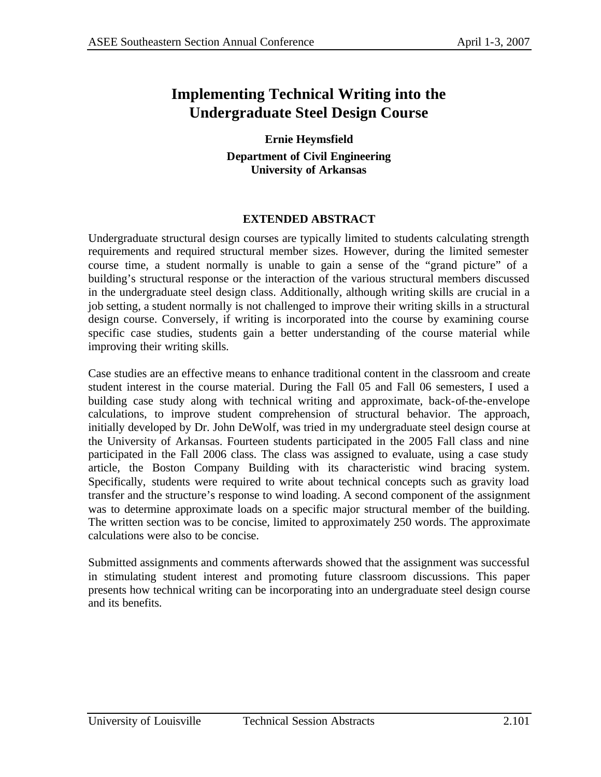# **Implementing Technical Writing into the Undergraduate Steel Design Course**

**Ernie Heymsfield Department of Civil Engineering University of Arkansas**

## **EXTENDED ABSTRACT**

Undergraduate structural design courses are typically limited to students calculating strength requirements and required structural member sizes. However, during the limited semester course time, a student normally is unable to gain a sense of the "grand picture" of a building's structural response or the interaction of the various structural members discussed in the undergraduate steel design class. Additionally, although writing skills are crucial in a job setting, a student normally is not challenged to improve their writing skills in a structural design course. Conversely, if writing is incorporated into the course by examining course specific case studies, students gain a better understanding of the course material while improving their writing skills.

Case studies are an effective means to enhance traditional content in the classroom and create student interest in the course material. During the Fall 05 and Fall 06 semesters, I used a building case study along with technical writing and approximate, back-of-the-envelope calculations, to improve student comprehension of structural behavior. The approach, initially developed by Dr. John DeWolf, was tried in my undergraduate steel design course at the University of Arkansas. Fourteen students participated in the 2005 Fall class and nine participated in the Fall 2006 class. The class was assigned to evaluate, using a case study article, the Boston Company Building with its characteristic wind bracing system. Specifically, students were required to write about technical concepts such as gravity load transfer and the structure's response to wind loading. A second component of the assignment was to determine approximate loads on a specific major structural member of the building. The written section was to be concise, limited to approximately 250 words. The approximate calculations were also to be concise.

Submitted assignments and comments afterwards showed that the assignment was successful in stimulating student interest and promoting future classroom discussions. This paper presents how technical writing can be incorporating into an undergraduate steel design course and its benefits.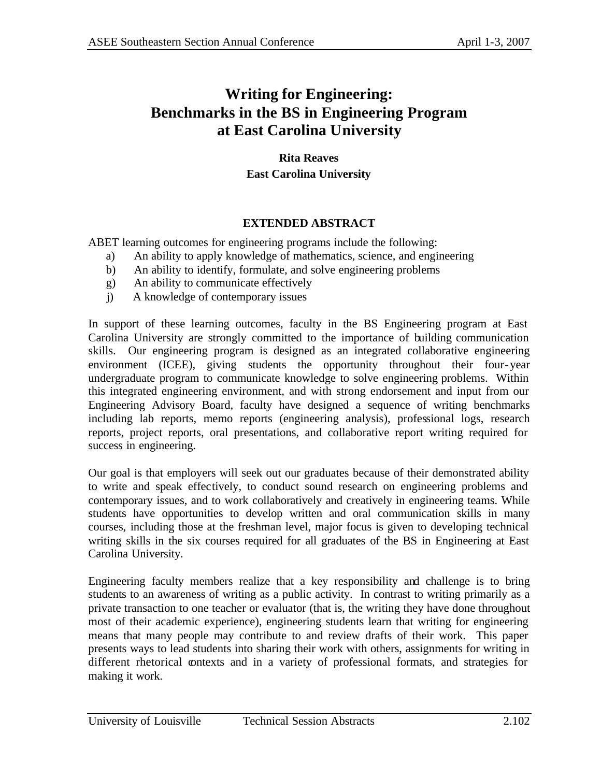# **Writing for Engineering: Benchmarks in the BS in Engineering Program at East Carolina University**

**Rita Reaves East Carolina University**

## **EXTENDED ABSTRACT**

ABET learning outcomes for engineering programs include the following:

- a) An ability to apply knowledge of mathematics, science, and engineering
- b) An ability to identify, formulate, and solve engineering problems
- g) An ability to communicate effectively
- j) A knowledge of contemporary issues

In support of these learning outcomes, faculty in the BS Engineering program at East Carolina University are strongly committed to the importance of building communication skills. Our engineering program is designed as an integrated collaborative engineering environment (ICEE), giving students the opportunity throughout their four-year undergraduate program to communicate knowledge to solve engineering problems. Within this integrated engineering environment, and with strong endorsement and input from our Engineering Advisory Board, faculty have designed a sequence of writing benchmarks including lab reports, memo reports (engineering analysis), professional logs, research reports, project reports, oral presentations, and collaborative report writing required for success in engineering.

Our goal is that employers will seek out our graduates because of their demonstrated ability to write and speak effectively, to conduct sound research on engineering problems and contemporary issues, and to work collaboratively and creatively in engineering teams. While students have opportunities to develop written and oral communication skills in many courses, including those at the freshman level, major focus is given to developing technical writing skills in the six courses required for all graduates of the BS in Engineering at East Carolina University.

Engineering faculty members realize that a key responsibility and challenge is to bring students to an awareness of writing as a public activity. In contrast to writing primarily as a private transaction to one teacher or evaluator (that is, the writing they have done throughout most of their academic experience), engineering students learn that writing for engineering means that many people may contribute to and review drafts of their work. This paper presents ways to lead students into sharing their work with others, assignments for writing in different rhetorical contexts and in a variety of professional formats, and strategies for making it work.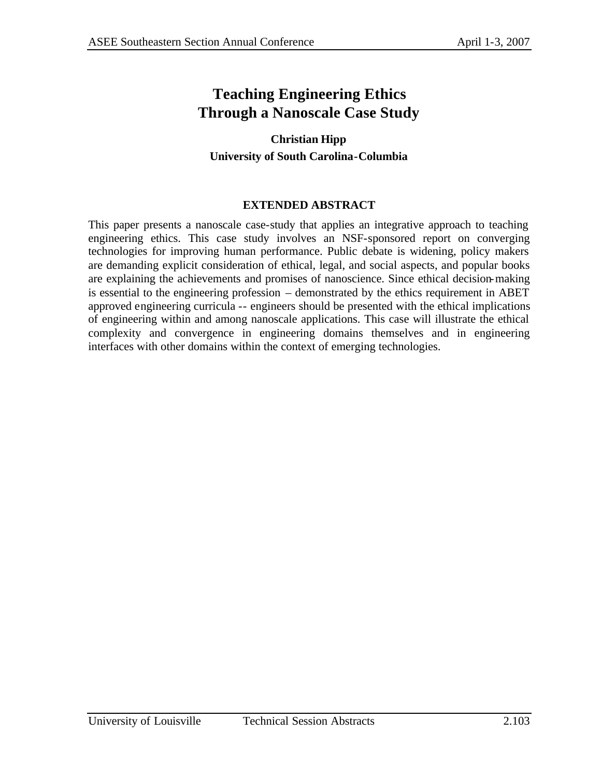# **Teaching Engineering Ethics Through a Nanoscale Case Study**

# **Christian Hipp University of South Carolina-Columbia**

## **EXTENDED ABSTRACT**

This paper presents a nanoscale case-study that applies an integrative approach to teaching engineering ethics. This case study involves an NSF-sponsored report on converging technologies for improving human performance. Public debate is widening, policy makers are demanding explicit consideration of ethical, legal, and social aspects, and popular books are explaining the achievements and promises of nanoscience. Since ethical decision-making is essential to the engineering profession – demonstrated by the ethics requirement in ABET approved engineering curricula -- engineers should be presented with the ethical implications of engineering within and among nanoscale applications. This case will illustrate the ethical complexity and convergence in engineering domains themselves and in engineering interfaces with other domains within the context of emerging technologies.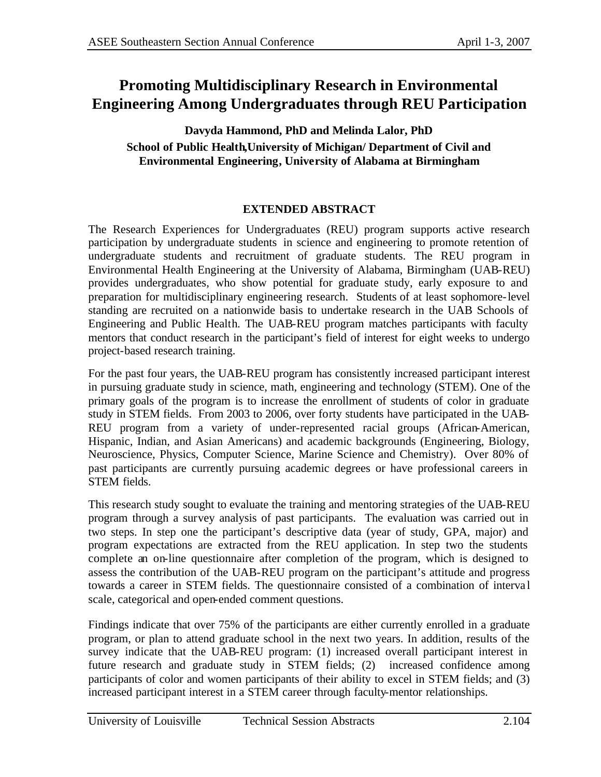# **Promoting Multidisciplinary Research in Environmental Engineering Among Undergraduates through REU Participation**

## **Davyda Hammond, PhD and Melinda Lalor, PhD School of Public Health,University of Michigan/ Department of Civil and Environmental Engineering, University of Alabama at Birmingham**

## **EXTENDED ABSTRACT**

The Research Experiences for Undergraduates (REU) program supports active research participation by undergraduate students in science and engineering to promote retention of undergraduate students and recruitment of graduate students. The REU program in Environmental Health Engineering at the University of Alabama, Birmingham (UAB-REU) provides undergraduates, who show potential for graduate study, early exposure to and preparation for multidisciplinary engineering research. Students of at least sophomore-level standing are recruited on a nationwide basis to undertake research in the UAB Schools of Engineering and Public Health. The UAB-REU program matches participants with faculty mentors that conduct research in the participant's field of interest for eight weeks to undergo project-based research training.

For the past four years, the UAB-REU program has consistently increased participant interest in pursuing graduate study in science, math, engineering and technology (STEM). One of the primary goals of the program is to increase the enrollment of students of color in graduate study in STEM fields. From 2003 to 2006, over forty students have participated in the UAB-REU program from a variety of under-represented racial groups (African-American, Hispanic, Indian, and Asian Americans) and academic backgrounds (Engineering, Biology, Neuroscience, Physics, Computer Science, Marine Science and Chemistry). Over 80% of past participants are currently pursuing academic degrees or have professional careers in STEM fields.

This research study sought to evaluate the training and mentoring strategies of the UAB-REU program through a survey analysis of past participants. The evaluation was carried out in two steps. In step one the participant's descriptive data (year of study, GPA, major) and program expectations are extracted from the REU application. In step two the students complete an on-line questionnaire after completion of the program, which is designed to assess the contribution of the UAB-REU program on the participant's attitude and progress towards a career in STEM fields. The questionnaire consisted of a combination of interva l scale, categorical and open-ended comment questions.

Findings indicate that over 75% of the participants are either currently enrolled in a graduate program, or plan to attend graduate school in the next two years. In addition, results of the survey indicate that the UAB-REU program: (1) increased overall participant interest in future research and graduate study in STEM fields; (2) increased confidence among participants of color and women participants of their ability to excel in STEM fields; and (3) increased participant interest in a STEM career through faculty-mentor relationships.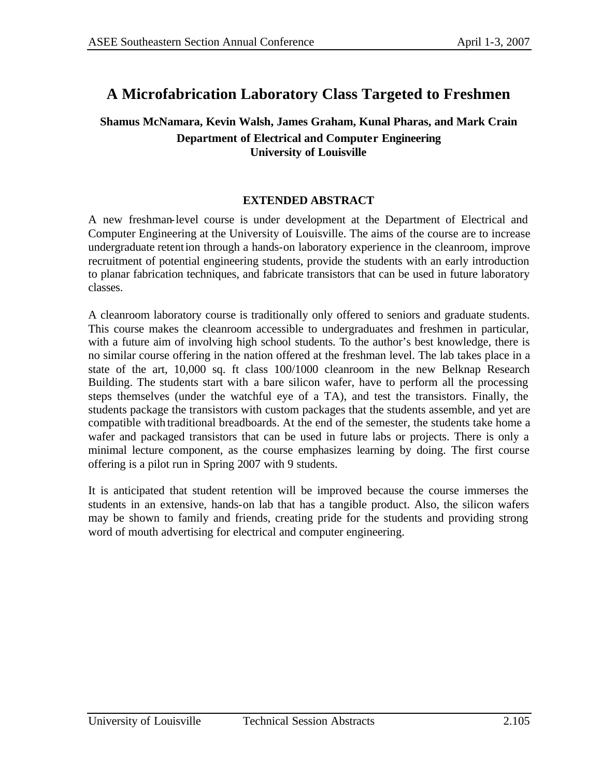# **A Microfabrication Laboratory Class Targeted to Freshmen**

## **Shamus McNamara, Kevin Walsh, James Graham, Kunal Pharas, and Mark Crain Department of Electrical and Computer Engineering University of Louisville**

### **EXTENDED ABSTRACT**

A new freshman-level course is under development at the Department of Electrical and Computer Engineering at the University of Louisville. The aims of the course are to increase undergraduate retention through a hands-on laboratory experience in the cleanroom, improve recruitment of potential engineering students, provide the students with an early introduction to planar fabrication techniques, and fabricate transistors that can be used in future laboratory classes.

A cleanroom laboratory course is traditionally only offered to seniors and graduate students. This course makes the cleanroom accessible to undergraduates and freshmen in particular, with a future aim of involving high school students. To the author's best knowledge, there is no similar course offering in the nation offered at the freshman level. The lab takes place in a state of the art, 10,000 sq. ft class 100/1000 cleanroom in the new Belknap Research Building. The students start with a bare silicon wafer, have to perform all the processing steps themselves (under the watchful eye of a TA), and test the transistors. Finally, the students package the transistors with custom packages that the students assemble, and yet are compatible with traditional breadboards. At the end of the semester, the students take home a wafer and packaged transistors that can be used in future labs or projects. There is only a minimal lecture component, as the course emphasizes learning by doing. The first course offering is a pilot run in Spring 2007 with 9 students.

It is anticipated that student retention will be improved because the course immerses the students in an extensive, hands-on lab that has a tangible product. Also, the silicon wafers may be shown to family and friends, creating pride for the students and providing strong word of mouth advertising for electrical and computer engineering.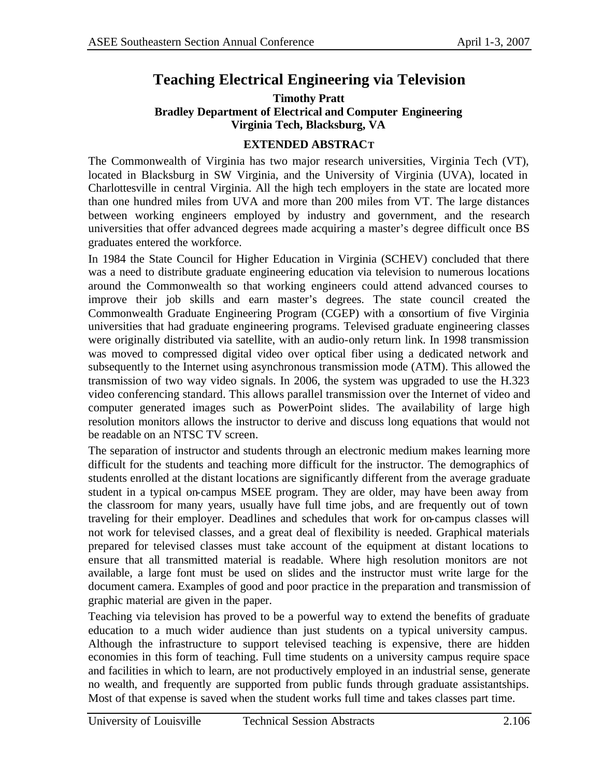# **Teaching Electrical Engineering via Television**

### **Timothy Pratt Bradley Department of Electrical and Computer Engineering Virginia Tech, Blacksburg, VA**

### **EXTENDED ABSTRACT**

The Commonwealth of Virginia has two major research universities, Virginia Tech (VT), located in Blacksburg in SW Virginia, and the University of Virginia (UVA), located in Charlottesville in central Virginia. All the high tech employers in the state are located more than one hundred miles from UVA and more than 200 miles from VT. The large distances between working engineers employed by industry and government, and the research universities that offer advanced degrees made acquiring a master's degree difficult once BS graduates entered the workforce.

In 1984 the State Council for Higher Education in Virginia (SCHEV) concluded that there was a need to distribute graduate engineering education via television to numerous locations around the Commonwealth so that working engineers could attend advanced courses to improve their job skills and earn master's degrees. The state council created the Commonwealth Graduate Engineering Program (CGEP) with a consortium of five Virginia universities that had graduate engineering programs. Televised graduate engineering classes were originally distributed via satellite, with an audio-only return link. In 1998 transmission was moved to compressed digital video over optical fiber using a dedicated network and subsequently to the Internet using asynchronous transmission mode (ATM). This allowed the transmission of two way video signals. In 2006, the system was upgraded to use the H.323 video conferencing standard. This allows parallel transmission over the Internet of video and computer generated images such as PowerPoint slides. The availability of large high resolution monitors allows the instructor to derive and discuss long equations that would not be readable on an NTSC TV screen.

The separation of instructor and students through an electronic medium makes learning more difficult for the students and teaching more difficult for the instructor. The demographics of students enrolled at the distant locations are significantly different from the average graduate student in a typical on-campus MSEE program. They are older, may have been away from the classroom for many years, usually have full time jobs, and are frequently out of town traveling for their employer. Deadlines and schedules that work for on-campus classes will not work for televised classes, and a great deal of flexibility is needed. Graphical materials prepared for televised classes must take account of the equipment at distant locations to ensure that all transmitted material is readable. Where high resolution monitors are not available, a large font must be used on slides and the instructor must write large for the document camera. Examples of good and poor practice in the preparation and transmission of graphic material are given in the paper.

Teaching via television has proved to be a powerful way to extend the benefits of graduate education to a much wider audience than just students on a typical university campus. Although the infrastructure to support televised teaching is expensive, there are hidden economies in this form of teaching. Full time students on a university campus require space and facilities in which to learn, are not productively employed in an industrial sense, generate no wealth, and frequently are supported from public funds through graduate assistantships. Most of that expense is saved when the student works full time and takes classes part time.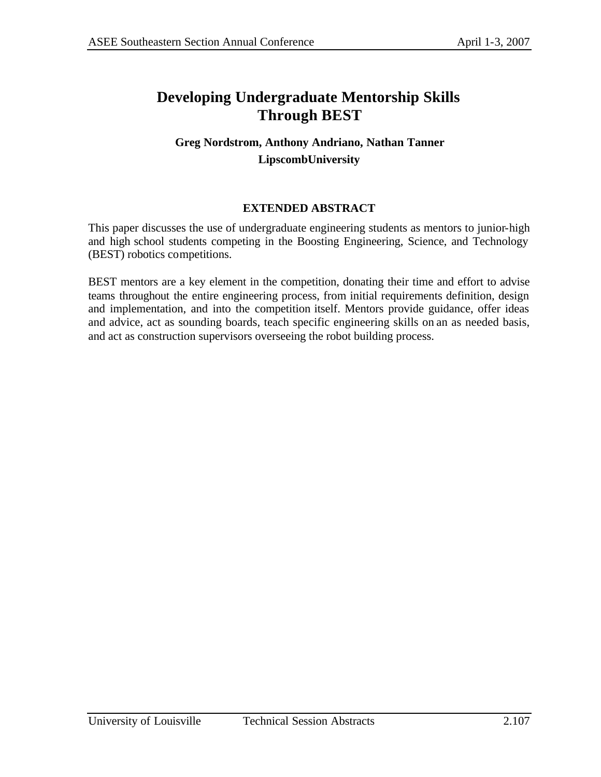# **Developing Undergraduate Mentorship Skills Through BEST**

# **Greg Nordstrom, Anthony Andriano, Nathan Tanner LipscombUniversity**

## **EXTENDED ABSTRACT**

This paper discusses the use of undergraduate engineering students as mentors to junior-high and high school students competing in the Boosting Engineering, Science, and Technology (BEST) robotics competitions.

BEST mentors are a key element in the competition, donating their time and effort to advise teams throughout the entire engineering process, from initial requirements definition, design and implementation, and into the competition itself. Mentors provide guidance, offer ideas and advice, act as sounding boards, teach specific engineering skills on an as needed basis, and act as construction supervisors overseeing the robot building process.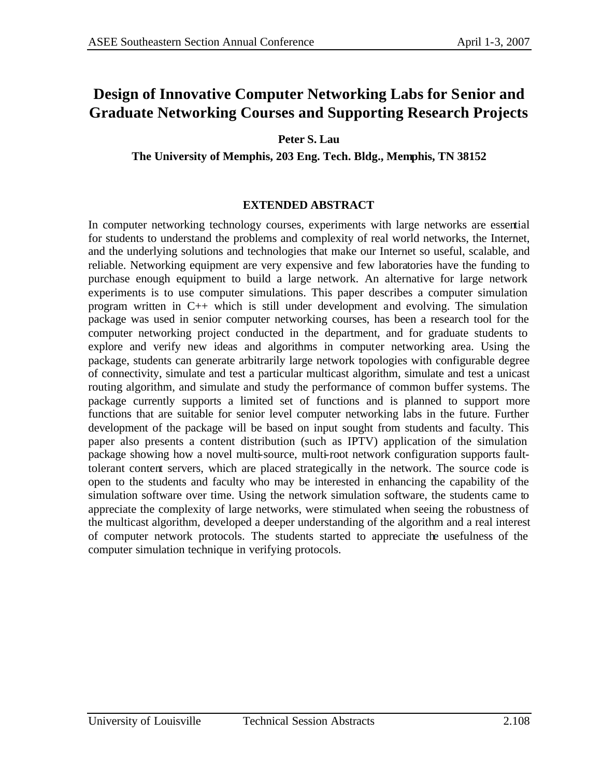# **Design of Innovative Computer Networking Labs for Senior and Graduate Networking Courses and Supporting Research Projects**

**Peter S. Lau** 

**The University of Memphis, 203 Eng. Tech. Bldg., Memphis, TN 38152**

### **EXTENDED ABSTRACT**

In computer networking technology courses, experiments with large networks are essential for students to understand the problems and complexity of real world networks, the Internet, and the underlying solutions and technologies that make our Internet so useful, scalable, and reliable. Networking equipment are very expensive and few laboratories have the funding to purchase enough equipment to build a large network. An alternative for large network experiments is to use computer simulations. This paper describes a computer simulation program written in C++ which is still under development and evolving. The simulation package was used in senior computer networking courses, has been a research tool for the computer networking project conducted in the department, and for graduate students to explore and verify new ideas and algorithms in computer networking area. Using the package, students can generate arbitrarily large network topologies with configurable degree of connectivity, simulate and test a particular multicast algorithm, simulate and test a unicast routing algorithm, and simulate and study the performance of common buffer systems. The package currently supports a limited set of functions and is planned to support more functions that are suitable for senior level computer networking labs in the future. Further development of the package will be based on input sought from students and faculty. This paper also presents a content distribution (such as IPTV) application of the simulation package showing how a novel multi-source, multi-root network configuration supports faulttolerant content servers, which are placed strategically in the network. The source code is open to the students and faculty who may be interested in enhancing the capability of the simulation software over time. Using the network simulation software, the students came to appreciate the complexity of large networks, were stimulated when seeing the robustness of the multicast algorithm, developed a deeper understanding of the algorithm and a real interest of computer network protocols. The students started to appreciate the usefulness of the computer simulation technique in verifying protocols.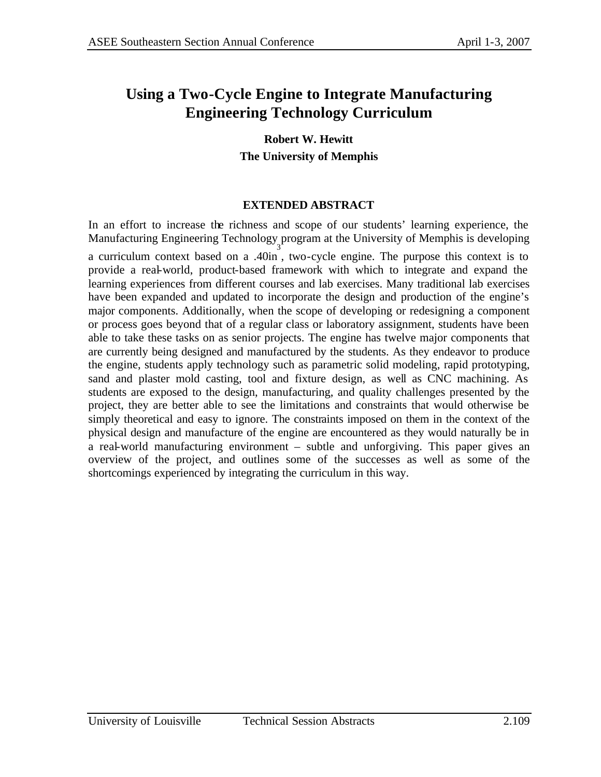# **Using a Two-Cycle Engine to Integrate Manufacturing Engineering Technology Curriculum**

**Robert W. Hewitt The University of Memphis** 

#### **EXTENDED ABSTRACT**

In an effort to increase the richness and scope of our students' learning experience, the Manufacturing Engineering Technology program at the University of Memphis is developing 3 a curriculum context based on a .40in , two-cycle engine. The purpose this context is to provide a real-world, product-based framework with which to integrate and expand the learning experiences from different courses and lab exercises. Many traditional lab exercises have been expanded and updated to incorporate the design and production of the engine's major components. Additionally, when the scope of developing or redesigning a component or process goes beyond that of a regular class or laboratory assignment, students have been able to take these tasks on as senior projects. The engine has twelve major components that are currently being designed and manufactured by the students. As they endeavor to produce the engine, students apply technology such as parametric solid modeling, rapid prototyping, sand and plaster mold casting, tool and fixture design, as well as CNC machining. As students are exposed to the design, manufacturing, and quality challenges presented by the project, they are better able to see the limitations and constraints that would otherwise be simply theoretical and easy to ignore. The constraints imposed on them in the context of the physical design and manufacture of the engine are encountered as they would naturally be in a real-world manufacturing environment – subtle and unforgiving. This paper gives an overview of the project, and outlines some of the successes as well as some of the shortcomings experienced by integrating the curriculum in this way.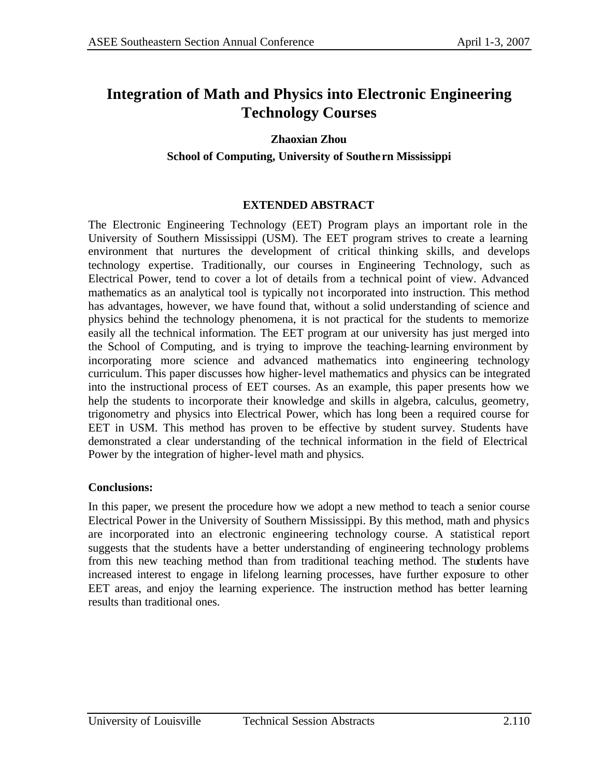# **Integration of Math and Physics into Electronic Engineering Technology Courses**

#### **Zhaoxian Zhou**

#### **School of Computing, University of Southe rn Mississippi**

#### **EXTENDED ABSTRACT**

The Electronic Engineering Technology (EET) Program plays an important role in the University of Southern Mississippi (USM). The EET program strives to create a learning environment that nurtures the development of critical thinking skills, and develops technology expertise. Traditionally, our courses in Engineering Technology, such as Electrical Power, tend to cover a lot of details from a technical point of view. Advanced mathematics as an analytical tool is typically not incorporated into instruction. This method has advantages, however, we have found that, without a solid understanding of science and physics behind the technology phenomena, it is not practical for the students to memorize easily all the technical information. The EET program at our university has just merged into the School of Computing, and is trying to improve the teaching-learning environment by incorporating more science and advanced mathematics into engineering technology curriculum. This paper discusses how higher-level mathematics and physics can be integrated into the instructional process of EET courses. As an example, this paper presents how we help the students to incorporate their knowledge and skills in algebra, calculus, geometry, trigonometry and physics into Electrical Power, which has long been a required course for EET in USM. This method has proven to be effective by student survey. Students have demonstrated a clear understanding of the technical information in the field of Electrical Power by the integration of higher-level math and physics.

#### **Conclusions:**

In this paper, we present the procedure how we adopt a new method to teach a senior course Electrical Power in the University of Southern Mississippi. By this method, math and physics are incorporated into an electronic engineering technology course. A statistical report suggests that the students have a better understanding of engineering technology problems from this new teaching method than from traditional teaching method. The students have increased interest to engage in lifelong learning processes, have further exposure to other EET areas, and enjoy the learning experience. The instruction method has better learning results than traditional ones.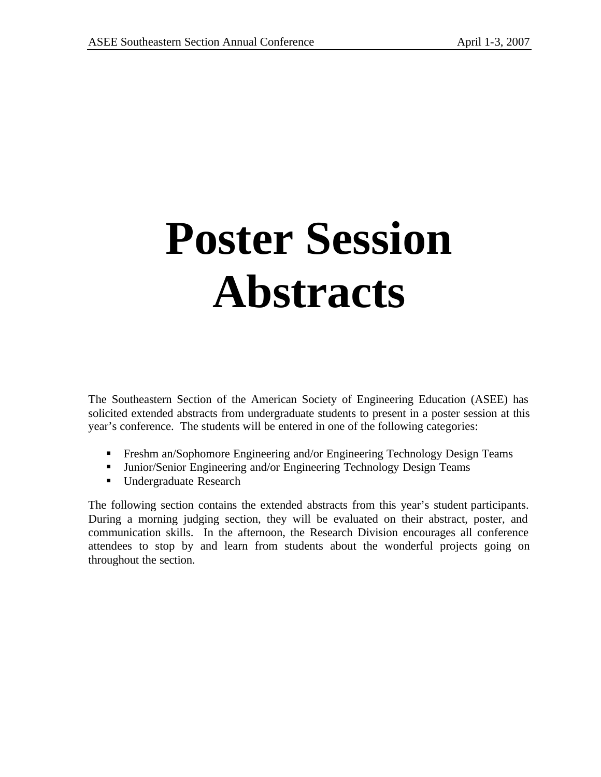# **Poster Session Abstracts**

The Southeastern Section of the American Society of Engineering Education (ASEE) has solicited extended abstracts from undergraduate students to present in a poster session at this year's conference. The students will be entered in one of the following categories:

- **Freshm an/Sophomore Engineering and/or Engineering Technology Design Teams**
- **Immit Junior/Senior Engineering and/or Engineering Technology Design Teams**
- **■** Undergraduate Research

The following section contains the extended abstracts from this year's student participants. During a morning judging section, they will be evaluated on their abstract, poster, and communication skills. In the afternoon, the Research Division encourages all conference attendees to stop by and learn from students about the wonderful projects going on throughout the section.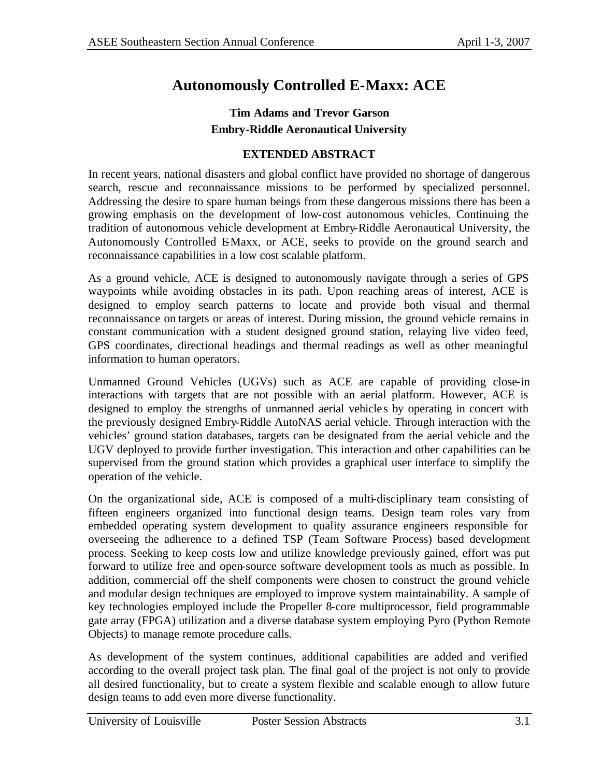# **Autonomously Controlled E-Maxx: ACE**

## **Tim Adams and Trevor Garson Embry-Riddle Aeronautical University**

### **EXTENDED ABSTRACT**

In recent years, national disasters and global conflict have provided no shortage of dangerous search, rescue and reconnaissance missions to be performed by specialized personnel. Addressing the desire to spare human beings from these dangerous missions there has been a growing emphasis on the development of low-cost autonomous vehicles. Continuing the tradition of autonomous vehicle development at Embry-Riddle Aeronautical University, the Autonomously Controlled EMaxx, or ACE, seeks to provide on the ground search and reconnaissance capabilities in a low cost scalable platform.

As a ground vehicle, ACE is designed to autonomously navigate through a series of GPS waypoints while avoiding obstacles in its path. Upon reaching areas of interest, ACE is designed to employ search patterns to locate and provide both visual and thermal reconnaissance on targets or areas of interest. During mission, the ground vehicle remains in constant communication with a student designed ground station, relaying live video feed, GPS coordinates, directional headings and thermal readings as well as other meaningful information to human operators.

Unmanned Ground Vehicles (UGVs) such as ACE are capable of providing close-in interactions with targets that are not possible with an aerial platform. However, ACE is designed to employ the strengths of unmanned aerial vehicles by operating in concert with the previously designed Embry-Riddle AutoNAS aerial vehicle. Through interaction with the vehicles' ground station databases, targets can be designated from the aerial vehicle and the UGV deployed to provide further investigation. This interaction and other capabilities can be supervised from the ground station which provides a graphical user interface to simplify the operation of the vehicle.

On the organizational side, ACE is composed of a multi-disciplinary team consisting of fifteen engineers organized into functional design teams. Design team roles vary from embedded operating system development to quality assurance engineers responsible for overseeing the adherence to a defined TSP (Team Software Process) based development process. Seeking to keep costs low and utilize knowledge previously gained, effort was put forward to utilize free and open-source software development tools as much as possible. In addition, commercial off the shelf components were chosen to construct the ground vehicle and modular design techniques are employed to improve system maintainability. A sample of key technologies employed include the Propeller 8-core multiprocessor, field programmable gate array (FPGA) utilization and a diverse database system employing Pyro (Python Remote Objects) to manage remote procedure calls.

As development of the system continues, additional capabilities are added and verified according to the overall project task plan. The final goal of the project is not only to provide all desired functionality, but to create a system flexible and scalable enough to allow future design teams to add even more diverse functionality.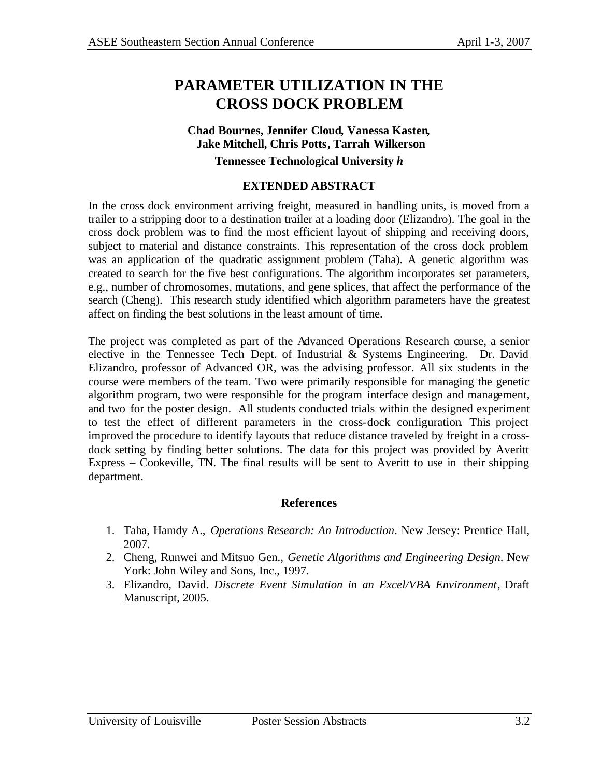## **PARAMETER UTILIZATION IN THE CROSS DOCK PROBLEM**

# **Chad Bournes, Jennifer Cloud, Vanessa Kasten, Jake Mitchell, Chris Potts, Tarrah Wilkerson**

**Tennessee Technological University** *h*

#### **EXTENDED ABSTRACT**

In the cross dock environment arriving freight, measured in handling units, is moved from a trailer to a stripping door to a destination trailer at a loading door (Elizandro). The goal in the cross dock problem was to find the most efficient layout of shipping and receiving doors, subject to material and distance constraints. This representation of the cross dock problem was an application of the quadratic assignment problem (Taha). A genetic algorithm was created to search for the five best configurations. The algorithm incorporates set parameters, e.g., number of chromosomes, mutations, and gene splices, that affect the performance of the search (Cheng). This research study identified which algorithm parameters have the greatest affect on finding the best solutions in the least amount of time.

The project was completed as part of the Advanced Operations Research course, a senior elective in the Tennessee Tech Dept. of Industrial & Systems Engineering. Dr. David Elizandro, professor of Advanced OR, was the advising professor. All six students in the course were members of the team. Two were primarily responsible for managing the genetic algorithm program, two were responsible for the program interface design and management, and two for the poster design. All students conducted trials within the designed experiment to test the effect of different parameters in the cross-dock configuration. This project improved the procedure to identify layouts that reduce distance traveled by freight in a crossdock setting by finding better solutions. The data for this project was provided by Averitt Express – Cookeville, TN. The final results will be sent to Averitt to use in their shipping department.

#### **References**

- 1. Taha, Hamdy A., *Operations Research: An Introduction*. New Jersey: Prentice Hall, 2007.
- 2. Cheng, Runwei and Mitsuo Gen., *Genetic Algorithms and Engineering Design*. New York: John Wiley and Sons, Inc., 1997.
- 3. Elizandro, David. *Discrete Event Simulation in an Excel/VBA Environment*, Draft Manuscript, 2005.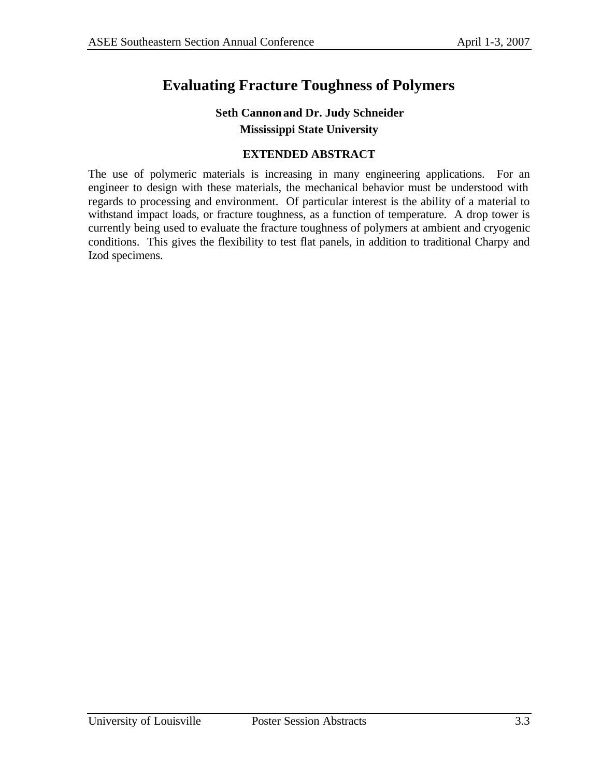# **Evaluating Fracture Toughness of Polymers**

## **Seth Cannon and Dr. Judy Schneider Mississippi State University**

## **EXTENDED ABSTRACT**

The use of polymeric materials is increasing in many engineering applications. For an engineer to design with these materials, the mechanical behavior must be understood with regards to processing and environment. Of particular interest is the ability of a material to withstand impact loads, or fracture toughness, as a function of temperature. A drop tower is currently being used to evaluate the fracture toughness of polymers at ambient and cryogenic conditions. This gives the flexibility to test flat panels, in addition to traditional Charpy and Izod specimens.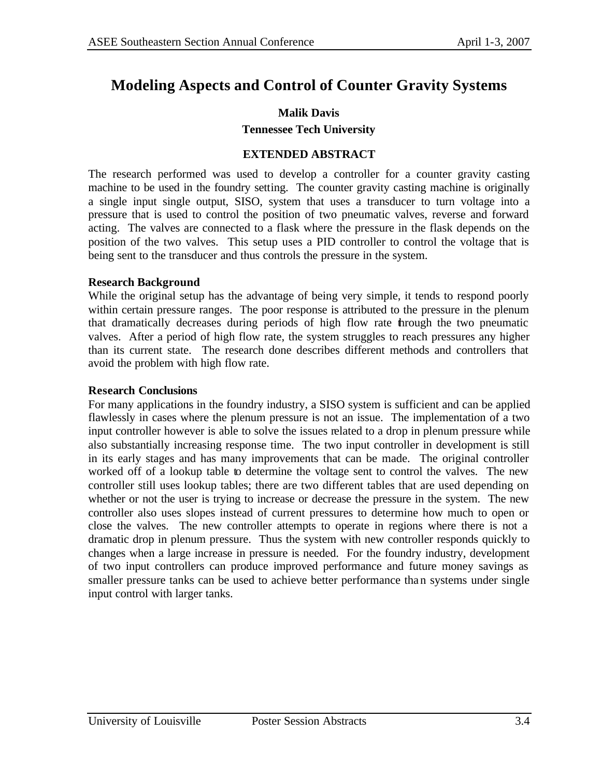# **Modeling Aspects and Control of Counter Gravity Systems**

#### **Malik Davis**

#### **Tennessee Tech University**

#### **EXTENDED ABSTRACT**

The research performed was used to develop a controller for a counter gravity casting machine to be used in the foundry setting. The counter gravity casting machine is originally a single input single output, SISO, system that uses a transducer to turn voltage into a pressure that is used to control the position of two pneumatic valves, reverse and forward acting. The valves are connected to a flask where the pressure in the flask depends on the position of the two valves. This setup uses a PID controller to control the voltage that is being sent to the transducer and thus controls the pressure in the system.

#### **Research Background**

While the original setup has the advantage of being very simple, it tends to respond poorly within certain pressure ranges. The poor response is attributed to the pressure in the plenum that dramatically decreases during periods of high flow rate through the two pneumatic valves. After a period of high flow rate, the system struggles to reach pressures any higher than its current state. The research done describes different methods and controllers that avoid the problem with high flow rate.

#### **Research Conclusions**

For many applications in the foundry industry, a SISO system is sufficient and can be applied flawlessly in cases where the plenum pressure is not an issue. The implementation of a two input controller however is able to solve the issues related to a drop in plenum pressure while also substantially increasing response time. The two input controller in development is still in its early stages and has many improvements that can be made. The original controller worked off of a lookup table to determine the voltage sent to control the valves. The new controller still uses lookup tables; there are two different tables that are used depending on whether or not the user is trying to increase or decrease the pressure in the system. The new controller also uses slopes instead of current pressures to determine how much to open or close the valves. The new controller attempts to operate in regions where there is not a dramatic drop in plenum pressure. Thus the system with new controller responds quickly to changes when a large increase in pressure is needed. For the foundry industry, development of two input controllers can produce improved performance and future money savings as smaller pressure tanks can be used to achieve better performance than systems under single input control with larger tanks.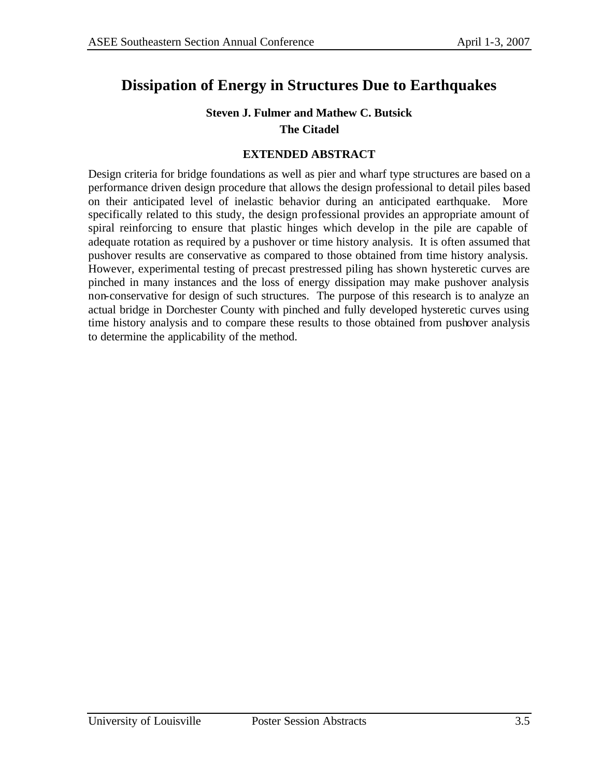# **Dissipation of Energy in Structures Due to Earthquakes**

## **Steven J. Fulmer and Mathew C. Butsick The Citadel**

#### **EXTENDED ABSTRACT**

Design criteria for bridge foundations as well as pier and wharf type structures are based on a performance driven design procedure that allows the design professional to detail piles based on their anticipated level of inelastic behavior during an anticipated earthquake. More specifically related to this study, the design professional provides an appropriate amount of spiral reinforcing to ensure that plastic hinges which develop in the pile are capable of adequate rotation as required by a pushover or time history analysis. It is often assumed that pushover results are conservative as compared to those obtained from time history analysis. However, experimental testing of precast prestressed piling has shown hysteretic curves are pinched in many instances and the loss of energy dissipation may make pushover analysis non-conservative for design of such structures. The purpose of this research is to analyze an actual bridge in Dorchester County with pinched and fully developed hysteretic curves using time history analysis and to compare these results to those obtained from pushover analysis to determine the applicability of the method.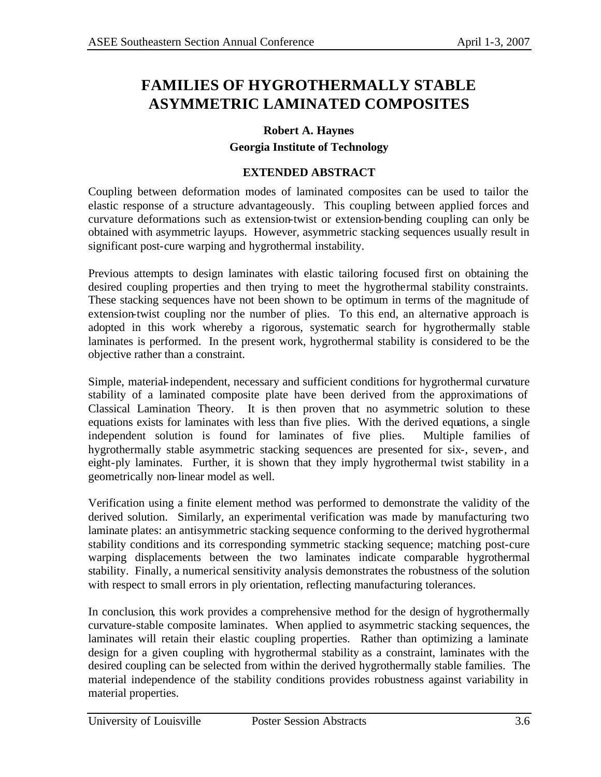# **FAMILIES OF HYGROTHERMALLY STABLE ASYMMETRIC LAMINATED COMPOSITES**

#### **Robert A. Haynes**

#### **Georgia Institute of Technology**

#### **EXTENDED ABSTRACT**

Coupling between deformation modes of laminated composites can be used to tailor the elastic response of a structure advantageously. This coupling between applied forces and curvature deformations such as extension-twist or extension-bending coupling can only be obtained with asymmetric layups. However, asymmetric stacking sequences usually result in significant post-cure warping and hygrothermal instability.

Previous attempts to design laminates with elastic tailoring focused first on obtaining the desired coupling properties and then trying to meet the hygrothermal stability constraints. These stacking sequences have not been shown to be optimum in terms of the magnitude of extension-twist coupling nor the number of plies. To this end, an alternative approach is adopted in this work whereby a rigorous, systematic search for hygrothermally stable laminates is performed. In the present work, hygrothermal stability is considered to be the objective rather than a constraint.

Simple, material-independent, necessary and sufficient conditions for hygrothermal curvature stability of a laminated composite plate have been derived from the approximations of Classical Lamination Theory. It is then proven that no asymmetric solution to these equations exists for laminates with less than five plies. With the derived equations, a single independent solution is found for laminates of five plies. Multiple families of hygrothermally stable asymmetric stacking sequences are presented for six-, seven-, and eight-ply laminates. Further, it is shown that they imply hygrothermal twist stability in a geometrically non-linear model as well.

Verification using a finite element method was performed to demonstrate the validity of the derived solution. Similarly, an experimental verification was made by manufacturing two laminate plates: an antisymmetric stacking sequence conforming to the derived hygrothermal stability conditions and its corresponding symmetric stacking sequence; matching post-cure warping displacements between the two laminates indicate comparable hygrothermal stability. Finally, a numerical sensitivity analysis demonstrates the robustness of the solution with respect to small errors in ply orientation, reflecting manufacturing tolerances.

In conclusion, this work provides a comprehensive method for the design of hygrothermally curvature-stable composite laminates. When applied to asymmetric stacking sequences, the laminates will retain their elastic coupling properties. Rather than optimizing a laminate design for a given coupling with hygrothermal stability as a constraint, laminates with the desired coupling can be selected from within the derived hygrothermally stable families. The material independence of the stability conditions provides robustness against variability in material properties.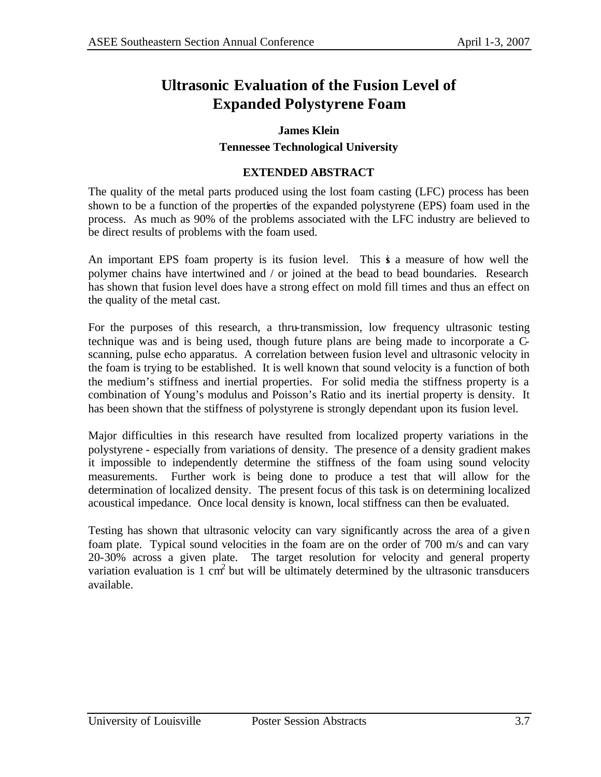# **Ultrasonic Evaluation of the Fusion Level of Expanded Polystyrene Foam**

#### **James Klein**

#### **Tennessee Technological University**

#### **EXTENDED ABSTRACT**

The quality of the metal parts produced using the lost foam casting (LFC) process has been shown to be a function of the properties of the expanded polystyrene (EPS) foam used in the process. As much as 90% of the problems associated with the LFC industry are believed to be direct results of problems with the foam used.

An important EPS foam property is its fusion level. This is a measure of how well the polymer chains have intertwined and / or joined at the bead to bead boundaries. Research has shown that fusion level does have a strong effect on mold fill times and thus an effect on the quality of the metal cast.

For the purposes of this research, a thru-transmission, low frequency ultrasonic testing technique was and is being used, though future plans are being made to incorporate a Cscanning, pulse echo apparatus. A correlation between fusion level and ultrasonic velocity in the foam is trying to be established. It is well known that sound velocity is a function of both the medium's stiffness and inertial properties. For solid media the stiffness property is a combination of Young's modulus and Poisson's Ratio and its inertial property is density. It has been shown that the stiffness of polystyrene is strongly dependant upon its fusion level.

Major difficulties in this research have resulted from localized property variations in the polystyrene - especially from variations of density. The presence of a density gradient makes it impossible to independently determine the stiffness of the foam using sound velocity measurements. Further work is being done to produce a test that will allow for the determination of localized density. The present focus of this task is on determining localized acoustical impedance. Once local density is known, local stiffness can then be evaluated.

Testing has shown that ultrasonic velocity can vary significantly across the area of a given foam plate. Typical sound velocities in the foam are on the order of 700 m/s and can vary 20-30% across a given plate. The target resolution for velocity and general property variation evaluation is 1 cm<sup>2</sup> but will be ultimately determined by the ultrasonic transducers available.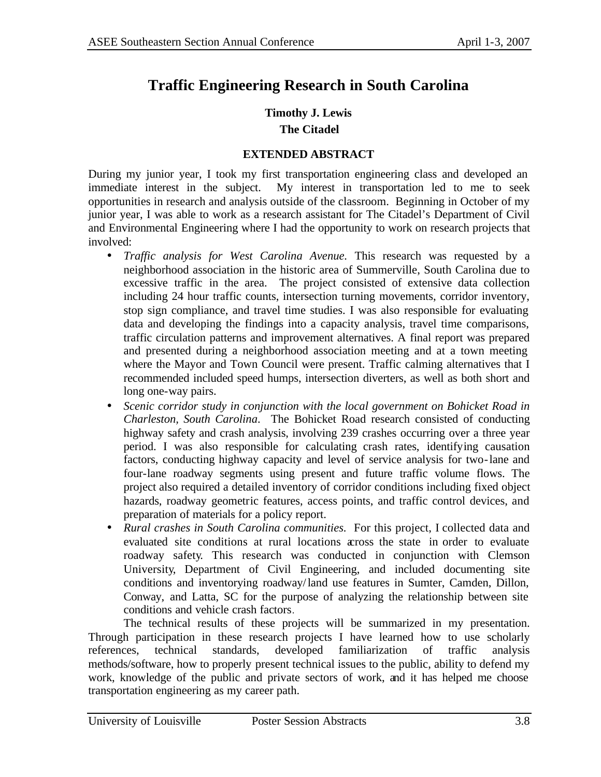# **Traffic Engineering Research in South Carolina**

## **Timothy J. Lewis The Citadel**

#### **EXTENDED ABSTRACT**

During my junior year, I took my first transportation engineering class and developed an immediate interest in the subject. My interest in transportation led to me to seek opportunities in research and analysis outside of the classroom. Beginning in October of my junior year, I was able to work as a research assistant for The Citadel's Department of Civil and Environmental Engineering where I had the opportunity to work on research projects that involved:

- *Traffic analysis for West Carolina Avenue.* This research was requested by a neighborhood association in the historic area of Summerville, South Carolina due to excessive traffic in the area. The project consisted of extensive data collection including 24 hour traffic counts, intersection turning movements, corridor inventory, stop sign compliance, and travel time studies. I was also responsible for evaluating data and developing the findings into a capacity analysis, travel time comparisons, traffic circulation patterns and improvement alternatives. A final report was prepared and presented during a neighborhood association meeting and at a town meeting where the Mayor and Town Council were present. Traffic calming alternatives that I recommended included speed humps, intersection diverters, as well as both short and long one-way pairs.
- *Scenic corridor study in conjunction with the local government on Bohicket Road in Charleston, South Carolina*. The Bohicket Road research consisted of conducting highway safety and crash analysis, involving 239 crashes occurring over a three year period. I was also responsible for calculating crash rates, identifying causation factors, conducting highway capacity and level of service analysis for two-lane and four-lane roadway segments using present and future traffic volume flows. The project also required a detailed inventory of corridor conditions including fixed object hazards, roadway geometric features, access points, and traffic control devices, and preparation of materials for a policy report.
- *Rural crashes in South Carolina communities.* For this project, I collected data and evaluated site conditions at rural locations across the state in order to evaluate roadway safety. This research was conducted in conjunction with Clemson University, Department of Civil Engineering, and included documenting site conditions and inventorying roadway/land use features in Sumter, Camden, Dillon, Conway, and Latta, SC for the purpose of analyzing the relationship between site conditions and vehicle crash factors.

The technical results of these projects will be summarized in my presentation. Through participation in these research projects I have learned how to use scholarly references, technical standards, developed familiarization of traffic analysis methods/software, how to properly present technical issues to the public, ability to defend my work, knowledge of the public and private sectors of work, and it has helped me choose transportation engineering as my career path.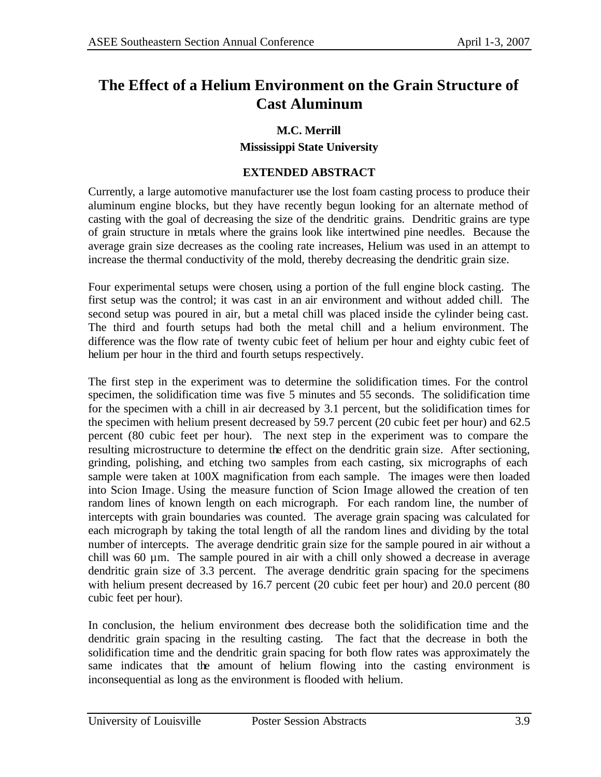# **The Effect of a Helium Environment on the Grain Structure of Cast Aluminum**

#### **M.C. Merrill**

#### **Mississippi State University**

#### **EXTENDED ABSTRACT**

Currently, a large automotive manufacturer use the lost foam casting process to produce their aluminum engine blocks, but they have recently begun looking for an alternate method of casting with the goal of decreasing the size of the dendritic grains. Dendritic grains are type of grain structure in metals where the grains look like intertwined pine needles. Because the average grain size decreases as the cooling rate increases, Helium was used in an attempt to increase the thermal conductivity of the mold, thereby decreasing the dendritic grain size.

Four experimental setups were chosen, using a portion of the full engine block casting. The first setup was the control; it was cast in an air environment and without added chill. The second setup was poured in air, but a metal chill was placed inside the cylinder being cast. The third and fourth setups had both the metal chill and a helium environment. The difference was the flow rate of twenty cubic feet of helium per hour and eighty cubic feet of helium per hour in the third and fourth setups respectively.

The first step in the experiment was to determine the solidification times. For the control specimen, the solidification time was five 5 minutes and 55 seconds. The solidification time for the specimen with a chill in air decreased by 3.1 percent, but the solidification times for the specimen with helium present decreased by 59.7 percent (20 cubic feet per hour) and 62.5 percent (80 cubic feet per hour). The next step in the experiment was to compare the resulting microstructure to determine the effect on the dendritic grain size. After sectioning, grinding, polishing, and etching two samples from each casting, six micrographs of each sample were taken at 100X magnification from each sample. The images were then loaded into Scion Image. Using the measure function of Scion Image allowed the creation of ten random lines of known length on each micrograph. For each random line, the number of intercepts with grain boundaries was counted. The average grain spacing was calculated for each micrograph by taking the total length of all the random lines and dividing by the total number of intercepts. The average dendritic grain size for the sample poured in air without a chill was 60 µm. The sample poured in air with a chill only showed a decrease in average dendritic grain size of 3.3 percent. The average dendritic grain spacing for the specimens with helium present decreased by 16.7 percent (20 cubic feet per hour) and 20.0 percent (80 cubic feet per hour).

In conclusion, the helium environment does decrease both the solidification time and the dendritic grain spacing in the resulting casting. The fact that the decrease in both the solidification time and the dendritic grain spacing for both flow rates was approximately the same indicates that the amount of helium flowing into the casting environment is inconsequential as long as the environment is flooded with helium.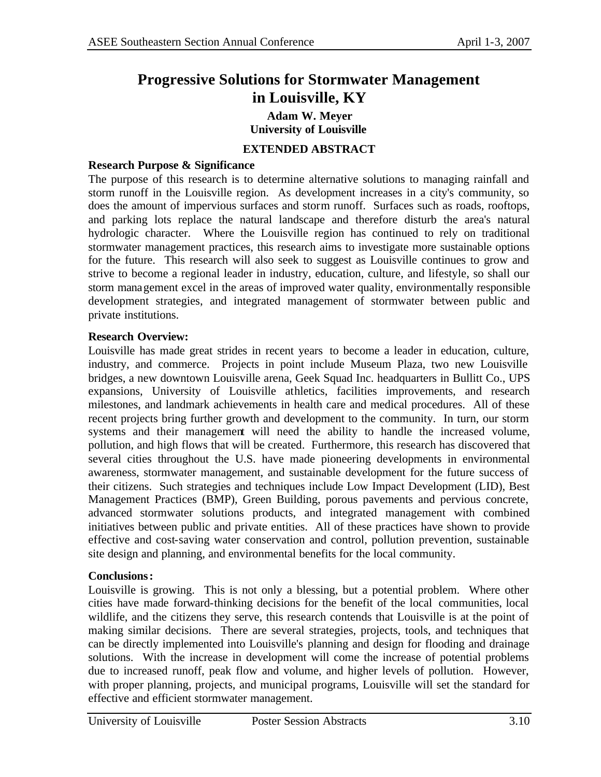# **Progressive Solutions for Stormwater Management in Louisville, KY**

### **Adam W. Meyer University of Louisville**

## **EXTENDED ABSTRACT**

#### **Research Purpose & Significance**

The purpose of this research is to determine alternative solutions to managing rainfall and storm runoff in the Louisville region. As development increases in a city's community, so does the amount of impervious surfaces and storm runoff. Surfaces such as roads, rooftops, and parking lots replace the natural landscape and therefore disturb the area's natural hydrologic character. Where the Louisville region has continued to rely on traditional stormwater management practices, this research aims to investigate more sustainable options for the future. This research will also seek to suggest as Louisville continues to grow and strive to become a regional leader in industry, education, culture, and lifestyle, so shall our storm management excel in the areas of improved water quality, environmentally responsible development strategies, and integrated management of stormwater between public and private institutions.

#### **Research Overview:**

Louisville has made great strides in recent years to become a leader in education, culture, industry, and commerce. Projects in point include Museum Plaza, two new Louisville bridges, a new downtown Louisville arena, Geek Squad Inc. headquarters in Bullitt Co., UPS expansions, University of Louisville athletics, facilities improvements, and research milestones, and landmark achievements in health care and medical procedures. All of these recent projects bring further growth and development to the community. In turn, our storm systems and their management will need the ability to handle the increased volume, pollution, and high flows that will be created. Furthermore, this research has discovered that several cities throughout the U.S. have made pioneering developments in environmental awareness, stormwater management, and sustainable development for the future success of their citizens. Such strategies and techniques include Low Impact Development (LID), Best Management Practices (BMP), Green Building, porous pavements and pervious concrete, advanced stormwater solutions products, and integrated management with combined initiatives between public and private entities. All of these practices have shown to provide effective and cost-saving water conservation and control, pollution prevention, sustainable site design and planning, and environmental benefits for the local community.

#### **Conclusions:**

Louisville is growing. This is not only a blessing, but a potential problem. Where other cities have made forward-thinking decisions for the benefit of the local communities, local wildlife, and the citizens they serve, this research contends that Louisville is at the point of making similar decisions. There are several strategies, projects, tools, and techniques that can be directly implemented into Louisville's planning and design for flooding and drainage solutions. With the increase in development will come the increase of potential problems due to increased runoff, peak flow and volume, and higher levels of pollution. However, with proper planning, projects, and municipal programs, Louisville will set the standard for effective and efficient stormwater management.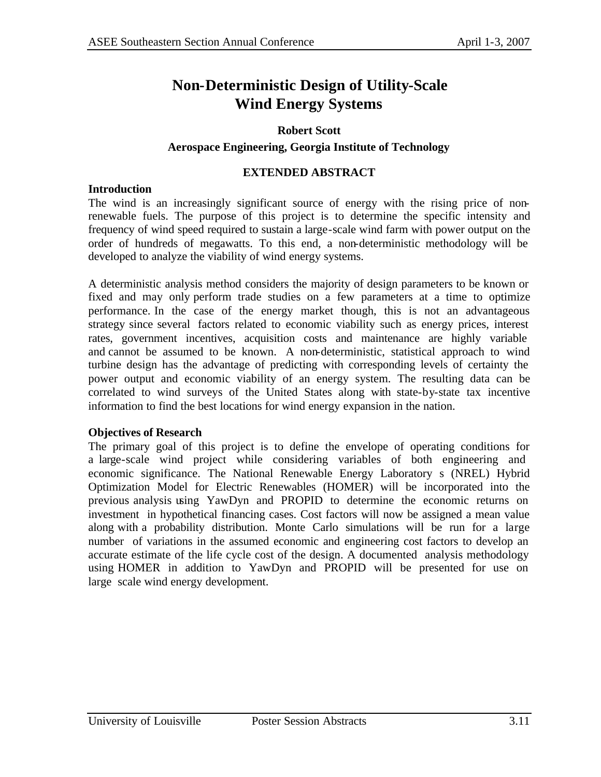# **Non-Deterministic Design of Utility-Scale Wind Energy Systems**

#### **Robert Scott**

#### **Aerospace Engineering, Georgia Institute of Technology**

#### **EXTENDED ABSTRACT**

#### **Introduction**

The wind is an increasingly significant source of energy with the rising price of nonrenewable fuels. The purpose of this project is to determine the specific intensity and frequency of wind speed required to sustain a large-scale wind farm with power output on the order of hundreds of megawatts. To this end, a non-deterministic methodology will be developed to analyze the viability of wind energy systems.

A deterministic analysis method considers the majority of design parameters to be known or fixed and may only perform trade studies on a few parameters at a time to optimize performance. In the case of the energy market though, this is not an advantageous strategy since several factors related to economic viability such as energy prices, interest rates, government incentives, acquisition costs and maintenance are highly variable and cannot be assumed to be known. A non-deterministic, statistical approach to wind turbine design has the advantage of predicting with corresponding levels of certainty the power output and economic viability of an energy system. The resulting data can be correlated to wind surveys of the United States along with state-by-state tax incentive information to find the best locations for wind energy expansion in the nation.

#### **Objectives of Research**

The primary goal of this project is to define the envelope of operating conditions for a large-scale wind project while considering variables of both engineering and economic significance. The National Renewable Energy Laboratory s (NREL) Hybrid Optimization Model for Electric Renewables (HOMER) will be incorporated into the previous analysis using YawDyn and PROPID to determine the economic returns on investment in hypothetical financing cases. Cost factors will now be assigned a mean value along with a probability distribution. Monte Carlo simulations will be run for a large number of variations in the assumed economic and engineering cost factors to develop an accurate estimate of the life cycle cost of the design. A documented analysis methodology using HOMER in addition to YawDyn and PROPID will be presented for use on large scale wind energy development.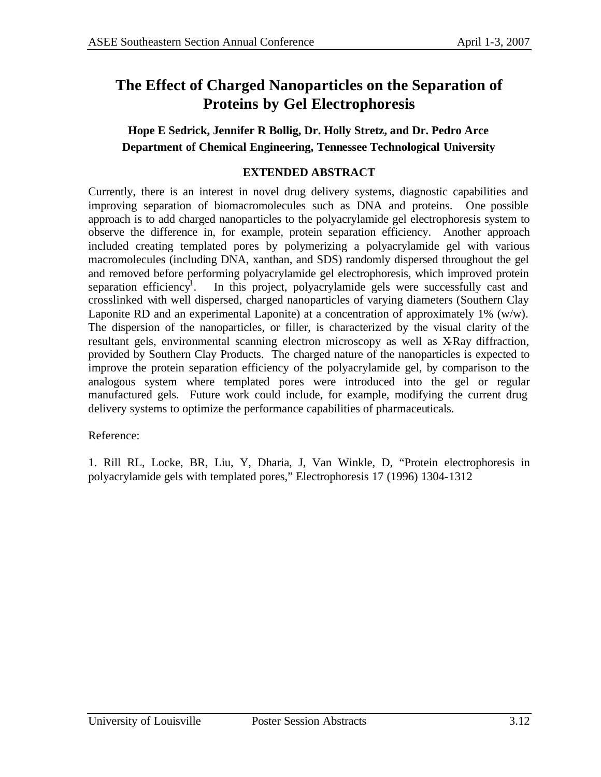# **The Effect of Charged Nanoparticles on the Separation of Proteins by Gel Electrophoresis**

## **Hope E Sedrick, Jennifer R Bollig, Dr. Holly Stretz, and Dr. Pedro Arce Department of Chemical Engineering, Tennessee Technological University**

## **EXTENDED ABSTRACT**

Currently, there is an interest in novel drug delivery systems, diagnostic capabilities and improving separation of biomacromolecules such as DNA and proteins. One possible approach is to add charged nanoparticles to the polyacrylamide gel electrophoresis system to observe the difference in, for example, protein separation efficiency. Another approach included creating templated pores by polymerizing a polyacrylamide gel with various macromolecules (including DNA, xanthan, and SDS) randomly dispersed throughout the gel and removed before performing polyacrylamide gel electrophoresis, which improved protein separation efficiency<sup>1</sup>. . In this project, polyacrylamide gels were successfully cast and crosslinked with well dispersed, charged nanoparticles of varying diameters (Southern Clay Laponite RD and an experimental Laponite) at a concentration of approximately 1% (w/w). The dispersion of the nanoparticles, or filler, is characterized by the visual clarity of the resultant gels, environmental scanning electron microscopy as well as X-Ray diffraction, provided by Southern Clay Products. The charged nature of the nanoparticles is expected to improve the protein separation efficiency of the polyacrylamide gel, by comparison to the analogous system where templated pores were introduced into the gel or regular manufactured gels. Future work could include, for example, modifying the current drug delivery systems to optimize the performance capabilities of pharmaceuticals.

Reference:

1. Rill RL, Locke, BR, Liu, Y, Dharia, J, Van Winkle, D, "Protein electrophoresis in polyacrylamide gels with templated pores," Electrophoresis 17 (1996) 1304-1312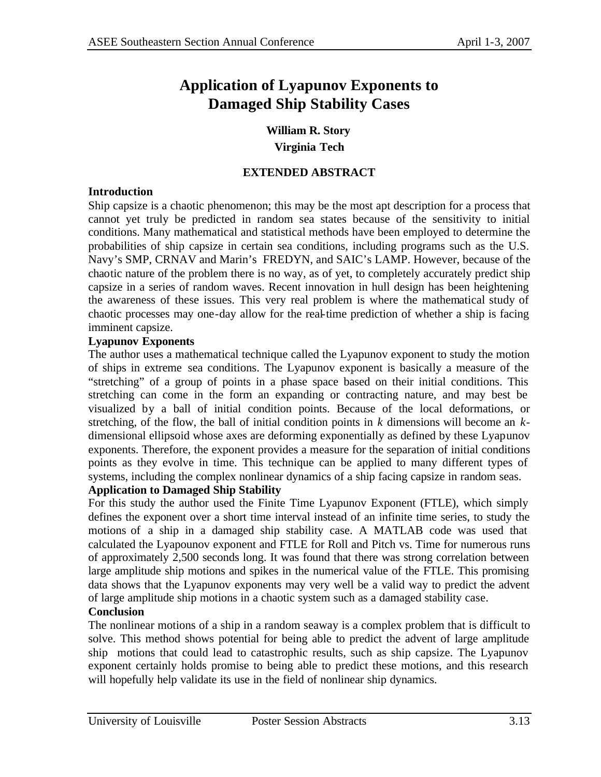# **Application of Lyapunov Exponents to Damaged Ship Stability Cases**

**William R. Story Virginia Tech**

### **EXTENDED ABSTRACT**

#### **Introduction**

Ship capsize is a chaotic phenomenon; this may be the most apt description for a process that cannot yet truly be predicted in random sea states because of the sensitivity to initial conditions. Many mathematical and statistical methods have been employed to determine the probabilities of ship capsize in certain sea conditions, including programs such as the U.S. Navy's SMP, CRNAV and Marin's FREDYN, and SAIC's LAMP. However, because of the chaotic nature of the problem there is no way, as of yet, to completely accurately predict ship capsize in a series of random waves. Recent innovation in hull design has been heightening the awareness of these issues. This very real problem is where the mathematical study of chaotic processes may one-day allow for the real-time prediction of whether a ship is facing imminent capsize.

## **Lyapunov Exponents**

The author uses a mathematical technique called the Lyapunov exponent to study the motion of ships in extreme sea conditions. The Lyapunov exponent is basically a measure of the "stretching" of a group of points in a phase space based on their initial conditions. This stretching can come in the form an expanding or contracting nature, and may best be visualized by a ball of initial condition points. Because of the local deformations, or stretching, of the flow, the ball of initial condition points in *k* dimensions will become an *k*dimensional ellipsoid whose axes are deforming exponentially as defined by these Lyapunov exponents. Therefore, the exponent provides a measure for the separation of initial conditions points as they evolve in time. This technique can be applied to many different types of systems, including the complex nonlinear dynamics of a ship facing capsize in random seas.

## **Application to Damaged Ship Stability**

For this study the author used the Finite Time Lyapunov Exponent (FTLE), which simply defines the exponent over a short time interval instead of an infinite time series, to study the motions of a ship in a damaged ship stability case. A MATLAB code was used that calculated the Lyapounov exponent and FTLE for Roll and Pitch vs. Time for numerous runs of approximately 2,500 seconds long. It was found that there was strong correlation between large amplitude ship motions and spikes in the numerical value of the FTLE. This promising data shows that the Lyapunov exponents may very well be a valid way to predict the advent of large amplitude ship motions in a chaotic system such as a damaged stability case.

## **Conclusion**

The nonlinear motions of a ship in a random seaway is a complex problem that is difficult to solve. This method shows potential for being able to predict the advent of large amplitude ship motions that could lead to catastrophic results, such as ship capsize. The Lyapunov exponent certainly holds promise to being able to predict these motions, and this research will hopefully help validate its use in the field of nonlinear ship dynamics.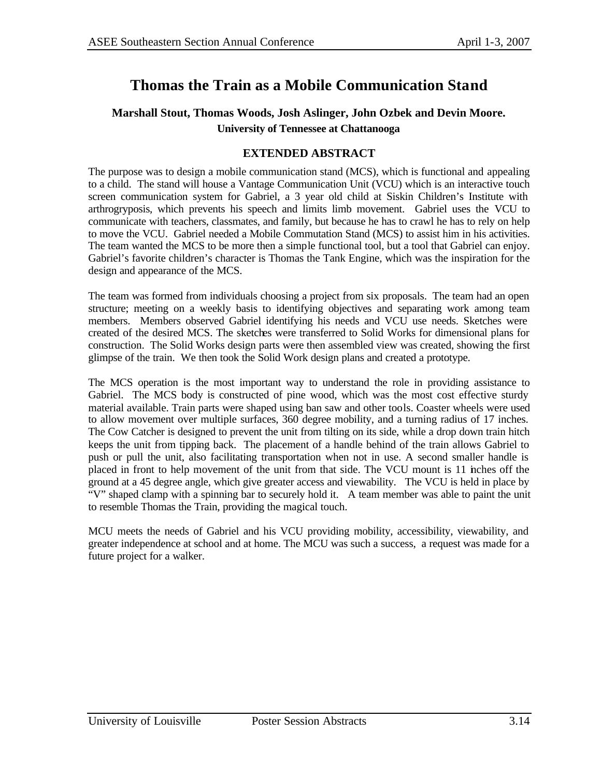# **Thomas the Train as a Mobile Communication Stand**

## **Marshall Stout, Thomas Woods, Josh Aslinger, John Ozbek and Devin Moore. University of Tennessee at Chattanooga**

#### **EXTENDED ABSTRACT**

The purpose was to design a mobile communication stand (MCS), which is functional and appealing to a child. The stand will house a Vantage Communication Unit (VCU) which is an interactive touch screen communication system for Gabriel, a 3 year old child at Siskin Children's Institute with arthrogryposis, which prevents his speech and limits limb movement. Gabriel uses the VCU to communicate with teachers, classmates, and family, but because he has to crawl he has to rely on help to move the VCU. Gabriel needed a Mobile Commutation Stand (MCS) to assist him in his activities. The team wanted the MCS to be more then a simple functional tool, but a tool that Gabriel can enjoy. Gabriel's favorite children's character is Thomas the Tank Engine, which was the inspiration for the design and appearance of the MCS.

The team was formed from individuals choosing a project from six proposals. The team had an open structure; meeting on a weekly basis to identifying objectives and separating work among team members. Members observed Gabriel identifying his needs and VCU use needs. Sketches were created of the desired MCS. The sketches were transferred to Solid Works for dimensional plans for construction. The Solid Works design parts were then assembled view was created, showing the first glimpse of the train. We then took the Solid Work design plans and created a prototype.

The MCS operation is the most important way to understand the role in providing assistance to Gabriel. The MCS body is constructed of pine wood, which was the most cost effective sturdy material available. Train parts were shaped using ban saw and other tools. Coaster wheels were used to allow movement over multiple surfaces, 360 degree mobility, and a turning radius of 17 inches. The Cow Catcher is designed to prevent the unit from tilting on its side, while a drop down train hitch keeps the unit from tipping back. The placement of a handle behind of the train allows Gabriel to push or pull the unit, also facilitating transportation when not in use. A second smaller handle is placed in front to help movement of the unit from that side. The VCU mount is 11 inches off the ground at a 45 degree angle, which give greater access and viewability. The VCU is held in place by "V" shaped clamp with a spinning bar to securely hold it. A team member was able to paint the unit to resemble Thomas the Train, providing the magical touch.

MCU meets the needs of Gabriel and his VCU providing mobility, accessibility, viewability, and greater independence at school and at home. The MCU was such a success, a request was made for a future project for a walker.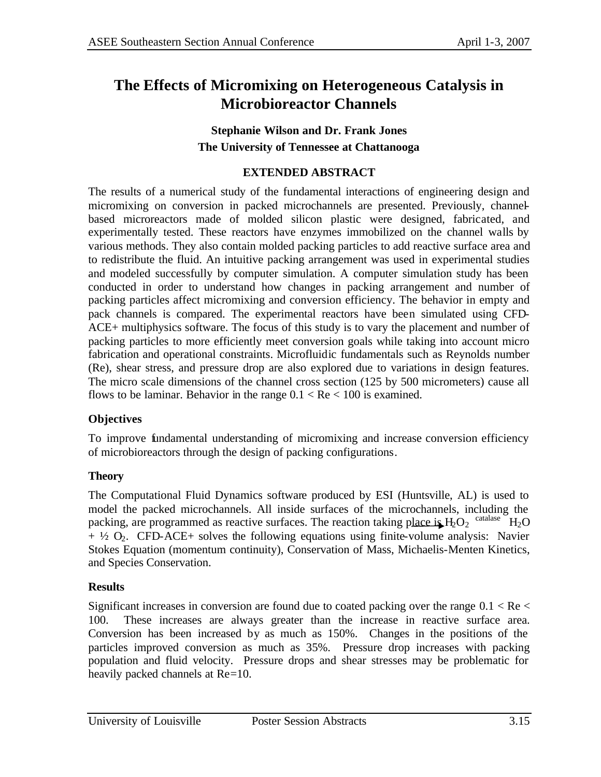# **The Effects of Micromixing on Heterogeneous Catalysis in Microbioreactor Channels**

## **Stephanie Wilson and Dr. Frank Jones The University of Tennessee at Chattanooga**

### **EXTENDED ABSTRACT**

The results of a numerical study of the fundamental interactions of engineering design and micromixing on conversion in packed microchannels are presented. Previously, channelbased microreactors made of molded silicon plastic were designed, fabricated, and experimentally tested. These reactors have enzymes immobilized on the channel walls by various methods. They also contain molded packing particles to add reactive surface area and to redistribute the fluid. An intuitive packing arrangement was used in experimental studies and modeled successfully by computer simulation. A computer simulation study has been conducted in order to understand how changes in packing arrangement and number of packing particles affect micromixing and conversion efficiency. The behavior in empty and pack channels is compared. The experimental reactors have been simulated using CFD-ACE+ multiphysics software. The focus of this study is to vary the placement and number of packing particles to more efficiently meet conversion goals while taking into account micro fabrication and operational constraints. Microfluidic fundamentals such as Reynolds number (Re), shear stress, and pressure drop are also explored due to variations in design features. The micro scale dimensions of the channel cross section (125 by 500 micrometers) cause all flows to be laminar. Behavior in the range  $0.1 < Re < 100$  is examined.

## **Objectives**

To improve fundamental understanding of micromixing and increase conversion efficiency of microbioreactors through the design of packing configurations.

## **Theory**

The Computational Fluid Dynamics software produced by ESI (Huntsville, AL) is used to model the packed microchannels. All inside surfaces of the microchannels, including the packing, are programmed as reactive surfaces. The reaction taking place is  $H_2O_2$  catalase  $H_2O$  $+ 4/2$  O<sub>2</sub>. CFD-ACE+ solves the following equations using finite-volume analysis: Navier Stokes Equation (momentum continuity), Conservation of Mass, Michaelis-Menten Kinetics, and Species Conservation.

## **Results**

Significant increases in conversion are found due to coated packing over the range  $0.1 < Re <$ 100. These increases are always greater than the increase in reactive surface area. Conversion has been increased by as much as 150%. Changes in the positions of the particles improved conversion as much as 35%. Pressure drop increases with packing population and fluid velocity. Pressure drops and shear stresses may be problematic for heavily packed channels at Re=10.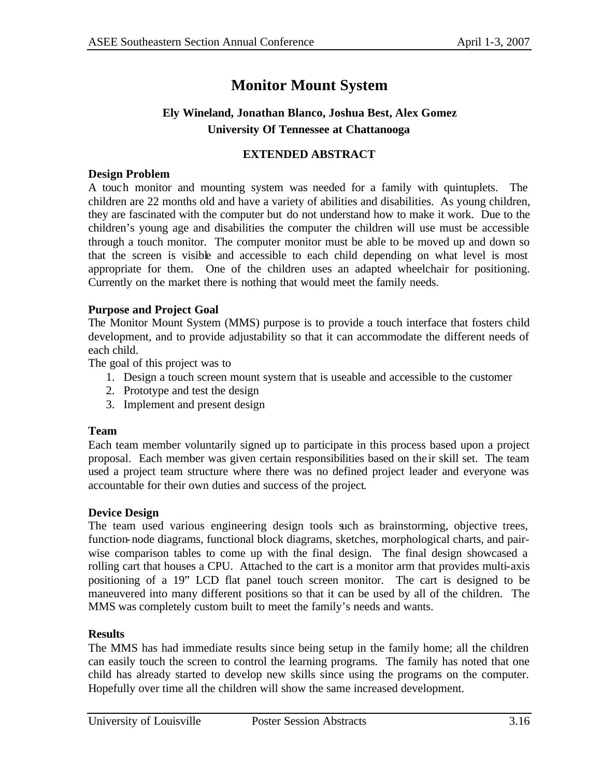# **Monitor Mount System**

## **Ely Wineland, Jonathan Blanco, Joshua Best, Alex Gomez University Of Tennessee at Chattanooga**

### **EXTENDED ABSTRACT**

#### **Design Problem**

A touch monitor and mounting system was needed for a family with quintuplets. The children are 22 months old and have a variety of abilities and disabilities. As young children, they are fascinated with the computer but do not understand how to make it work. Due to the children's young age and disabilities the computer the children will use must be accessible through a touch monitor. The computer monitor must be able to be moved up and down so that the screen is visible and accessible to each child depending on what level is most appropriate for them. One of the children uses an adapted wheelchair for positioning. Currently on the market there is nothing that would meet the family needs.

#### **Purpose and Project Goal**

The Monitor Mount System (MMS) purpose is to provide a touch interface that fosters child development, and to provide adjustability so that it can accommodate the different needs of each child.

The goal of this project was to

- 1. Design a touch screen mount system that is useable and accessible to the customer
- 2. Prototype and test the design
- 3. Implement and present design

#### **Team**

Each team member voluntarily signed up to participate in this process based upon a project proposal. Each member was given certain responsibilities based on the ir skill set. The team used a project team structure where there was no defined project leader and everyone was accountable for their own duties and success of the project.

#### **Device Design**

The team used various engineering design tools such as brainstorming, objective trees, function-node diagrams, functional block diagrams, sketches, morphological charts, and pairwise comparison tables to come up with the final design. The final design showcased a rolling cart that houses a CPU. Attached to the cart is a monitor arm that provides multi-axis positioning of a 19" LCD flat panel touch screen monitor. The cart is designed to be maneuvered into many different positions so that it can be used by all of the children. The MMS was completely custom built to meet the family's needs and wants.

#### **Results**

The MMS has had immediate results since being setup in the family home; all the children can easily touch the screen to control the learning programs. The family has noted that one child has already started to develop new skills since using the programs on the computer. Hopefully over time all the children will show the same increased development.